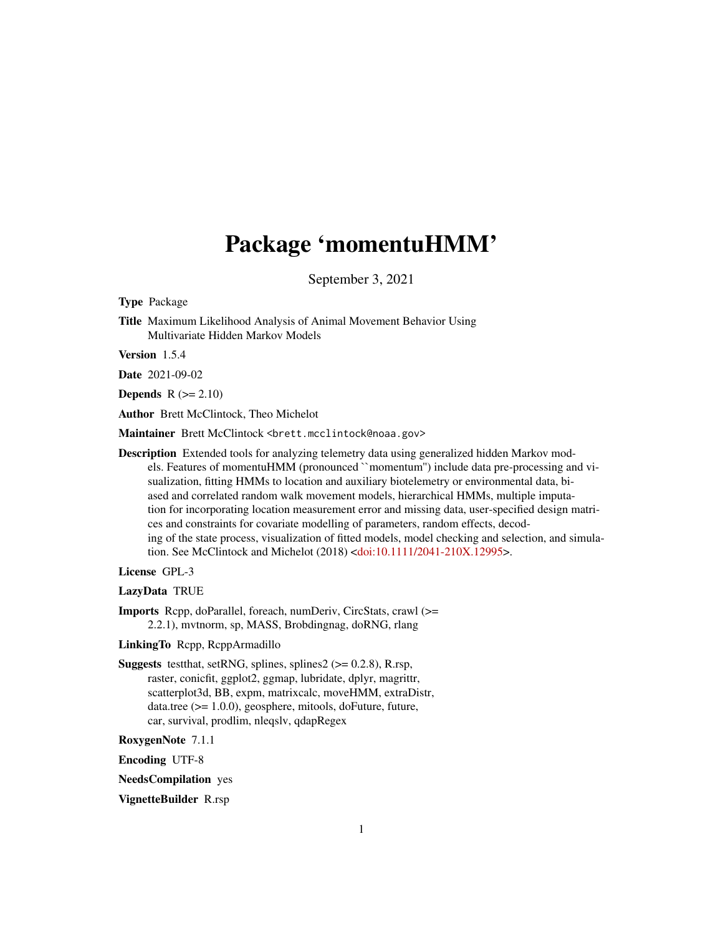# Package 'momentuHMM'

September 3, 2021

<span id="page-0-0"></span>Type Package

Title Maximum Likelihood Analysis of Animal Movement Behavior Using Multivariate Hidden Markov Models

Version 1.5.4

Date 2021-09-02

**Depends**  $R$  ( $>= 2.10$ )

Author Brett McClintock, Theo Michelot

Maintainer Brett McClintock <brett.mcclintock@noaa.gov>

Description Extended tools for analyzing telemetry data using generalized hidden Markov models. Features of momentuHMM (pronounced ``momentum'') include data pre-processing and visualization, fitting HMMs to location and auxiliary biotelemetry or environmental data, biased and correlated random walk movement models, hierarchical HMMs, multiple imputation for incorporating location measurement error and missing data, user-specified design matrices and constraints for covariate modelling of parameters, random effects, decoding of the state process, visualization of fitted models, model checking and selection, and simulation. See McClintock and Michelot (2018) [<doi:10.1111/2041-210X.12995>](https://doi.org/10.1111/2041-210X.12995).

License GPL-3

LazyData TRUE

Imports Rcpp, doParallel, foreach, numDeriv, CircStats, crawl (>= 2.2.1), mvtnorm, sp, MASS, Brobdingnag, doRNG, rlang

LinkingTo Rcpp, RcppArmadillo

**Suggests** testthat, setRNG, splines, splines $2$  ( $> = 0.2.8$ ), R.rsp, raster, conicfit, ggplot2, ggmap, lubridate, dplyr, magrittr, scatterplot3d, BB, expm, matrixcalc, moveHMM, extraDistr, data.tree (>= 1.0.0), geosphere, mitools, doFuture, future, car, survival, prodlim, nleqslv, qdapRegex

RoxygenNote 7.1.1

Encoding UTF-8

NeedsCompilation yes

VignetteBuilder R.rsp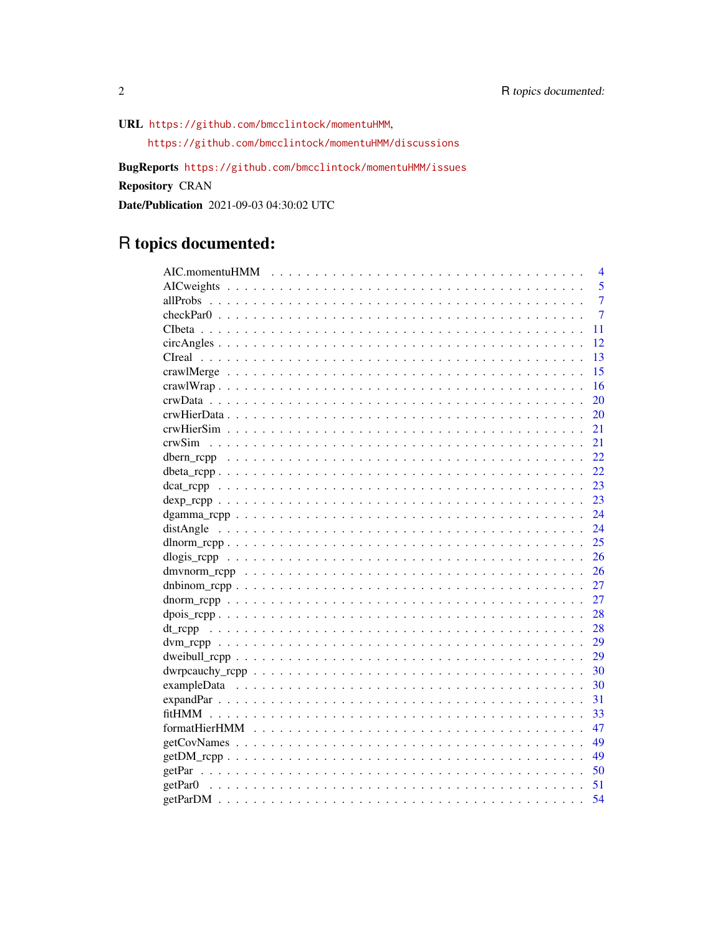URL https://github.com/bmcclintock/momentuHMM,

https://github.com/bmcclintock/momentuHMM/discussions

BugReports https://github.com/bmcclintock/momentuHMM/issues

Repository CRAN

Date/Publication 2021-09-03 04:30:02 UTC

# R topics documented:

| 4                                                                                                                        |
|--------------------------------------------------------------------------------------------------------------------------|
| 5                                                                                                                        |
| $\overline{7}$                                                                                                           |
| $\overline{7}$                                                                                                           |
| 11                                                                                                                       |
| 12<br>$circAngles \dots \dots \dots \dots \dots \dots \dots \dots \dots \dots \dots \dots \dots \dots \dots \dots \dots$ |
| 13                                                                                                                       |
| 15                                                                                                                       |
| 16                                                                                                                       |
| 20                                                                                                                       |
| 20                                                                                                                       |
| 21                                                                                                                       |
| 21                                                                                                                       |
| 22                                                                                                                       |
| 22                                                                                                                       |
| 23                                                                                                                       |
| 23                                                                                                                       |
| 24                                                                                                                       |
| 24                                                                                                                       |
| 25                                                                                                                       |
| 26                                                                                                                       |
| 26                                                                                                                       |
| 27                                                                                                                       |
| 27                                                                                                                       |
| 28<br>$\text{dpois\_rcpp$                                                                                                |
| 28                                                                                                                       |
| 29                                                                                                                       |
| 29                                                                                                                       |
| 30                                                                                                                       |
| 30                                                                                                                       |
| 31                                                                                                                       |
| 33                                                                                                                       |
| 47                                                                                                                       |
| 49<br>$getCovNames \dots \dots \dots \dots \dots \dots \dots \dots \dots \dots \dots \dots \dots \dots \dots \dots$      |
| 49<br>$getDM\_rcpp$                                                                                                      |
| 50                                                                                                                       |
| 51                                                                                                                       |
| 54                                                                                                                       |

 $\overline{2}$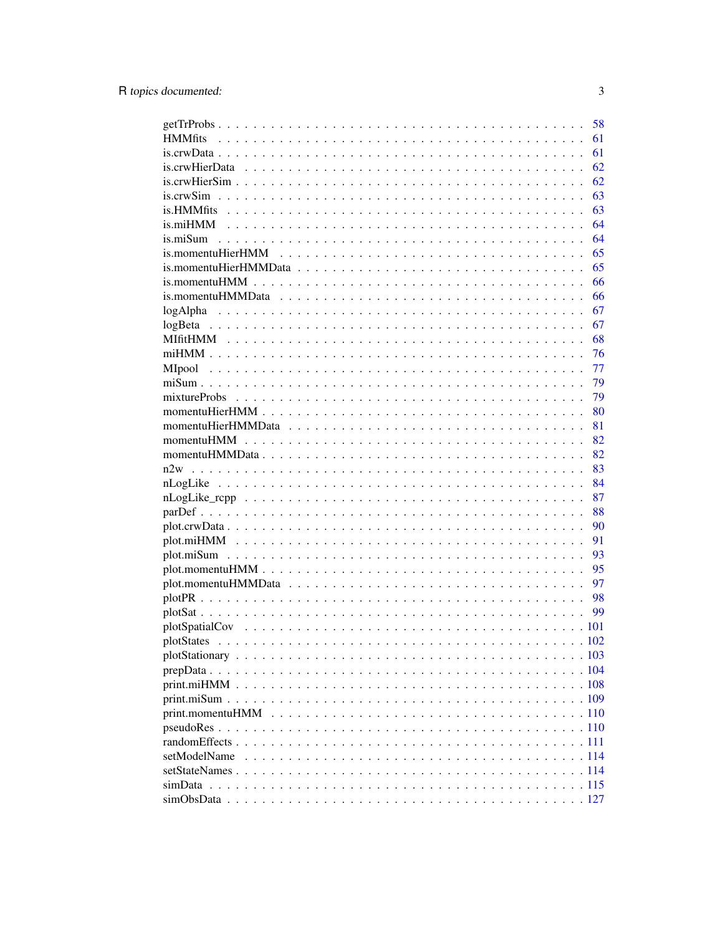|              | 58       |
|--------------|----------|
|              | 61       |
|              | 61       |
|              | 62       |
|              | 62       |
|              | 63       |
|              | 63       |
|              | 64       |
|              | 64       |
|              | 65       |
|              | 65       |
|              | 66       |
|              | 66       |
|              | 67       |
|              | 67       |
|              | 68       |
|              | 76       |
|              | 77       |
|              | 79       |
|              | 79       |
|              | 80       |
|              | 81       |
|              | 82       |
|              | 82       |
|              | 83       |
|              | 84       |
|              | 87       |
|              | 88       |
|              | 90       |
|              | 91       |
|              | 93       |
|              | 95       |
|              | 97       |
|              |          |
|              | 98<br>99 |
|              |          |
|              |          |
|              |          |
|              |          |
|              |          |
|              |          |
|              |          |
|              |          |
|              |          |
|              |          |
| setModelName |          |
|              |          |
|              |          |
|              |          |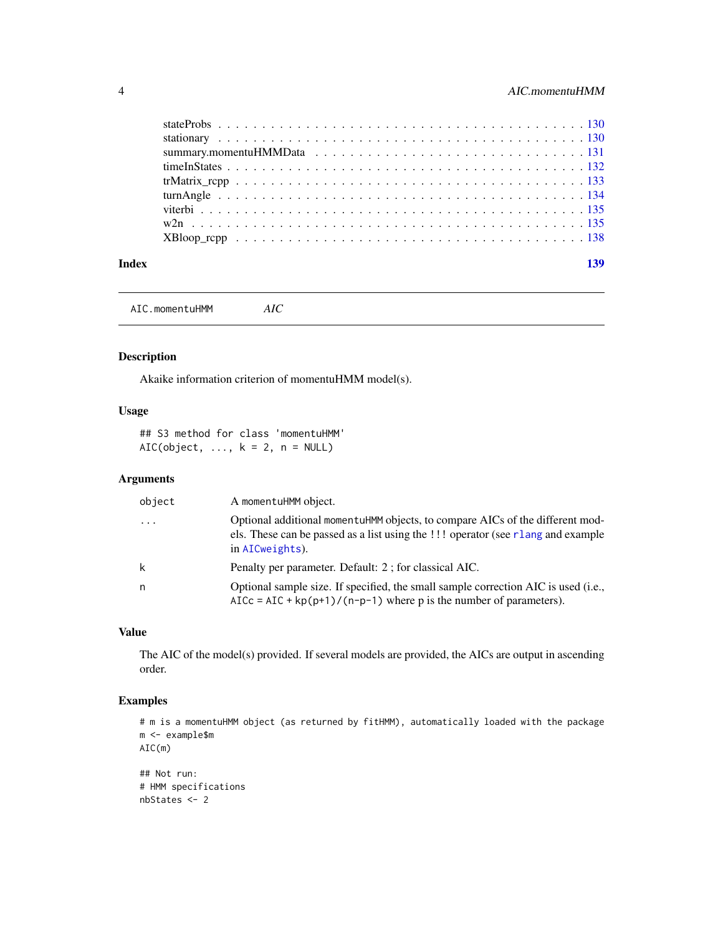<span id="page-3-0"></span>

| Index |  |
|-------|--|
|       |  |
|       |  |
|       |  |
|       |  |
|       |  |
|       |  |
|       |  |
|       |  |
|       |  |

AIC.momentuHMM *AIC*

# Description

Akaike information criterion of momentuHMM model(s).

# Usage

## S3 method for class 'momentuHMM' AIC(object,  $\dots$ ,  $k = 2$ ,  $n = NULL$ )

# Arguments

| object  | A momentuHMM object.                                                                                                                                                                 |
|---------|--------------------------------------------------------------------------------------------------------------------------------------------------------------------------------------|
| $\cdot$ | Optional additional momentuHMM objects, to compare AICs of the different mod-<br>els. These can be passed as a list using the !!! operator (see rlang and example<br>in AICweights). |
| k       | Penalty per parameter. Default: 2; for classical AIC.                                                                                                                                |
| n       | Optional sample size. If specified, the small sample correction AIC is used (i.e.,<br>AICc = AIC + $kp(p+1)/(n-p-1)$ where p is the number of parameters).                           |

# Value

The AIC of the model(s) provided. If several models are provided, the AICs are output in ascending order.

# Examples

```
# m is a momentuHMM object (as returned by fitHMM), automatically loaded with the package
m <- example$m
AIC(m)
```

```
## Not run:
# HMM specifications
nbStates <- 2
```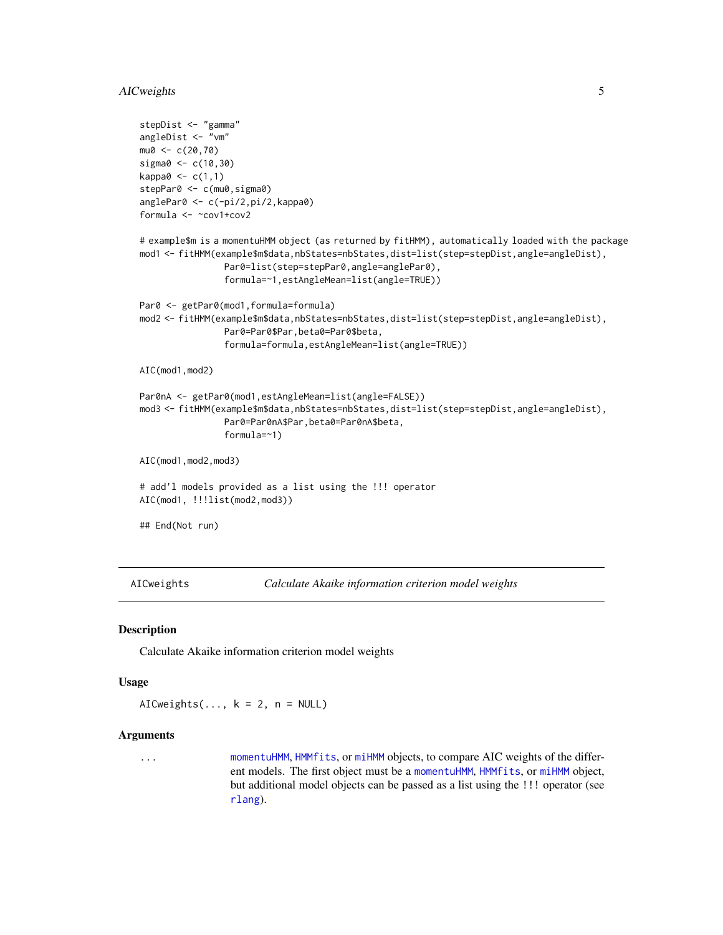# <span id="page-4-0"></span>AICweights 5

```
stepDist <- "gamma"
angleDist <- "vm"
mu0 < -c(20, 70)sigma0 <- c(10,30)
kappa0 < -c(1,1)stepPar0 <- c(mu0, sigma0)
anglePar0 <- c(-pi/2,pi/2,kappa0)
formula <- ~cov1+cov2
# example$m is a momentuHMM object (as returned by fitHMM), automatically loaded with the package
mod1 <- fitHMM(example$m$data,nbStates=nbStates,dist=list(step=stepDist,angle=angleDist),
                Par0=list(step=stepPar0,angle=anglePar0),
                formula=~1,estAngleMean=list(angle=TRUE))
Par0 <- getPar0(mod1, formula=formula)
mod2 <- fitHMM(example$m$data,nbStates=nbStates,dist=list(step=stepDist,angle=angleDist),
                Par0=Par0$Par,beta0=Par0$beta,
                formula=formula,estAngleMean=list(angle=TRUE))
AIC(mod1,mod2)
Par0nA <- getPar0(mod1,estAngleMean=list(angle=FALSE))
mod3 <- fitHMM(example$m$data,nbStates=nbStates,dist=list(step=stepDist,angle=angleDist),
                Par0=Par0nA$Par,beta0=Par0nA$beta,
                formula=~1)
AIC(mod1,mod2,mod3)
# add'l models provided as a list using the !!! operator
AIC(mod1, !!!list(mod2,mod3))
## End(Not run)
```
<span id="page-4-1"></span>AICweights *Calculate Akaike information criterion model weights*

#### Description

Calculate Akaike information criterion model weights

#### Usage

AICweights( $\dots$ , k = 2, n = NULL)

#### Arguments

... [momentuHMM](#page-81-1), [HMMfits](#page-60-1), or [miHMM](#page-75-1) objects, to compare AIC weights of the different models. The first object must be a [momentuHMM](#page-81-1), [HMMfits](#page-60-1), or [miHMM](#page-75-1) object, but additional model objects can be passed as a list using the !!! operator (see [rlang](#page-0-0)).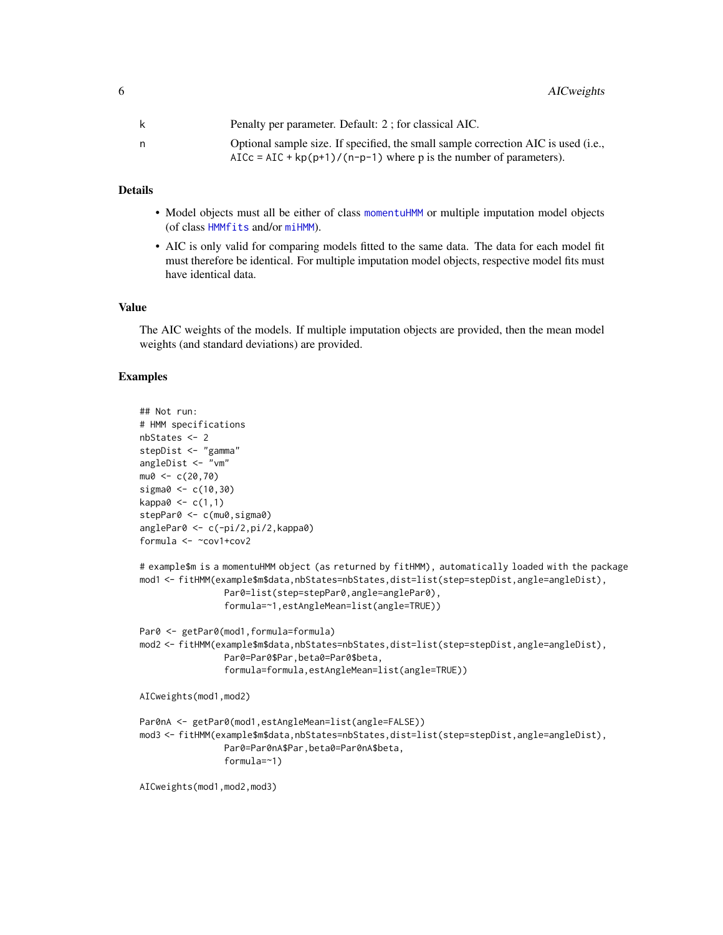| Penalty per parameter. Default: 2; for classical AIC.                                                                                                               |
|---------------------------------------------------------------------------------------------------------------------------------------------------------------------|
| Optional sample size. If specified, the small sample correction AIC is used ( <i>i.e.</i> ,<br>$AICc = AIC + kp(p+1)/(n-p-1)$ where p is the number of parameters). |

#### Details

- Model objects must all be either of class [momentuHMM](#page-81-1) or multiple imputation model objects (of class [HMMfits](#page-60-1) and/or [miHMM](#page-75-1)).
- AIC is only valid for comparing models fitted to the same data. The data for each model fit must therefore be identical. For multiple imputation model objects, respective model fits must have identical data.

#### Value

The AIC weights of the models. If multiple imputation objects are provided, then the mean model weights (and standard deviations) are provided.

#### Examples

```
## Not run:
# HMM specifications
nbStates <- 2
stepDist <- "gamma"
angleDist <- "vm"
mu0 < -c(20, 70)sigma0 \le -c(10,30)kappa0 \leq c(1,1)stepPar0 <- c(mu0, sigma0)
anglePar0 <- c(-pi/2,pi/2,kappa0)
formula <- ~cov1+cov2
# example$m is a momentuHMM object (as returned by fitHMM), automatically loaded with the package
mod1 <- fitHMM(example$m$data,nbStates=nbStates,dist=list(step=stepDist,angle=angleDist),
                Par0=list(step=stepPar0,angle=anglePar0),
                formula=~1,estAngleMean=list(angle=TRUE))
Par0 <- getPar0(mod1,formula=formula)
mod2 <- fitHMM(example$m$data,nbStates=nbStates,dist=list(step=stepDist,angle=angleDist),
                Par0=Par0$Par,beta0=Par0$beta,
                formula=formula,estAngleMean=list(angle=TRUE))
AICweights(mod1,mod2)
Par0nA <- getPar0(mod1,estAngleMean=list(angle=FALSE))
mod3 <- fitHMM(example$m$data,nbStates=nbStates,dist=list(step=stepDist,angle=angleDist),
                Par0=Par0nA$Par,beta0=Par0nA$beta,
                formula=~1)
AICweights(mod1,mod2,mod3)
```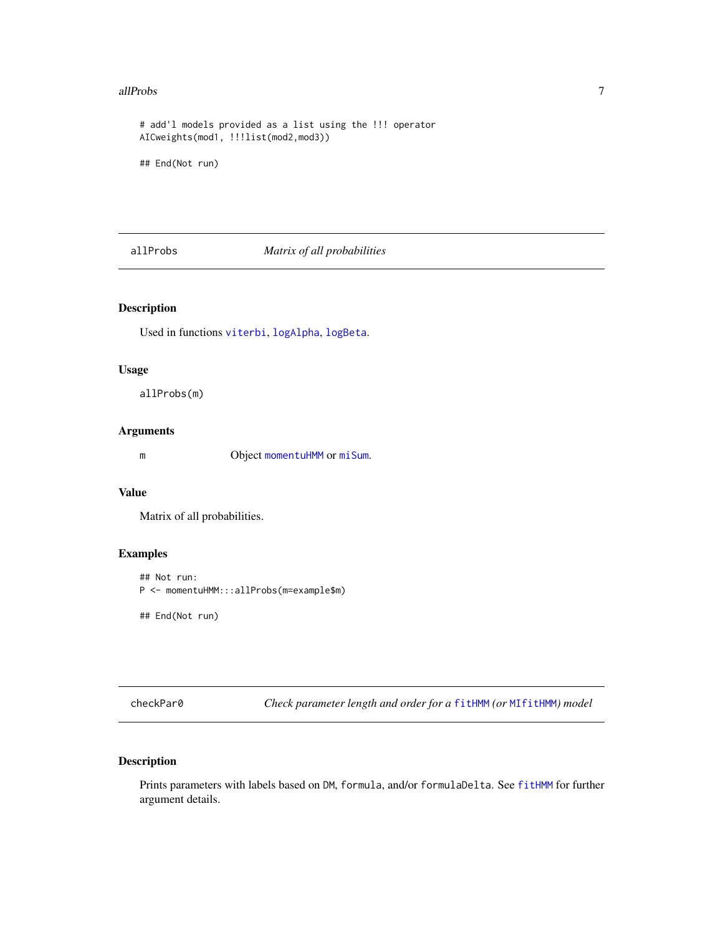#### <span id="page-6-0"></span>allProbs 30 and 200 and 200 and 200 and 200 and 200 and 200 and 200 and 200 and 200 and 200 and 200 and 200 and 200 and 200 and 200 and 200 and 200 and 200 and 200 and 200 and 200 and 200 and 200 and 200 and 200 and 200 an

```
# add'l models provided as a list using the !!! operator
AICweights(mod1, !!!list(mod2,mod3))
```
## End(Not run)

allProbs *Matrix of all probabilities*

# Description

Used in functions [viterbi](#page-134-1), [logAlpha](#page-66-1), [logBeta](#page-66-2).

#### Usage

allProbs(m)

#### Arguments

m Object [momentuHMM](#page-81-1) or [miSum](#page-78-1).

#### Value

Matrix of all probabilities.

#### Examples

```
## Not run:
P <- momentuHMM:::allProbs(m=example$m)
```
## End(Not run)

checkPar0 *Check parameter length and order for a* [fitHMM](#page-32-1) *(or* [MIfitHMM](#page-67-1)*) model*

#### Description

Prints parameters with labels based on DM, formula, and/or formulaDelta. See [fitHMM](#page-32-1) for further argument details.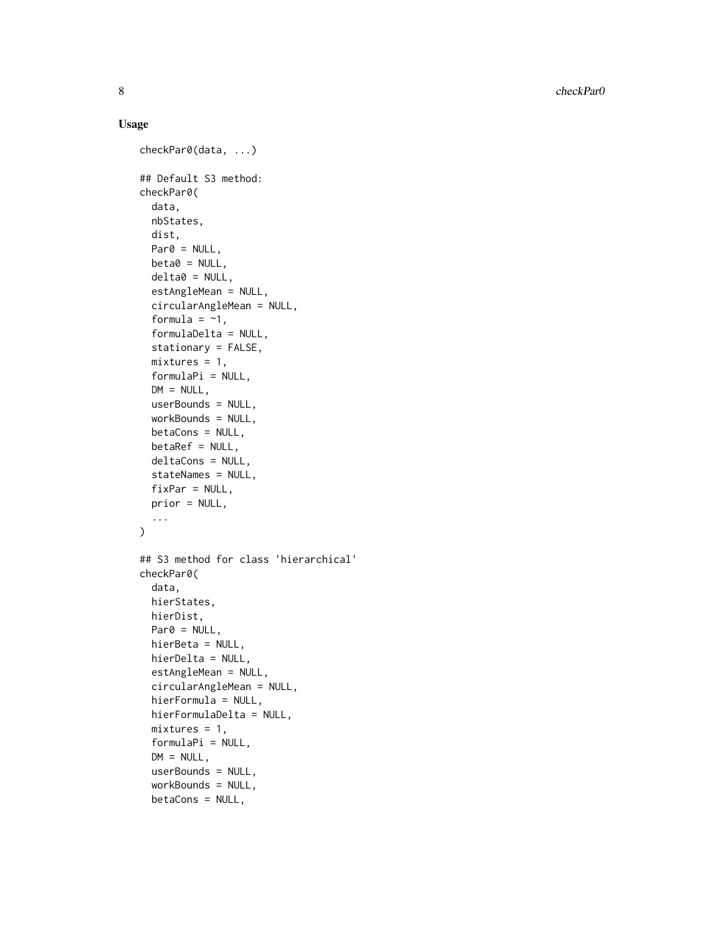8 checkPar0

#### Usage

```
checkPar0(data, ...)
## Default S3 method:
checkPar0(
  data,
 nbStates,
 dist,
 Par0 = NULL,
 beta = NULL,delta = NULL,estAngleMean = NULL,
  circularAngleMean = NULL,
  formula = -1,
  formulaDelta = NULL,
  stationary = FALSE,
  mixtures = 1,
  formulaPi = NULL,
  DM = NULL,userBounds = NULL,
 workBounds = NULL,
 betaCons = NULL,
 beta F = NULL,deltaCons = NULL,
  stateNames = NULL,
  fixPar = NULL,prior = NULL,
  ...
\mathcal{L}## S3 method for class 'hierarchical'
checkPar0(
  data,
  hierStates,
 hierDist,
 Par0 = NULL,
 hierBeta = NULL,
 hierDelta = NULL,
  estAngleMean = NULL,
  circularAngleMean = NULL,
  hierFormula = NULL,
  hierFormulaDelta = NULL,
  mixtures = 1,
  formulaPi = NULL,
  DM = NULL,
  userBounds = NULL,
  workBounds = NULL,
 betaCons = NULL,
```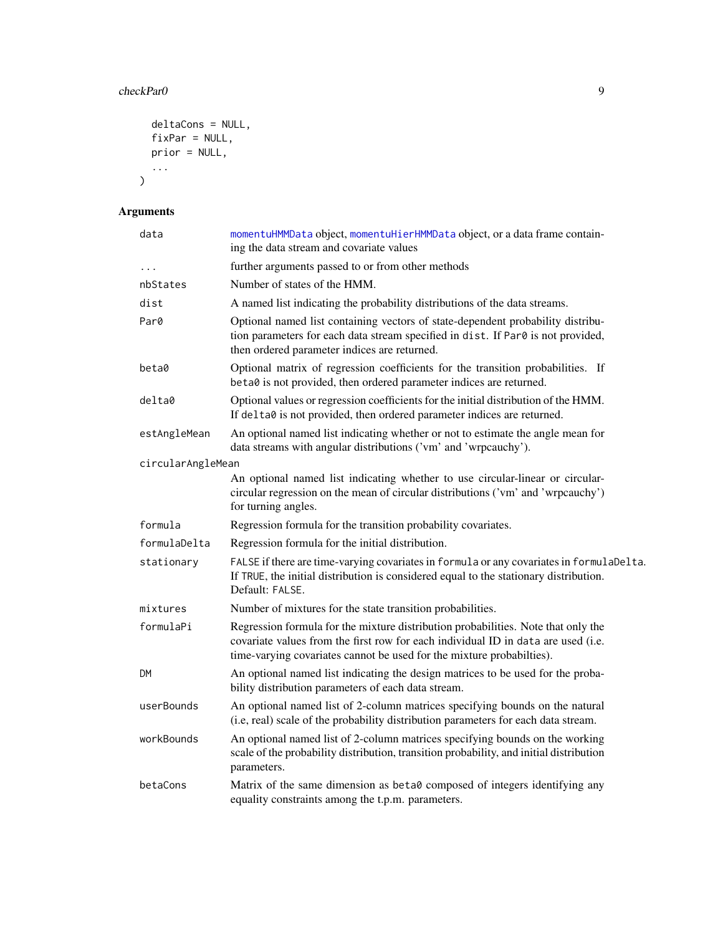#### checkPar0 9

```
deltaCons = NULL,
  fixPar = NULL,
  prior = NULL,
  ...
\overline{)}
```
# Arguments

| data              | momentuHMMData object, momentuHierHMMData object, or a data frame contain-<br>ing the data stream and covariate values                                                                                                                          |
|-------------------|-------------------------------------------------------------------------------------------------------------------------------------------------------------------------------------------------------------------------------------------------|
| $\cdots$          | further arguments passed to or from other methods                                                                                                                                                                                               |
| nbStates          | Number of states of the HMM.                                                                                                                                                                                                                    |
| dist              | A named list indicating the probability distributions of the data streams.                                                                                                                                                                      |
| Par0              | Optional named list containing vectors of state-dependent probability distribu-<br>tion parameters for each data stream specified in dist. If Par0 is not provided,<br>then ordered parameter indices are returned.                             |
| beta0             | Optional matrix of regression coefficients for the transition probabilities. If<br>beta0 is not provided, then ordered parameter indices are returned.                                                                                          |
| delta0            | Optional values or regression coefficients for the initial distribution of the HMM.<br>If delta0 is not provided, then ordered parameter indices are returned.                                                                                  |
| estAngleMean      | An optional named list indicating whether or not to estimate the angle mean for<br>data streams with angular distributions ('vm' and 'wrpcauchy').                                                                                              |
| circularAngleMean |                                                                                                                                                                                                                                                 |
|                   | An optional named list indicating whether to use circular-linear or circular-<br>circular regression on the mean of circular distributions ('vm' and 'wrpcauchy')<br>for turning angles.                                                        |
| formula           | Regression formula for the transition probability covariates.                                                                                                                                                                                   |
| formulaDelta      | Regression formula for the initial distribution.                                                                                                                                                                                                |
| stationary        | FALSE if there are time-varying covariates in formula or any covariates in formulaDelta.<br>If TRUE, the initial distribution is considered equal to the stationary distribution.<br>Default: FALSE.                                            |
| mixtures          | Number of mixtures for the state transition probabilities.                                                                                                                                                                                      |
| formulaPi         | Regression formula for the mixture distribution probabilities. Note that only the<br>covariate values from the first row for each individual ID in data are used (i.e.<br>time-varying covariates cannot be used for the mixture probabilties). |
| DМ                | An optional named list indicating the design matrices to be used for the proba-<br>bility distribution parameters of each data stream.                                                                                                          |
| userBounds        | An optional named list of 2-column matrices specifying bounds on the natural<br>(i.e, real) scale of the probability distribution parameters for each data stream.                                                                              |
| workBounds        | An optional named list of 2-column matrices specifying bounds on the working<br>scale of the probability distribution, transition probability, and initial distribution<br>parameters.                                                          |
| betaCons          | Matrix of the same dimension as beta0 composed of integers identifying any<br>equality constraints among the t.p.m. parameters.                                                                                                                 |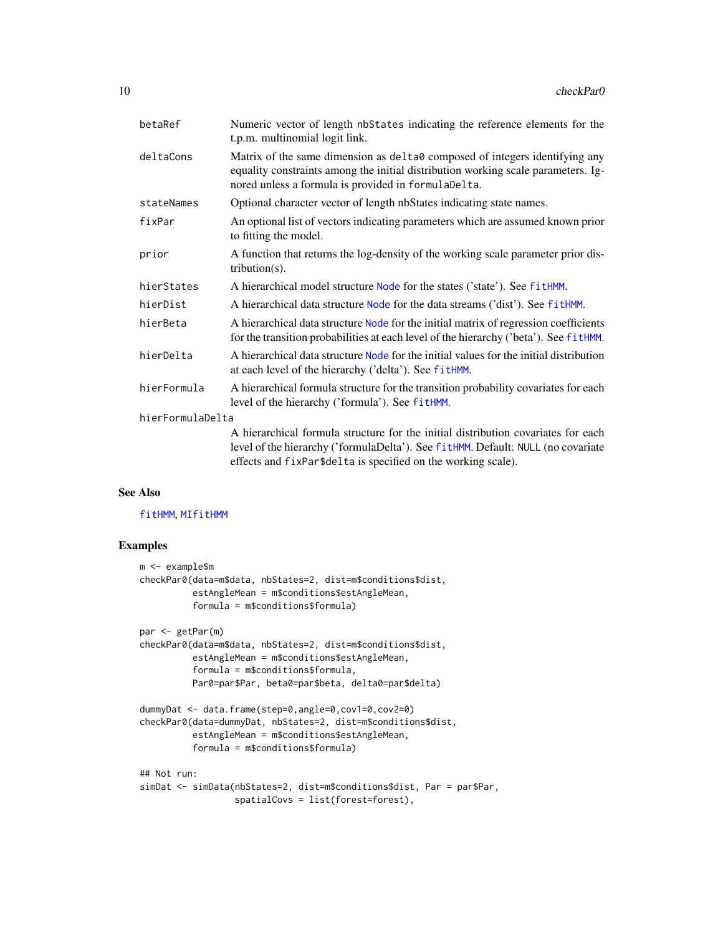| betaRef          | Numeric vector of length nbStates indicating the reference elements for the<br>t.p.m. multinomial logit link.                                                                                                                          |
|------------------|----------------------------------------------------------------------------------------------------------------------------------------------------------------------------------------------------------------------------------------|
| deltaCons        | Matrix of the same dimension as delta0 composed of integers identifying any<br>equality constraints among the initial distribution working scale parameters. Ig-<br>nored unless a formula is provided in formulaDelta.                |
| stateNames       | Optional character vector of length nbStates indicating state names.                                                                                                                                                                   |
| fixPar           | An optional list of vectors indicating parameters which are assumed known prior<br>to fitting the model.                                                                                                                               |
| prior            | A function that returns the log-density of the working scale parameter prior dis-<br>tribution $(s)$ .                                                                                                                                 |
| hierStates       | A hierarchical model structure Node for the states ('state'). See fitHMM.                                                                                                                                                              |
| hierDist         | A hierarchical data structure Node for the data streams ('dist'). See fitHMM.                                                                                                                                                          |
| hierBeta         | A hierarchical data structure Node for the initial matrix of regression coefficients<br>for the transition probabilities at each level of the hierarchy ('beta'). See fitHMM.                                                          |
| hierDelta        | A hierarchical data structure Node for the initial values for the initial distribution<br>at each level of the hierarchy ('delta'). See fitHMM.                                                                                        |
| hierFormula      | A hierarchical formula structure for the transition probability covariates for each<br>level of the hierarchy ('formula'). See fitHMM.                                                                                                 |
| hierFormulaDelta |                                                                                                                                                                                                                                        |
|                  | A hierarchical formula structure for the initial distribution covariates for each<br>level of the hierarchy ('formulaDelta'). See fitHMM. Default: NULL (no covariate<br>effects and fixPar\$delta is specified on the working scale). |

#### See Also

#### [fitHMM](#page-32-1), [MIfitHMM](#page-67-1)

#### Examples

```
m <- example$m
checkPar0(data=m$data, nbStates=2, dist=m$conditions$dist,
         estAngleMean = m$conditions$estAngleMean,
         formula = m$conditions$formula)
par <- getPar(m)
checkPar0(data=m$data, nbStates=2, dist=m$conditions$dist,
         estAngleMean = m$conditions$estAngleMean,
         formula = m$conditions$formula,
         Par0=par$Par, beta0=par$beta, delta0=par$delta)
dummyDat <- data.frame(step=0,angle=0,cov1=0,cov2=0)
checkPar0(data=dummyDat, nbStates=2, dist=m$conditions$dist,
         estAngleMean = m$conditions$estAngleMean,
         formula = m$conditions$formula)
## Not run:
simDat <- simData(nbStates=2, dist=m$conditions$dist, Par = par$Par,
                 spatialCovs = list(forest=forest),
```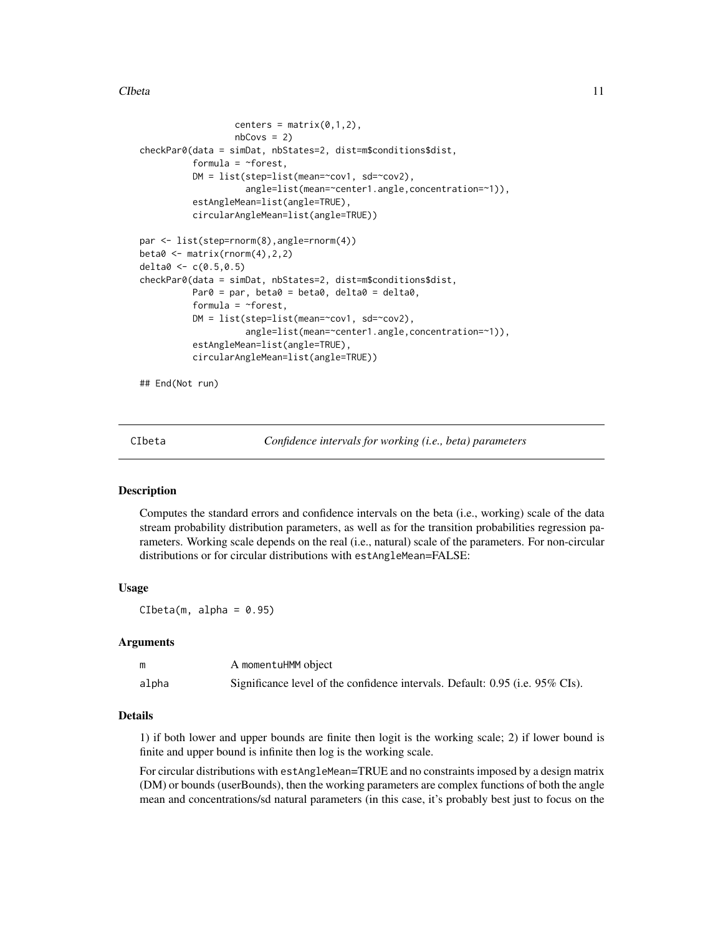<span id="page-10-0"></span>CIbeta 11

```
centers = matrix(0,1,2),
                  nbCovs = 2)checkPar0(data = simDat, nbStates=2, dist=m$conditions$dist,
          formula = ~forest,
          DM = list(step=list(mean=~cov1, sd=~cov2),
                    angle=list(mean=~center1.angle,concentration=~1)),
          estAngleMean=list(angle=TRUE),
          circularAngleMean=list(angle=TRUE))
par <- list(step=rnorm(8),angle=rnorm(4))
beta0 <- matrix(rnorm(4),2,2)
delta0 \leq c(0.5, 0.5)checkPar0(data = simDat, nbStates=2, dist=m$conditions$dist,
          Par0 = par, beta0 = beta0, delta0 = delta0,
          formula = ~forest,
          DM = list(step=list(mean=~cov1, sd=~cov2),
                    angle=list(mean=~center1.angle,concentration=~1)),
          estAngleMean=list(angle=TRUE),
          circularAngleMean=list(angle=TRUE))
```
## End(Not run)

CIbeta *Confidence intervals for working (i.e., beta) parameters*

#### Description

Computes the standard errors and confidence intervals on the beta (i.e., working) scale of the data stream probability distribution parameters, as well as for the transition probabilities regression parameters. Working scale depends on the real (i.e., natural) scale of the parameters. For non-circular distributions or for circular distributions with estAngleMean=FALSE:

#### Usage

 $Cibeta(m, alpha = 0.95)$ 

#### Arguments

|       | A momentuHMM object                                                           |
|-------|-------------------------------------------------------------------------------|
| alpha | Significance level of the confidence intervals. Default: 0.95 (i.e. 95% CIs). |

#### Details

1) if both lower and upper bounds are finite then logit is the working scale; 2) if lower bound is finite and upper bound is infinite then log is the working scale.

For circular distributions with estAngleMean=TRUE and no constraints imposed by a design matrix (DM) or bounds (userBounds), then the working parameters are complex functions of both the angle mean and concentrations/sd natural parameters (in this case, it's probably best just to focus on the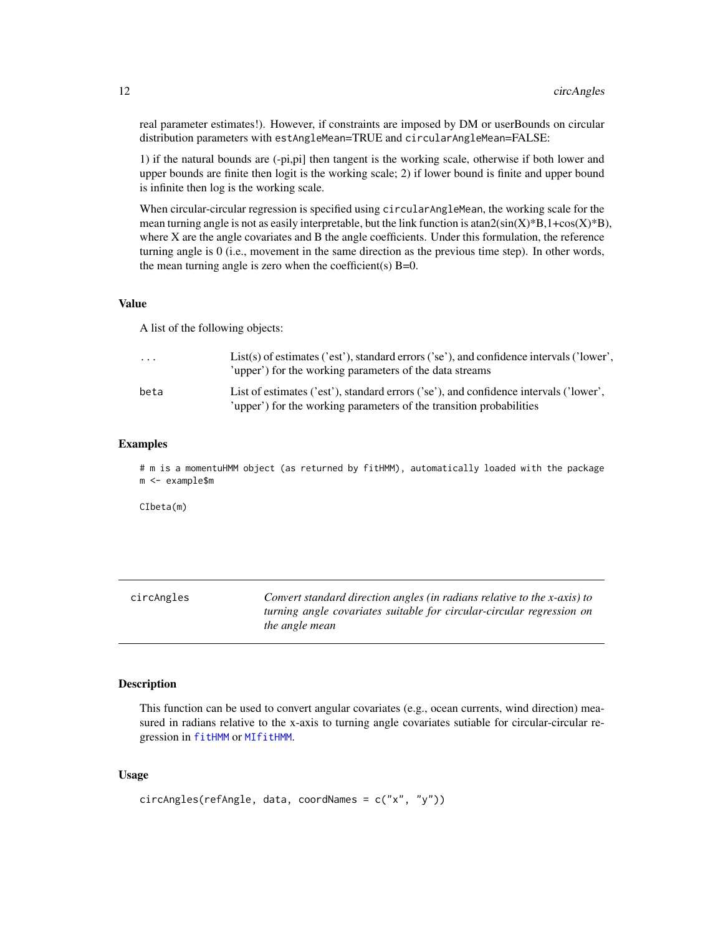<span id="page-11-0"></span>real parameter estimates!). However, if constraints are imposed by DM or userBounds on circular distribution parameters with estAngleMean=TRUE and circularAngleMean=FALSE:

1) if the natural bounds are (-pi,pi] then tangent is the working scale, otherwise if both lower and upper bounds are finite then logit is the working scale; 2) if lower bound is finite and upper bound is infinite then log is the working scale.

When circular-circular regression is specified using circularAngleMean, the working scale for the mean turning angle is not as easily interpretable, but the link function is  $\text{atan2}(\sin(X)^*B, 1+\cos(X)^*B)$ , where X are the angle covariates and B the angle coefficients. Under this formulation, the reference turning angle is 0 (i.e., movement in the same direction as the previous time step). In other words, the mean turning angle is zero when the coefficient(s)  $B=0$ .

#### Value

A list of the following objects:

| $\cdot$ $\cdot$ $\cdot$ | List(s) of estimates ('est'), standard errors ('se'), and confidence intervals ('lower',<br>'upper') for the working parameters of the data streams          |
|-------------------------|--------------------------------------------------------------------------------------------------------------------------------------------------------------|
| beta                    | List of estimates ('est'), standard errors ('se'), and confidence intervals ('lower',<br>'upper') for the working parameters of the transition probabilities |

#### Examples

# m is a momentuHMM object (as returned by fitHMM), automatically loaded with the package m <- example\$m

CIbeta(m)

<span id="page-11-1"></span>

| circAngles | Convert standard direction angles (in radians relative to the x-axis) to |
|------------|--------------------------------------------------------------------------|
|            | turning angle covariates suitable for circular-circular regression on    |
|            | the angle mean                                                           |

#### Description

This function can be used to convert angular covariates (e.g., ocean currents, wind direction) measured in radians relative to the x-axis to turning angle covariates sutiable for circular-circular regression in [fitHMM](#page-32-1) or [MIfitHMM](#page-67-1).

#### Usage

```
circAngles(refAngle, data, coordNames = c("x", "y"))
```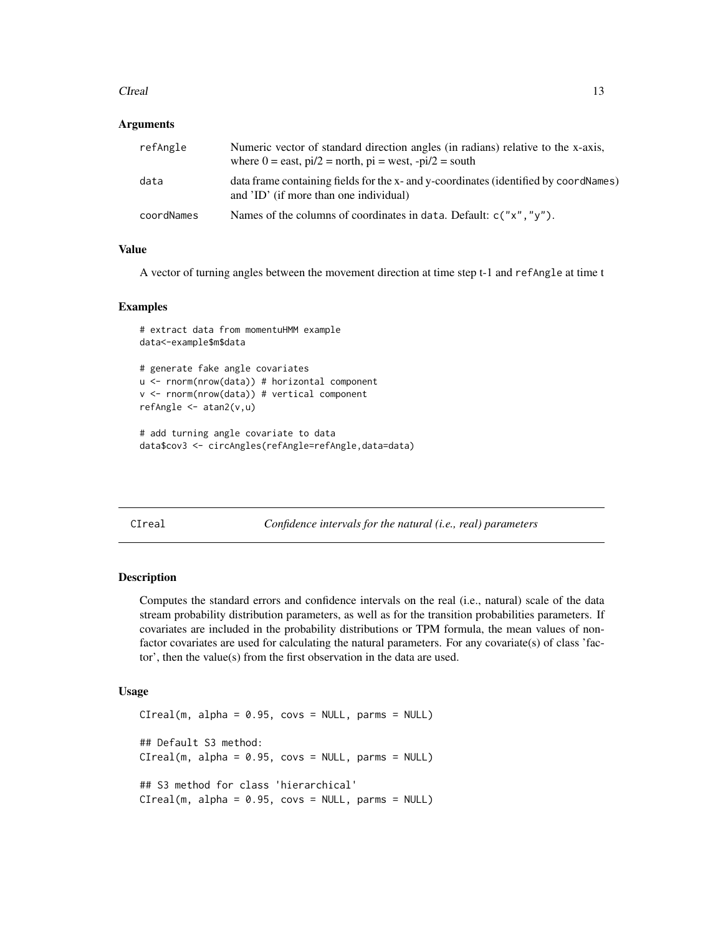#### <span id="page-12-0"></span>CIreal 2008 and 2008 and 2008 and 2008 and 2008 and 2008 and 2008 and 2008 and 2008 and 2008 and 2008 and 2008 and 2008 and 2008 and 2008 and 2008 and 2008 and 2008 and 2008 and 2008 and 2008 and 2008 and 2008 and 2008 and

#### **Arguments**

| refAngle   | Numeric vector of standard direction angles (in radians) relative to the x-axis,<br>where $0 =$ east, $pi/2 =$ north, $pi =$ west, $-pi/2 =$ south |
|------------|----------------------------------------------------------------------------------------------------------------------------------------------------|
| data       | data frame containing fields for the x- and y-coordinates (identified by coordNames)<br>and 'ID' (if more than one individual)                     |
| coordNames | Names of the columns of coordinates in data. Default: $c("x", "y").$                                                                               |

#### Value

A vector of turning angles between the movement direction at time step t-1 and refAngle at time t

#### Examples

```
# extract data from momentuHMM example
data<-example$m$data
# generate fake angle covariates
u <- rnorm(nrow(data)) # horizontal component
v <- rnorm(nrow(data)) # vertical component
refAngle <- atan2(v,u)
```

```
# add turning angle covariate to data
data$cov3 <- circAngles(refAngle=refAngle,data=data)
```
CIreal *Confidence intervals for the natural (i.e., real) parameters*

# Description

Computes the standard errors and confidence intervals on the real (i.e., natural) scale of the data stream probability distribution parameters, as well as for the transition probabilities parameters. If covariates are included in the probability distributions or TPM formula, the mean values of nonfactor covariates are used for calculating the natural parameters. For any covariate(s) of class 'factor', then the value(s) from the first observation in the data are used.

#### Usage

```
CIreal(m, alpha = 0.95, covs = NULL, parms = NULL)## Default S3 method:
CIreal(m, alpha = 0.95, covs = NULL, parms = NULL)## S3 method for class 'hierarchical'
CIreal(m, alpha = 0.95, covs = NULL, parms = NULL)
```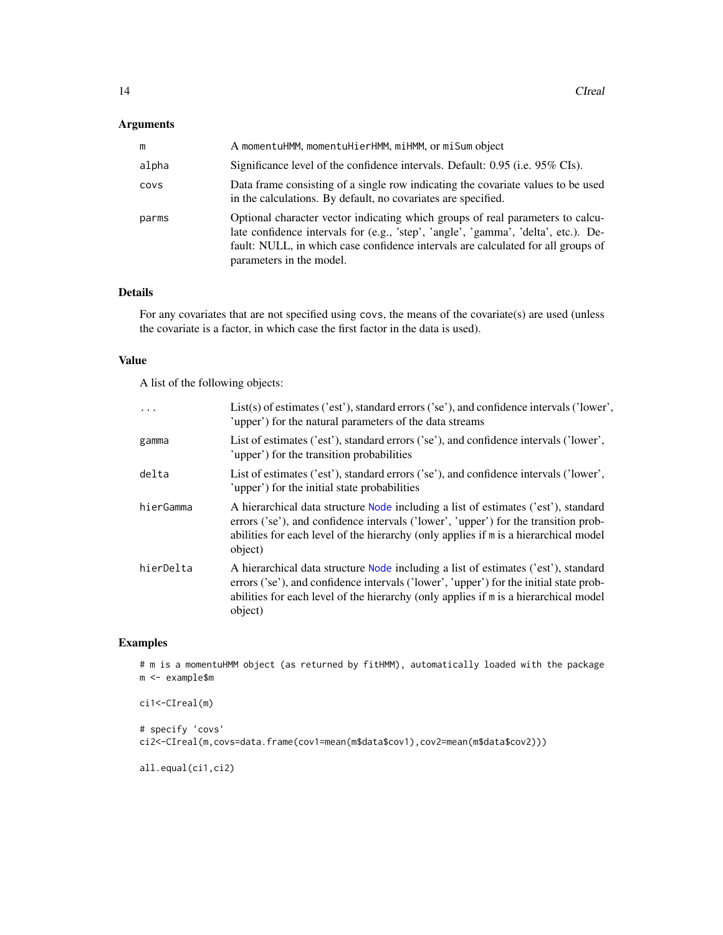#### Arguments

| m     | A momentuHMM, momentuHierHMM, miHMM, or miSum object                                                                                                                                                                                                                                 |
|-------|--------------------------------------------------------------------------------------------------------------------------------------------------------------------------------------------------------------------------------------------------------------------------------------|
| alpha | Significance level of the confidence intervals. Default: 0.95 (i.e. 95% CIs).                                                                                                                                                                                                        |
| COVS  | Data frame consisting of a single row indicating the covariate values to be used<br>in the calculations. By default, no covariates are specified.                                                                                                                                    |
| parms | Optional character vector indicating which groups of real parameters to calcu-<br>late confidence intervals for (e.g., 'step', 'angle', 'gamma', 'delta', etc.). De-<br>fault: NULL, in which case confidence intervals are calculated for all groups of<br>parameters in the model. |

# Details

For any covariates that are not specified using covs, the means of the covariate(s) are used (unless the covariate is a factor, in which case the first factor in the data is used).

#### Value

A list of the following objects:

| .         | List(s) of estimates ('est'), standard errors ('se'), and confidence intervals ('lower',<br>'upper') for the natural parameters of the data streams                                                                                                                             |
|-----------|---------------------------------------------------------------------------------------------------------------------------------------------------------------------------------------------------------------------------------------------------------------------------------|
| gamma     | List of estimates ('est'), standard errors ('se'), and confidence intervals ('lower',<br>'upper') for the transition probabilities                                                                                                                                              |
| delta     | List of estimates ('est'), standard errors ('se'), and confidence intervals ('lower',<br>'upper') for the initial state probabilities                                                                                                                                           |
| hierGamma | A hierarchical data structure Node including a list of estimates ('est'), standard<br>errors ('se'), and confidence intervals ('lower', 'upper') for the transition prob-<br>abilities for each level of the hierarchy (only applies if m is a hierarchical model<br>object)    |
| hierDelta | A hierarchical data structure Node including a list of estimates ('est'), standard<br>errors ('se'), and confidence intervals ('lower', 'upper') for the initial state prob-<br>abilities for each level of the hierarchy (only applies if m is a hierarchical model<br>object) |

# Examples

```
# m is a momentuHMM object (as returned by fitHMM), automatically loaded with the package
m <- example$m
```

```
ci1<-CIreal(m)
# specify 'covs'
ci2<-CIreal(m,covs=data.frame(cov1=mean(m$data$cov1),cov2=mean(m$data$cov2)))
```

```
all.equal(ci1,ci2)
```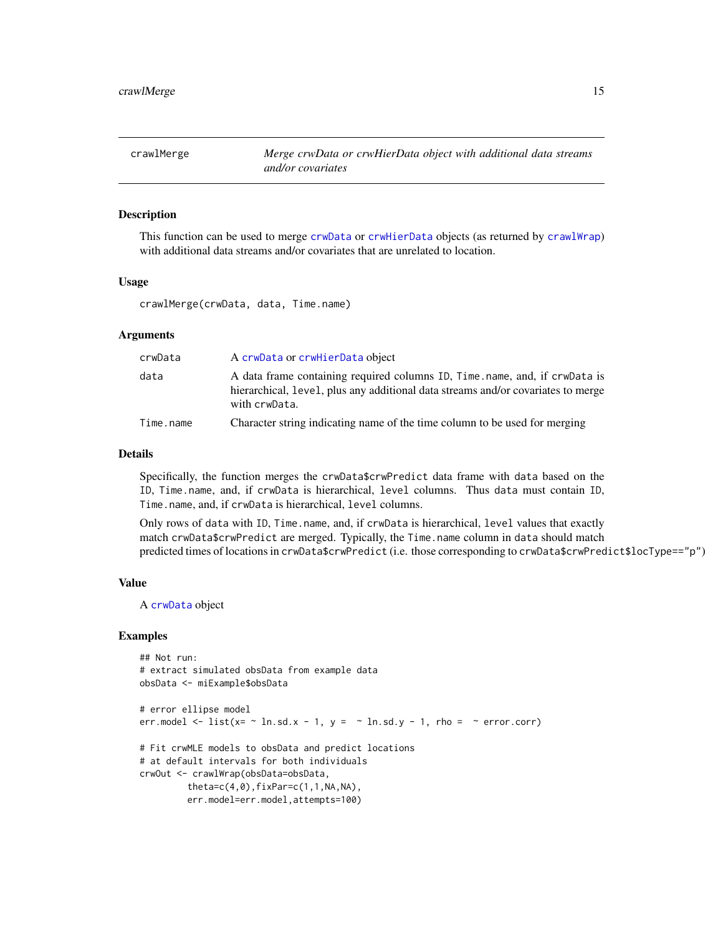<span id="page-14-0"></span>

This function can be used to merge [crwData](#page-19-1) or [crwHierData](#page-19-2) objects (as returned by [crawlWrap](#page-15-1)) with additional data streams and/or covariates that are unrelated to location.

#### Usage

crawlMerge(crwData, data, Time.name)

#### Arguments

| crwData   | A crwData or crwHierData object                                                                                                                                                  |
|-----------|----------------------------------------------------------------------------------------------------------------------------------------------------------------------------------|
| data      | A data frame containing required columns ID, Time, name, and, if crwData is<br>hierarchical, level, plus any additional data streams and/or covariates to merge<br>with crwData. |
| Time.name | Character string indicating name of the time column to be used for merging                                                                                                       |

#### Details

Specifically, the function merges the crwData\$crwPredict data frame with data based on the ID, Time.name, and, if crwData is hierarchical, level columns. Thus data must contain ID, Time.name, and, if crwData is hierarchical, level columns.

Only rows of data with ID, Time.name, and, if crwData is hierarchical, level values that exactly match crwData\$crwPredict are merged. Typically, the Time.name column in data should match predicted times of locations in crwData\$crwPredict (i.e. those corresponding to crwData\$crwPredict\$locType=="p")

#### Value

A [crwData](#page-19-1) object

#### Examples

```
## Not run:
# extract simulated obsData from example data
obsData <- miExample$obsData
# error ellipse model
err.model \le list(x= \sim ln.sd.x - 1, y = \sim ln.sd.y - 1, rho = \sim error.corr)
# Fit crwMLE models to obsData and predict locations
# at default intervals for both individuals
crwOut <- crawlWrap(obsData=obsData,
         theta = c(4, 0), fixPar = c(1, 1, NA, NA),err.model=err.model,attempts=100)
```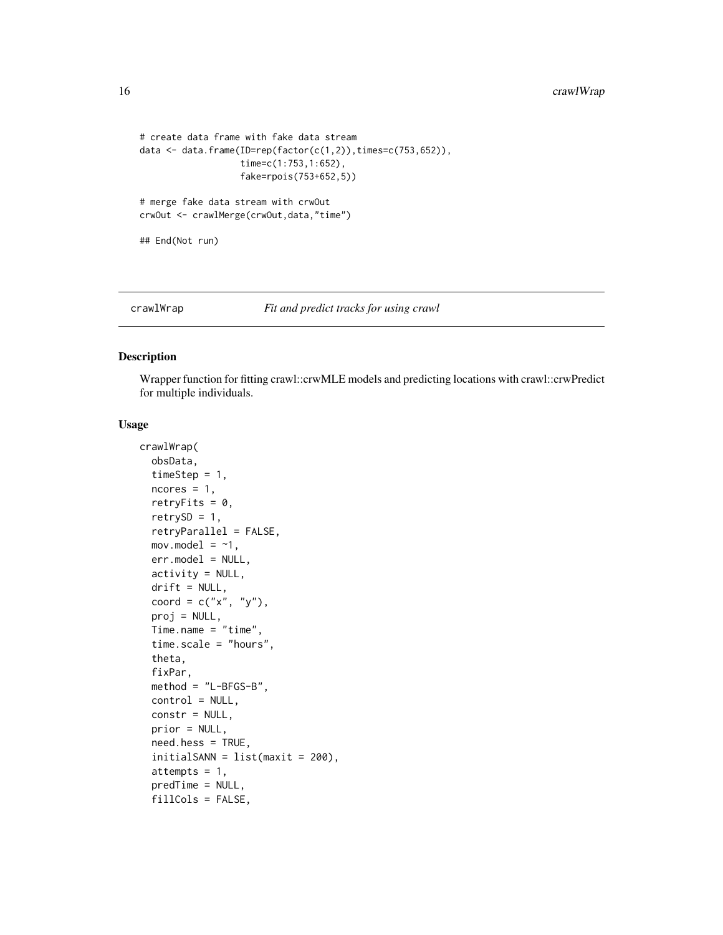```
# create data frame with fake data stream
data \leq data.frame(ID=rep(factor(c(1,2)),times=c(753,652)),
                   time=c(1:753,1:652),
                   fake=rpois(753+652,5))
# merge fake data stream with crwOut
crwOut <- crawlMerge(crwOut,data,"time")
## End(Not run)
```
#### <span id="page-15-1"></span>crawlWrap *Fit and predict tracks for using crawl*

#### Description

Wrapper function for fitting crawl::crwMLE models and predicting locations with crawl::crwPredict for multiple individuals.

#### Usage

```
crawlWrap(
  obsData,
  timeStep = 1,
  ncores = 1,
  retryFits = 0,
  retrySD = 1,
  retryParallel = FALSE,
  mov.model = ~1,
  err.model = NULL,
  activity = NULL,
  drift = NULL,coord = c("x", "y"),
  proj = NULL,
  Time.name = "time",
  time.scale = "hours",
  theta,
  fixPar,
  method = "L-BFGS-B",
  control = NULL,constr = NULL,
  prior = NULL,
  need.hess = TRUE,
  initialSANN = list(maxit = 200),
  attempts = 1,
  predTime = NULL,
  fillCols = FALSE,
```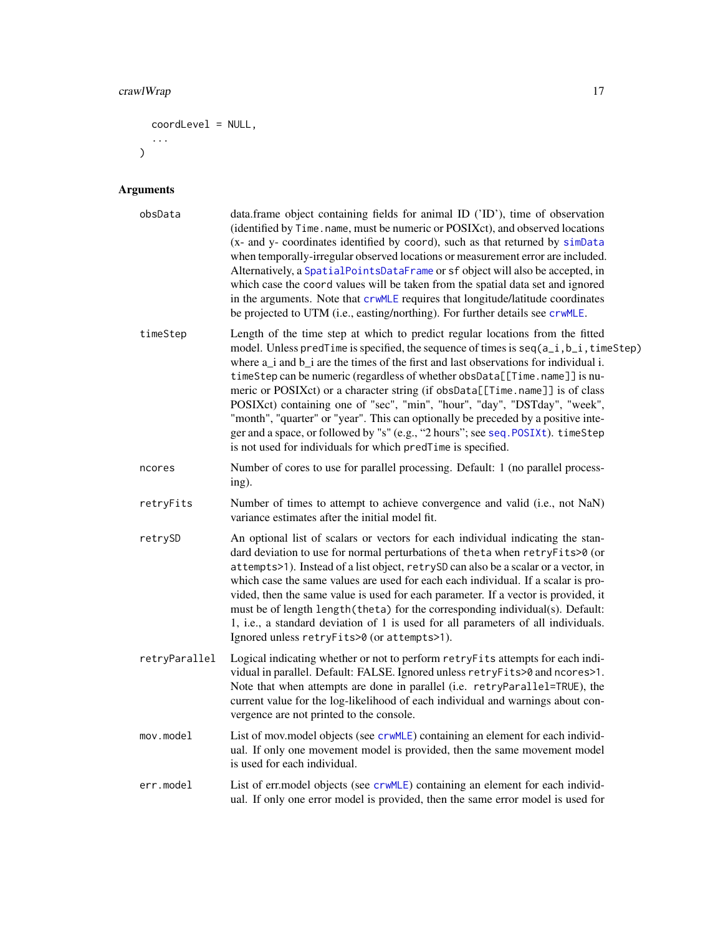# crawlWrap 17

```
coordLevel = NULL,
 ...
)
```
# Arguments

| obsData       | data.frame object containing fields for animal ID ('ID'), time of observation<br>(identified by Time. name, must be numeric or POSIXct), and observed locations<br>(x- and y- coordinates identified by coord), such as that returned by simData<br>when temporally-irregular observed locations or measurement error are included.<br>Alternatively, a SpatialPointsDataFrame or sf object will also be accepted, in<br>which case the coord values will be taken from the spatial data set and ignored<br>in the arguments. Note that crwMLE requires that longitude/latitude coordinates<br>be projected to UTM (i.e., easting/northing). For further details see crwMLE.                                                                                    |
|---------------|-----------------------------------------------------------------------------------------------------------------------------------------------------------------------------------------------------------------------------------------------------------------------------------------------------------------------------------------------------------------------------------------------------------------------------------------------------------------------------------------------------------------------------------------------------------------------------------------------------------------------------------------------------------------------------------------------------------------------------------------------------------------|
| timeStep      | Length of the time step at which to predict regular locations from the fitted<br>model. Unless pred Time is specified, the sequence of times is $seq(a_i, b_i, t, \text{timeStep})$<br>where a_i and b_i are the times of the first and last observations for individual i.<br>timeStep can be numeric (regardless of whether obsData[[Time.name]] is nu-<br>meric or POSIXct) or a character string (if obsData[[Time.name]] is of class<br>POSIXct) containing one of "sec", "min", "hour", "day", "DSTday", "week",<br>"month", "quarter" or "year". This can optionally be preceded by a positive inte-<br>ger and a space, or followed by "s" (e.g., "2 hours"; see seq. POSIXt). timeStep<br>is not used for individuals for which predTime is specified. |
| ncores        | Number of cores to use for parallel processing. Default: 1 (no parallel process-<br>ing).                                                                                                                                                                                                                                                                                                                                                                                                                                                                                                                                                                                                                                                                       |
| retryFits     | Number of times to attempt to achieve convergence and valid (i.e., not NaN)<br>variance estimates after the initial model fit.                                                                                                                                                                                                                                                                                                                                                                                                                                                                                                                                                                                                                                  |
| retrySD       | An optional list of scalars or vectors for each individual indicating the stan-<br>dard deviation to use for normal perturbations of theta when retryFits>0 (or<br>attempts>1). Instead of a list object, retrySD can also be a scalar or a vector, in<br>which case the same values are used for each each individual. If a scalar is pro-<br>vided, then the same value is used for each parameter. If a vector is provided, it<br>must be of length length (theta) for the corresponding individual(s). Default:<br>1, i.e., a standard deviation of 1 is used for all parameters of all individuals.<br>Ignored unless retryFits>0 (or attempts>1).                                                                                                         |
| retryParallel | Logical indicating whether or not to perform retryFits attempts for each indi-<br>vidual in parallel. Default: FALSE. Ignored unless retryFits>0 and ncores>1.<br>Note that when attempts are done in parallel (i.e. retryParallel=TRUE), the<br>current value for the log-likelihood of each individual and warnings about con-<br>vergence are not printed to the console.                                                                                                                                                                                                                                                                                                                                                                                    |
| mov্i>model   | List of mov.model objects (see crwMLE) containing an element for each individ-<br>ual. If only one movement model is provided, then the same movement model<br>is used for each individual.                                                                                                                                                                                                                                                                                                                                                                                                                                                                                                                                                                     |
| err.model     | List of err.model objects (see crwMLE) containing an element for each individ-<br>ual. If only one error model is provided, then the same error model is used for                                                                                                                                                                                                                                                                                                                                                                                                                                                                                                                                                                                               |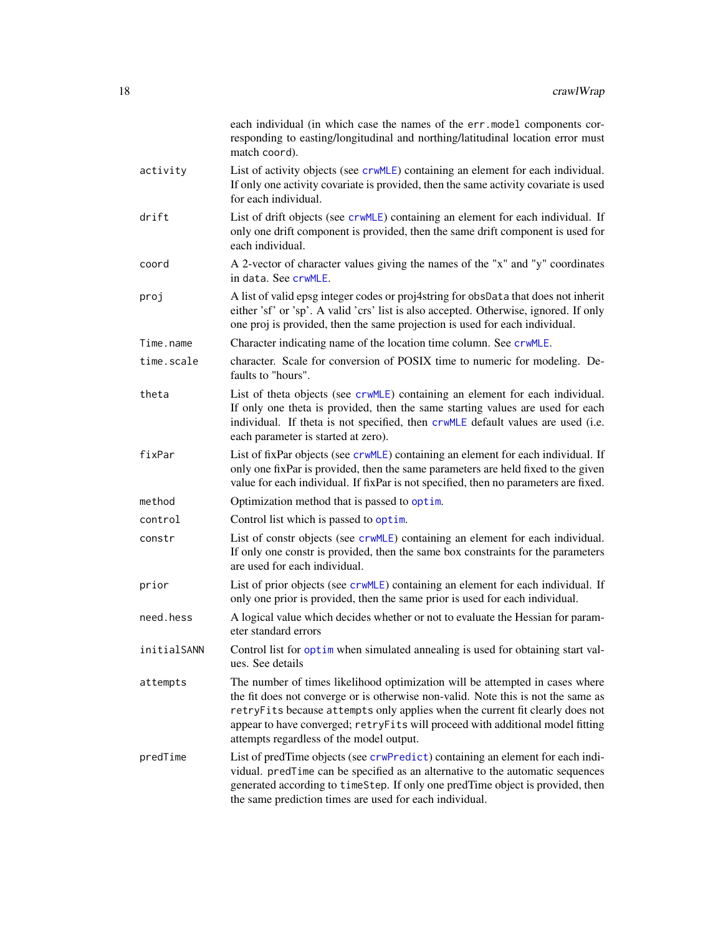|             | each individual (in which case the names of the err.model components cor-<br>responding to easting/longitudinal and northing/latitudinal location error must<br>match coord).                                                                                                                                                                                                    |
|-------------|----------------------------------------------------------------------------------------------------------------------------------------------------------------------------------------------------------------------------------------------------------------------------------------------------------------------------------------------------------------------------------|
| activity    | List of activity objects (see crwMLE) containing an element for each individual.<br>If only one activity covariate is provided, then the same activity covariate is used<br>for each individual.                                                                                                                                                                                 |
| drift       | List of drift objects (see crwMLE) containing an element for each individual. If<br>only one drift component is provided, then the same drift component is used for<br>each individual.                                                                                                                                                                                          |
| coord       | A 2-vector of character values giving the names of the "x" and "y" coordinates<br>in data. See crwMLE.                                                                                                                                                                                                                                                                           |
| proj        | A list of valid epsg integer codes or proj4string for obsData that does not inherit<br>either 'sf' or 'sp'. A valid 'crs' list is also accepted. Otherwise, ignored. If only<br>one proj is provided, then the same projection is used for each individual.                                                                                                                      |
| Time.name   | Character indicating name of the location time column. See crwMLE.                                                                                                                                                                                                                                                                                                               |
| time.scale  | character. Scale for conversion of POSIX time to numeric for modeling. De-<br>faults to "hours".                                                                                                                                                                                                                                                                                 |
| theta       | List of theta objects (see crwMLE) containing an element for each individual.<br>If only one theta is provided, then the same starting values are used for each<br>individual. If theta is not specified, then crwMLE default values are used (i.e.<br>each parameter is started at zero).                                                                                       |
| fixPar      | List of fixPar objects (see crwMLE) containing an element for each individual. If<br>only one fixPar is provided, then the same parameters are held fixed to the given<br>value for each individual. If fixPar is not specified, then no parameters are fixed.                                                                                                                   |
| method      | Optimization method that is passed to optim.                                                                                                                                                                                                                                                                                                                                     |
| control     | Control list which is passed to optim.                                                                                                                                                                                                                                                                                                                                           |
| constr      | List of constr objects (see crwMLE) containing an element for each individual.<br>If only one constr is provided, then the same box constraints for the parameters<br>are used for each individual.                                                                                                                                                                              |
| prior       | List of prior objects (see crwMLE) containing an element for each individual. If<br>only one prior is provided, then the same prior is used for each individual.                                                                                                                                                                                                                 |
| need.hess   | A logical value which decides whether or not to evaluate the Hessian for param-<br>eter standard errors                                                                                                                                                                                                                                                                          |
| initialSANN | Control list for optim when simulated annealing is used for obtaining start val-<br>ues. See details                                                                                                                                                                                                                                                                             |
| attempts    | The number of times likelihood optimization will be attempted in cases where<br>the fit does not converge or is otherwise non-valid. Note this is not the same as<br>retryFits because attempts only applies when the current fit clearly does not<br>appear to have converged; retryFits will proceed with additional model fitting<br>attempts regardless of the model output. |
| predTime    | List of predTime objects (see crwPredict) containing an element for each indi-<br>vidual. predTime can be specified as an alternative to the automatic sequences<br>generated according to timeStep. If only one predTime object is provided, then<br>the same prediction times are used for each individual.                                                                    |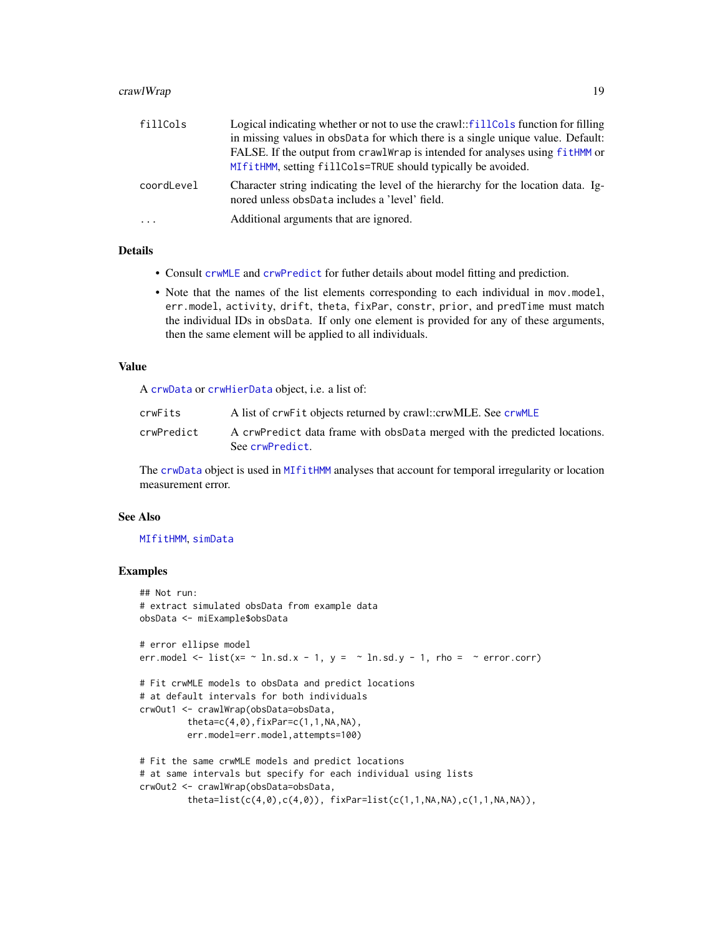#### crawlWrap 2012 2013 2014 2022 2023 2024 2022 2023 2024 2022 2023 2024 2022 2023 2024 2022 2023 2024 2022 2023 20

| fillCols   | Logical indicating whether or not to use the crawl::fillCols function for filling                                                   |
|------------|-------------------------------------------------------------------------------------------------------------------------------------|
|            | in missing values in obsData for which there is a single unique value. Default:                                                     |
|            | FALSE. If the output from crawlWrap is intended for analyses using fitHMM or                                                        |
|            | MIfitHMM, setting fillCols=TRUE should typically be avoided.                                                                        |
| coordLevel | Character string indicating the level of the hierarchy for the location data. Ig-<br>nored unless obsData includes a 'level' field. |
| $\cdot$    | Additional arguments that are ignored.                                                                                              |

#### Details

- Consult [crwMLE](#page-0-0) and [crwPredict](#page-0-0) for futher details about model fitting and prediction.
- Note that the names of the list elements corresponding to each individual in mov.model, err.model, activity, drift, theta, fixPar, constr, prior, and predTime must match the individual IDs in obsData. If only one element is provided for any of these arguments, then the same element will be applied to all individuals.

#### Value

A [crwData](#page-19-1) or [crwHierData](#page-19-2) object, i.e. a list of:

| crwFits    | A list of crwFit objects returned by crawl::crwMLE. See crwMLE                               |
|------------|----------------------------------------------------------------------------------------------|
| crwPredict | A crwPredict data frame with obsData merged with the predicted locations.<br>See crwPredict. |

The [crwData](#page-19-1) object is used in [MIfitHMM](#page-67-1) analyses that account for temporal irregularity or location measurement error.

#### See Also

#### [MIfitHMM](#page-67-1), [simData](#page-114-1)

#### Examples

```
## Not run:
# extract simulated obsData from example data
obsData <- miExample$obsData
# error ellipse model
err.model \le list(x= \sim ln.sd.x - 1, y = \sim ln.sd.y - 1, rho = \sim error.corr)
# Fit crwMLE models to obsData and predict locations
# at default intervals for both individuals
crwOut1 <- crawlWrap(obsData=obsData,
         theta=c(4,0),fixPar=c(1,1,NA,NA),err.model=err.model,attempts=100)
# Fit the same crwMLE models and predict locations
# at same intervals but specify for each individual using lists
crwOut2 <- crawlWrap(obsData=obsData,
         theta=list(c(4,0),c(4,0)), fixPar=list(c(1,1,NA,NA),c(1,1,NA,NA)),
```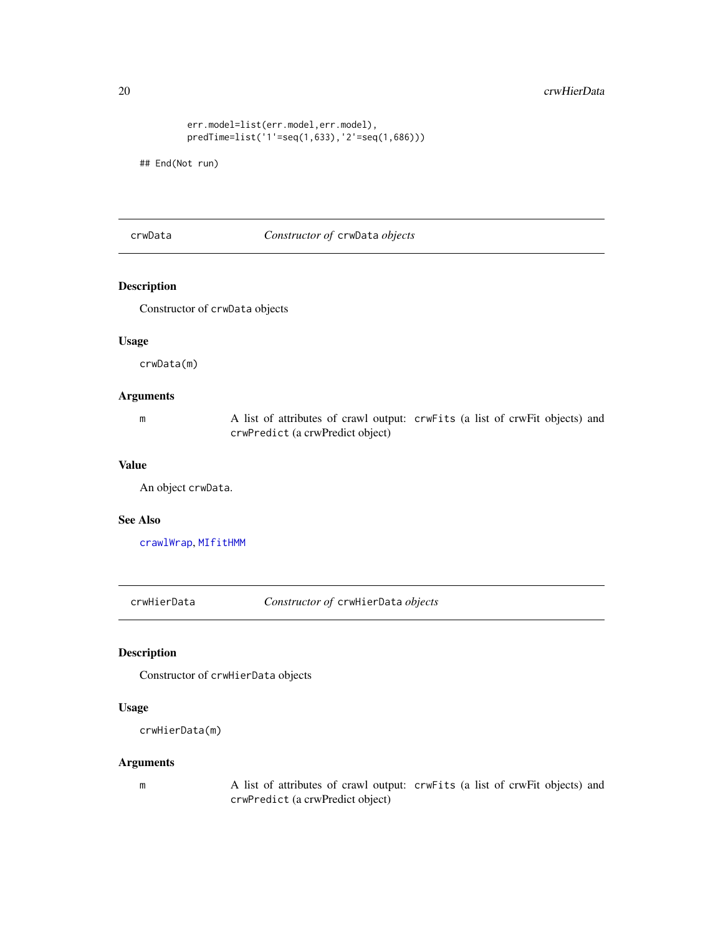#### <span id="page-19-0"></span>20 crwHierData and the contract of the contract of the contract of the contract of the contract of the contract of the contract of the contract of the contract of the contract of the contract of the contract of the contrac

```
err.model=list(err.model,err.model),
predTime=list('1'=seq(1,633),'2'=seq(1,686)))
```
## End(Not run)

<span id="page-19-1"></span>crwData *Constructor of* crwData *objects*

# Description

Constructor of crwData objects

#### Usage

crwData(m)

#### Arguments

m A list of attributes of crawl output: crwFits (a list of crwFit objects) and crwPredict (a crwPredict object)

#### Value

An object crwData.

#### See Also

[crawlWrap](#page-15-1), [MIfitHMM](#page-67-1)

<span id="page-19-2"></span>crwHierData *Constructor of* crwHierData *objects*

# Description

Constructor of crwHierData objects

# Usage

```
crwHierData(m)
```
#### Arguments

m A list of attributes of crawl output: crwFits (a list of crwFit objects) and crwPredict (a crwPredict object)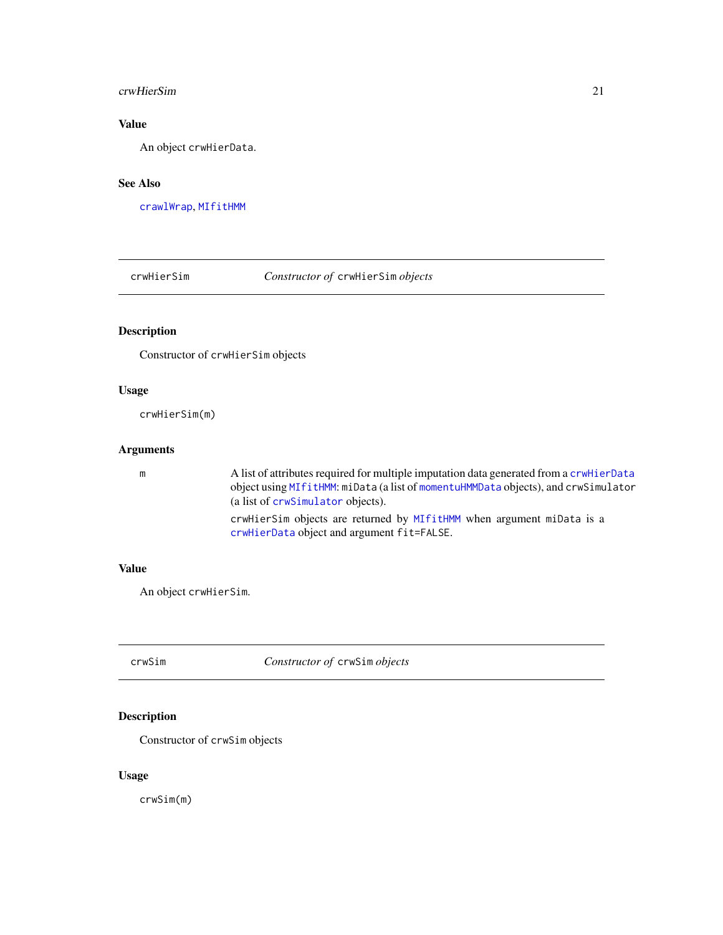#### <span id="page-20-0"></span>crwHierSim 21

# Value

An object crwHierData.

# See Also

[crawlWrap](#page-15-1), [MIfitHMM](#page-67-1)

crwHierSim *Constructor of* crwHierSim *objects*

# Description

Constructor of crwHierSim objects

#### Usage

crwHierSim(m)

#### Arguments

m A list of attributes required for multiple imputation data generated from a [crwHierData](#page-19-2) object using [MIfitHMM](#page-67-1): miData (a list of [momentuHMMData](#page-81-2) objects), and crwSimulator (a list of [crwSimulator](#page-0-0) objects). crwHierSim objects are returned by [MIfitHMM](#page-67-1) when argument miData is a [crwHierData](#page-19-2) object and argument fit=FALSE.

#### Value

An object crwHierSim.

crwSim *Constructor of* crwSim *objects*

#### Description

Constructor of crwSim objects

#### Usage

crwSim(m)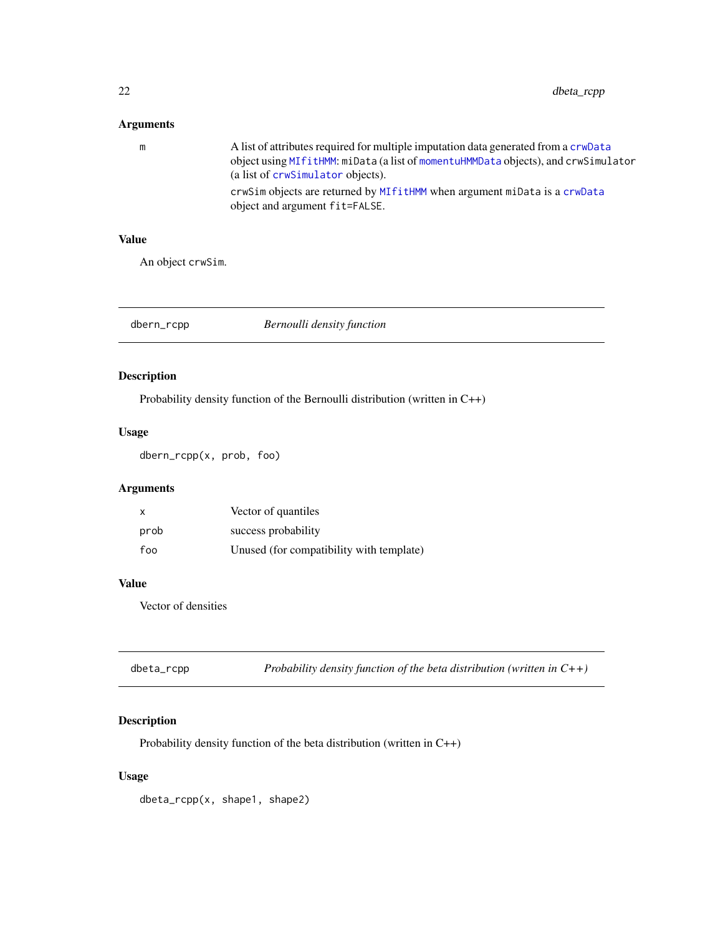# <span id="page-21-0"></span>Arguments

| m | A list of attributes required for multiple imputation data generated from a crwData<br>object using MIfitHMM: miData (a list of momentuHMMData objects), and crwSimulator<br>(a list of crwSimulator objects). |
|---|----------------------------------------------------------------------------------------------------------------------------------------------------------------------------------------------------------------|
|   | crwSim objects are returned by MIfitHMM when argument miData is a crwData<br>object and argument fit=FALSE.                                                                                                    |

#### Value

An object crwSim.

dbern\_rcpp *Bernoulli density function*

# Description

Probability density function of the Bernoulli distribution (written in C++)

# Usage

dbern\_rcpp(x, prob, foo)

# Arguments

| X    | Vector of quantiles                      |
|------|------------------------------------------|
| prob | success probability                      |
| foo  | Unused (for compatibility with template) |

#### Value

Vector of densities

| dbeta_rcpp | Probability density function of the beta distribution (written in $C++$ ) |  |
|------------|---------------------------------------------------------------------------|--|
|------------|---------------------------------------------------------------------------|--|

# Description

Probability density function of the beta distribution (written in C++)

# Usage

dbeta\_rcpp(x, shape1, shape2)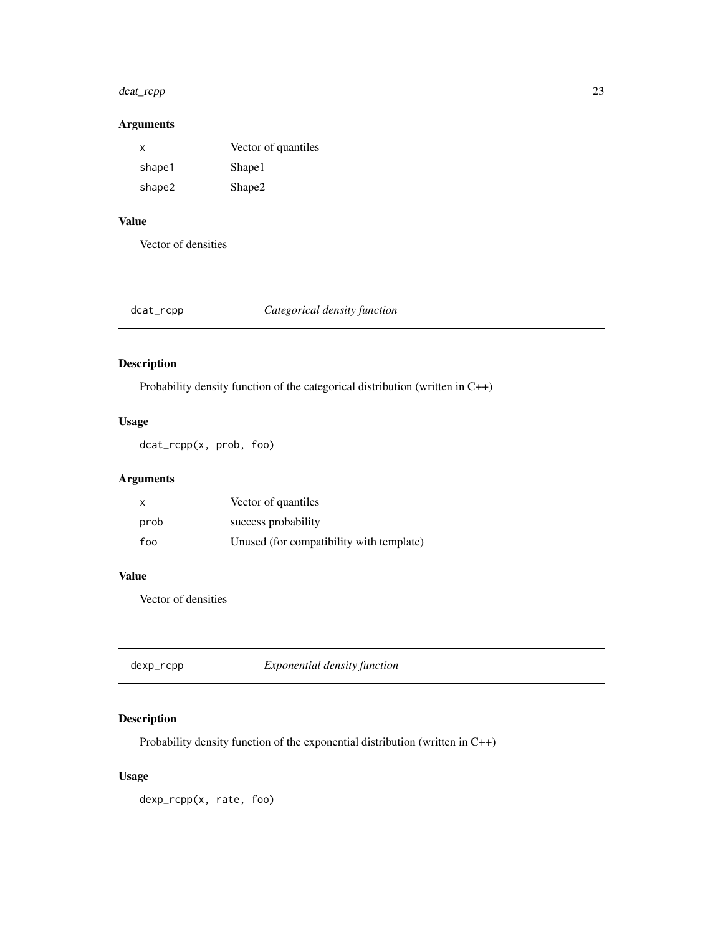#### <span id="page-22-0"></span>dcat\_rcpp 23

# Arguments

| x      | Vector of quantiles |
|--------|---------------------|
| shape1 | Shape1              |
| shape2 | Shape2              |

# Value

Vector of densities

# dcat\_rcpp *Categorical density function*

# Description

Probability density function of the categorical distribution (written in C++)

# Usage

dcat\_rcpp(x, prob, foo)

# Arguments

| $\times$ | Vector of quantiles                      |
|----------|------------------------------------------|
| prob     | success probability                      |
| foo      | Unused (for compatibility with template) |

#### Value

Vector of densities

dexp\_rcpp *Exponential density function*

# Description

Probability density function of the exponential distribution (written in C++)

# Usage

dexp\_rcpp(x, rate, foo)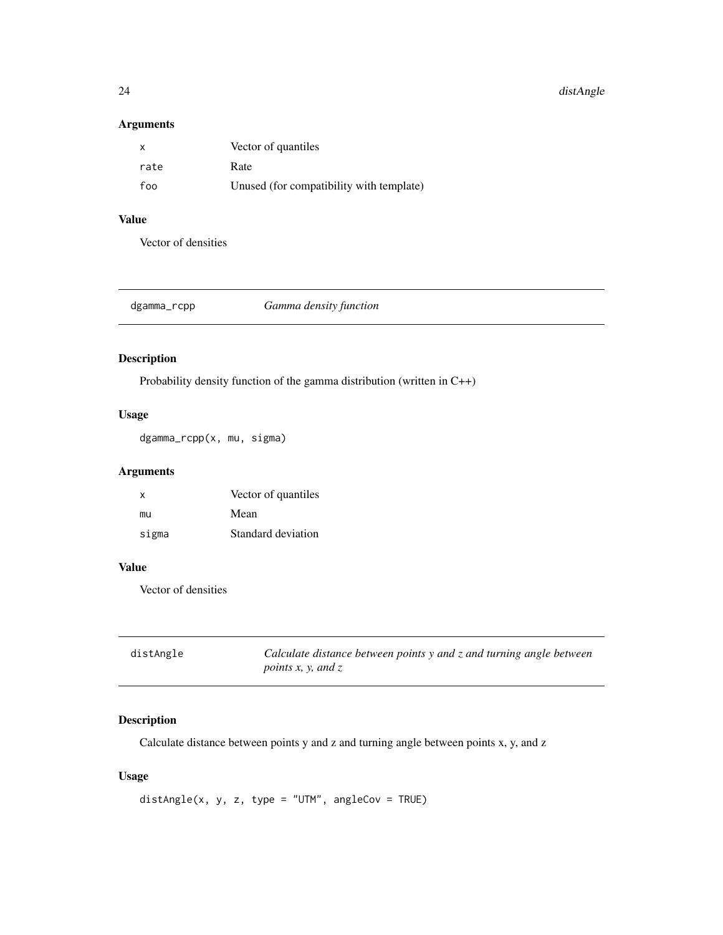<span id="page-23-0"></span>24 distAngle

# Arguments

| $\mathsf{X}$ | Vector of quantiles                      |
|--------------|------------------------------------------|
| rate         | Rate                                     |
| foo          | Unused (for compatibility with template) |

# Value

Vector of densities

| Gamma density function<br>dgamma_rcpp |
|---------------------------------------|
|---------------------------------------|

# Description

Probability density function of the gamma distribution (written in C++)

# Usage

dgamma\_rcpp(x, mu, sigma)

# Arguments

| $\mathsf{X}$ | Vector of quantiles |
|--------------|---------------------|
| mu           | Mean                |
| sigma        | Standard deviation  |

#### Value

Vector of densities

| distAngle | Calculate distance between points y and z and turning angle between |
|-----------|---------------------------------------------------------------------|
|           | <i>points x, y, and z</i>                                           |

# Description

Calculate distance between points y and z and turning angle between points x, y, and z

# Usage

 $distAngle(x, y, z, type = "UTM", angleCov = TRUE)$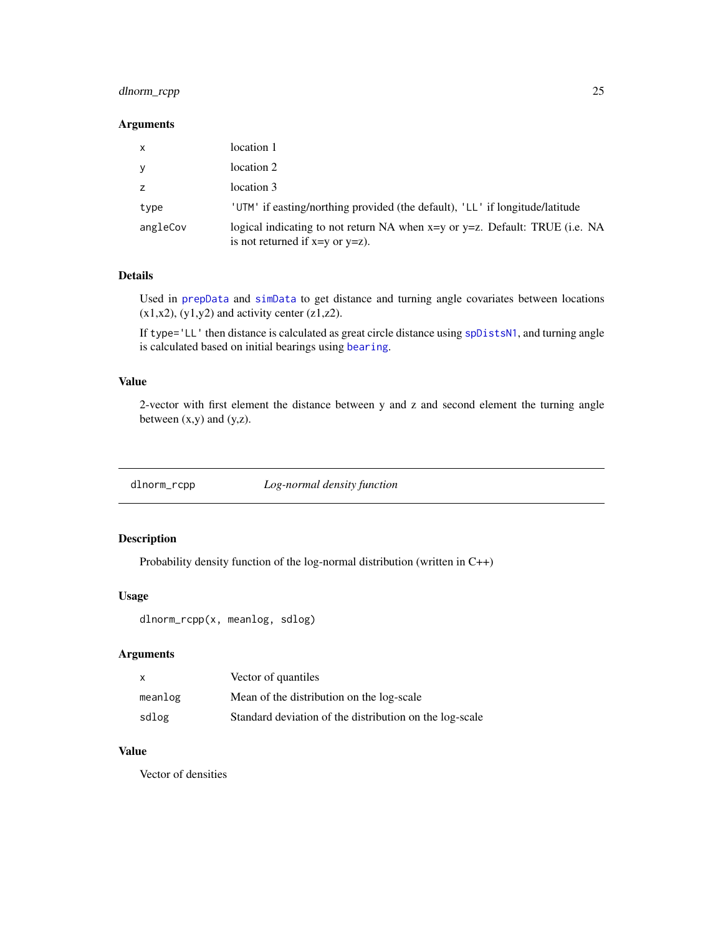# <span id="page-24-0"></span>dlnorm\_rcpp 25

#### Arguments

| $\mathsf{x}$ | location 1                                                                                                               |
|--------------|--------------------------------------------------------------------------------------------------------------------------|
| y            | location 2                                                                                                               |
| z            | location 3                                                                                                               |
| type         | 'UTM' if easting/northing provided (the default), 'LL' if longitude/latitude                                             |
| angleCov     | logical indicating to not return NA when $x=y$ or $y=z$ . Default: TRUE (i.e. NA<br>is not returned if $x=y$ or $y=z$ ). |

# Details

Used in [prepData](#page-103-1) and [simData](#page-114-1) to get distance and turning angle covariates between locations  $(x1,x2)$ ,  $(y1,y2)$  and activity center  $(z1,z2)$ .

If type='LL' then distance is calculated as great circle distance using [spDistsN1](#page-0-0), and turning angle is calculated based on initial bearings using [bearing](#page-0-0).

#### Value

2-vector with first element the distance between y and z and second element the turning angle between  $(x,y)$  and  $(y,z)$ .

dlnorm\_rcpp *Log-normal density function*

# Description

Probability density function of the log-normal distribution (written in C++)

#### Usage

```
dlnorm_rcpp(x, meanlog, sdlog)
```
#### Arguments

| X       | Vector of quantiles                                     |
|---------|---------------------------------------------------------|
| meanlog | Mean of the distribution on the log-scale               |
| sdlog   | Standard deviation of the distribution on the log-scale |

#### Value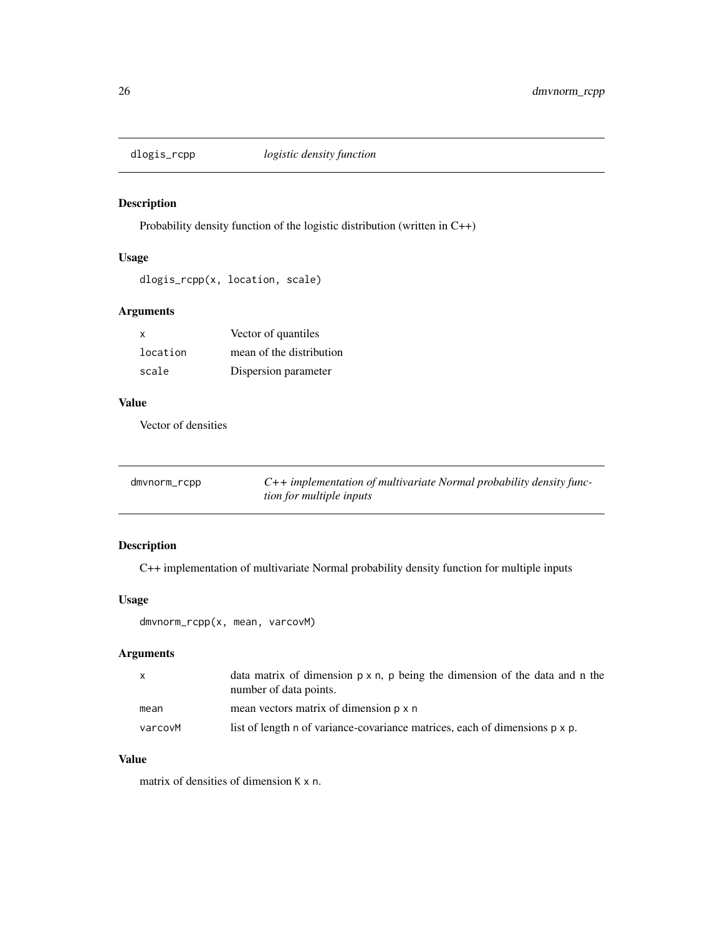<span id="page-25-0"></span>

Probability density function of the logistic distribution (written in C++)

#### Usage

```
dlogis_rcpp(x, location, scale)
```
# Arguments

| x        | Vector of quantiles      |
|----------|--------------------------|
| location | mean of the distribution |
| scale    | Dispersion parameter     |

# Value

Vector of densities

| dmvnorm_rcpp | $C++$ implementation of multivariate Normal probability density func- |
|--------------|-----------------------------------------------------------------------|
|              | <i>tion for multiple inputs</i>                                       |

# Description

C++ implementation of multivariate Normal probability density function for multiple inputs

# Usage

```
dmvnorm_rcpp(x, mean, varcovM)
```
# Arguments

| $\mathsf{X}$ | data matrix of dimension $p \times n$ , p being the dimension of the data and n the<br>number of data points. |
|--------------|---------------------------------------------------------------------------------------------------------------|
| mean         | mean vectors matrix of dimension p x n                                                                        |
| varcovM      | list of length n of variance-covariance matrices, each of dimensions p x p.                                   |

# Value

matrix of densities of dimension K x n.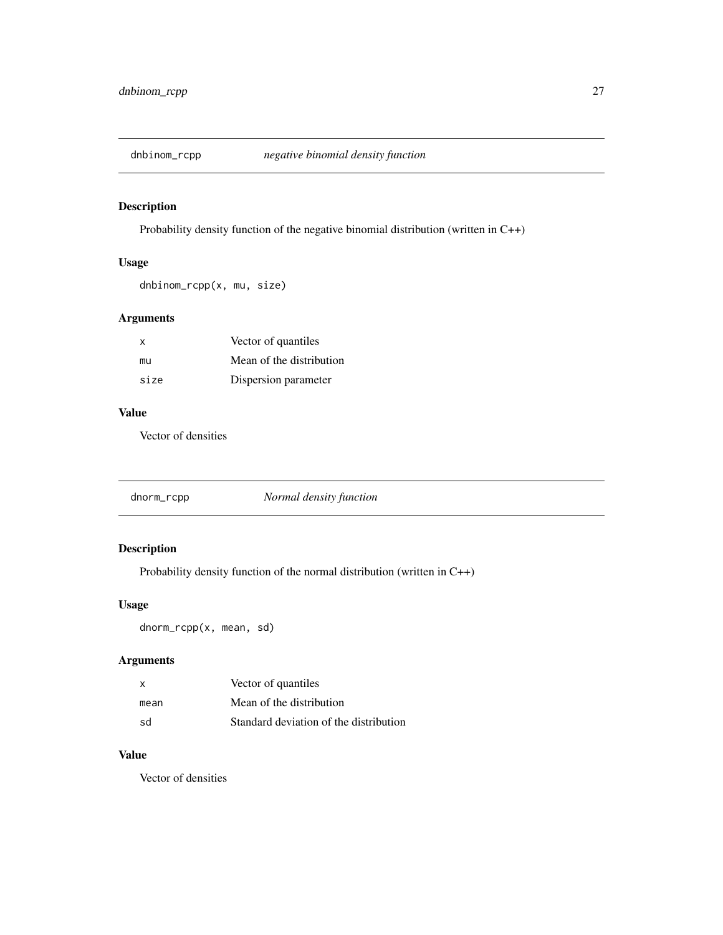<span id="page-26-0"></span>

Probability density function of the negative binomial distribution (written in C++)

# Usage

dnbinom\_rcpp(x, mu, size)

# Arguments

| $\mathsf{X}$ | Vector of quantiles      |
|--------------|--------------------------|
| mu           | Mean of the distribution |
| size         | Dispersion parameter     |

# Value

Vector of densities

|--|

# Description

Probability density function of the normal distribution (written in C++)

# Usage

dnorm\_rcpp(x, mean, sd)

# Arguments

| $\times$ | Vector of quantiles                    |
|----------|----------------------------------------|
| mean     | Mean of the distribution               |
| .sd      | Standard deviation of the distribution |

# Value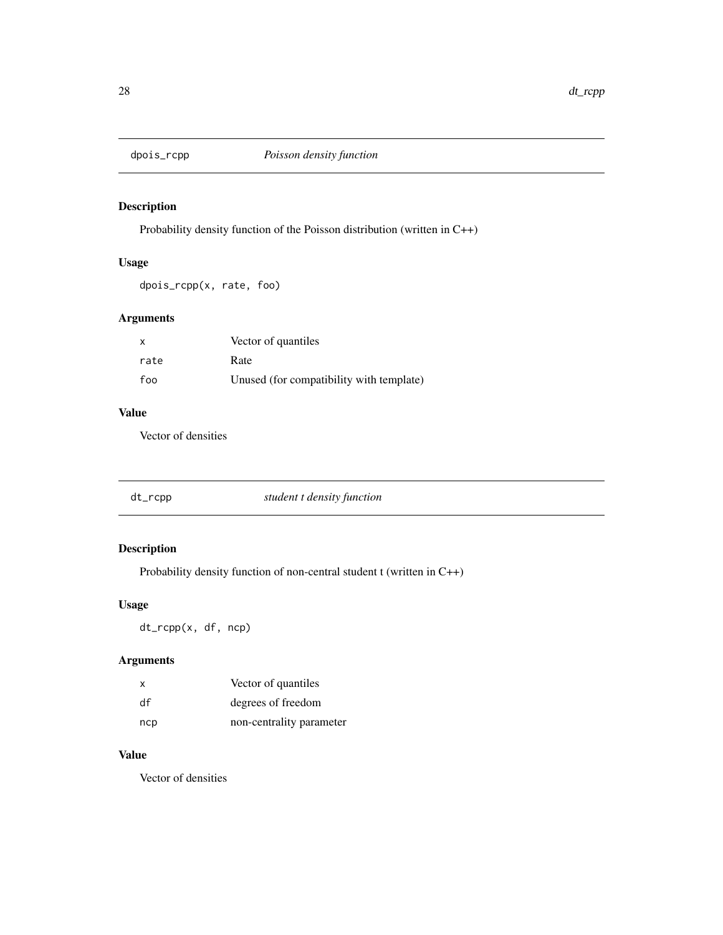<span id="page-27-0"></span>

Probability density function of the Poisson distribution (written in C++)

# Usage

dpois\_rcpp(x, rate, foo)

# Arguments

| $\mathsf{x}$ | Vector of quantiles                      |
|--------------|------------------------------------------|
| rate         | Rate                                     |
| foo          | Unused (for compatibility with template) |

# Value

Vector of densities

| dt_rcpp | student t density function |  |
|---------|----------------------------|--|
|---------|----------------------------|--|

# Description

Probability density function of non-central student t (written in C++)

# Usage

dt\_rcpp(x, df, ncp)

# Arguments

| x   | Vector of quantiles      |
|-----|--------------------------|
| df  | degrees of freedom       |
| ncp | non-centrality parameter |

# Value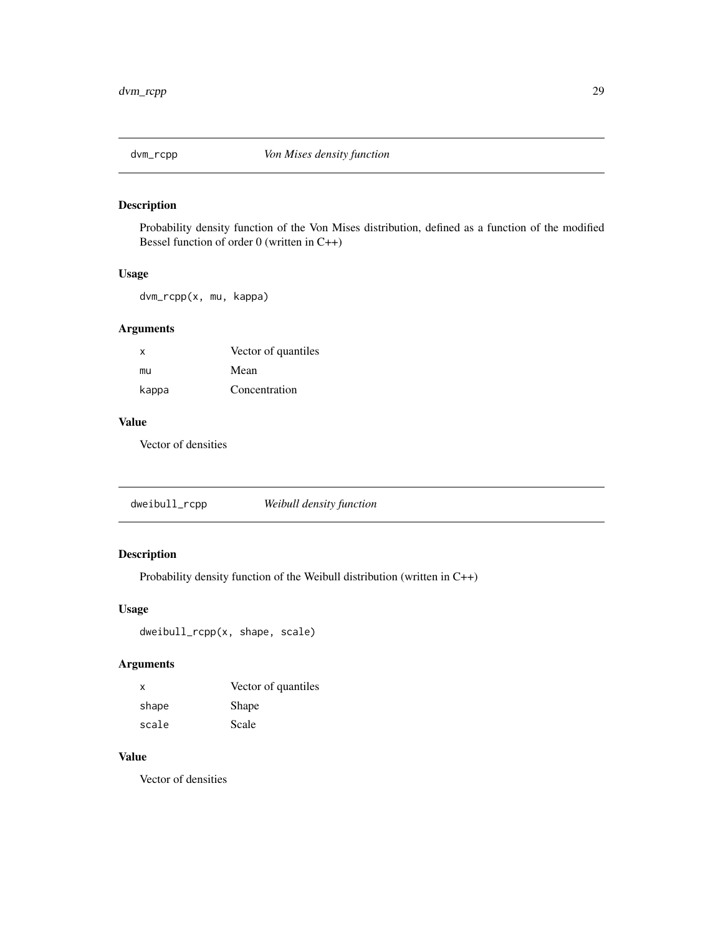<span id="page-28-0"></span>

Probability density function of the Von Mises distribution, defined as a function of the modified Bessel function of order 0 (written in C++)

#### Usage

dvm\_rcpp(x, mu, kappa)

# Arguments

| x     | Vector of quantiles |
|-------|---------------------|
| mu    | Mean                |
| kappa | Concentration       |

# Value

Vector of densities

dweibull\_rcpp *Weibull density function*

# Description

Probability density function of the Weibull distribution (written in C++)

# Usage

dweibull\_rcpp(x, shape, scale)

#### Arguments

| X     | Vector of quantiles |
|-------|---------------------|
| shape | <b>Shape</b>        |
| scale | Scale               |

# Value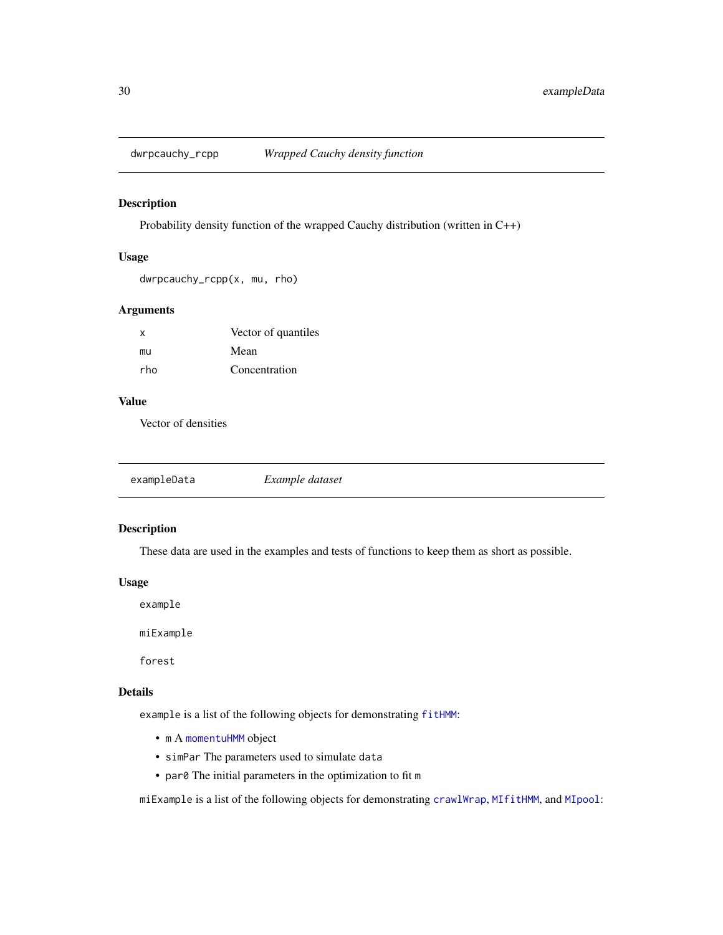<span id="page-29-0"></span>

Probability density function of the wrapped Cauchy distribution (written in C++)

#### Usage

dwrpcauchy\_rcpp(x, mu, rho)

#### Arguments

| X   | Vector of quantiles |
|-----|---------------------|
| mu  | Mean                |
| rho | Concentration       |

#### Value

Vector of densities

| exampleData | Example dataset |  |
|-------------|-----------------|--|
|-------------|-----------------|--|

# Description

These data are used in the examples and tests of functions to keep them as short as possible.

#### Usage

example

miExample

forest

#### Details

example is a list of the following objects for demonstrating [fitHMM](#page-32-1):

- m A [momentuHMM](#page-81-1) object
- simPar The parameters used to simulate data
- par0 The initial parameters in the optimization to fit m

miExample is a list of the following objects for demonstrating [crawlWrap](#page-15-1), [MIfitHMM](#page-67-1), and [MIpool](#page-76-1):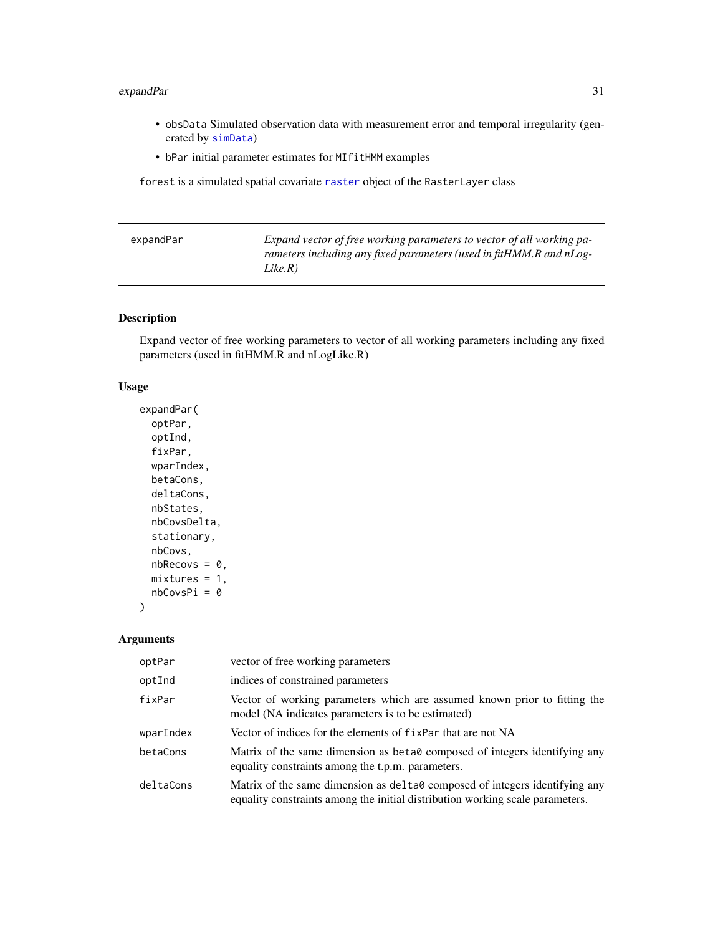# <span id="page-30-0"></span>expandPar 31

- obsData Simulated observation data with measurement error and temporal irregularity (generated by [simData](#page-114-1))
- bPar initial parameter estimates for MIfitHMM examples

forest is a simulated spatial covariate [raster](#page-0-0) object of the RasterLayer class

| expandPar | Expand vector of free working parameters to vector of all working pa- |
|-----------|-----------------------------------------------------------------------|
|           | rameters including any fixed parameters (used in fitHMM.R and nLog-   |
|           | Like.R)                                                               |

# Description

Expand vector of free working parameters to vector of all working parameters including any fixed parameters (used in fitHMM.R and nLogLike.R)

#### Usage

```
expandPar(
  optPar,
  optInd,
  fixPar,
  wparIndex,
  betaCons,
  deltaCons,
  nbStates,
  nbCovsDelta,
  stationary,
  nbCovs,
 nbRecovs = 0,
 mixtures = 1,
 nbCovsPi = 0
)
```
Arguments

| optPar    | vector of free working parameters                                                                                                                              |
|-----------|----------------------------------------------------------------------------------------------------------------------------------------------------------------|
| optInd    | indices of constrained parameters                                                                                                                              |
| fixPar    | Vector of working parameters which are assumed known prior to fitting the<br>model (NA indicates parameters is to be estimated)                                |
| wparIndex | Vector of indices for the elements of fixPar that are not NA                                                                                                   |
| betaCons  | Matrix of the same dimension as beta0 composed of integers identifying any<br>equality constraints among the t.p.m. parameters.                                |
| deltaCons | Matrix of the same dimension as delta to composed of integers identifying any<br>equality constraints among the initial distribution working scale parameters. |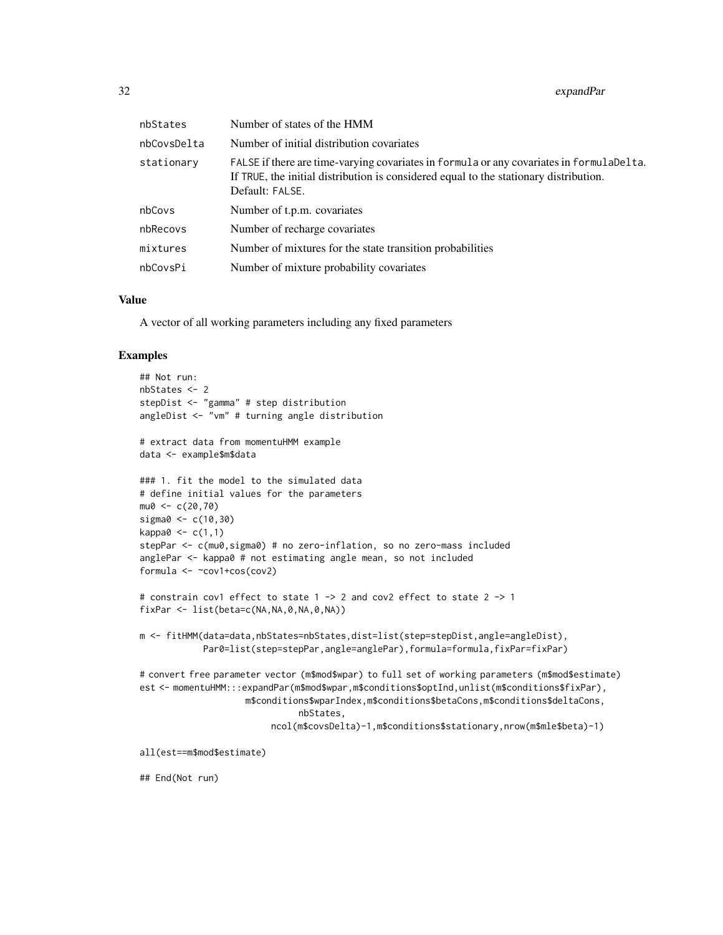| nbStates    | Number of states of the HMM                                                                                                                                                                          |
|-------------|------------------------------------------------------------------------------------------------------------------------------------------------------------------------------------------------------|
| nbCovsDelta | Number of initial distribution covariates                                                                                                                                                            |
| stationary  | FALSE if there are time-varying covariates in formula or any covariates in formulaDelta.<br>If TRUE, the initial distribution is considered equal to the stationary distribution.<br>Default: FALSE. |
| nbCovs      | Number of t.p.m. covariates                                                                                                                                                                          |
| nbRecovs    | Number of recharge covariates                                                                                                                                                                        |
| mixtures    | Number of mixtures for the state transition probabilities                                                                                                                                            |
| nbCovsPi    | Number of mixture probability covariates                                                                                                                                                             |

#### Value

A vector of all working parameters including any fixed parameters

#### Examples

```
## Not run:
nbStates <- 2
stepDist <- "gamma" # step distribution
angleDist <- "vm" # turning angle distribution
# extract data from momentuHMM example
data <- example$m$data
### 1. fit the model to the simulated data
# define initial values for the parameters
mu0 < -c(20, 70)sigma0 <- c(10,30)
kappa0 < -c(1,1)stepPar <- c(mu0,sigma0) # no zero-inflation, so no zero-mass included
anglePar <- kappa0 # not estimating angle mean, so not included
formula <- ~cov1+cos(cov2)
# constrain cov1 effect to state 1 -> 2 and cov2 effect to state 2 -> 1
fixPar <- list(beta=c(NA,NA,0,NA,0,NA))
m <- fitHMM(data=data,nbStates=nbStates,dist=list(step=stepDist,angle=angleDist),
            Par0=list(step=stepPar,angle=anglePar),formula=formula,fixPar=fixPar)
# convert free parameter vector (m$mod$wpar) to full set of working parameters (m$mod$estimate)
est <- momentuHMM:::expandPar(m$mod$wpar,m$conditions$optInd,unlist(m$conditions$fixPar),
                    m$conditions$wparIndex,m$conditions$betaCons,m$conditions$deltaCons,
                              nbStates,
                         ncol(m$covsDelta)-1,m$conditions$stationary,nrow(m$mle$beta)-1)
all(est==m$mod$estimate)
```
## End(Not run)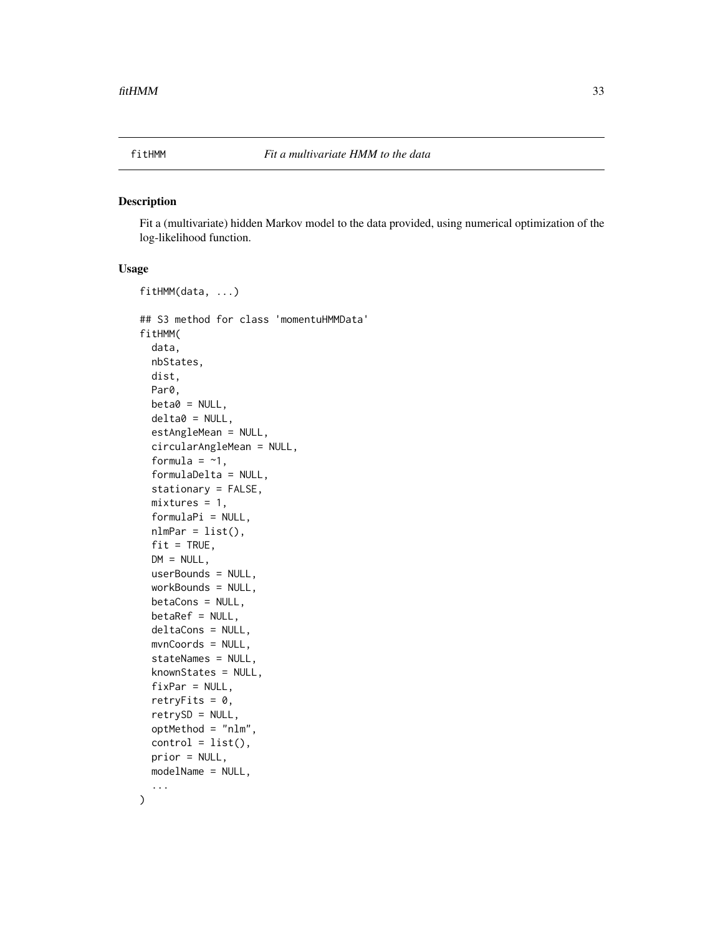<span id="page-32-1"></span><span id="page-32-0"></span>

Fit a (multivariate) hidden Markov model to the data provided, using numerical optimization of the log-likelihood function.

#### Usage

```
fitHMM(data, ...)
## S3 method for class 'momentuHMMData'
fitHMM(
  data,
 nbStates,
 dist,
 Par0,
 beta = NULL,delta0 = NULL,
  estAngleMean = NULL,
  circularAngleMean = NULL,
  formula = -1,
  formulaDelta = NULL,
  stationary = FALSE,
 mixtures = 1,
  formulaPi = NULL,
  nlmPar = list(),fit = TRUE,DM = NULL,userBounds = NULL,
 workBounds = NULL,
 betaCons = NULL,
 betaRef = NULL,
  deltaCons = NULL,
 mvnCoords = NULL,
  stateNames = NULL,
  knownStates = NULL,
  fixPar = NULL,
  retryFits = 0,
  retrySD = NULL,
  optMethod = "nlm",
  control = list(),prior = NULL,
 modelName = NULL,
  ...
```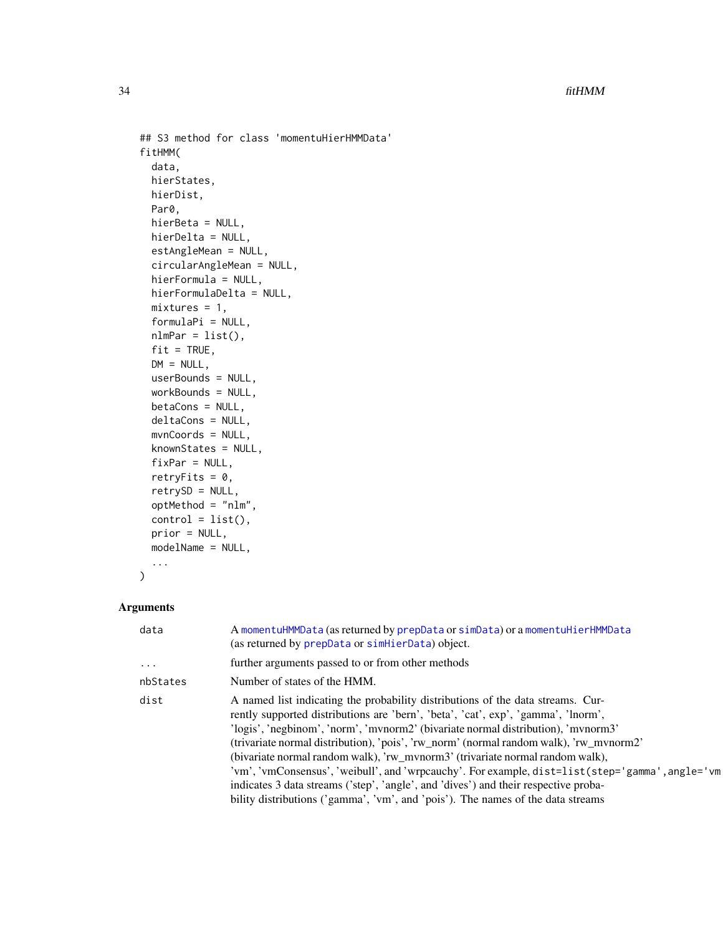```
## S3 method for class 'momentuHierHMMData'
fitHMM(
 data,
 hierStates,
 hierDist,
 Par0,
 hierBeta = NULL,
 hierDelta = NULL,
 estAngleMean = NULL,
 circularAngleMean = NULL,
 hierFormula = NULL,
 hierFormulaDelta = NULL,
 mixtures = 1,
 formulaPi = NULL,
 nlmPar = list(),fit = TRUE,DM = NULL,userBounds = NULL,
 workBounds = NULL,
 betaCons = NULL,
 deltaCons = NULL,
 mvnCoords = NULL,
 knownStates = NULL,
 fixPar = NULL,
 retryFits = 0,
  retrySD = NULL,
 optMethod = "nlm",
 control = list(),prior = NULL,
 modelName = NULL,
  ...
)
```
#### Arguments

| data      | A momentuHMMData (as returned by prepData or simData) or a momentuHierHMMData<br>(as returned by prepData or simHierData) object.                                                                                                                                                                                                                                                                                                                                                                                                                                                                                                                                                                                  |
|-----------|--------------------------------------------------------------------------------------------------------------------------------------------------------------------------------------------------------------------------------------------------------------------------------------------------------------------------------------------------------------------------------------------------------------------------------------------------------------------------------------------------------------------------------------------------------------------------------------------------------------------------------------------------------------------------------------------------------------------|
| $\ddotsc$ | further arguments passed to or from other methods                                                                                                                                                                                                                                                                                                                                                                                                                                                                                                                                                                                                                                                                  |
| nbStates  | Number of states of the HMM.                                                                                                                                                                                                                                                                                                                                                                                                                                                                                                                                                                                                                                                                                       |
| dist      | A named list indicating the probability distributions of the data streams. Cur-<br>rently supported distributions are 'bern', 'beta', 'cat', exp', 'gamma', 'lnorm',<br>'logis', 'negbinom', 'norm', 'mvnorm2' (bivariate normal distribution), 'mvnorm3'<br>(trivariate normal distribution), 'pois', 'rw_norm' (normal random walk), 'rw_mvnorm2'<br>(bivariate normal random walk), 'rw_mvnorm3' (trivariate normal random walk),<br>'vm', 'vmConsensus', 'weibull', and 'wrpcauchy'. For example, dist=list(step='gamma', angle='vm <br>indicates 3 data streams ('step', 'angle', and 'dives') and their respective proba-<br>bility distributions ('gamma', 'vm', and 'pois'). The names of the data streams |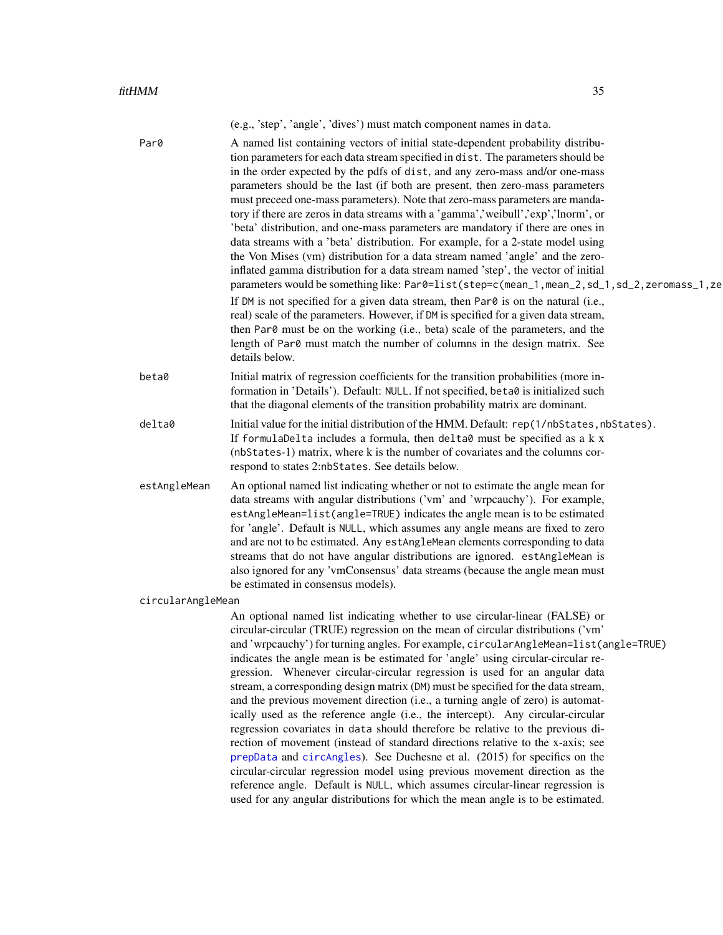(e.g., 'step', 'angle', 'dives') must match component names in data.

| Initial matrix of regression coefficients for the transition probabilities (more in-<br>beta0<br>formation in 'Details'). Default: NULL. If not specified, beta0 is initialized such<br>that the diagonal elements of the transition probability matrix are dominant.<br>Initial value for the initial distribution of the HMM. Default: rep(1/nbStates, nbStates).<br>If formulaDelta includes a formula, then delta0 must be specified as a k x<br>(nbStates-1) matrix, where k is the number of covariates and the columns cor-<br>respond to states 2:nbStates. See details below.<br>An optional named list indicating whether or not to estimate the angle mean for<br>data streams with angular distributions ('vm' and 'wrpcauchy'). For example,<br>estAngleMean=list(angle=TRUE) indicates the angle mean is to be estimated<br>for 'angle'. Default is NULL, which assumes any angle means are fixed to zero<br>and are not to be estimated. Any estAngleMean elements corresponding to data<br>streams that do not have angular distributions are ignored. estAngleMean is<br>also ignored for any 'vmConsensus' data streams (because the angle mean must<br>be estimated in consensus models).<br>circularAngleMean<br>An optional named list indicating whether to use circular-linear (FALSE) or<br>circular-circular (TRUE) regression on the mean of circular distributions ('vm'<br>and 'wrpcauchy') for turning angles. For example, circularAngleMean=list(angle=TRUE)<br>indicates the angle mean is be estimated for 'angle' using circular-circular re-<br>gression. Whenever circular-circular regression is used for an angular data<br>stream, a corresponding design matrix (DM) must be specified for the data stream,<br>and the previous movement direction (i.e., a turning angle of zero) is automat-<br>ically used as the reference angle (i.e., the intercept). Any circular-circular<br>regression covariates in data should therefore be relative to the previous di-<br>rection of movement (instead of standard directions relative to the x-axis; see<br>prepData and circAngles). See Duchesne et al. (2015) for specifics on the<br>circular-circular regression model using previous movement direction as the<br>reference angle. Default is NULL, which assumes circular-linear regression is<br>used for any angular distributions for which the mean angle is to be estimated. | Par0         | A named list containing vectors of initial state-dependent probability distribu-<br>tion parameters for each data stream specified in dist. The parameters should be<br>in the order expected by the pdfs of dist, and any zero-mass and/or one-mass<br>parameters should be the last (if both are present, then zero-mass parameters<br>must preceed one-mass parameters). Note that zero-mass parameters are manda-<br>tory if there are zeros in data streams with a 'gamma','weibull','exp','lnorm', or<br>'beta' distribution, and one-mass parameters are mandatory if there are ones in<br>data streams with a 'beta' distribution. For example, for a 2-state model using<br>the Von Mises (vm) distribution for a data stream named 'angle' and the zero-<br>inflated gamma distribution for a data stream named 'step', the vector of initial<br>parameters would be something like: Par0=list(step=c(mean_1,mean_2,sd_1,sd_2,zeromass_1,ze<br>If DM is not specified for a given data stream, then Par0 is on the natural (i.e.,<br>real) scale of the parameters. However, if DM is specified for a given data stream,<br>then Par0 must be on the working (i.e., beta) scale of the parameters, and the<br>length of Par0 must match the number of columns in the design matrix. See<br>details below. |  |
|--------------------------------------------------------------------------------------------------------------------------------------------------------------------------------------------------------------------------------------------------------------------------------------------------------------------------------------------------------------------------------------------------------------------------------------------------------------------------------------------------------------------------------------------------------------------------------------------------------------------------------------------------------------------------------------------------------------------------------------------------------------------------------------------------------------------------------------------------------------------------------------------------------------------------------------------------------------------------------------------------------------------------------------------------------------------------------------------------------------------------------------------------------------------------------------------------------------------------------------------------------------------------------------------------------------------------------------------------------------------------------------------------------------------------------------------------------------------------------------------------------------------------------------------------------------------------------------------------------------------------------------------------------------------------------------------------------------------------------------------------------------------------------------------------------------------------------------------------------------------------------------------------------------------------------------------------------------------------------------------------------------------------------------------------------------------------------------------------------------------------------------------------------------------------------------------------------------------------------------------------------------------------------------------------------------------------------------------------------------------------------------------------------------------------------|--------------|---------------------------------------------------------------------------------------------------------------------------------------------------------------------------------------------------------------------------------------------------------------------------------------------------------------------------------------------------------------------------------------------------------------------------------------------------------------------------------------------------------------------------------------------------------------------------------------------------------------------------------------------------------------------------------------------------------------------------------------------------------------------------------------------------------------------------------------------------------------------------------------------------------------------------------------------------------------------------------------------------------------------------------------------------------------------------------------------------------------------------------------------------------------------------------------------------------------------------------------------------------------------------------------------------------------------|--|
|                                                                                                                                                                                                                                                                                                                                                                                                                                                                                                                                                                                                                                                                                                                                                                                                                                                                                                                                                                                                                                                                                                                                                                                                                                                                                                                                                                                                                                                                                                                                                                                                                                                                                                                                                                                                                                                                                                                                                                                                                                                                                                                                                                                                                                                                                                                                                                                                                                |              |                                                                                                                                                                                                                                                                                                                                                                                                                                                                                                                                                                                                                                                                                                                                                                                                                                                                                                                                                                                                                                                                                                                                                                                                                                                                                                                     |  |
|                                                                                                                                                                                                                                                                                                                                                                                                                                                                                                                                                                                                                                                                                                                                                                                                                                                                                                                                                                                                                                                                                                                                                                                                                                                                                                                                                                                                                                                                                                                                                                                                                                                                                                                                                                                                                                                                                                                                                                                                                                                                                                                                                                                                                                                                                                                                                                                                                                | delta0       |                                                                                                                                                                                                                                                                                                                                                                                                                                                                                                                                                                                                                                                                                                                                                                                                                                                                                                                                                                                                                                                                                                                                                                                                                                                                                                                     |  |
|                                                                                                                                                                                                                                                                                                                                                                                                                                                                                                                                                                                                                                                                                                                                                                                                                                                                                                                                                                                                                                                                                                                                                                                                                                                                                                                                                                                                                                                                                                                                                                                                                                                                                                                                                                                                                                                                                                                                                                                                                                                                                                                                                                                                                                                                                                                                                                                                                                | estAngleMean |                                                                                                                                                                                                                                                                                                                                                                                                                                                                                                                                                                                                                                                                                                                                                                                                                                                                                                                                                                                                                                                                                                                                                                                                                                                                                                                     |  |
|                                                                                                                                                                                                                                                                                                                                                                                                                                                                                                                                                                                                                                                                                                                                                                                                                                                                                                                                                                                                                                                                                                                                                                                                                                                                                                                                                                                                                                                                                                                                                                                                                                                                                                                                                                                                                                                                                                                                                                                                                                                                                                                                                                                                                                                                                                                                                                                                                                |              |                                                                                                                                                                                                                                                                                                                                                                                                                                                                                                                                                                                                                                                                                                                                                                                                                                                                                                                                                                                                                                                                                                                                                                                                                                                                                                                     |  |
|                                                                                                                                                                                                                                                                                                                                                                                                                                                                                                                                                                                                                                                                                                                                                                                                                                                                                                                                                                                                                                                                                                                                                                                                                                                                                                                                                                                                                                                                                                                                                                                                                                                                                                                                                                                                                                                                                                                                                                                                                                                                                                                                                                                                                                                                                                                                                                                                                                |              |                                                                                                                                                                                                                                                                                                                                                                                                                                                                                                                                                                                                                                                                                                                                                                                                                                                                                                                                                                                                                                                                                                                                                                                                                                                                                                                     |  |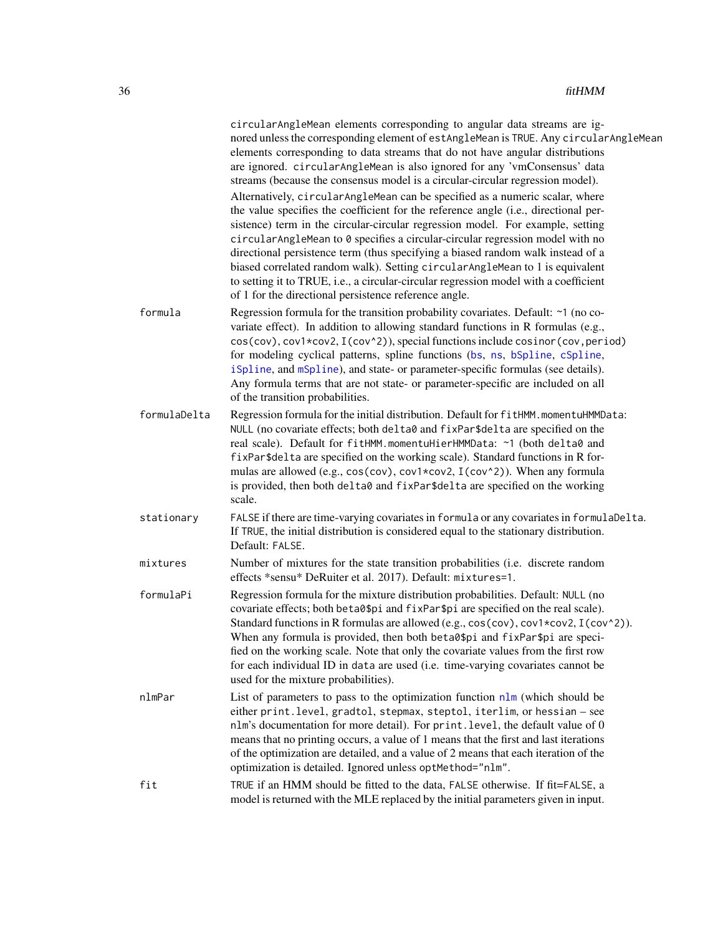|              | circularAngleMean elements corresponding to angular data streams are ig-<br>nored unless the corresponding element of estAngleMean is TRUE. Any circularAngleMean<br>elements corresponding to data streams that do not have angular distributions<br>are ignored. circularAngleMean is also ignored for any 'vmConsensus' data<br>streams (because the consensus model is a circular-circular regression model).<br>Alternatively, circularAngleMean can be specified as a numeric scalar, where<br>the value specifies the coefficient for the reference angle (i.e., directional per-<br>sistence) term in the circular-circular regression model. For example, setting<br>circularAngleMean to 0 specifies a circular-circular regression model with no<br>directional persistence term (thus specifying a biased random walk instead of a<br>biased correlated random walk). Setting circularAngleMean to 1 is equivalent<br>to setting it to TRUE, i.e., a circular-circular regression model with a coefficient<br>of 1 for the directional persistence reference angle. |
|--------------|---------------------------------------------------------------------------------------------------------------------------------------------------------------------------------------------------------------------------------------------------------------------------------------------------------------------------------------------------------------------------------------------------------------------------------------------------------------------------------------------------------------------------------------------------------------------------------------------------------------------------------------------------------------------------------------------------------------------------------------------------------------------------------------------------------------------------------------------------------------------------------------------------------------------------------------------------------------------------------------------------------------------------------------------------------------------------------|
| formula      | Regression formula for the transition probability covariates. Default: ~1 (no co-<br>variate effect). In addition to allowing standard functions in R formulas (e.g.,<br>cos(cov), cov1*cov2, I(cov^2)), special functions include cosinor(cov, period)<br>for modeling cyclical patterns, spline functions (bs, ns, bSpline, cSpline,<br>iSpline, and mSpline), and state- or parameter-specific formulas (see details).<br>Any formula terms that are not state- or parameter-specific are included on all<br>of the transition probabilities.                                                                                                                                                                                                                                                                                                                                                                                                                                                                                                                                |
| formulaDelta | Regression formula for the initial distribution. Default for fitHMM. momentuHMMData:<br>NULL (no covariate effects; both delta0 and fixPar\$delta are specified on the<br>real scale). Default for fitHMM.momentuHierHMMData: ~1 (both delta0 and<br>fixPar\$delta are specified on the working scale). Standard functions in R for-<br>mulas are allowed (e.g., cos(cov), cov1*cov2, I(cov^2)). When any formula<br>is provided, then both delta0 and fixPar\$delta are specified on the working<br>scale.                                                                                                                                                                                                                                                                                                                                                                                                                                                                                                                                                                     |
| stationary   | FALSE if there are time-varying covariates in formula or any covariates in formulaDelta.<br>If TRUE, the initial distribution is considered equal to the stationary distribution.<br>Default: FALSE.                                                                                                                                                                                                                                                                                                                                                                                                                                                                                                                                                                                                                                                                                                                                                                                                                                                                            |
| mixtures     | Number of mixtures for the state transition probabilities (i.e. discrete random<br>effects *sensu* DeRuiter et al. 2017). Default: mixtures=1.                                                                                                                                                                                                                                                                                                                                                                                                                                                                                                                                                                                                                                                                                                                                                                                                                                                                                                                                  |
| formulaPi    | Regression formula for the mixture distribution probabilities. Default: NULL (no<br>covariate effects; both beta0\$pi and fixPar\$pi are specified on the real scale).<br>Standard functions in R formulas are allowed (e.g., cos(cov), cov1*cov2, I(cov^2)).<br>When any formula is provided, then both beta0\$pi and fixPar\$pi are speci-<br>fied on the working scale. Note that only the covariate values from the first row<br>for each individual ID in data are used (i.e. time-varying covariates cannot be<br>used for the mixture probabilities).                                                                                                                                                                                                                                                                                                                                                                                                                                                                                                                    |
| nlmPar       | List of parameters to pass to the optimization function $n \ln ($ which should be<br>either print. level, gradtol, stepmax, steptol, iterlim, or hessian - see<br>nlm's documentation for more detail). For print. level, the default value of 0<br>means that no printing occurs, a value of 1 means that the first and last iterations<br>of the optimization are detailed, and a value of 2 means that each iteration of the<br>optimization is detailed. Ignored unless optMethod="nlm".                                                                                                                                                                                                                                                                                                                                                                                                                                                                                                                                                                                    |
| fit          | TRUE if an HMM should be fitted to the data, FALSE otherwise. If fit=FALSE, a<br>model is returned with the MLE replaced by the initial parameters given in input.                                                                                                                                                                                                                                                                                                                                                                                                                                                                                                                                                                                                                                                                                                                                                                                                                                                                                                              |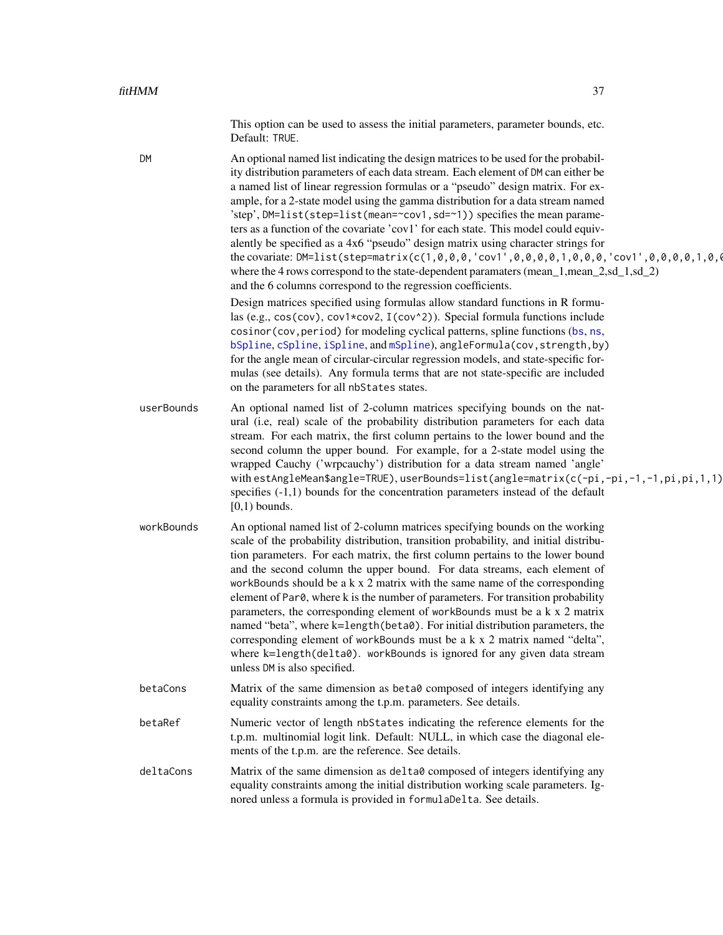This option can be used to assess the initial parameters, parameter bounds, etc. Default: TRUE.

| <b>DM</b>  | An optional named list indicating the design matrices to be used for the probabil-<br>ity distribution parameters of each data stream. Each element of DM can either be<br>a named list of linear regression formulas or a "pseudo" design matrix. For ex-<br>ample, for a 2-state model using the gamma distribution for a data stream named<br>'step', DM=list(step=list(mean=~cov1, sd=~1)) specifies the mean parame-<br>ters as a function of the covariate 'cov1' for each state. This model could equiv-<br>alently be specified as a 4x6 "pseudo" design matrix using character strings for<br>the covariate: DM=list(step=matrix(c(1,0,0,0,'cov1',0,0,0,0,1,0,0,0,'cov1',0,0,0,0,1,0,4<br>where the 4 rows correspond to the state-dependent paramaters (mean_1,mean_2,sd_1,sd_2)<br>and the 6 columns correspond to the regression coefficients.<br>Design matrices specified using formulas allow standard functions in R formu-<br>las (e.g., cos(cov), cov1*cov2, I(cov^2)). Special formula functions include<br>cosinor (cov, period) for modeling cyclical patterns, spline functions (bs, ns,<br>bSpline, cSpline, iSpline, and mSpline), angleFormula(cov, strength, by)<br>for the angle mean of circular-circular regression models, and state-specific for-<br>mulas (see details). Any formula terms that are not state-specific are included<br>on the parameters for all nbStates states. |
|------------|-------------------------------------------------------------------------------------------------------------------------------------------------------------------------------------------------------------------------------------------------------------------------------------------------------------------------------------------------------------------------------------------------------------------------------------------------------------------------------------------------------------------------------------------------------------------------------------------------------------------------------------------------------------------------------------------------------------------------------------------------------------------------------------------------------------------------------------------------------------------------------------------------------------------------------------------------------------------------------------------------------------------------------------------------------------------------------------------------------------------------------------------------------------------------------------------------------------------------------------------------------------------------------------------------------------------------------------------------------------------------------------------------------------------|
| userBounds | An optional named list of 2-column matrices specifying bounds on the nat-<br>ural (i.e, real) scale of the probability distribution parameters for each data<br>stream. For each matrix, the first column pertains to the lower bound and the<br>second column the upper bound. For example, for a 2-state model using the<br>wrapped Cauchy ('wrpcauchy') distribution for a data stream named 'angle'<br>with estAngleMean\$angle=TRUE), userBounds=list(angle=matrix(c(-pi,-pi,-1,-1,pi,pi,1,1)<br>specifies $(-1,1)$ bounds for the concentration parameters instead of the default<br>$[0,1)$ bounds.                                                                                                                                                                                                                                                                                                                                                                                                                                                                                                                                                                                                                                                                                                                                                                                                        |
| workBounds | An optional named list of 2-column matrices specifying bounds on the working<br>scale of the probability distribution, transition probability, and initial distribu-<br>tion parameters. For each matrix, the first column pertains to the lower bound<br>and the second column the upper bound. For data streams, each element of<br>workBounds should be a $k \times 2$ matrix with the same name of the corresponding<br>element of Par0, where k is the number of parameters. For transition probability<br>parameters, the corresponding element of workBounds must be a k x 2 matrix<br>named "beta", where k=length (beta0). For initial distribution parameters, the<br>corresponding element of workBounds must be a k x 2 matrix named "delta",<br>where k=length(delta0). workBounds is ignored for any given data stream<br>unless DM is also specified.                                                                                                                                                                                                                                                                                                                                                                                                                                                                                                                                              |
| betaCons   | Matrix of the same dimension as beta0 composed of integers identifying any<br>equality constraints among the t.p.m. parameters. See details.                                                                                                                                                                                                                                                                                                                                                                                                                                                                                                                                                                                                                                                                                                                                                                                                                                                                                                                                                                                                                                                                                                                                                                                                                                                                      |
| betaRef    | Numeric vector of length nbStates indicating the reference elements for the<br>t.p.m. multinomial logit link. Default: NULL, in which case the diagonal ele-<br>ments of the t.p.m. are the reference. See details.                                                                                                                                                                                                                                                                                                                                                                                                                                                                                                                                                                                                                                                                                                                                                                                                                                                                                                                                                                                                                                                                                                                                                                                               |
| deltaCons  | Matrix of the same dimension as delta0 composed of integers identifying any<br>equality constraints among the initial distribution working scale parameters. Ig-<br>nored unless a formula is provided in formulaDelta. See details.                                                                                                                                                                                                                                                                                                                                                                                                                                                                                                                                                                                                                                                                                                                                                                                                                                                                                                                                                                                                                                                                                                                                                                              |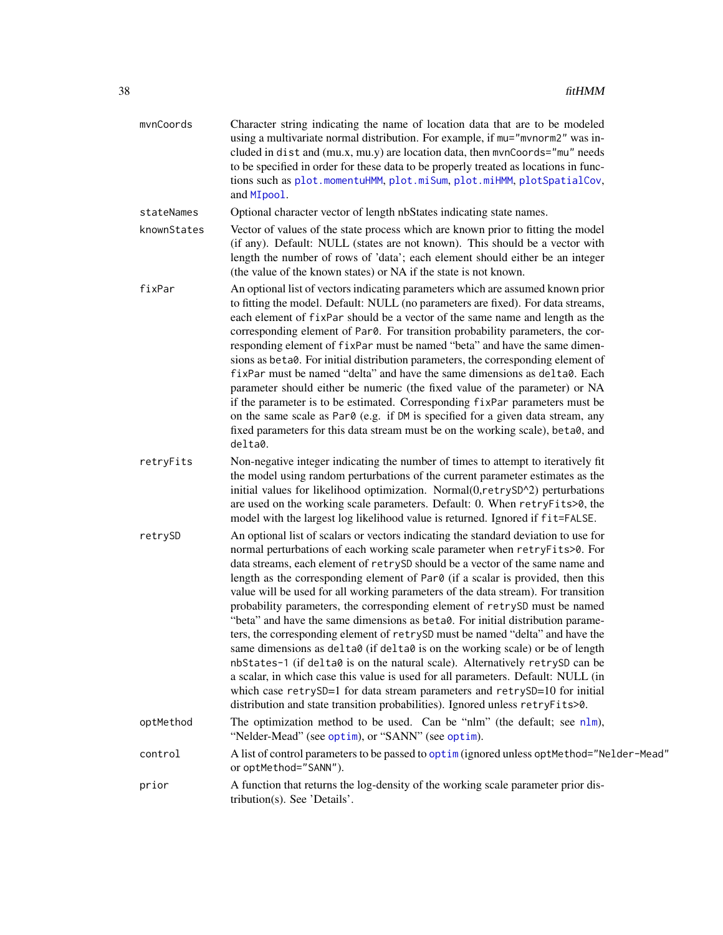| mvnCoords   | Character string indicating the name of location data that are to be modeled<br>using a multivariate normal distribution. For example, if mu="mvnorm2" was in-<br>cluded in dist and (mu.x, mu.y) are location data, then mvnCoords="mu" needs<br>to be specified in order for these data to be properly treated as locations in func-<br>tions such as plot.momentuHMM, plot.miSum, plot.miHMM, plotSpatialCov,<br>and MIpool.                                                                                                                                                                                                                                                                                                                                                                                                                                                                                                                                                                                                                                                                 |
|-------------|-------------------------------------------------------------------------------------------------------------------------------------------------------------------------------------------------------------------------------------------------------------------------------------------------------------------------------------------------------------------------------------------------------------------------------------------------------------------------------------------------------------------------------------------------------------------------------------------------------------------------------------------------------------------------------------------------------------------------------------------------------------------------------------------------------------------------------------------------------------------------------------------------------------------------------------------------------------------------------------------------------------------------------------------------------------------------------------------------|
| stateNames  | Optional character vector of length nbStates indicating state names.                                                                                                                                                                                                                                                                                                                                                                                                                                                                                                                                                                                                                                                                                                                                                                                                                                                                                                                                                                                                                            |
| knownStates | Vector of values of the state process which are known prior to fitting the model<br>(if any). Default: NULL (states are not known). This should be a vector with<br>length the number of rows of 'data'; each element should either be an integer<br>(the value of the known states) or NA if the state is not known.                                                                                                                                                                                                                                                                                                                                                                                                                                                                                                                                                                                                                                                                                                                                                                           |
| fixPar      | An optional list of vectors indicating parameters which are assumed known prior<br>to fitting the model. Default: NULL (no parameters are fixed). For data streams,<br>each element of fixPar should be a vector of the same name and length as the<br>corresponding element of Par0. For transition probability parameters, the cor-<br>responding element of fixPar must be named "beta" and have the same dimen-<br>sions as beta0. For initial distribution parameters, the corresponding element of<br>fixPar must be named "delta" and have the same dimensions as delta0. Each<br>parameter should either be numeric (the fixed value of the parameter) or NA<br>if the parameter is to be estimated. Corresponding fixPar parameters must be<br>on the same scale as Par0 (e.g. if DM is specified for a given data stream, any<br>fixed parameters for this data stream must be on the working scale), beta0, and<br>delta0.                                                                                                                                                           |
| retryFits   | Non-negative integer indicating the number of times to attempt to iteratively fit<br>the model using random perturbations of the current parameter estimates as the<br>initial values for likelihood optimization. Normal(0,retrySD^2) perturbations<br>are used on the working scale parameters. Default: 0. When retryFits>0, the<br>model with the largest log likelihood value is returned. Ignored if fit=FALSE.                                                                                                                                                                                                                                                                                                                                                                                                                                                                                                                                                                                                                                                                           |
| retrySD     | An optional list of scalars or vectors indicating the standard deviation to use for<br>normal perturbations of each working scale parameter when retryFits>0. For<br>data streams, each element of retrySD should be a vector of the same name and<br>length as the corresponding element of Par0 (if a scalar is provided, then this<br>value will be used for all working parameters of the data stream). For transition<br>probability parameters, the corresponding element of retrySD must be named<br>"beta" and have the same dimensions as beta0. For initial distribution parame-<br>ters, the corresponding element of retrySD must be named "delta" and have the<br>same dimensions as delta0 (if delta0 is on the working scale) or be of length<br>nbStates-1 (if delta0 is on the natural scale). Alternatively retrySD can be<br>a scalar, in which case this value is used for all parameters. Default: NULL (in<br>which case retrySD=1 for data stream parameters and retrySD=10 for initial<br>distribution and state transition probabilities). Ignored unless retryFits>0. |
| optMethod   | The optimization method to be used. Can be "nlm" (the default; see nlm),<br>"Nelder-Mead" (see optim), or "SANN" (see optim).                                                                                                                                                                                                                                                                                                                                                                                                                                                                                                                                                                                                                                                                                                                                                                                                                                                                                                                                                                   |
| control     | A list of control parameters to be passed to optim (ignored unless optMethod="Nelder-Mead"<br>or optMethod="SANN").                                                                                                                                                                                                                                                                                                                                                                                                                                                                                                                                                                                                                                                                                                                                                                                                                                                                                                                                                                             |
| prior       | A function that returns the log-density of the working scale parameter prior dis-<br>tribution(s). See 'Details'.                                                                                                                                                                                                                                                                                                                                                                                                                                                                                                                                                                                                                                                                                                                                                                                                                                                                                                                                                                               |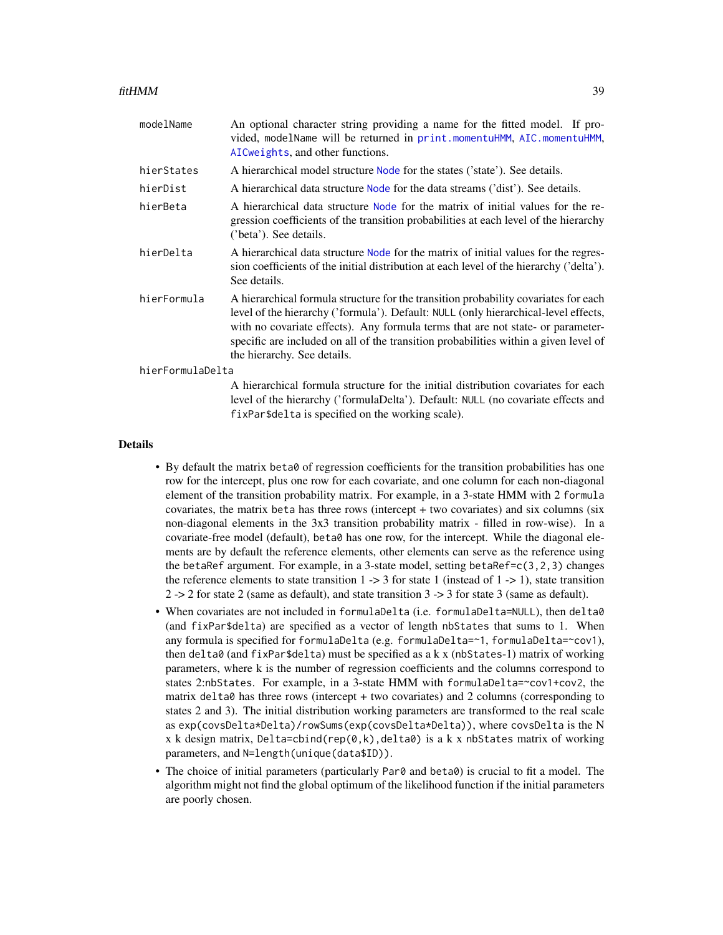| modelName        | An optional character string providing a name for the fitted model. If pro-<br>vided, modelName will be returned in print.momentuHMM, AIC.momentuHMM,<br>AICweights, and other functions.                                                                                                                                                                                            |
|------------------|--------------------------------------------------------------------------------------------------------------------------------------------------------------------------------------------------------------------------------------------------------------------------------------------------------------------------------------------------------------------------------------|
| hierStates       | A hierarchical model structure Node for the states ('state'). See details.                                                                                                                                                                                                                                                                                                           |
| hierDist         | A hierarchical data structure Node for the data streams ('dist'). See details.                                                                                                                                                                                                                                                                                                       |
| hierBeta         | A hierarchical data structure Node for the matrix of initial values for the re-<br>gression coefficients of the transition probabilities at each level of the hierarchy<br>('beta'). See details.                                                                                                                                                                                    |
| hierDelta        | A hierarchical data structure Node for the matrix of initial values for the regres-<br>sion coefficients of the initial distribution at each level of the hierarchy ('delta').<br>See details.                                                                                                                                                                                       |
| hierFormula      | A hierarchical formula structure for the transition probability covariates for each<br>level of the hierarchy ('formula'). Default: NULL (only hierarchical-level effects,<br>with no covariate effects). Any formula terms that are not state- or parameter-<br>specific are included on all of the transition probabilities within a given level of<br>the hierarchy. See details. |
| hierFormulaDelta |                                                                                                                                                                                                                                                                                                                                                                                      |
|                  | A hierarchical formula structure for the initial distribution covariates for each<br>level of the hierarchy ('formulaDelta'). Default: NULL (no covariate effects and<br>fixPar\$delta is specified on the working scale).                                                                                                                                                           |

### Details

- By default the matrix beta0 of regression coefficients for the transition probabilities has one row for the intercept, plus one row for each covariate, and one column for each non-diagonal element of the transition probability matrix. For example, in a 3-state HMM with 2 formula covariates, the matrix beta has three rows (intercept + two covariates) and six columns (six non-diagonal elements in the 3x3 transition probability matrix - filled in row-wise). In a covariate-free model (default), beta0 has one row, for the intercept. While the diagonal elements are by default the reference elements, other elements can serve as the reference using the betaRef argument. For example, in a 3-state model, setting betaRef= $c(3,2,3)$  changes the reference elements to state transition  $1 \rightarrow 3$  for state 1 (instead of  $1 \rightarrow 1$ ), state transition 2 -> 2 for state 2 (same as default), and state transition 3 -> 3 for state 3 (same as default).
- When covariates are not included in formulaDelta (i.e. formulaDelta=NULL), then delta0 (and fixPar\$delta) are specified as a vector of length nbStates that sums to 1. When any formula is specified for formulaDelta (e.g. formulaDelta=~1, formulaDelta=~cov1), then delta $\theta$  (and fixPar\$delta) must be specified as a k x (nbStates-1) matrix of working parameters, where k is the number of regression coefficients and the columns correspond to states 2:nbStates. For example, in a 3-state HMM with formulaDelta=~cov1+cov2, the matrix delta0 has three rows (intercept + two covariates) and 2 columns (corresponding to states 2 and 3). The initial distribution working parameters are transformed to the real scale as exp(covsDelta\*Delta)/rowSums(exp(covsDelta\*Delta)), where covsDelta is the N x k design matrix, Delta=cbind(rep(0,k), delta0) is a k x nbStates matrix of working parameters, and N=length(unique(data\$ID)).
- The choice of initial parameters (particularly Par0 and beta0) is crucial to fit a model. The algorithm might not find the global optimum of the likelihood function if the initial parameters are poorly chosen.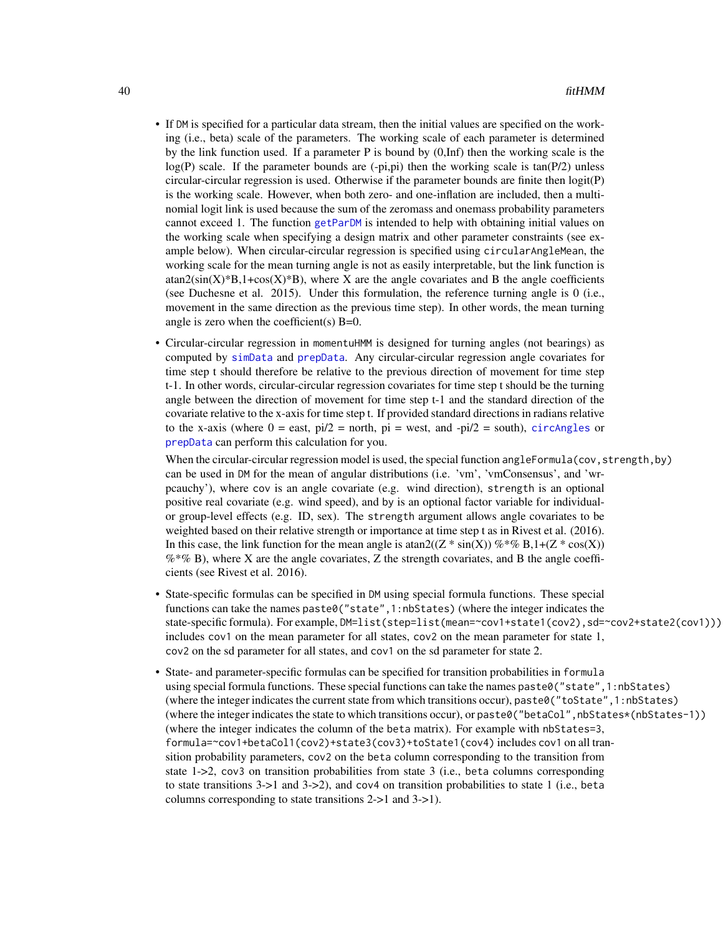- If DM is specified for a particular data stream, then the initial values are specified on the working (i.e., beta) scale of the parameters. The working scale of each parameter is determined by the link function used. If a parameter P is bound by  $(0, \text{Inf})$  then the working scale is the  $log(P)$  scale. If the parameter bounds are  $(-pi,pi)$  then the working scale is tan(P/2) unless circular-circular regression is used. Otherwise if the parameter bounds are finite then logit(P) is the working scale. However, when both zero- and one-inflation are included, then a multinomial logit link is used because the sum of the zeromass and onemass probability parameters cannot exceed 1. The function [getParDM](#page-53-0) is intended to help with obtaining initial values on the working scale when specifying a design matrix and other parameter constraints (see example below). When circular-circular regression is specified using circularAngleMean, the working scale for the mean turning angle is not as easily interpretable, but the link function is  $\text{atan2}(\text{sin}(X)^*B, 1+\cos(X)^*B)$ , where X are the angle covariates and B the angle coefficients (see Duchesne et al. 2015). Under this formulation, the reference turning angle is 0 (i.e., movement in the same direction as the previous time step). In other words, the mean turning angle is zero when the coefficient(s)  $B=0$ .
- Circular-circular regression in momentuHMM is designed for turning angles (not bearings) as computed by [simData](#page-114-0) and [prepData](#page-103-0). Any circular-circular regression angle covariates for time step t should therefore be relative to the previous direction of movement for time step t-1. In other words, circular-circular regression covariates for time step t should be the turning angle between the direction of movement for time step t-1 and the standard direction of the covariate relative to the x-axis for time step t. If provided standard directions in radians relative to the x-axis (where  $0 =$  east,  $pi/2 =$  north,  $pi =$  west, and - $pi/2 =$  south), [circAngles](#page-11-0) or [prepData](#page-103-0) can perform this calculation for you.

When the circular-circular regression model is used, the special function angleFormula(cov, strength, by) can be used in DM for the mean of angular distributions (i.e. 'vm', 'vmConsensus', and 'wrpcauchy'), where cov is an angle covariate (e.g. wind direction), strength is an optional positive real covariate (e.g. wind speed), and by is an optional factor variable for individualor group-level effects (e.g. ID, sex). The strength argument allows angle covariates to be weighted based on their relative strength or importance at time step t as in Rivest et al. (2016). In this case, the link function for the mean angle is  $\text{atan2}((Z \ast \text{sin}(X)) \% \ast \% B, 1 + (Z \ast \text{cos}(X)))$  $%$  % B), where X are the angle covariates, Z the strength covariates, and B the angle coefficients (see Rivest et al. 2016).

- State-specific formulas can be specified in DM using special formula functions. These special functions can take the names paste0("state",1:nbStates) (where the integer indicates the state-specific formula). For example, DM=list(step=list(mean=~cov1+state1(cov2), sd=~cov2+state2(cov1))) includes cov1 on the mean parameter for all states, cov2 on the mean parameter for state 1, cov2 on the sd parameter for all states, and cov1 on the sd parameter for state 2.
- State- and parameter-specific formulas can be specified for transition probabilities in formula using special formula functions. These special functions can take the names paste0("state",1:nbStates) (where the integer indicates the current state from which transitions occur), paste0("toState",1:nbStates) (where the integer indicates the state to which transitions occur), or paste0("betaCol",nbStates\*(nbStates-1)) (where the integer indicates the column of the beta matrix). For example with nbStates=3, formula=~cov1+betaCol1(cov2)+state3(cov3)+toState1(cov4) includes cov1 on all transition probability parameters, cov2 on the beta column corresponding to the transition from state 1->2, cov3 on transition probabilities from state 3 (i.e., beta columns corresponding to state transitions 3->1 and 3->2), and cov4 on transition probabilities to state 1 (i.e., beta columns corresponding to state transitions 2->1 and 3->1).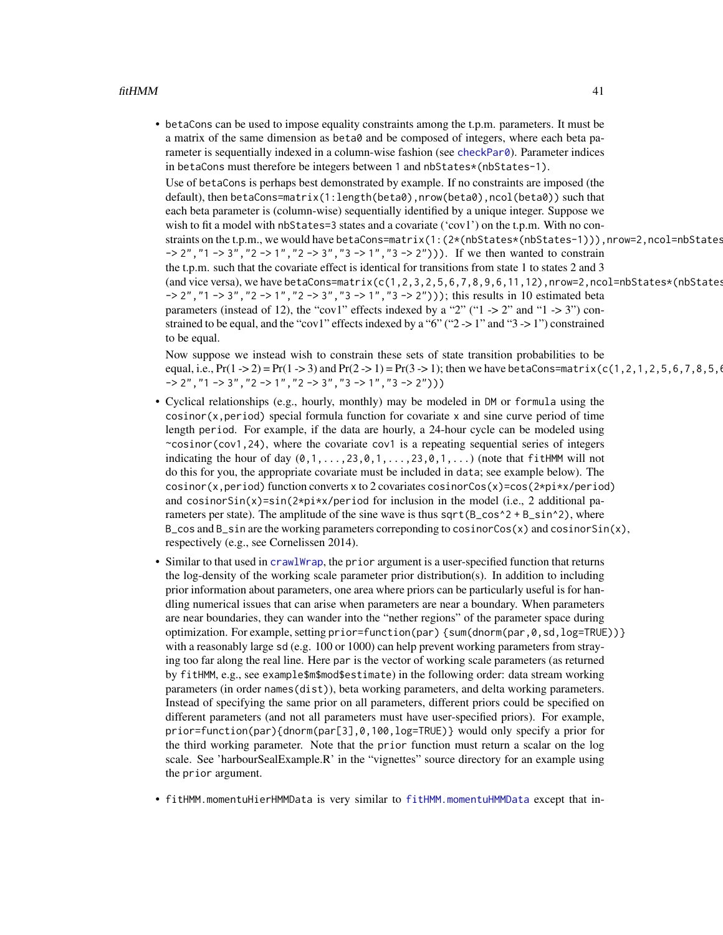• betaCons can be used to impose equality constraints among the t.p.m. parameters. It must be a matrix of the same dimension as beta0 and be composed of integers, where each beta parameter is sequentially indexed in a column-wise fashion (see [checkPar0](#page-6-0)). Parameter indices in betaCons must therefore be integers between 1 and nbStates\*(nbStates-1).

Use of betaCons is perhaps best demonstrated by example. If no constraints are imposed (the default), then betaCons=matrix(1:length(beta0),nrow(beta0),ncol(beta0)) such that each beta parameter is (column-wise) sequentially identified by a unique integer. Suppose we wish to fit a model with nbStates=3 states and a covariate ('cov1') on the t.p.m. With no constraints on the t.p.m., we would have betaCons=matrix(1:(2\*(nbStates\*(nbStates-1))),nrow=2,ncol=nbStates  $-> 2$ ", " $1 -> 3$ ", " $2 -> 1$ ", " $2 -> 3$ ", " $3 -> 1$ ", " $3 -> 2$ "))). If we then wanted to constrain the t.p.m. such that the covariate effect is identical for transitions from state 1 to states 2 and 3 (and vice versa), we have betaCons=matrix(c(1,2,3,2,5,6,7,8,9,6,11,12),nrow=2,ncol=nbStates\*(nbStates  $-$ > 2", "1 -> 3", "2 -> 1", "2 -> 3", "3 -> 1", "3 -> 2"))); this results in 10 estimated beta parameters (instead of 12), the "cov1" effects indexed by a "2" ("1  $\rightarrow$  2" and "1  $\rightarrow$  3") constrained to be equal, and the "cov1" effects indexed by a "6" (" $2 \rightarrow 1$ " and " $3 \rightarrow 1$ ") constrained to be equal.

Now suppose we instead wish to constrain these sets of state transition probabilities to be equal, i.e.,  $Pr(1 -> 2) = Pr(1 -> 3)$  and  $Pr(2 -> 1) = Pr(3 -> 1)$ ; then we have betaCons=matrix(c(1,2,1,2,5,6,7,8,5,6  $\rightarrow$  2", "1 -> 3", "2 -> 1", "2 -> 3", "3 -> 1", "3 -> 2")))

- Cyclical relationships (e.g., hourly, monthly) may be modeled in DM or formula using the  $cosinor(x, period)$  special formula function for covariate x and sine curve period of time length period. For example, if the data are hourly, a 24-hour cycle can be modeled using  $\sim$ cosinor(cov1,24), where the covariate cov1 is a repeating sequential series of integers indicating the hour of day  $(0,1,\ldots,23,0,1,\ldots,23,0,1,\ldots)$  (note that fitHMM will not do this for you, the appropriate covariate must be included in data; see example below). The cosinor(x,period) function converts x to 2 covariates cosinorCos(x)=cos(2\*pi\*x/period) and cosinorSin(x)=sin(2\*pi\*x/period for inclusion in the model (i.e., 2 additional parameters per state). The amplitude of the sine wave is thus sqrt( $B_{\text{c}}\cos^2 2 + B_{\text{c}}\sin^2 2$ ), where  $B_{\text{S}}$  cos and  $B_{\text{S}}$  in are the working parameters correponding to cosinorCos(x) and cosinorSin(x), respectively (e.g., see Cornelissen 2014).
- Similar to that used in [crawlWrap](#page-15-0), the prior argument is a user-specified function that returns the log-density of the working scale parameter prior distribution(s). In addition to including prior information about parameters, one area where priors can be particularly useful is for handling numerical issues that can arise when parameters are near a boundary. When parameters are near boundaries, they can wander into the "nether regions" of the parameter space during optimization. For example, setting prior=function(par) {sum(dnorm(par,0,sd,log=TRUE))} with a reasonably large sd (e.g. 100 or 1000) can help prevent working parameters from straying too far along the real line. Here par is the vector of working scale parameters (as returned by fitHMM, e.g., see example\$m\$mod\$estimate) in the following order: data stream working parameters (in order names(dist)), beta working parameters, and delta working parameters. Instead of specifying the same prior on all parameters, different priors could be specified on different parameters (and not all parameters must have user-specified priors). For example, prior=function(par){dnorm(par[3],0,100,log=TRUE)} would only specify a prior for the third working parameter. Note that the prior function must return a scalar on the log scale. See 'harbourSealExample.R' in the "vignettes" source directory for an example using the prior argument.
- fitHMM.momentuHierHMMData is very similar to [fitHMM.momentuHMMData](#page-32-0) except that in-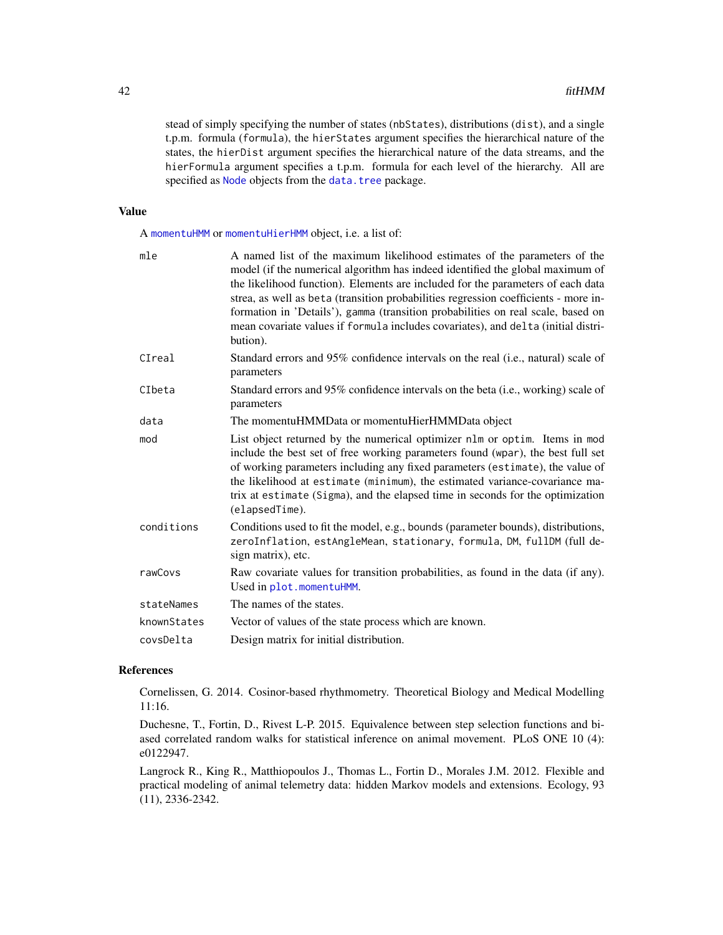stead of simply specifying the number of states (nbStates), distributions (dist), and a single t.p.m. formula (formula), the hierStates argument specifies the hierarchical nature of the states, the hierDist argument specifies the hierarchical nature of the data streams, and the hierFormula argument specifies a t.p.m. formula for each level of the hierarchy. All are specified as [Node](#page-0-0) objects from the [data.tree](#page-0-0) package.

#### Value

A [momentuHMM](#page-81-0) or [momentuHierHMM](#page-79-0) object, i.e. a list of:

| mle         | A named list of the maximum likelihood estimates of the parameters of the<br>model (if the numerical algorithm has indeed identified the global maximum of<br>the likelihood function). Elements are included for the parameters of each data<br>strea, as well as beta (transition probabilities regression coefficients - more in-<br>formation in 'Details'), gamma (transition probabilities on real scale, based on<br>mean covariate values if formula includes covariates), and delta (initial distri-<br>bution). |
|-------------|---------------------------------------------------------------------------------------------------------------------------------------------------------------------------------------------------------------------------------------------------------------------------------------------------------------------------------------------------------------------------------------------------------------------------------------------------------------------------------------------------------------------------|
| CIreal      | Standard errors and 95% confidence intervals on the real (i.e., natural) scale of<br>parameters                                                                                                                                                                                                                                                                                                                                                                                                                           |
| CIbeta      | Standard errors and 95% confidence intervals on the beta (i.e., working) scale of<br>parameters                                                                                                                                                                                                                                                                                                                                                                                                                           |
| data        | The momentuHMMData or momentuHierHMMData object                                                                                                                                                                                                                                                                                                                                                                                                                                                                           |
| mod         | List object returned by the numerical optimizer nlm or optim. Items in mod<br>include the best set of free working parameters found (wpar), the best full set<br>of working parameters including any fixed parameters (estimate), the value of<br>the likelihood at estimate (minimum), the estimated variance-covariance ma-<br>trix at estimate (Sigma), and the elapsed time in seconds for the optimization<br>(elapsedTime).                                                                                         |
| conditions  | Conditions used to fit the model, e.g., bounds (parameter bounds), distributions,<br>zeroInflation, estAngleMean, stationary, formula, DM, fullDM (full de-<br>sign matrix), etc.                                                                                                                                                                                                                                                                                                                                         |
| rawCovs     | Raw covariate values for transition probabilities, as found in the data (if any).<br>Used in plot.momentuHMM.                                                                                                                                                                                                                                                                                                                                                                                                             |
| stateNames  | The names of the states.                                                                                                                                                                                                                                                                                                                                                                                                                                                                                                  |
| knownStates | Vector of values of the state process which are known.                                                                                                                                                                                                                                                                                                                                                                                                                                                                    |
| covsDelta   | Design matrix for initial distribution.                                                                                                                                                                                                                                                                                                                                                                                                                                                                                   |

### References

Cornelissen, G. 2014. Cosinor-based rhythmometry. Theoretical Biology and Medical Modelling 11:16.

Duchesne, T., Fortin, D., Rivest L-P. 2015. Equivalence between step selection functions and biased correlated random walks for statistical inference on animal movement. PLoS ONE 10 (4): e0122947.

Langrock R., King R., Matthiopoulos J., Thomas L., Fortin D., Morales J.M. 2012. Flexible and practical modeling of animal telemetry data: hidden Markov models and extensions. Ecology, 93 (11), 2336-2342.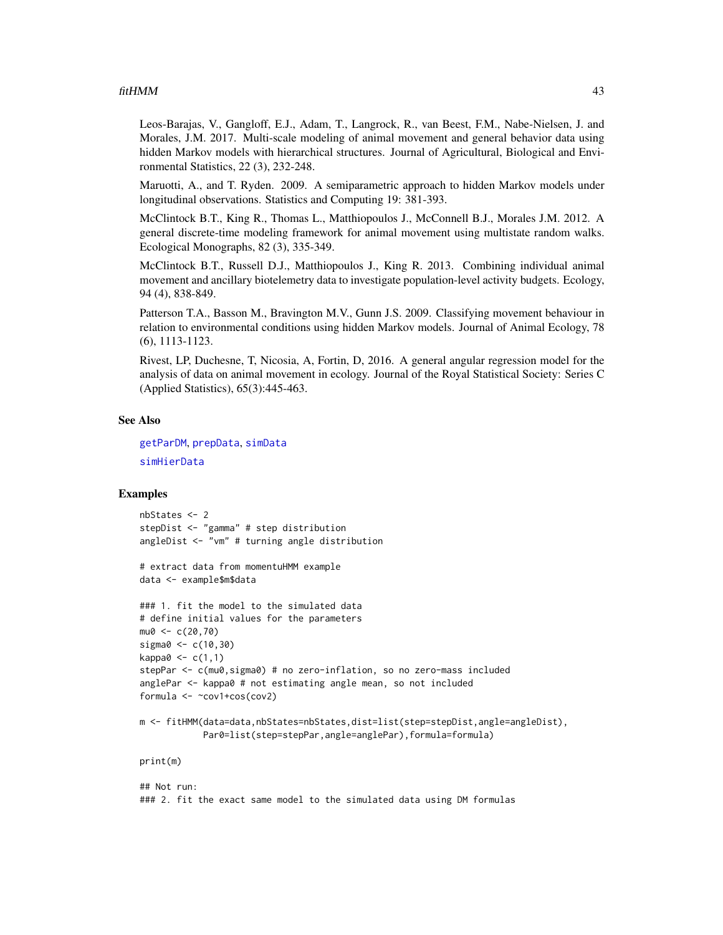#### $fitHMM$  and the set of the set of the set of the set of the set of the set of the set of the set of the set of the set of the set of the set of the set of the set of the set of the set of the set of the set of the set of th

Leos-Barajas, V., Gangloff, E.J., Adam, T., Langrock, R., van Beest, F.M., Nabe-Nielsen, J. and Morales, J.M. 2017. Multi-scale modeling of animal movement and general behavior data using hidden Markov models with hierarchical structures. Journal of Agricultural, Biological and Environmental Statistics, 22 (3), 232-248.

Maruotti, A., and T. Ryden. 2009. A semiparametric approach to hidden Markov models under longitudinal observations. Statistics and Computing 19: 381-393.

McClintock B.T., King R., Thomas L., Matthiopoulos J., McConnell B.J., Morales J.M. 2012. A general discrete-time modeling framework for animal movement using multistate random walks. Ecological Monographs, 82 (3), 335-349.

McClintock B.T., Russell D.J., Matthiopoulos J., King R. 2013. Combining individual animal movement and ancillary biotelemetry data to investigate population-level activity budgets. Ecology, 94 (4), 838-849.

Patterson T.A., Basson M., Bravington M.V., Gunn J.S. 2009. Classifying movement behaviour in relation to environmental conditions using hidden Markov models. Journal of Animal Ecology, 78 (6), 1113-1123.

Rivest, LP, Duchesne, T, Nicosia, A, Fortin, D, 2016. A general angular regression model for the analysis of data on animal movement in ecology. Journal of the Royal Statistical Society: Series C (Applied Statistics), 65(3):445-463.

#### See Also

[getParDM](#page-53-0), [prepData](#page-103-0), [simData](#page-114-0) [simHierData](#page-114-1)

### Examples

```
nbStates <- 2
stepDist <- "gamma" # step distribution
angleDist <- "vm" # turning angle distribution
# extract data from momentuHMM example
data <- example$m$data
### 1. fit the model to the simulated data
# define initial values for the parameters
mu0 < -c(20, 70)sigma0 <- c(10,30)
kappa0 \leq c(1,1)stepPar <- c(mu0,sigma0) # no zero-inflation, so no zero-mass included
anglePar <- kappa0 # not estimating angle mean, so not included
formula <- ~cov1+cos(cov2)
m <- fitHMM(data=data,nbStates=nbStates,dist=list(step=stepDist,angle=angleDist),
            Par0=list(step=stepPar,angle=anglePar),formula=formula)
print(m)
## Not run:
```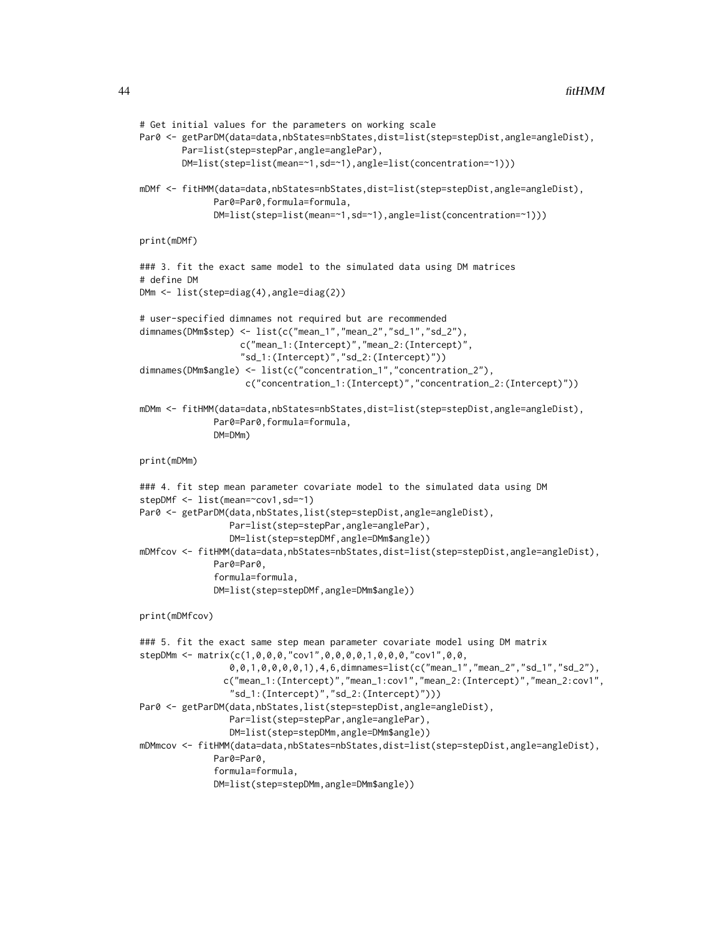```
# Get initial values for the parameters on working scale
Par0 <- getParDM(data=data,nbStates=nbStates,dist=list(step=stepDist,angle=angleDist),
       Par=list(step=stepPar,angle=anglePar),
       DM=list(step=list(mean=~1,sd=~1),angle=list(concentration=~1)))
mDMf <- fitHMM(data=data,nbStates=nbStates,dist=list(step=stepDist,angle=angleDist),
              Par0=Par0,formula=formula,
              DM=list(step=list(mean=~1,sd=~1),angle=list(concentration=~1)))
print(mDMf)
### 3. fit the exact same model to the simulated data using DM matrices
# define DM
DMm <- list(step=diag(4),angle=diag(2))
# user-specified dimnames not required but are recommended
dimnames(DMm$step) <- list(c("mean_1","mean_2","sd_1","sd_2"),
                   c("mean_1:(Intercept)","mean_2:(Intercept)",
                   "sd_1:(Intercept)","sd_2:(Intercept)"))
dimnames(DMm$angle) <- list(c("concentration_1","concentration_2"),
                    c("concentration_1:(Intercept)","concentration_2:(Intercept)"))
mDMm <- fitHMM(data=data,nbStates=nbStates,dist=list(step=stepDist,angle=angleDist),
              Par0=Par0,formula=formula,
              DM=DMm)
print(mDMm)
### 4. fit step mean parameter covariate model to the simulated data using DM
stepDMf <- list(mean=~cov1,sd=~1)
Par0 <- getParDM(data,nbStates,list(step=stepDist,angle=angleDist),
                 Par=list(step=stepPar,angle=anglePar),
                 DM=list(step=stepDMf,angle=DMm$angle))
mDMfcov <- fitHMM(data=data,nbStates=nbStates,dist=list(step=stepDist,angle=angleDist),
              Par0=Par0,
              formula=formula,
              DM=list(step=stepDMf,angle=DMm$angle))
print(mDMfcov)
### 5. fit the exact same step mean parameter covariate model using DM matrix
stepDMm <- matrix(c(1,0,0,0,"cov1",0,0,0,0,1,0,0,0,"cov1",0,0,
                 0,0,1,0,0,0,0,1),4,6,dimnames=list(c("mean_1","mean_2","sd_1","sd_2"),
                c("mean_1:(Intercept)","mean_1:cov1","mean_2:(Intercept)","mean_2:cov1",
                 "sd_1:(Intercept)","sd_2:(Intercept)")))
Par0 <- getParDM(data,nbStates,list(step=stepDist,angle=angleDist),
                 Par=list(step=stepPar,angle=anglePar),
                 DM=list(step=stepDMm,angle=DMm$angle))
mDMmcov <- fitHMM(data=data,nbStates=nbStates,dist=list(step=stepDist,angle=angleDist),
              Par0=Par0,
              formula=formula,
              DM=list(step=stepDMm,angle=DMm$angle))
```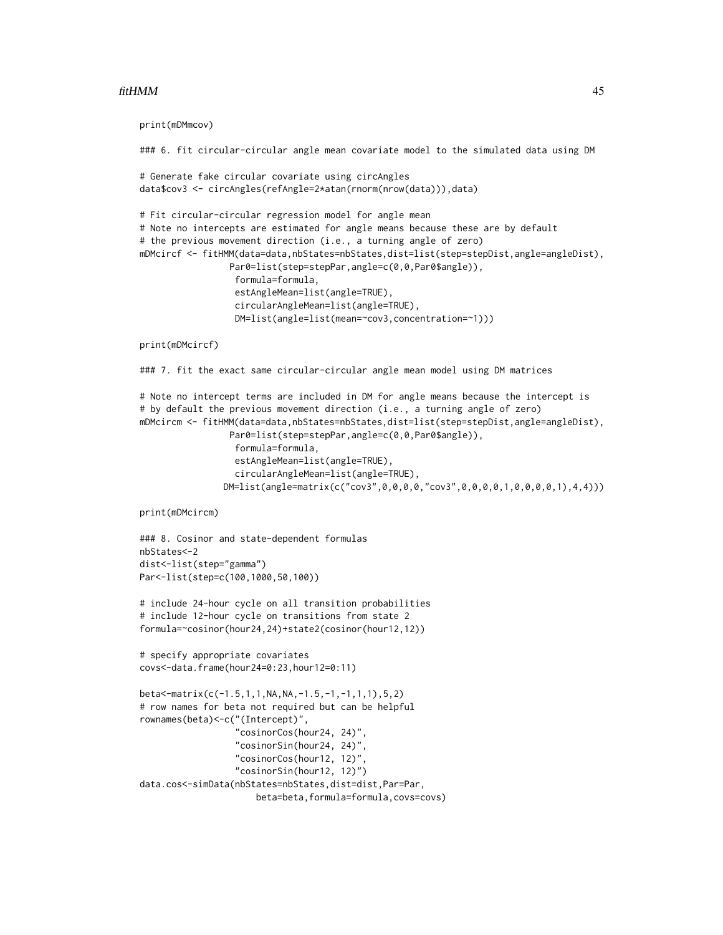#### $fitHMM$  and the set of the set of the set of the set of the set of the set of the set of the set of the set of the set of the set of the set of the set of the set of the set of the set of the set of the set of the set of th

```
print(mDMmcov)
```

```
### 6. fit circular-circular angle mean covariate model to the simulated data using DM
# Generate fake circular covariate using circAngles
data$cov3 <- circAngles(refAngle=2*atan(rnorm(nrow(data))),data)
# Fit circular-circular regression model for angle mean
# Note no intercepts are estimated for angle means because these are by default
# the previous movement direction (i.e., a turning angle of zero)
mDMcircf <- fitHMM(data=data,nbStates=nbStates,dist=list(step=stepDist,angle=angleDist),
                 Par0=list(step=stepPar,angle=c(0,0,Par0$angle)),
                  formula=formula,
                  estAngleMean=list(angle=TRUE),
                  circularAngleMean=list(angle=TRUE),
                  DM=list(angle=list(mean=~cov3,concentration=~1)))
print(mDMcircf)
### 7. fit the exact same circular-circular angle mean model using DM matrices
# Note no intercept terms are included in DM for angle means because the intercept is
# by default the previous movement direction (i.e., a turning angle of zero)
mDMcircm <- fitHMM(data=data,nbStates=nbStates,dist=list(step=stepDist,angle=angleDist),
                 Par0=list(step=stepPar,angle=c(0,0,Par0$angle)),
                  formula=formula,
                  estAngleMean=list(angle=TRUE),
                  circularAngleMean=list(angle=TRUE),
               DM=list(angle=matrix(c("cov3",0,0,0,0,"cov3",0,0,0,0,1,0,0,0,0,1),4,4)))
print(mDMcircm)
### 8. Cosinor and state-dependent formulas
nbStates<-2
dist<-list(step="gamma")
Par<-list(step=c(100,1000,50,100))
# include 24-hour cycle on all transition probabilities
# include 12-hour cycle on transitions from state 2
formula=~cosinor(hour24,24)+state2(cosinor(hour12,12))
# specify appropriate covariates
covs<-data.frame(hour24=0:23,hour12=0:11)
beta<-matrix(c(-1.5,1,1,NA,NA,-1.5,-1,-1,1,1),5,2)
# row names for beta not required but can be helpful
rownames(beta)<-c("(Intercept)",
                  "cosinorCos(hour24, 24)",
                  "cosinorSin(hour24, 24)",
                  "cosinorCos(hour12, 12)",
                  "cosinorSin(hour12, 12)")
data.cos<-simData(nbStates=nbStates,dist=dist,Par=Par,
```
beta=beta,formula=formula,covs=covs)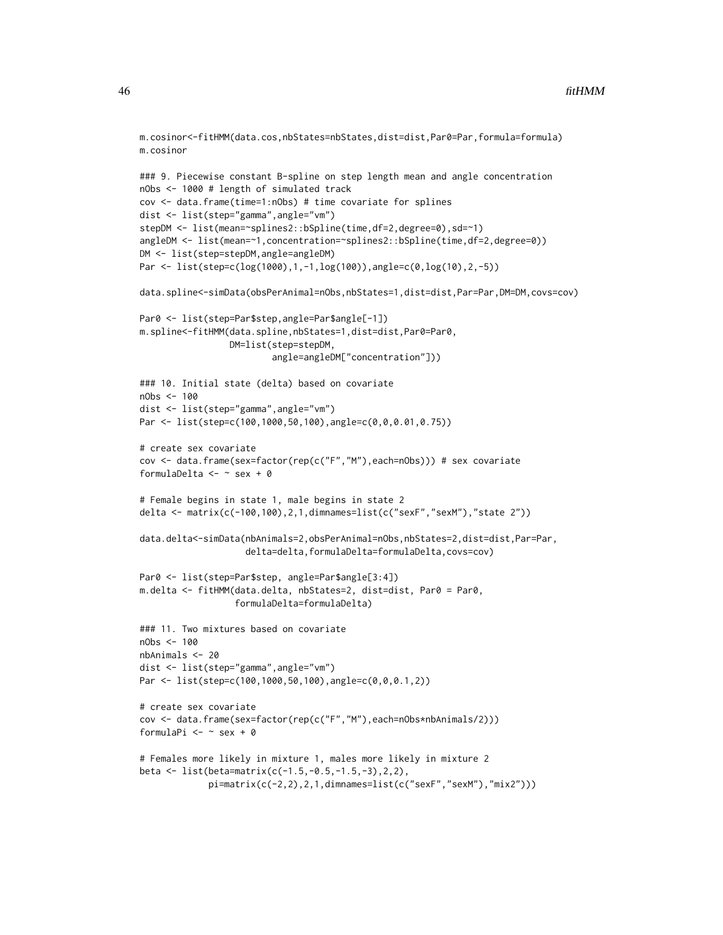```
m.cosinor<-fitHMM(data.cos,nbStates=nbStates,dist=dist,Par0=Par,formula=formula)
m.cosinor
### 9. Piecewise constant B-spline on step length mean and angle concentration
nObs <- 1000 # length of simulated track
cov <- data.frame(time=1:nObs) # time covariate for splines
dist <- list(step="gamma",angle="vm")
stepDM <- list(mean=~splines2::bSpline(time,df=2,degree=0),sd=~1)
angleDM <- list(mean=~1,concentration=~splines2::bSpline(time,df=2,degree=0))
DM <- list(step=stepDM,angle=angleDM)
Par <- list(step=c(log(1000),1,-1,log(100)),angle=c(0,log(10),2,-5))
data.spline<-simData(obsPerAnimal=nObs,nbStates=1,dist=dist,Par=Par,DM=DM,covs=cov)
Par0 <- list(step=Par$step,angle=Par$angle[-1])
m.spline<-fitHMM(data.spline,nbStates=1,dist=dist,Par0=Par0,
                 DM=list(step=stepDM,
                         angle=angleDM["concentration"]))
### 10. Initial state (delta) based on covariate
nObs <- 100
dist <- list(step="gamma",angle="vm")
Par <- list(step=c(100,1000,50,100),angle=c(0,0,0.01,0.75))
# create sex covariate
cov <- data.frame(sex=factor(rep(c("F","M"),each=nObs))) # sex covariate
formulaDelta <- \sim sex + 0
# Female begins in state 1, male begins in state 2
delta <- matrix(c(-100,100),2,1,dimnames=list(c("sexF","sexM"),"state 2"))
data.delta<-simData(nbAnimals=2,obsPerAnimal=nObs,nbStates=2,dist=dist,Par=Par,
                    delta=delta,formulaDelta=formulaDelta,covs=cov)
Par0 <- list(step=Par$step, angle=Par$angle[3:4])
m.delta <- fitHMM(data.delta, nbStates=2, dist=dist, Par0 = Par0,
                  formulaDelta=formulaDelta)
### 11. Two mixtures based on covariate
nObs <- 100
nbAnimals <- 20
dist <- list(step="gamma",angle="vm")
Par <- list(step=c(100,1000,50,100),angle=c(0,0,0.1,2))
# create sex covariate
cov <- data.frame(sex=factor(rep(c("F","M"),each=nObs*nbAnimals/2)))
formulaPi <- \sim sex + 0
# Females more likely in mixture 1, males more likely in mixture 2
beta <- list(beta=matrix(c(-1.5,-0.5,-1.5,-3),2,2),
```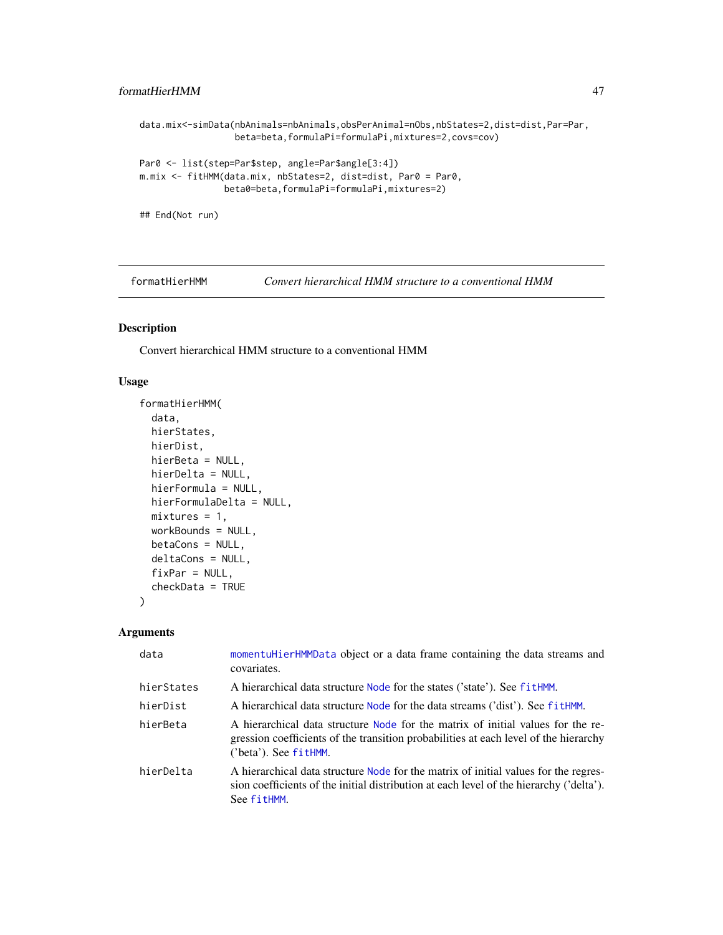### formatHierHMM 47

```
data.mix<-simData(nbAnimals=nbAnimals,obsPerAnimal=nObs,nbStates=2,dist=dist,Par=Par,
                  beta=beta,formulaPi=formulaPi,mixtures=2,covs=cov)
Par0 <- list(step=Par$step, angle=Par$angle[3:4])
m.mix <- fitHMM(data.mix, nbStates=2, dist=dist, Par0 = Par0,
                beta0=beta,formulaPi=formulaPi,mixtures=2)
## End(Not run)
```
formatHierHMM *Convert hierarchical HMM structure to a conventional HMM*

### Description

Convert hierarchical HMM structure to a conventional HMM

#### Usage

```
formatHierHMM(
  data,
 hierStates,
 hierDist,
 hierBeta = NULL,
 hierDelta = NULL,
 hierFormula = NULL,
 hierFormulaDelta = NULL,
 mixtures = 1,workBounds = NULL,
 betaCons = NULL,
  deltaCons = NULL,
  fixPar = NULL,
 checkData = TRUE
)
```
### Arguments

| data       | momentuHierHMMData object or a data frame containing the data streams and<br>covariates.                                                                                                         |
|------------|--------------------------------------------------------------------------------------------------------------------------------------------------------------------------------------------------|
| hierStates | A hierarchical data structure Node for the states ('state'). See fitHMM.                                                                                                                         |
| hierDist   | A hierarchical data structure Node for the data streams ('dist'). See fitHMM.                                                                                                                    |
| hierBeta   | A hierarchical data structure Node for the matrix of initial values for the re-<br>gression coefficients of the transition probabilities at each level of the hierarchy<br>('beta'). See fitHMM. |
| hierDelta  | A hierarchical data structure Node for the matrix of initial values for the regres-<br>sion coefficients of the initial distribution at each level of the hierarchy ('delta').<br>See fitHMM.    |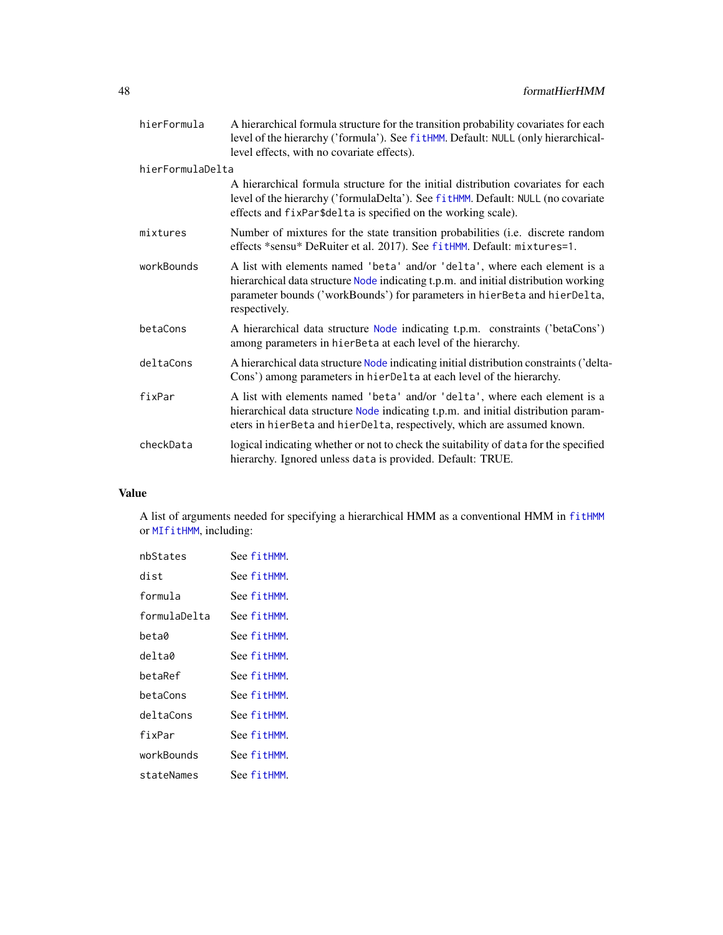| hierFormula      | A hierarchical formula structure for the transition probability covariates for each<br>level of the hierarchy ('formula'). See fitHMM. Default: NULL (only hierarchical-<br>level effects, with no covariate effects).                                         |
|------------------|----------------------------------------------------------------------------------------------------------------------------------------------------------------------------------------------------------------------------------------------------------------|
| hierFormulaDelta |                                                                                                                                                                                                                                                                |
|                  | A hierarchical formula structure for the initial distribution covariates for each<br>level of the hierarchy ('formulaDelta'). See fitHMM. Default: NULL (no covariate<br>effects and fixPar\$delta is specified on the working scale).                         |
| mixtures         | Number of mixtures for the state transition probabilities (i.e. discrete random<br>effects *sensu* DeRuiter et al. 2017). See fitHMM. Default: mixtures=1.                                                                                                     |
| workBounds       | A list with elements named 'beta' and/or 'delta', where each element is a<br>hierarchical data structure Node indicating t.p.m. and initial distribution working<br>parameter bounds ('workBounds') for parameters in hierBeta and hierDelta,<br>respectively. |
| betaCons         | A hierarchical data structure Node indicating t.p.m. constraints ('betaCons')<br>among parameters in hierBeta at each level of the hierarchy.                                                                                                                  |
| deltaCons        | A hierarchical data structure Node indicating initial distribution constraints ('delta-<br>Cons') among parameters in hierDelta at each level of the hierarchy.                                                                                                |
| fixPar           | A list with elements named 'beta' and/or 'delta', where each element is a<br>hierarchical data structure Node indicating t.p.m. and initial distribution param-<br>eters in hierBeta and hierDelta, respectively, which are assumed known.                     |
| checkData        | logical indicating whether or not to check the suitability of data for the specified<br>hierarchy. Ignored unless data is provided. Default: TRUE.                                                                                                             |

### Value

A list of arguments needed for specifying a hierarchical HMM as a conventional HMM in [fitHMM](#page-32-1) or [MIfitHMM](#page-67-0), including:

| nbStates     | See fitHMM. |
|--------------|-------------|
| dist         | See fitHMM. |
| formula      | See fitHMM. |
| formulaDelta | See fitHMM. |
| beta0        | See fitHMM. |
| delta0       | See fitHMM. |
| betaRef      | See fitHMM. |
| betaCons     | See fitHMM. |
| deltaCons    | See fitHMM. |
| fixPar       | See fitHMM. |
| workBounds   | See fitHMM. |
| stateNames   | See fitHMM. |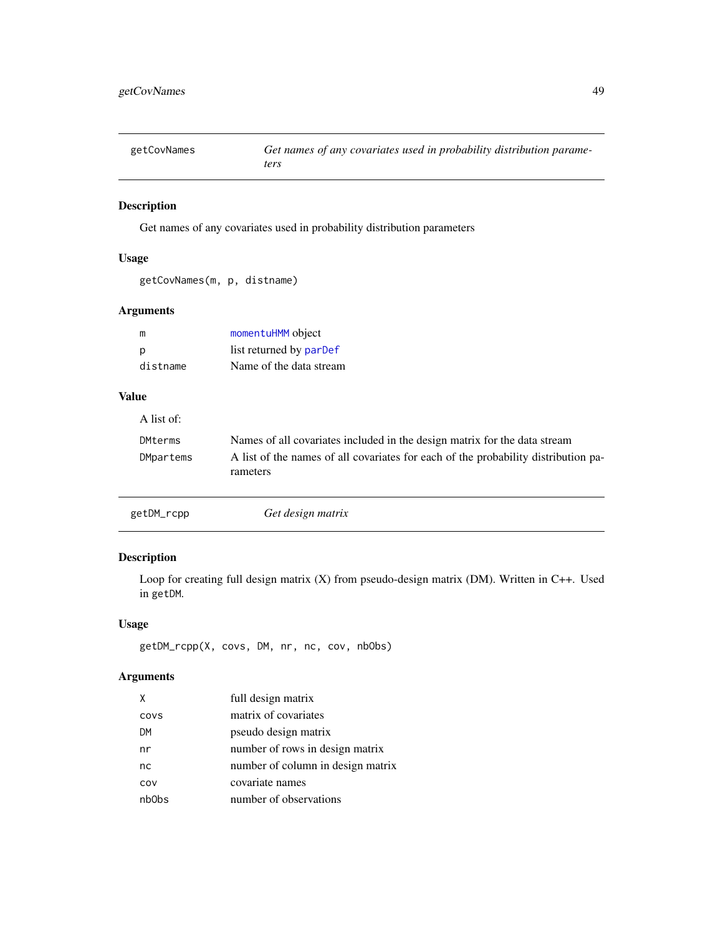getCovNames *Get names of any covariates used in probability distribution parameters*

### Description

Get names of any covariates used in probability distribution parameters

### Usage

getCovNames(m, p, distname)

### Arguments

| m        | momentuHMM object       |
|----------|-------------------------|
| D        | list returned by parDef |
| distname | Name of the data stream |

getDM\_rcpp *Get design matrix*

# Value

| A list of: |                                                                                                |
|------------|------------------------------------------------------------------------------------------------|
| DMterms    | Names of all covariates included in the design matrix for the data stream                      |
| DMpartems  | A list of the names of all covariates for each of the probability distribution pa-<br>rameters |
|            |                                                                                                |

Description

Loop for creating full design matrix (X) from pseudo-design matrix (DM). Written in C++. Used in getDM.

### Usage

getDM\_rcpp(X, covs, DM, nr, nc, cov, nbObs)

### Arguments

| X     | full design matrix                |
|-------|-----------------------------------|
| COVS  | matrix of covariates              |
| DM    | pseudo design matrix              |
| nr    | number of rows in design matrix   |
| nc    | number of column in design matrix |
| COV   | covariate names                   |
| nb0bs | number of observations            |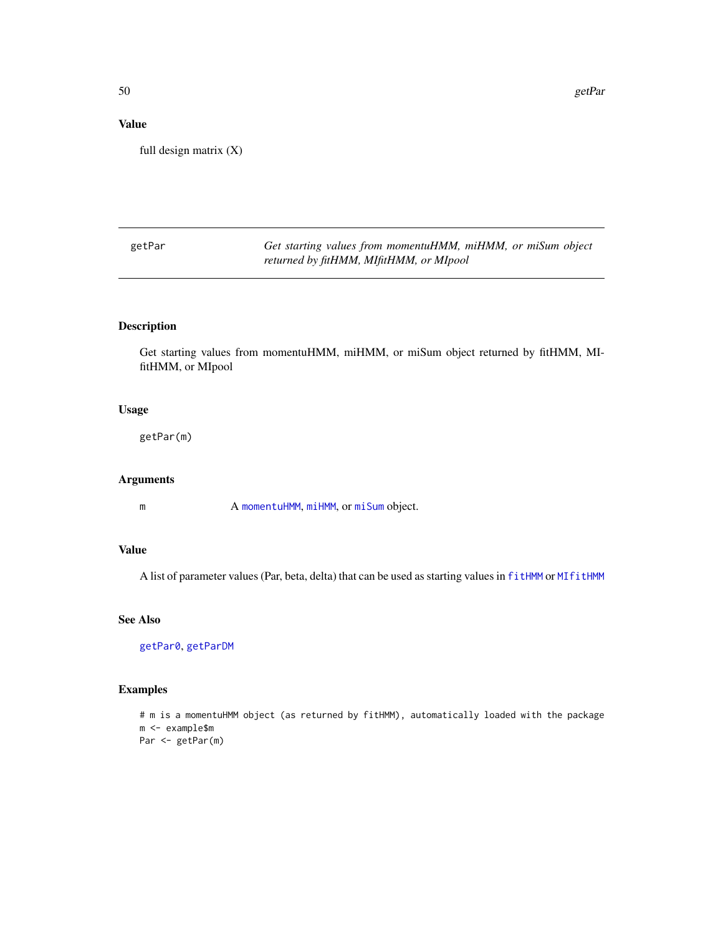50 getPar

# Value

full design matrix (X)

<span id="page-49-0"></span>

| getPar | Get starting values from momentuHMM, miHMM, or miSum object |
|--------|-------------------------------------------------------------|
|        | returned by fitHMM, MIfitHMM, or MIpool                     |

### Description

Get starting values from momentuHMM, miHMM, or miSum object returned by fitHMM, MIfitHMM, or MIpool

# Usage

getPar(m)

### Arguments

m A [momentuHMM](#page-81-0), [miHMM](#page-75-0), or [miSum](#page-78-0) object.

### Value

A list of parameter values (Par, beta, delta) that can be used as starting values in [fitHMM](#page-32-1) or [MIfitHMM](#page-67-0)

# See Also

[getPar0](#page-50-0), [getParDM](#page-53-0)

### Examples

```
# m is a momentuHMM object (as returned by fitHMM), automatically loaded with the package
m <- example$m
Par <- getPar(m)
```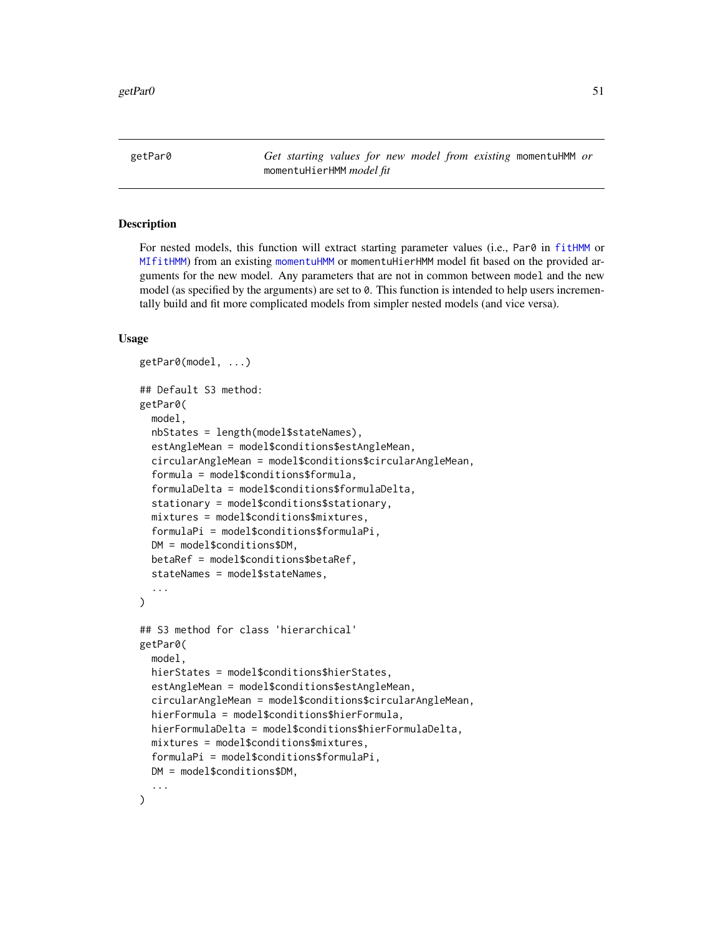<span id="page-50-0"></span>getPar0 *Get starting values for new model from existing* momentuHMM *or* momentuHierHMM *model fit*

### Description

For nested models, this function will extract starting parameter values (i.e., Par0 in [fitHMM](#page-32-1) or [MIfitHMM](#page-67-0)) from an existing [momentuHMM](#page-81-0) or momentuHierHMM model fit based on the provided arguments for the new model. Any parameters that are not in common between model and the new model (as specified by the arguments) are set to 0. This function is intended to help users incrementally build and fit more complicated models from simpler nested models (and vice versa).

### Usage

```
getPar0(model, ...)
## Default S3 method:
getPar0(
 model,
  nbStates = length(model$stateNames),
  estAngleMean = model$conditions$estAngleMean,
  circularAngleMean = model$conditions$circularAngleMean,
  formula = model$conditions$formula,
  formulaDelta = model$conditions$formulaDelta,
  stationary = model$conditions$stationary,
  mixtures = model$conditions$mixtures,
  formulaPi = model$conditions$formulaPi,
  DM = model$conditions$DM,
  betaRef = model$conditions$betaRef,
  stateNames = model$stateNames,
  ...
\lambda## S3 method for class 'hierarchical'
getPar0(
 model,
 hierStates = model$conditions$hierStates,
  estAngleMean = model$conditions$estAngleMean,
  circularAngleMean = model$conditions$circularAngleMean,
  hierFormula = model$conditions$hierFormula,
  hierFormulaDelta = model$conditions$hierFormulaDelta,
 mixtures = model$conditions$mixtures,
  formulaPi = model$conditions$formulaPi,
 DM = model$conditions$DM,
  ...
)
```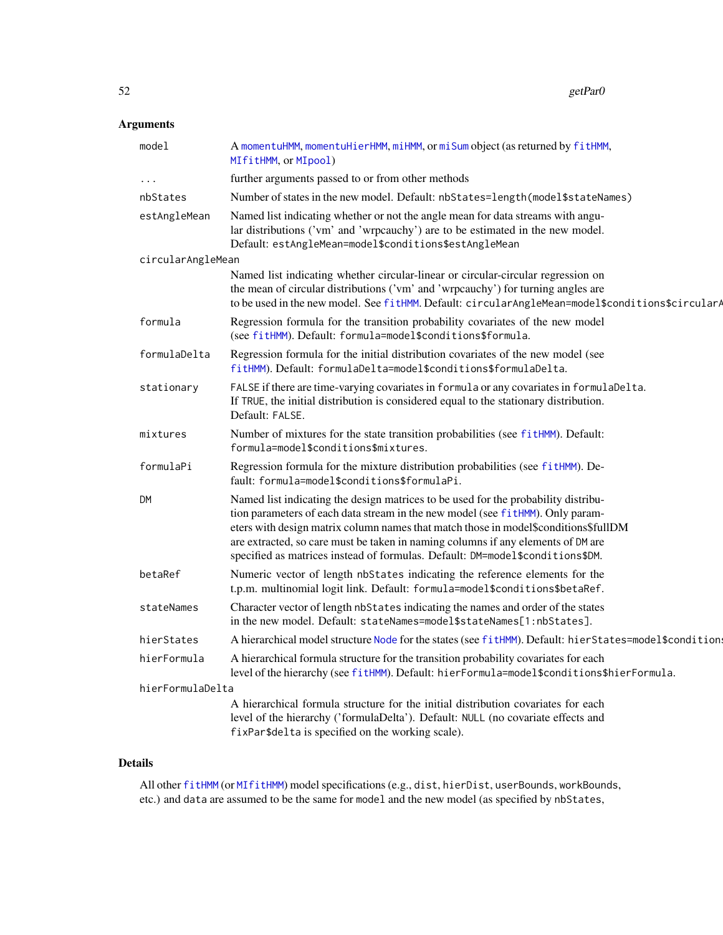#### $52$  getPar0

# Arguments

| model             | A momentuHMM, momentuHierHMM, miHMM, or miSum object (as returned by fitHMM,<br>MIfitHMM, or MIpool)                                                                                                                                                                                                                                                                                                                             |
|-------------------|----------------------------------------------------------------------------------------------------------------------------------------------------------------------------------------------------------------------------------------------------------------------------------------------------------------------------------------------------------------------------------------------------------------------------------|
| .                 | further arguments passed to or from other methods                                                                                                                                                                                                                                                                                                                                                                                |
| nbStates          | Number of states in the new model. Default: nbStates=length(model\$stateNames)                                                                                                                                                                                                                                                                                                                                                   |
| estAngleMean      | Named list indicating whether or not the angle mean for data streams with angu-<br>lar distributions ('vm' and 'wrpcauchy') are to be estimated in the new model.<br>Default: estAngleMean=model\$conditions\$estAngleMean                                                                                                                                                                                                       |
| circularAngleMean |                                                                                                                                                                                                                                                                                                                                                                                                                                  |
|                   | Named list indicating whether circular-linear or circular-circular regression on<br>the mean of circular distributions ('vm' and 'wrpcauchy') for turning angles are<br>to be used in the new model. See fitHMM. Default: circularAngleMean=model\$conditions\$circularA                                                                                                                                                         |
| formula           | Regression formula for the transition probability covariates of the new model<br>(see fitHMM). Default: formula=model\$conditions\$formula.                                                                                                                                                                                                                                                                                      |
| formulaDelta      | Regression formula for the initial distribution covariates of the new model (see<br>fitHMM). Default: formulaDelta=model\$conditions\$formulaDelta.                                                                                                                                                                                                                                                                              |
| stationary        | FALSE if there are time-varying covariates in formula or any covariates in formulaDelta.<br>If TRUE, the initial distribution is considered equal to the stationary distribution.<br>Default: FALSE.                                                                                                                                                                                                                             |
| mixtures          | Number of mixtures for the state transition probabilities (see fitHMM). Default:<br>formula=model\$conditions\$mixtures.                                                                                                                                                                                                                                                                                                         |
| formulaPi         | Regression formula for the mixture distribution probabilities (see fitHMM). De-<br>fault: formula=model\$conditions\$formulaPi.                                                                                                                                                                                                                                                                                                  |
| <b>DM</b>         | Named list indicating the design matrices to be used for the probability distribu-<br>tion parameters of each data stream in the new model (see fitHMM). Only param-<br>eters with design matrix column names that match those in model\$conditions\$fullDM<br>are extracted, so care must be taken in naming columns if any elements of DM are<br>specified as matrices instead of formulas. Default: DM=model\$conditions\$DM. |
| betaRef           | Numeric vector of length nbStates indicating the reference elements for the<br>t.p.m. multinomial logit link. Default: formula=model\$conditions\$betaRef.                                                                                                                                                                                                                                                                       |
| stateNames        | Character vector of length nbStates indicating the names and order of the states<br>in the new model. Default: stateNames=model\$stateNames[1:nbStates].                                                                                                                                                                                                                                                                         |
| hierStates        | A hierarchical model structure Node for the states (see fitHMM). Default: hierStates=model\$condition:                                                                                                                                                                                                                                                                                                                           |
| hierFormula       | A hierarchical formula structure for the transition probability covariates for each<br>level of the hierarchy (see fitHMM). Default: hierFormula=model\$conditions\$hierFormula.                                                                                                                                                                                                                                                 |
| hierFormulaDelta  |                                                                                                                                                                                                                                                                                                                                                                                                                                  |
|                   | A hierarchical formula structure for the initial distribution covariates for each<br>level of the hierarchy ('formulaDelta'). Default: NULL (no covariate effects and<br>fixPar\$delta is specified on the working scale).                                                                                                                                                                                                       |
|                   |                                                                                                                                                                                                                                                                                                                                                                                                                                  |

# Details

All other [fitHMM](#page-32-1) (or [MIfitHMM](#page-67-0)) model specifications (e.g., dist, hierDist, userBounds, workBounds, etc.) and data are assumed to be the same for model and the new model (as specified by nbStates,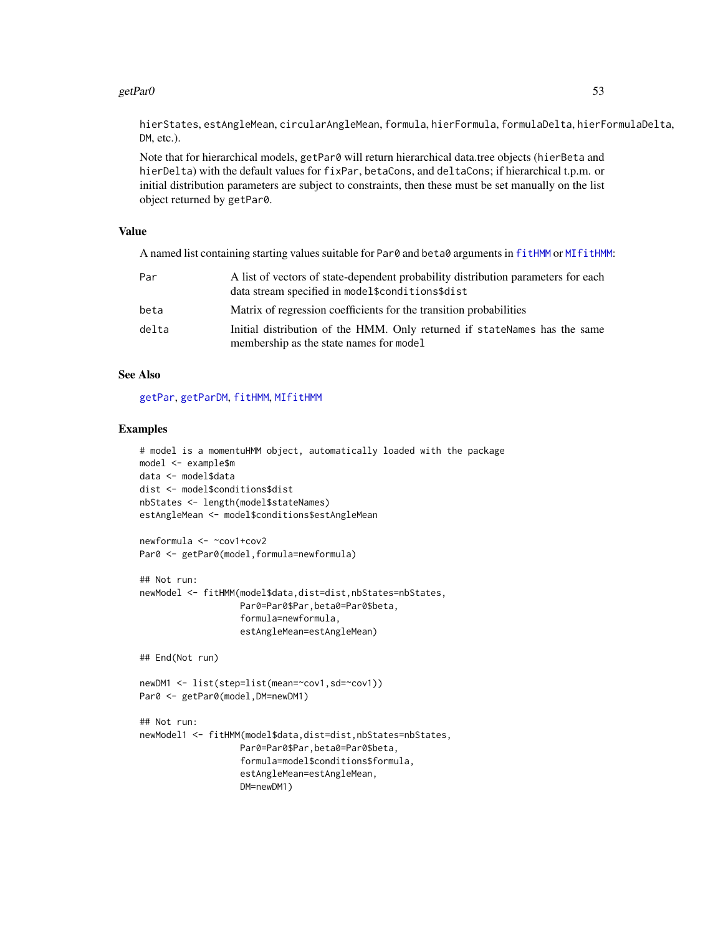### $getParO$  53

hierStates, estAngleMean, circularAngleMean, formula, hierFormula, formulaDelta, hierFormulaDelta, DM, etc.).

Note that for hierarchical models, getPar0 will return hierarchical data.tree objects (hierBeta and hierDelta) with the default values for fixPar, betaCons, and deltaCons; if hierarchical t.p.m. or initial distribution parameters are subject to constraints, then these must be set manually on the list object returned by getPar0.

#### Value

A named list containing starting values suitable for Par0 and beta0 arguments in [fitHMM](#page-32-1) or [MIfitHMM](#page-67-0):

| Par   | A list of vectors of state-dependent probability distribution parameters for each<br>data stream specified in model\$conditions\$dist |
|-------|---------------------------------------------------------------------------------------------------------------------------------------|
| beta  | Matrix of regression coefficients for the transition probabilities                                                                    |
| delta | Initial distribution of the HMM. Only returned if stateNames has the same<br>membership as the state names for model                  |

### See Also

[getPar](#page-49-0), [getParDM](#page-53-0), [fitHMM](#page-32-1), [MIfitHMM](#page-67-0)

#### Examples

```
# model is a momentuHMM object, automatically loaded with the package
model <- example$m
data <- model$data
dist <- model$conditions$dist
nbStates <- length(model$stateNames)
estAngleMean <- model$conditions$estAngleMean
newformula <- ~cov1+cov2
Par0 <- getPar0(model,formula=newformula)
## Not run:
newModel <- fitHMM(model$data,dist=dist,nbStates=nbStates,
                   Par0=Par0$Par,beta0=Par0$beta,
                   formula=newformula,
                   estAngleMean=estAngleMean)
## End(Not run)
newDM1 <- list(step=list(mean=~cov1,sd=~cov1))
Par0 <- getPar0(model, DM=newDM1)
## Not run:
newModel1 <- fitHMM(model$data,dist=dist,nbStates=nbStates,
                   Par0=Par0$Par,beta0=Par0$beta,
                   formula=model$conditions$formula,
```
estAngleMean=estAngleMean,

DM=newDM1)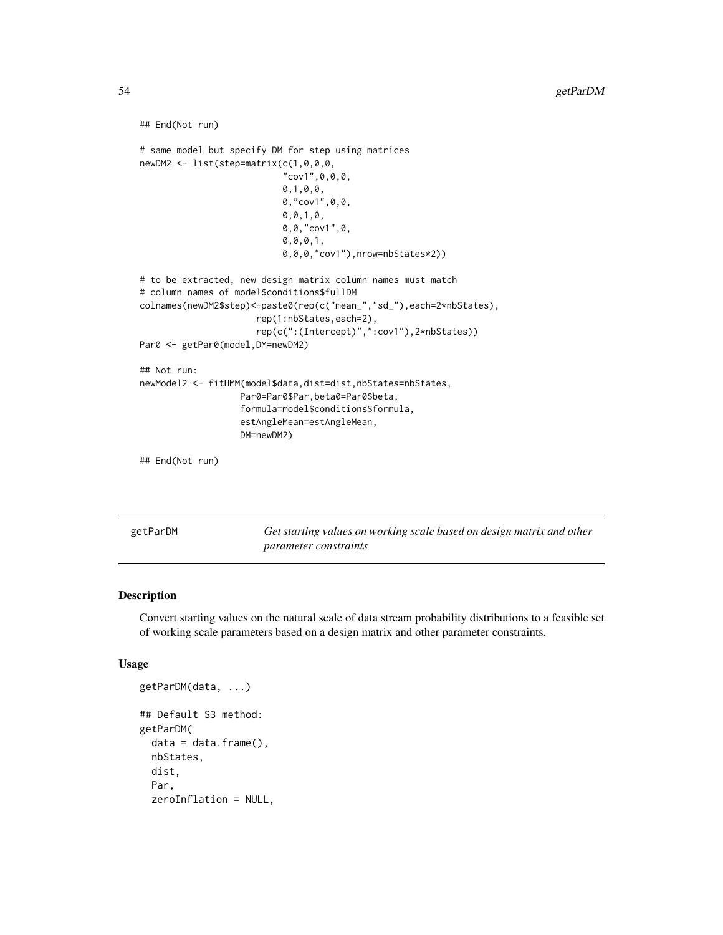```
## End(Not run)
# same model but specify DM for step using matrices
newDM2 <- list(step=matrix(c(1,0,0,0,
                           "cov1", 0, 0, 0,0,1,0,0,
                           0,"cov1",0,0,
                           0,0,1,0,
                           0,0,"cov1",0,
                           0,0,0,1,
                           0,0,0,"cov1"),nrow=nbStates*2))
# to be extracted, new design matrix column names must match
# column names of model$conditions$fullDM
colnames(newDM2$step)<-paste0(rep(c("mean_","sd_"),each=2*nbStates),
                      rep(1:nbStates,each=2),
                      rep(c(":(Intercept)",":cov1"),2*nbStates))
Par0 <- getPar0(model, DM=newDM2)
## Not run:
newModel2 <- fitHMM(model$data,dist=dist,nbStates=nbStates,
                   Par0=Par0$Par,beta0=Par0$beta,
                   formula=model$conditions$formula,
                   estAngleMean=estAngleMean,
                   DM=newDM2)
## End(Not run)
```
<span id="page-53-0"></span>getParDM *Get starting values on working scale based on design matrix and other parameter constraints*

#### Description

Convert starting values on the natural scale of data stream probability distributions to a feasible set of working scale parameters based on a design matrix and other parameter constraints.

#### Usage

```
getParDM(data, ...)
## Default S3 method:
getParDM(
  data = data.frame(),
  nbStates,
  dist,
  Par,
  zeroInflation = NULL,
```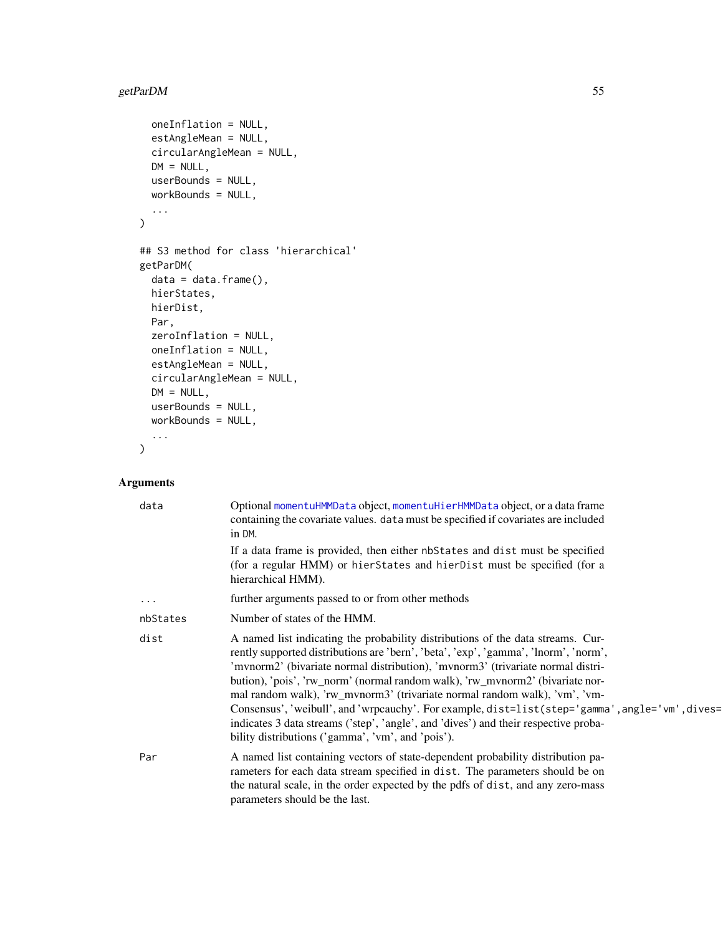# getParDM 55

```
oneInflation = NULL,
 estAngleMean = NULL,
 circularAngleMean = NULL,
 DM = NULL,userBounds = NULL,
 workBounds = NULL,
  ...
\mathcal{L}## S3 method for class 'hierarchical'
getParDM(
 data = data.frame(),hierStates,
 hierDist,
 Par,
  zeroInflation = NULL,
 oneInflation = NULL,
 estAngleMean = NULL,
 circularAngleMean = NULL,
 DM = NULL,userBounds = NULL,
 workBounds = NULL,
  ...
```
 $\mathcal{L}$ 

# Arguments

| data     | Optional momentuHMMData object, momentuHierHMMData object, or a data frame<br>containing the covariate values. data must be specified if covariates are included<br>in DM.                                                                                                                                                                                                                                                                                                                                                                                                                                                                                              |
|----------|-------------------------------------------------------------------------------------------------------------------------------------------------------------------------------------------------------------------------------------------------------------------------------------------------------------------------------------------------------------------------------------------------------------------------------------------------------------------------------------------------------------------------------------------------------------------------------------------------------------------------------------------------------------------------|
|          | If a data frame is provided, then either nb States and dist must be specified<br>(for a regular HMM) or hierStates and hierDist must be specified (for a<br>hierarchical HMM).                                                                                                                                                                                                                                                                                                                                                                                                                                                                                          |
| $\cdots$ | further arguments passed to or from other methods                                                                                                                                                                                                                                                                                                                                                                                                                                                                                                                                                                                                                       |
| nbStates | Number of states of the HMM.                                                                                                                                                                                                                                                                                                                                                                                                                                                                                                                                                                                                                                            |
| dist     | A named list indicating the probability distributions of the data streams. Cur-<br>rently supported distributions are 'bern', 'beta', 'exp', 'gamma', 'lnorm', 'norm',<br>'mvnorm2' (bivariate normal distribution), 'mvnorm3' (trivariate normal distri-<br>bution), 'pois', 'rw_norm' (normal random walk), 'rw_mvnorm2' (bivariate nor-<br>mal random walk), 'rw_mvnorm3' (trivariate normal random walk), 'vm', 'vm-<br>Consensus', 'weibull', and 'wrpcauchy'. For example, dist=list(step='gamma', angle='vm', dives=<br>indicates 3 data streams ('step', 'angle', and 'dives') and their respective proba-<br>bility distributions ('gamma', 'vm', and 'pois'). |
| Par      | A named list containing vectors of state-dependent probability distribution pa-<br>rameters for each data stream specified in dist. The parameters should be on<br>the natural scale, in the order expected by the pdfs of dist, and any zero-mass<br>parameters should be the last.                                                                                                                                                                                                                                                                                                                                                                                    |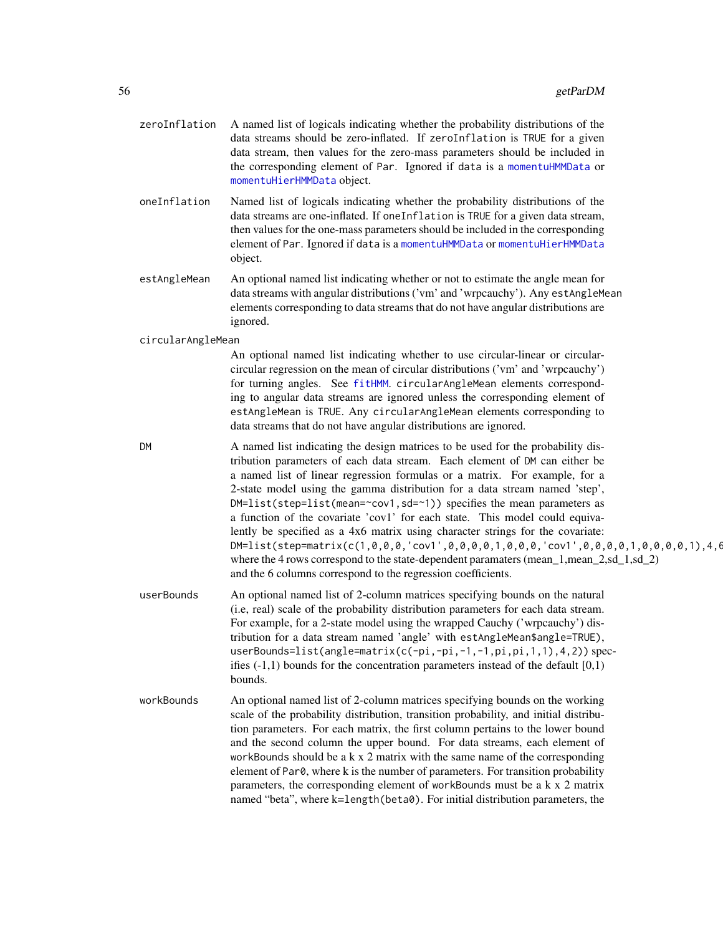| zeroInflation     | A named list of logicals indicating whether the probability distributions of the<br>data streams should be zero-inflated. If zeroInflation is TRUE for a given<br>data stream, then values for the zero-mass parameters should be included in<br>the corresponding element of Par. Ignored if data is a momentuHMMData or<br>momentuHierHMMData object.                                                                                                                                                                                                                                                                                                                                                                                                                                                                                                   |
|-------------------|-----------------------------------------------------------------------------------------------------------------------------------------------------------------------------------------------------------------------------------------------------------------------------------------------------------------------------------------------------------------------------------------------------------------------------------------------------------------------------------------------------------------------------------------------------------------------------------------------------------------------------------------------------------------------------------------------------------------------------------------------------------------------------------------------------------------------------------------------------------|
| oneInflation      | Named list of logicals indicating whether the probability distributions of the<br>data streams are one-inflated. If oneInflation is TRUE for a given data stream,<br>then values for the one-mass parameters should be included in the corresponding<br>element of Par. Ignored if data is a momentuHMMData or momentuHierHMMData<br>object.                                                                                                                                                                                                                                                                                                                                                                                                                                                                                                              |
| estAngleMean      | An optional named list indicating whether or not to estimate the angle mean for<br>data streams with angular distributions ('vm' and 'wrpcauchy'). Any estAngleMean<br>elements corresponding to data streams that do not have angular distributions are<br>ignored.                                                                                                                                                                                                                                                                                                                                                                                                                                                                                                                                                                                      |
| circularAngleMean |                                                                                                                                                                                                                                                                                                                                                                                                                                                                                                                                                                                                                                                                                                                                                                                                                                                           |
|                   | An optional named list indicating whether to use circular-linear or circular-<br>circular regression on the mean of circular distributions ('vm' and 'wrpcauchy')<br>for turning angles. See fitHMM. circularAngleMean elements correspond-<br>ing to angular data streams are ignored unless the corresponding element of<br>estAngleMean is TRUE. Any circularAngleMean elements corresponding to<br>data streams that do not have angular distributions are ignored.                                                                                                                                                                                                                                                                                                                                                                                   |
| <b>DM</b>         | A named list indicating the design matrices to be used for the probability dis-<br>tribution parameters of each data stream. Each element of DM can either be<br>a named list of linear regression formulas or a matrix. For example, for a<br>2-state model using the gamma distribution for a data stream named 'step',<br>DM=list(step=list(mean=~cov1,sd=~1)) specifies the mean parameters as<br>a function of the covariate 'cov1' for each state. This model could equiva-<br>lently be specified as a 4x6 matrix using character strings for the covariate:<br>$DM = list(step = matrix(c(1, 0, 0, 0, 0, 'cov1', 0, 0, 0, 0, 1, 0, 0, 0, 'cov1', 0, 0, 0, 0, 1, 0, 0, 0, 0, 1), 4, 6)$<br>where the 4 rows correspond to the state-dependent paramaters (mean_1,mean_2,sd_1,sd_2)<br>and the 6 columns correspond to the regression coefficients. |
| userBounds        | An optional named list of 2-column matrices specifying bounds on the natural<br>(i.e, real) scale of the probability distribution parameters for each data stream.<br>For example, for a 2-state model using the wrapped Cauchy ('wrpcauchy') dis-<br>tribution for a data stream named 'angle' with estAngleMean\$angle=TRUE),<br>userBounds=list(angle=matrix(c(-pi,-pi,-1,-1,pi,pi,1,1),4,2)) spec-<br>ifies $(-1,1)$ bounds for the concentration parameters instead of the default $[0,1)$<br>bounds.                                                                                                                                                                                                                                                                                                                                                |
| workBounds        | An optional named list of 2-column matrices specifying bounds on the working<br>scale of the probability distribution, transition probability, and initial distribu-<br>tion parameters. For each matrix, the first column pertains to the lower bound<br>and the second column the upper bound. For data streams, each element of<br>workBounds should be a $k \times 2$ matrix with the same name of the corresponding<br>element of Par0, where k is the number of parameters. For transition probability<br>parameters, the corresponding element of workBounds must be a k x 2 matrix<br>named "beta", where k=length(beta0). For initial distribution parameters, the                                                                                                                                                                               |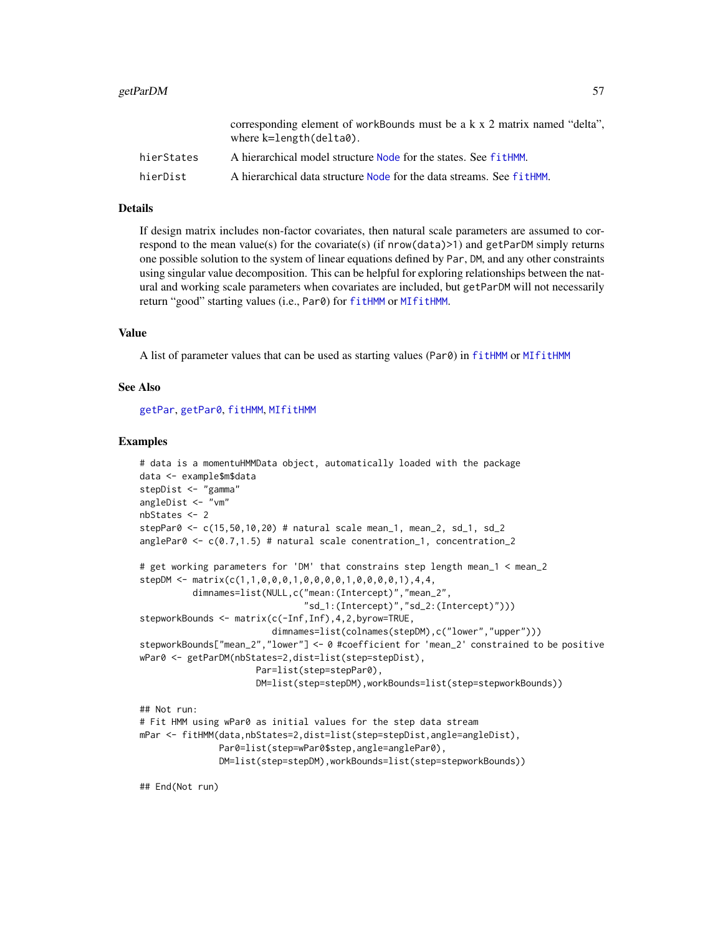#### getParDM  $57$

|            | corresponding element of workBounds must be a k x 2 matrix named "delta".<br>where $k = length(de1ta0)$ . |
|------------|-----------------------------------------------------------------------------------------------------------|
| hierStates | A hierarchical model structure Node for the states. See fitHMM.                                           |
| hierDist   | A hierarchical data structure Node for the data streams. See fit HMM.                                     |

#### Details

If design matrix includes non-factor covariates, then natural scale parameters are assumed to correspond to the mean value(s) for the covariate(s) (if nrow(data)>1) and getParDM simply returns one possible solution to the system of linear equations defined by Par, DM, and any other constraints using singular value decomposition. This can be helpful for exploring relationships between the natural and working scale parameters when covariates are included, but getParDM will not necessarily return "good" starting values (i.e., Par0) for [fitHMM](#page-32-1) or [MIfitHMM](#page-67-0).

#### Value

A list of parameter values that can be used as starting values (Par0) in [fitHMM](#page-32-1) or [MIfitHMM](#page-67-0)

#### See Also

[getPar](#page-49-0), [getPar0](#page-50-0), [fitHMM](#page-32-1), [MIfitHMM](#page-67-0)

#### Examples

```
# data is a momentuHMMData object, automatically loaded with the package
data <- example$m$data
stepDist <- "gamma"
angleDist <- "vm"
nbStates <- 2
stepPar0 <- c(15,50,10,20) # natural scale mean_1, mean_2, sd_1, sd_2
anglePar0 \leq c(0.7, 1.5) # natural scale conentration_1, concentration_2
# get working parameters for 'DM' that constrains step length mean_1 < mean_2
stepDM <- matrix(c(1,1,0,0,0,1,0,0,0,0,1,0,0,0,0,1),4,4,
          dimnames=list(NULL,c("mean:(Intercept)","mean_2",
                               "sd_1:(Intercept)","sd_2:(Intercept)")))
stepworkBounds <- matrix(c(-Inf,Inf),4,2,byrow=TRUE,
                         dimnames=list(colnames(stepDM),c("lower","upper")))
stepworkBounds["mean_2","lower"] <- 0 #coefficient for 'mean_2' constrained to be positive
wPar0 <- getParDM(nbStates=2,dist=list(step=stepDist),
                      Par=list(step=stepPar0),
                      DM=list(step=stepDM),workBounds=list(step=stepworkBounds))
## Not run:
```

```
# Fit HMM using wPar0 as initial values for the step data stream
mPar <- fitHMM(data,nbStates=2,dist=list(step=stepDist,angle=angleDist),
              Par0=list(step=wPar0$step,angle=anglePar0),
              DM=list(step=stepDM),workBounds=list(step=stepworkBounds))
```
## End(Not run)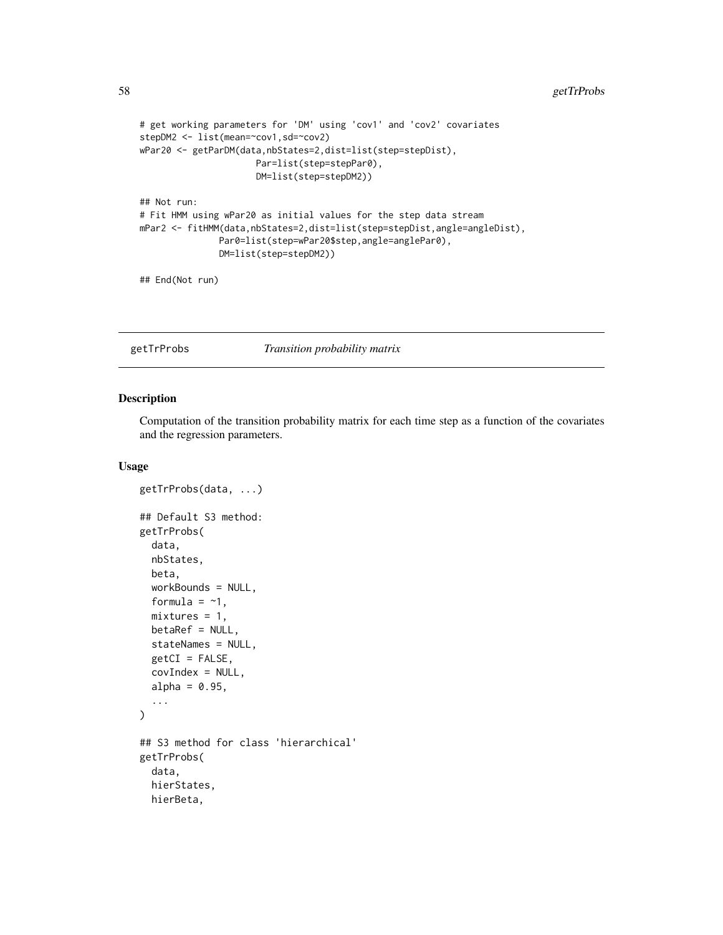```
# get working parameters for 'DM' using 'cov1' and 'cov2' covariates
stepDM2 <- list(mean=~cov1,sd=~cov2)
wPar20 <- getParDM(data,nbStates=2,dist=list(step=stepDist),
                     Par=list(step=stepPar0),
                      DM=list(step=stepDM2))
## Not run:
# Fit HMM using wPar20 as initial values for the step data stream
mPar2 <- fitHMM(data,nbStates=2,dist=list(step=stepDist,angle=angleDist),
               Par0=list(step=wPar20$step,angle=anglePar0),
               DM=list(step=stepDM2))
```
## End(Not run)

getTrProbs *Transition probability matrix*

#### Description

Computation of the transition probability matrix for each time step as a function of the covariates and the regression parameters.

### Usage

```
getTrProbs(data, ...)
## Default S3 method:
getTrProbs(
  data,
  nbStates,
  beta,
  workBounds = NULL,
  formula = -1,
  mixtures = 1,
  betaRef = NULL,
  stateNames = NULL,
  getCI = FALSE,covIndex = NULL,
  alpha = 0.95,
  ...
\lambda## S3 method for class 'hierarchical'
getTrProbs(
  data,
  hierStates,
  hierBeta,
```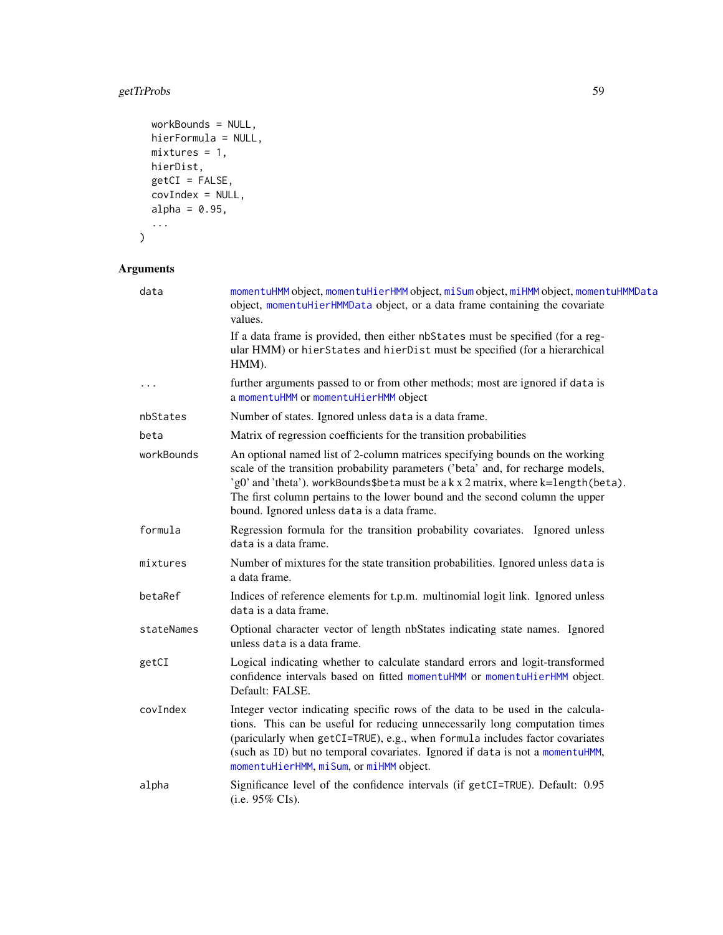# getTrProbs 59

```
workBounds = NULL,
hierFormula = NULL,
mixtures = 1,hierDist,
getCI = FALSE,covIndex = NULL,
alpha = 0.95,
...
```
# Arguments

 $\mathcal{L}$ 

| data       | momentuHMM object, momentuHierHMM object, miSum object, miHMM object, momentuHMMData<br>object, momentuHierHMMData object, or a data frame containing the covariate<br>values.                                                                                                                                                                                                       |
|------------|--------------------------------------------------------------------------------------------------------------------------------------------------------------------------------------------------------------------------------------------------------------------------------------------------------------------------------------------------------------------------------------|
|            | If a data frame is provided, then either nbStates must be specified (for a reg-<br>ular HMM) or hierStates and hierDist must be specified (for a hierarchical<br>HMM).                                                                                                                                                                                                               |
| $\cdots$   | further arguments passed to or from other methods; most are ignored if data is<br>a momentuHMM or momentuHierHMM object                                                                                                                                                                                                                                                              |
| nbStates   | Number of states. Ignored unless data is a data frame.                                                                                                                                                                                                                                                                                                                               |
| beta       | Matrix of regression coefficients for the transition probabilities                                                                                                                                                                                                                                                                                                                   |
| workBounds | An optional named list of 2-column matrices specifying bounds on the working<br>scale of the transition probability parameters ('beta' and, for recharge models,<br>'g0' and 'theta'). workBounds\$beta must be a k x 2 matrix, where k=length(beta).<br>The first column pertains to the lower bound and the second column the upper<br>bound. Ignored unless data is a data frame. |
| formula    | Regression formula for the transition probability covariates. Ignored unless<br>data is a data frame.                                                                                                                                                                                                                                                                                |
| mixtures   | Number of mixtures for the state transition probabilities. Ignored unless data is<br>a data frame.                                                                                                                                                                                                                                                                                   |
| betaRef    | Indices of reference elements for t.p.m. multinomial logit link. Ignored unless<br>data is a data frame.                                                                                                                                                                                                                                                                             |
| stateNames | Optional character vector of length nbStates indicating state names. Ignored<br>unless data is a data frame.                                                                                                                                                                                                                                                                         |
| getCI      | Logical indicating whether to calculate standard errors and logit-transformed<br>confidence intervals based on fitted momentuHMM or momentuHierHMM object.<br>Default: FALSE.                                                                                                                                                                                                        |
| covIndex   | Integer vector indicating specific rows of the data to be used in the calcula-<br>tions. This can be useful for reducing unnecessarily long computation times<br>(paricularly when getCI=TRUE), e.g., when formula includes factor covariates<br>(such as ID) but no temporal covariates. Ignored if data is not a momentuHMM,<br>momentuHierHMM, miSum, or miHMM object.            |
| alpha      | Significance level of the confidence intervals (if getCI=TRUE). Default: 0.95<br>$(i.e. 95\% \text{ Cls}).$                                                                                                                                                                                                                                                                          |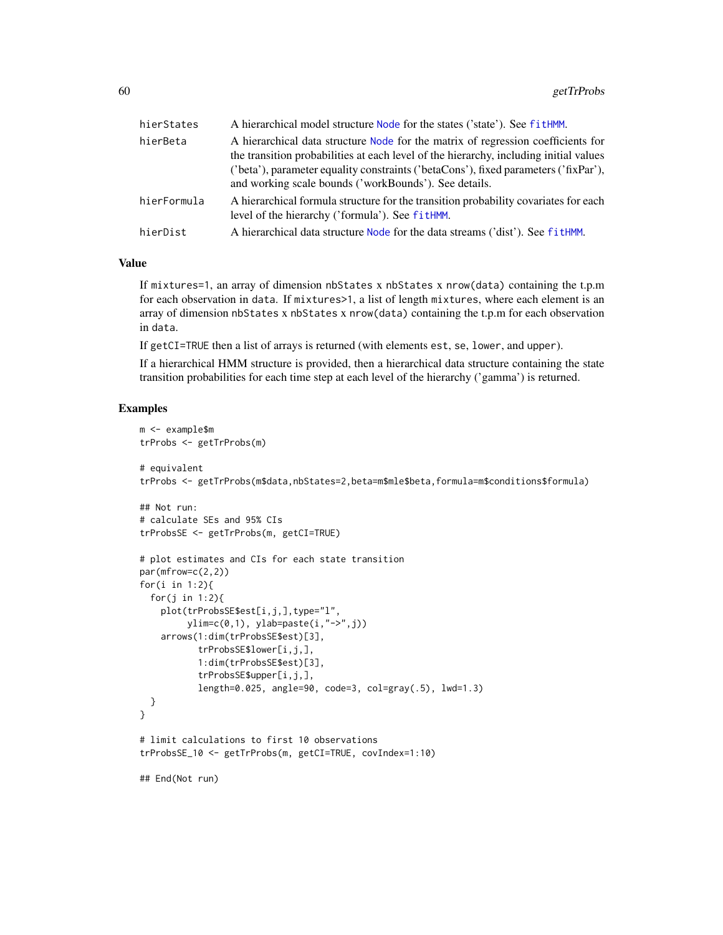| hierStates  | A hierarchical model structure Node for the states ('state'). See fitHMM.                                                                                                                                                                                                                                                 |
|-------------|---------------------------------------------------------------------------------------------------------------------------------------------------------------------------------------------------------------------------------------------------------------------------------------------------------------------------|
| hierBeta    | A hierarchical data structure Node for the matrix of regression coefficients for<br>the transition probabilities at each level of the hierarchy, including initial values<br>('beta'), parameter equality constraints ('betaCons'), fixed parameters ('fixPar'),<br>and working scale bounds ('workBounds'). See details. |
| hierFormula | A hierarchical formula structure for the transition probability covariates for each<br>level of the hierarchy ('formula'). See fitHMM.                                                                                                                                                                                    |
| hierDist    | A hierarchical data structure Node for the data streams ('dist'). See fitHMM.                                                                                                                                                                                                                                             |
|             |                                                                                                                                                                                                                                                                                                                           |

### Value

If mixtures=1, an array of dimension nbStates x nbStates x nrow(data) containing the t.p.m for each observation in data. If mixtures>1, a list of length mixtures, where each element is an array of dimension nbStates x nbStates x nrow(data) containing the t.p.m for each observation in data.

If getCI=TRUE then a list of arrays is returned (with elements est, se, lower, and upper).

If a hierarchical HMM structure is provided, then a hierarchical data structure containing the state transition probabilities for each time step at each level of the hierarchy ('gamma') is returned.

#### Examples

```
m <- example$m
trProbs <- getTrProbs(m)
# equivalent
trProbs <- getTrProbs(m$data,nbStates=2,beta=m$mle$beta,formula=m$conditions$formula)
## Not run:
# calculate SEs and 95% CIs
trProbsSE <- getTrProbs(m, getCI=TRUE)
# plot estimates and CIs for each state transition
par(mfrow=c(2,2))
for(i in 1:2){
 for(j in 1:2){
   plot(trProbsSE$est[i,j,],type="l",
        ylim=c(0,1), ylab=paste(i,"->",j))
   arrows(1:dim(trProbsSE$est)[3],
          trProbsSE$lower[i,j,],
           1:dim(trProbsSE$est)[3],
           trProbsSE$upper[i,j,],
           length=0.025, angle=90, code=3, col=gray(.5), lwd=1.3)
 }
}
# limit calculations to first 10 observations
trProbsSE_10 <- getTrProbs(m, getCI=TRUE, covIndex=1:10)
## End(Not run)
```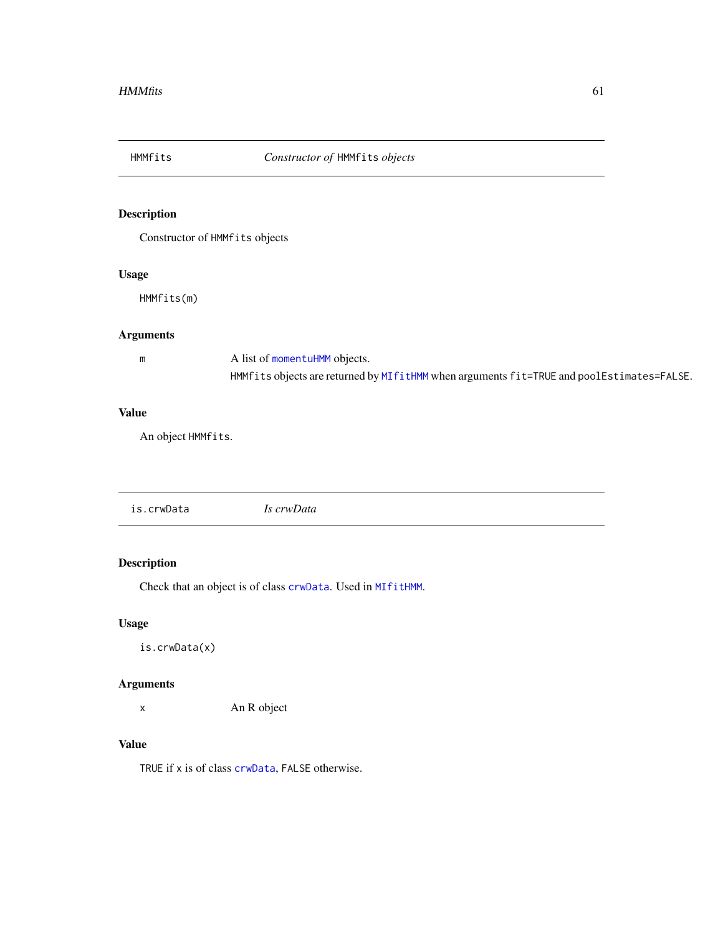<span id="page-60-0"></span>

# Description

Constructor of HMMfits objects

### Usage

HMMfits(m)

### Arguments

m A list of [momentuHMM](#page-81-0) objects. HMMfits objects are returned by [MIfitHMM](#page-67-0) when arguments fit=TRUE and poolEstimates=FALSE.

### Value

An object HMMfits.

| is.crwData<br>Is crwData |
|--------------------------|
|--------------------------|

### Description

Check that an object is of class [crwData](#page-19-0). Used in [MIfitHMM](#page-67-0).

### Usage

is.crwData(x)

### Arguments

x An R object

### Value

TRUE if x is of class [crwData](#page-19-0), FALSE otherwise.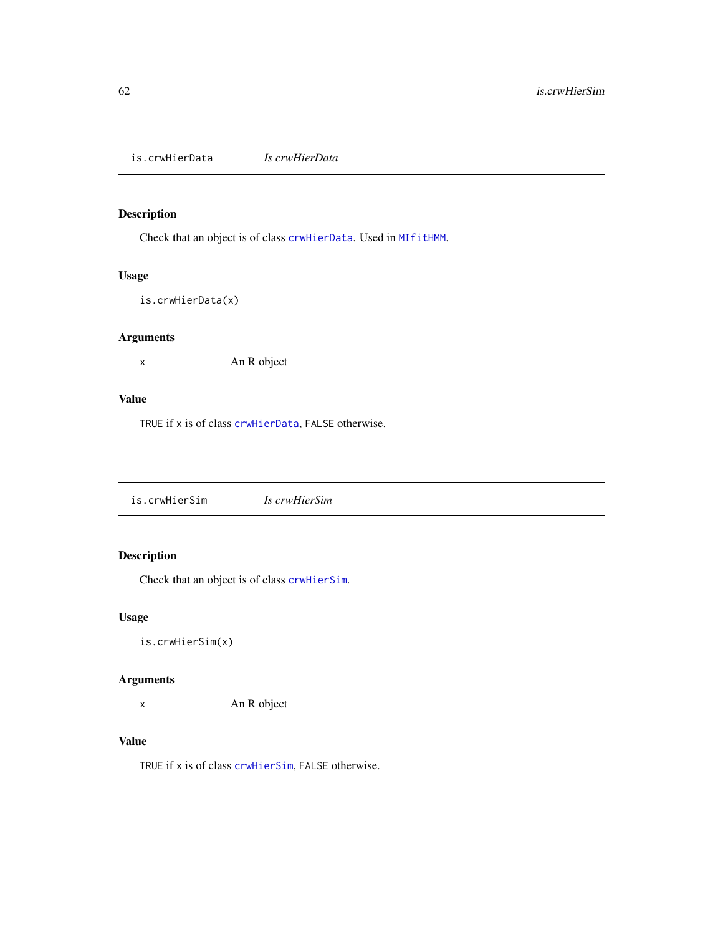is.crwHierData *Is crwHierData*

# Description

Check that an object is of class [crwHierData](#page-19-1). Used in [MIfitHMM](#page-67-0).

### Usage

```
is.crwHierData(x)
```
# Arguments

x An R object

### Value

TRUE if x is of class [crwHierData](#page-19-1), FALSE otherwise.

is.crwHierSim *Is crwHierSim*

# Description

Check that an object is of class [crwHierSim](#page-20-0).

### Usage

is.crwHierSim(x)

### Arguments

x An R object

### Value

TRUE if x is of class [crwHierSim](#page-20-0), FALSE otherwise.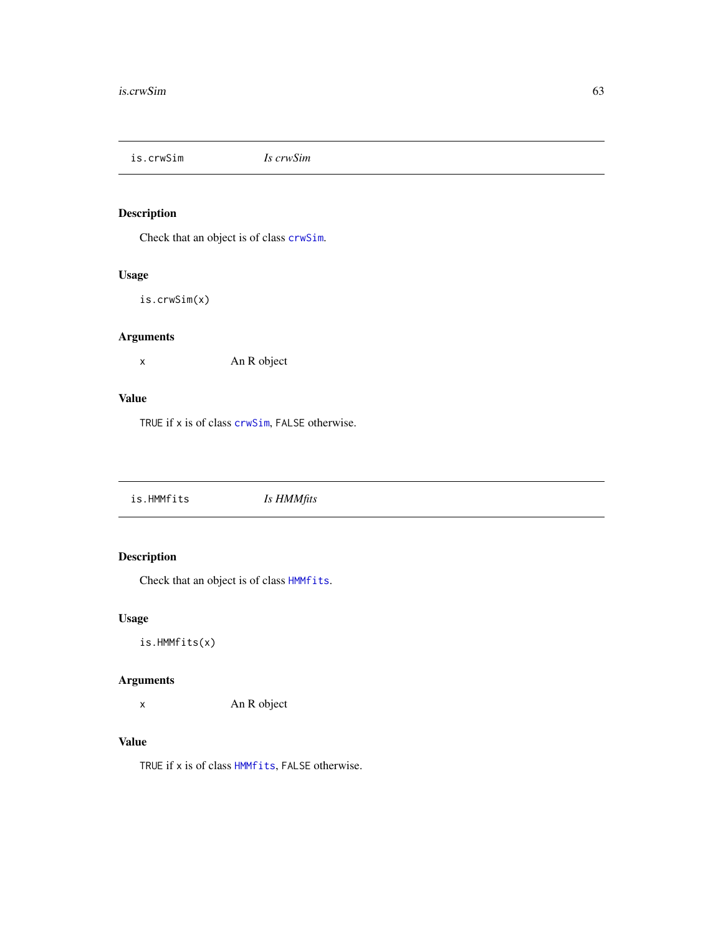is.crwSim *Is crwSim*

# Description

Check that an object is of class [crwSim](#page-20-1).

### Usage

is.crwSim(x)

### Arguments

x An R object

### Value

TRUE if x is of class [crwSim](#page-20-1), FALSE otherwise.

is.HMMfits *Is HMMfits*

# Description

Check that an object is of class [HMMfits](#page-60-0).

# Usage

is.HMMfits(x)

### Arguments

x An R object

### Value

TRUE if x is of class [HMMfits](#page-60-0), FALSE otherwise.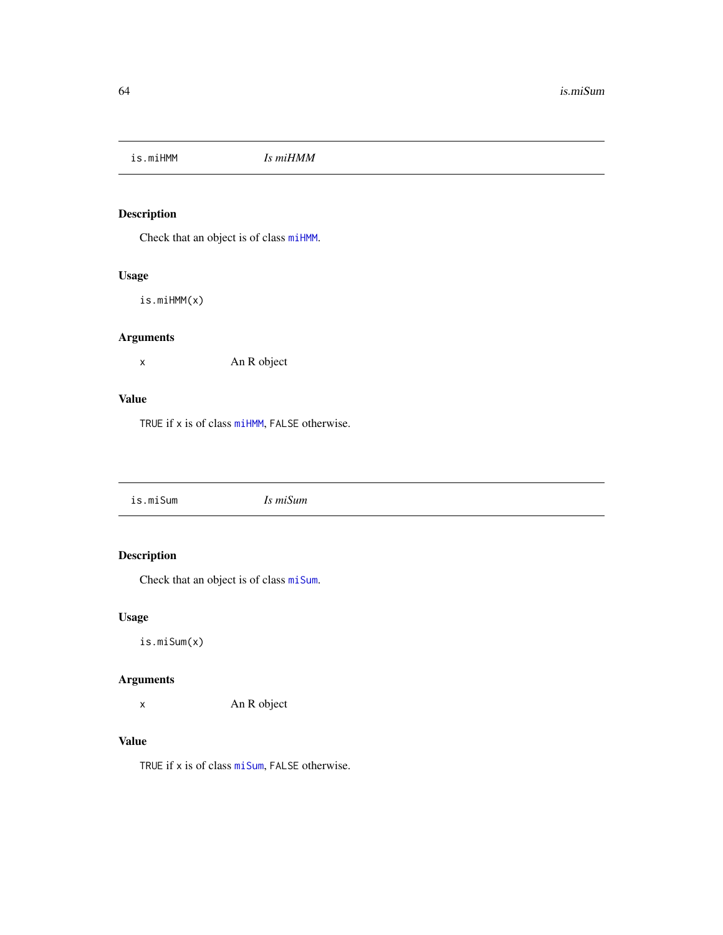is.miHMM *Is miHMM*

# Description

Check that an object is of class [miHMM](#page-75-0).

# Usage

is.miHMM(x)

# Arguments

x An R object

### Value

TRUE if x is of class [miHMM](#page-75-0), FALSE otherwise.

|--|

# Description

Check that an object is of class [miSum](#page-78-0).

# Usage

is.miSum(x)

### Arguments

x An R object

### Value

TRUE if x is of class [miSum](#page-78-0), FALSE otherwise.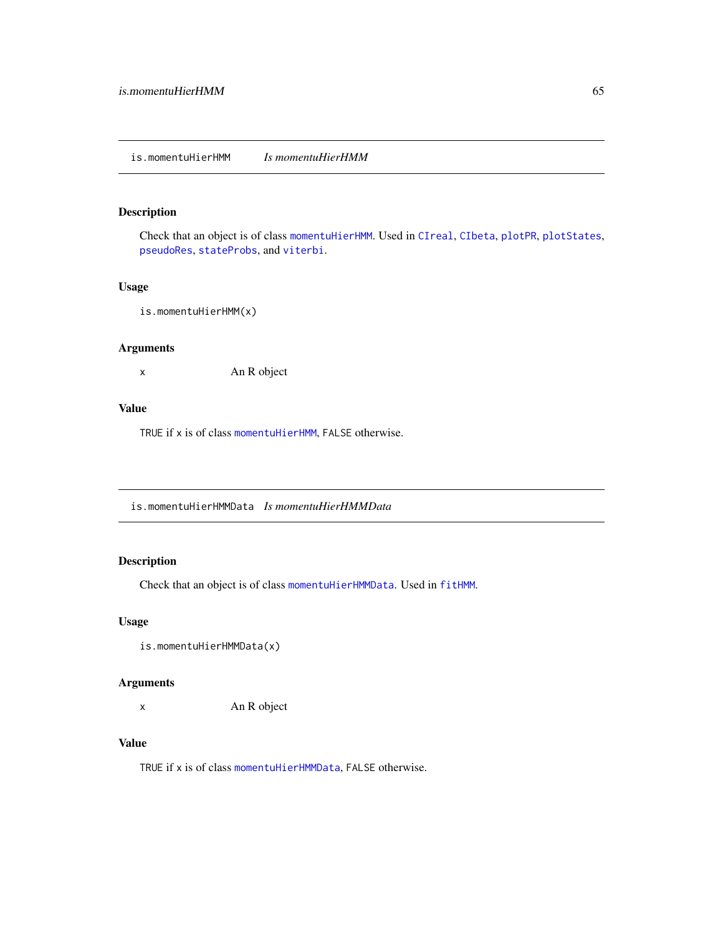# is.momentuHierHMM *Is momentuHierHMM*

### Description

Check that an object is of class [momentuHierHMM](#page-79-0). Used in [CIreal](#page-12-0), [CIbeta](#page-10-0), [plotPR](#page-97-0), [plotStates](#page-101-0), [pseudoRes](#page-109-1), [stateProbs](#page-129-0), and [viterbi](#page-134-0).

### Usage

is.momentuHierHMM(x)

### Arguments

x An R object

### Value

TRUE if x is of class [momentuHierHMM](#page-79-0), FALSE otherwise.

is.momentuHierHMMData *Is momentuHierHMMData*

# Description

Check that an object is of class [momentuHierHMMData](#page-80-0). Used in [fitHMM](#page-32-1).

### Usage

```
is.momentuHierHMMData(x)
```
### Arguments

x An R object

### Value

TRUE if x is of class [momentuHierHMMData](#page-80-0), FALSE otherwise.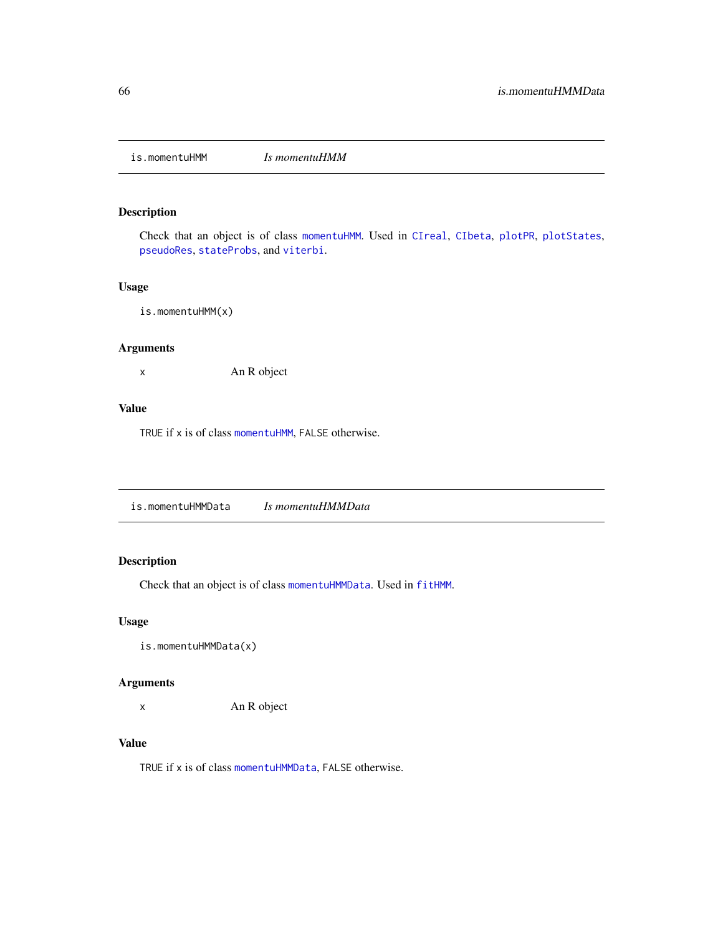is.momentuHMM *Is momentuHMM*

### Description

Check that an object is of class [momentuHMM](#page-81-0). Used in [CIreal](#page-12-0), [CIbeta](#page-10-0), [plotPR](#page-97-0), [plotStates](#page-101-0), [pseudoRes](#page-109-1), [stateProbs](#page-129-0), and [viterbi](#page-134-0).

### Usage

is.momentuHMM(x)

### Arguments

x An R object

### Value

TRUE if x is of class [momentuHMM](#page-81-0), FALSE otherwise.

is.momentuHMMData *Is momentuHMMData*

# Description

Check that an object is of class [momentuHMMData](#page-81-1). Used in [fitHMM](#page-32-1).

### Usage

```
is.momentuHMMData(x)
```
### Arguments

x An R object

# Value

TRUE if x is of class [momentuHMMData](#page-81-1), FALSE otherwise.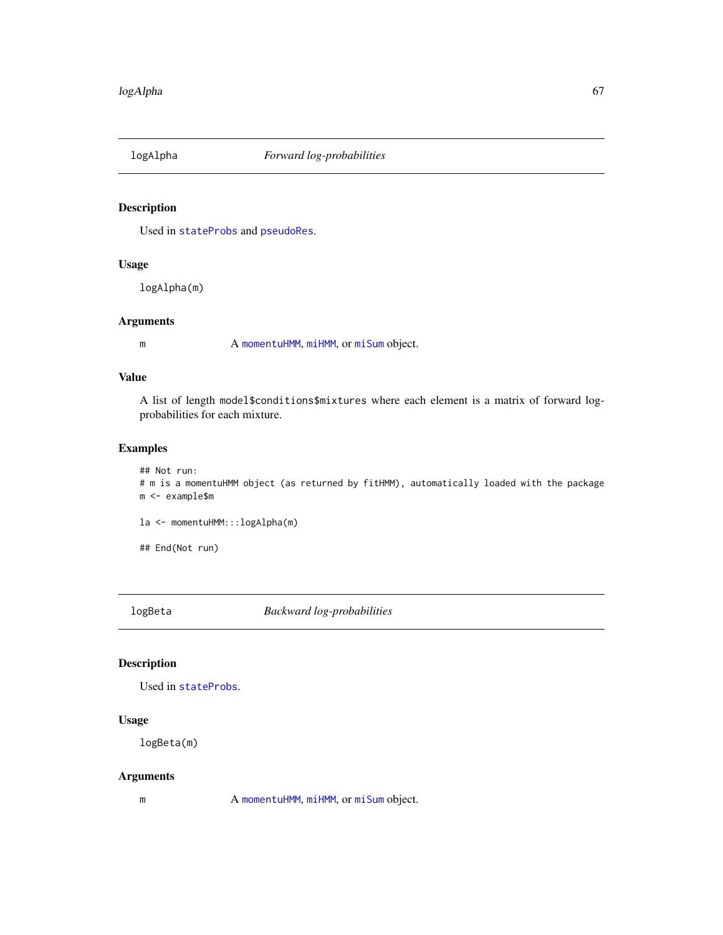# Description

Used in [stateProbs](#page-129-0) and [pseudoRes](#page-109-1).

### Usage

logAlpha(m)

### Arguments

m A [momentuHMM](#page-81-0), [miHMM](#page-75-0), or [miSum](#page-78-0) object.

### Value

A list of length model\$conditions\$mixtures where each element is a matrix of forward logprobabilities for each mixture.

### Examples

```
## Not run:
# m is a momentuHMM object (as returned by fitHMM), automatically loaded with the package
m <- example$m
```
la <- momentuHMM:::logAlpha(m)

## End(Not run)

logBeta *Backward log-probabilities*

### Description

Used in [stateProbs](#page-129-0).

### Usage

logBeta(m)

### Arguments

m A [momentuHMM](#page-81-0), [miHMM](#page-75-0), or [miSum](#page-78-0) object.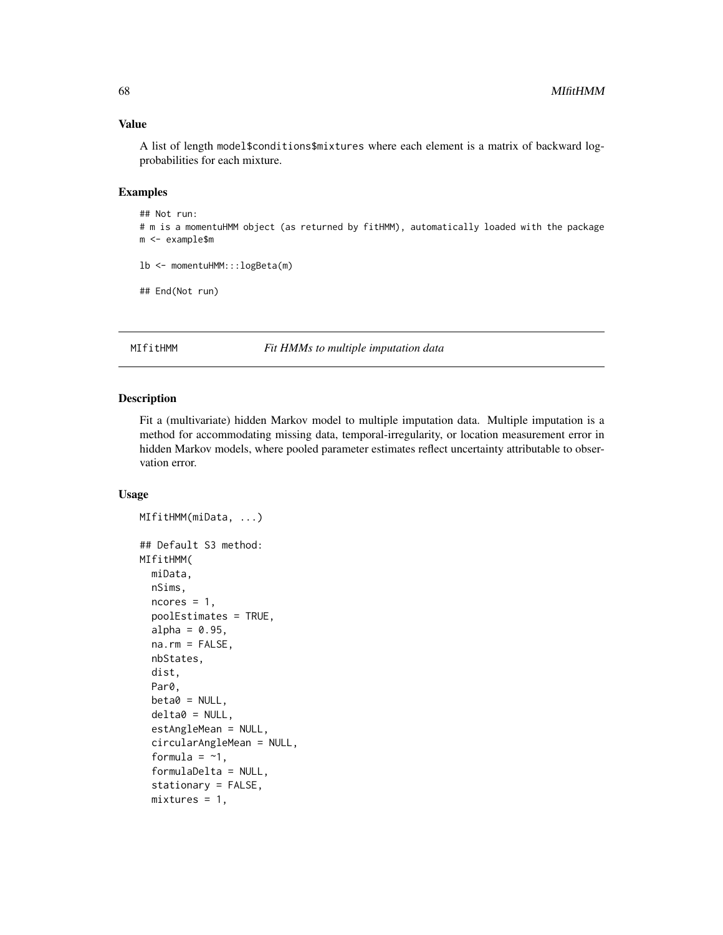### Value

A list of length model\$conditions\$mixtures where each element is a matrix of backward logprobabilities for each mixture.

### Examples

```
## Not run:
# m is a momentuHMM object (as returned by fitHMM), automatically loaded with the package
m <- example$m
```

```
lb <- momentuHMM:::logBeta(m)
```
## End(Not run)

<span id="page-67-0"></span>MIfitHMM *Fit HMMs to multiple imputation data*

#### Description

Fit a (multivariate) hidden Markov model to multiple imputation data. Multiple imputation is a method for accommodating missing data, temporal-irregularity, or location measurement error in hidden Markov models, where pooled parameter estimates reflect uncertainty attributable to observation error.

#### Usage

```
MIfitHMM(miData, ...)
## Default S3 method:
MIfitHMM(
 miData,
  nSims,
  ncores = 1,
  poolEstimates = TRUE,
  alpha = 0.95,
  na.rm = FALSE,
  nbStates,
  dist,
  Par0,
  beta = NULL,delta0 = NULL,
  estAngleMean = NULL,
  circularAngleMean = NULL,
  formula = -1,
  formulaDelta = NULL,
  stationary = FALSE,
  mixtures = 1,
```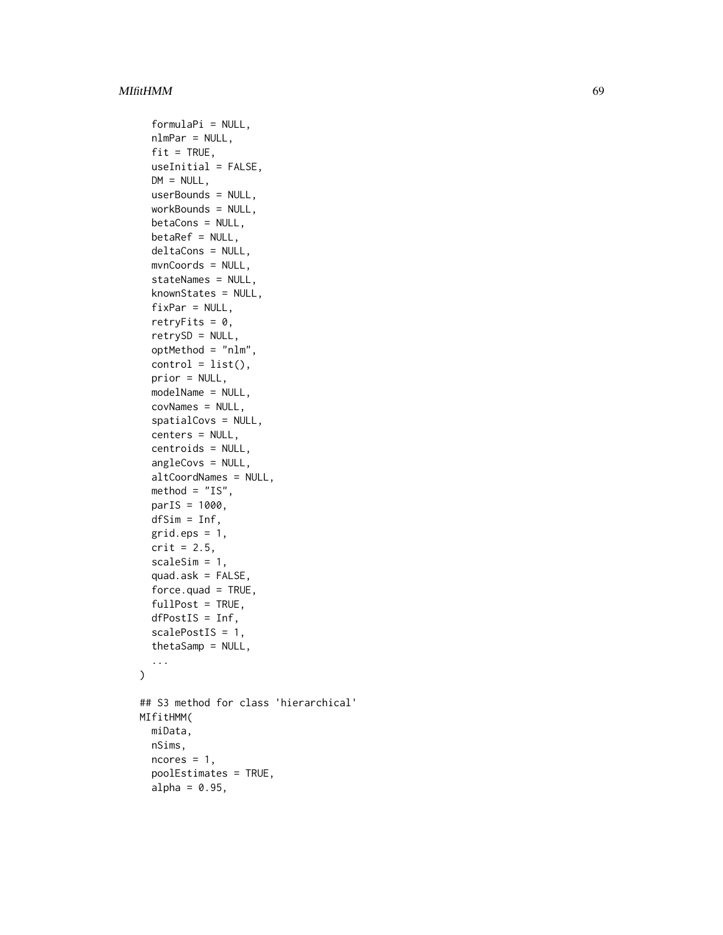```
formulaPi = NULL,
  nlmPar = NULL,
  fit = TRUE,
  useInitial = FALSE,
  DM = NULL,userBounds = NULL,
  workBounds = NULL,
  betaCons = NULL,
  betaRef = NULL,
  deltaCons = NULL,
  mvnCoords = NULL,
  stateNames = NULL,
  knownStates = NULL,
  fixPar = NULL,retryFits = 0,
  retrySD = NULL,
  optMethod = "nlm",
  control = list(),prior = NULL,
 modelName = NULL,
  covNames = NULL,
  spatialCovs = NULL,
  centers = NULL,
  centroids = NULL,
  angleCovs = NULL,
  altCoordNames = NULL,
  method = "IS",parIS = 1000,
  dfSim = Inf,
  grid.eps = 1,crit = 2.5,
  scaleSim = 1,
  quad.ask =FALSE,
  force.quad = TRUE,fullPost = TRUE,
  dfPostIS = Inf,
  scalePostIS = 1,
  thetaSamp = NULL,
  ...
\mathcal{L}## S3 method for class 'hierarchical'
MIfitHMM(
 miData,
  nSims,
  ncores = 1,
  poolEstimates = TRUE,
  alpha = 0.95,
```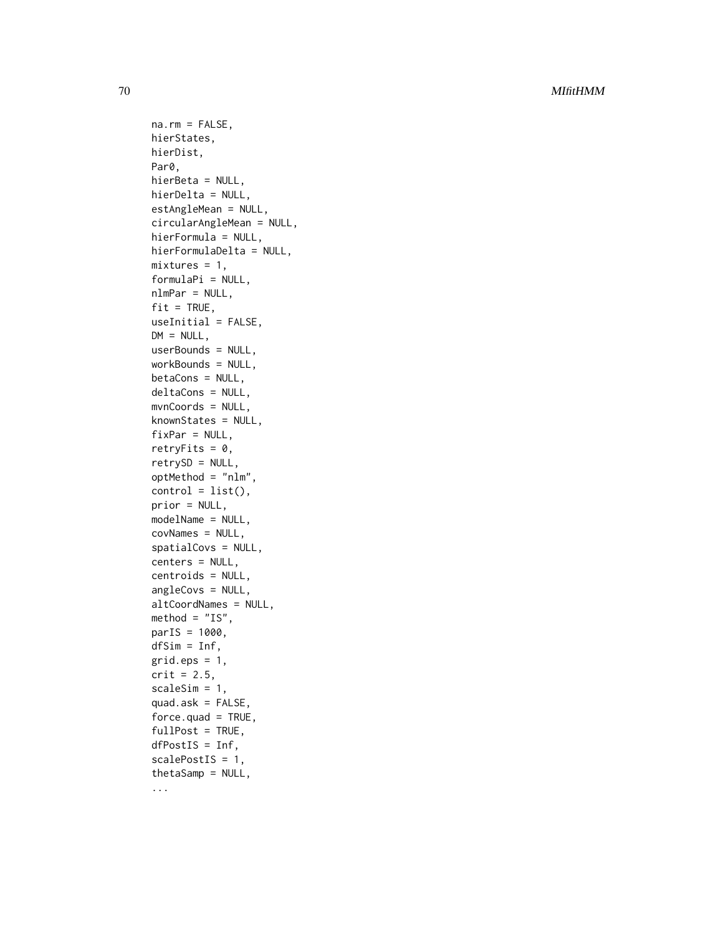70 MIfitHMM

na.rm = FALSE, hierStates, hierDist, Par0, hierBeta = NULL, hierDelta = NULL, estAngleMean = NULL, circularAngleMean = NULL, hierFormula = NULL, hierFormulaDelta = NULL,  $mixtures = 1,$ formulaPi = NULL, nlmPar = NULL,  $fit = TRUE,$ useInitial = FALSE,  $DM = NULL,$ userBounds = NULL, workBounds = NULL, betaCons = NULL, deltaCons = NULL, mvnCoords = NULL, knownStates = NULL,  $fixPar = NULL,$ retryFits =  $0$ , retrySD = NULL, optMethod = "nlm",  $control = list(),$ prior = NULL, modelName = NULL, covNames = NULL, spatialCovs = NULL, centers = NULL, centroids = NULL, angleCovs = NULL, altCoordNames = NULL,  $method = "IS",$  $parIS = 1000$ , dfSim = Inf,  $grid.eps = 1,$  $crit = 2.5$ , scaleSim = 1, quad.ask = FALSE,  $force.quad = TRUE,$  $fullPost = TRUE,$  $dfPostIS = Inf,$ scalePostIS = 1, thetaSamp = NULL, ...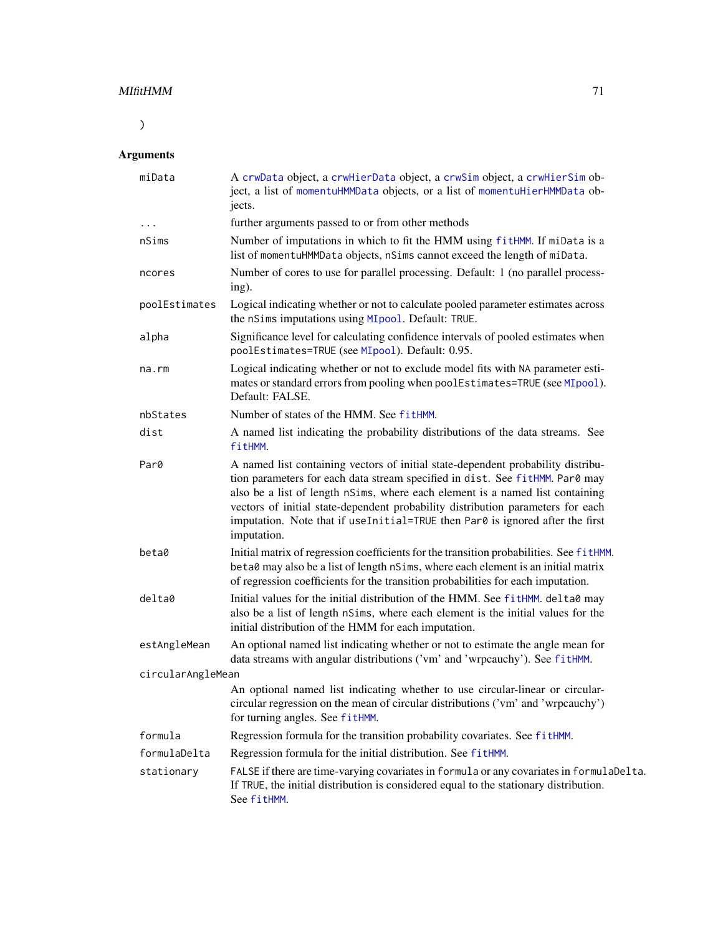# MIfitHMM 71

 $\lambda$ 

# Arguments

| miData            | A crwData object, a crwHierData object, a crwSim object, a crwHierSim ob-<br>ject, a list of momentuHMMData objects, or a list of momentuHierHMMData ob-<br>jects.                                                                                                                                                                                                                                                                   |
|-------------------|--------------------------------------------------------------------------------------------------------------------------------------------------------------------------------------------------------------------------------------------------------------------------------------------------------------------------------------------------------------------------------------------------------------------------------------|
| $\cdots$          | further arguments passed to or from other methods                                                                                                                                                                                                                                                                                                                                                                                    |
| nSims             | Number of imputations in which to fit the HMM using fitHMM. If miData is a<br>list of momentuHMMData objects, nSims cannot exceed the length of miData.                                                                                                                                                                                                                                                                              |
| ncores            | Number of cores to use for parallel processing. Default: 1 (no parallel process-<br>ing).                                                                                                                                                                                                                                                                                                                                            |
| poolEstimates     | Logical indicating whether or not to calculate pooled parameter estimates across<br>the nSims imputations using MIpool. Default: TRUE.                                                                                                                                                                                                                                                                                               |
| alpha             | Significance level for calculating confidence intervals of pooled estimates when<br>poolEstimates=TRUE (see MIpool). Default: 0.95.                                                                                                                                                                                                                                                                                                  |
| na.rm             | Logical indicating whether or not to exclude model fits with NA parameter esti-<br>mates or standard errors from pooling when poolEstimates=TRUE (see MIpool).<br>Default: FALSE.                                                                                                                                                                                                                                                    |
| nbStates          | Number of states of the HMM. See fitHMM.                                                                                                                                                                                                                                                                                                                                                                                             |
| dist              | A named list indicating the probability distributions of the data streams. See<br>fitHMM.                                                                                                                                                                                                                                                                                                                                            |
| Par0              | A named list containing vectors of initial state-dependent probability distribu-<br>tion parameters for each data stream specified in dist. See fitHMM. Par0 may<br>also be a list of length nSims, where each element is a named list containing<br>vectors of initial state-dependent probability distribution parameters for each<br>imputation. Note that if useInitial=TRUE then Par0 is ignored after the first<br>imputation. |
| beta0             | Initial matrix of regression coefficients for the transition probabilities. See fitHMM.<br>beta0 may also be a list of length nSims, where each element is an initial matrix<br>of regression coefficients for the transition probabilities for each imputation.                                                                                                                                                                     |
| delta0            | Initial values for the initial distribution of the HMM. See fitHMM. delta0 may<br>also be a list of length nSims, where each element is the initial values for the<br>initial distribution of the HMM for each imputation.                                                                                                                                                                                                           |
| estAngleMean      | An optional named list indicating whether or not to estimate the angle mean for<br>data streams with angular distributions ('vm' and 'wrpcauchy'). See fitHMM.                                                                                                                                                                                                                                                                       |
| circularAngleMean |                                                                                                                                                                                                                                                                                                                                                                                                                                      |
|                   | An optional named list indicating whether to use circular-linear or circular-<br>circular regression on the mean of circular distributions ('vm' and 'wrpcauchy')<br>for turning angles. See fitHMM.                                                                                                                                                                                                                                 |
| formula           | Regression formula for the transition probability covariates. See fitHMM.                                                                                                                                                                                                                                                                                                                                                            |
| formulaDelta      | Regression formula for the initial distribution. See fitHMM.                                                                                                                                                                                                                                                                                                                                                                         |
| stationary        | FALSE if there are time-varying covariates in formula or any covariates in formulaDelta.<br>If TRUE, the initial distribution is considered equal to the stationary distribution.<br>See fitHMM.                                                                                                                                                                                                                                     |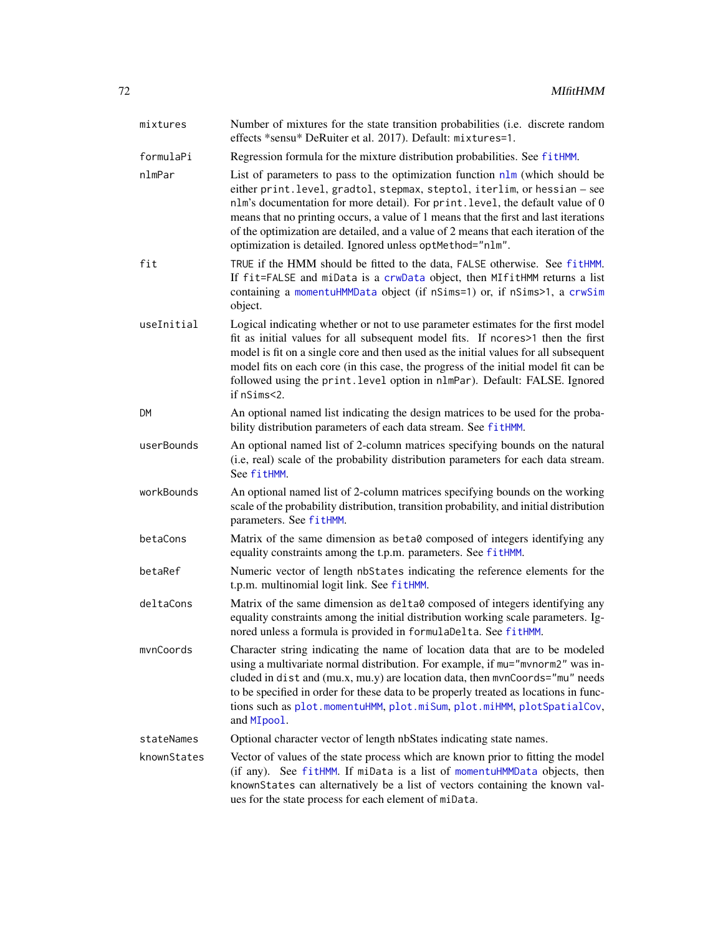| mixtures    | Number of mixtures for the state transition probabilities (i.e. discrete random<br>effects *sensu* DeRuiter et al. 2017). Default: mixtures=1.                                                                                                                                                                                                                                                                                                                                                |
|-------------|-----------------------------------------------------------------------------------------------------------------------------------------------------------------------------------------------------------------------------------------------------------------------------------------------------------------------------------------------------------------------------------------------------------------------------------------------------------------------------------------------|
| formulaPi   | Regression formula for the mixture distribution probabilities. See fitHMM.                                                                                                                                                                                                                                                                                                                                                                                                                    |
| nlmPar      | List of parameters to pass to the optimization function $n \ln w$ (which should be<br>either print. level, gradtol, stepmax, steptol, iterlim, or hessian - see<br>nlm's documentation for more detail). For print. level, the default value of 0<br>means that no printing occurs, a value of 1 means that the first and last iterations<br>of the optimization are detailed, and a value of 2 means that each iteration of the<br>optimization is detailed. Ignored unless optMethod="nlm". |
| fit         | TRUE if the HMM should be fitted to the data, FALSE otherwise. See fitHMM.<br>If fit=FALSE and miData is a crwData object, then MIfitHMM returns a list<br>containing a momentuHMMData object (if nSims=1) or, if nSims>1, a crwSim<br>object.                                                                                                                                                                                                                                                |
| useInitial  | Logical indicating whether or not to use parameter estimates for the first model<br>fit as initial values for all subsequent model fits. If ncores>1 then the first<br>model is fit on a single core and then used as the initial values for all subsequent<br>model fits on each core (in this case, the progress of the initial model fit can be<br>followed using the print. level option in nlmPar). Default: FALSE. Ignored<br>if nSims<2.                                               |
| DM          | An optional named list indicating the design matrices to be used for the proba-<br>bility distribution parameters of each data stream. See fitHMM.                                                                                                                                                                                                                                                                                                                                            |
| userBounds  | An optional named list of 2-column matrices specifying bounds on the natural<br>(i.e, real) scale of the probability distribution parameters for each data stream.<br>See fitHMM.                                                                                                                                                                                                                                                                                                             |
| workBounds  | An optional named list of 2-column matrices specifying bounds on the working<br>scale of the probability distribution, transition probability, and initial distribution<br>parameters. See fitHMM.                                                                                                                                                                                                                                                                                            |
| betaCons    | Matrix of the same dimension as beta0 composed of integers identifying any<br>equality constraints among the t.p.m. parameters. See fitHMM.                                                                                                                                                                                                                                                                                                                                                   |
| betaRef     | Numeric vector of length nbStates indicating the reference elements for the<br>t.p.m. multinomial logit link. See fitHMM.                                                                                                                                                                                                                                                                                                                                                                     |
| deltaCons   | Matrix of the same dimension as delta0 composed of integers identifying any<br>equality constraints among the initial distribution working scale parameters. Ig-<br>nored unless a formula is provided in formulaDelta. See fitHMM.                                                                                                                                                                                                                                                           |
| mvnCoords   | Character string indicating the name of location data that are to be modeled<br>using a multivariate normal distribution. For example, if mu="mvnorm2" was in-<br>cluded in dist and (mu.x, mu.y) are location data, then mvnCoords="mu" needs<br>to be specified in order for these data to be properly treated as locations in func-<br>tions such as plot.momentuHMM, plot.miSum, plot.miHMM, plotSpatialCov,<br>and MI pool.                                                              |
| stateNames  | Optional character vector of length nbStates indicating state names.                                                                                                                                                                                                                                                                                                                                                                                                                          |
| knownStates | Vector of values of the state process which are known prior to fitting the model<br>(if any). See fitHMM. If miData is a list of momentuHMMData objects, then<br>knownStates can alternatively be a list of vectors containing the known val-<br>ues for the state process for each element of miData.                                                                                                                                                                                        |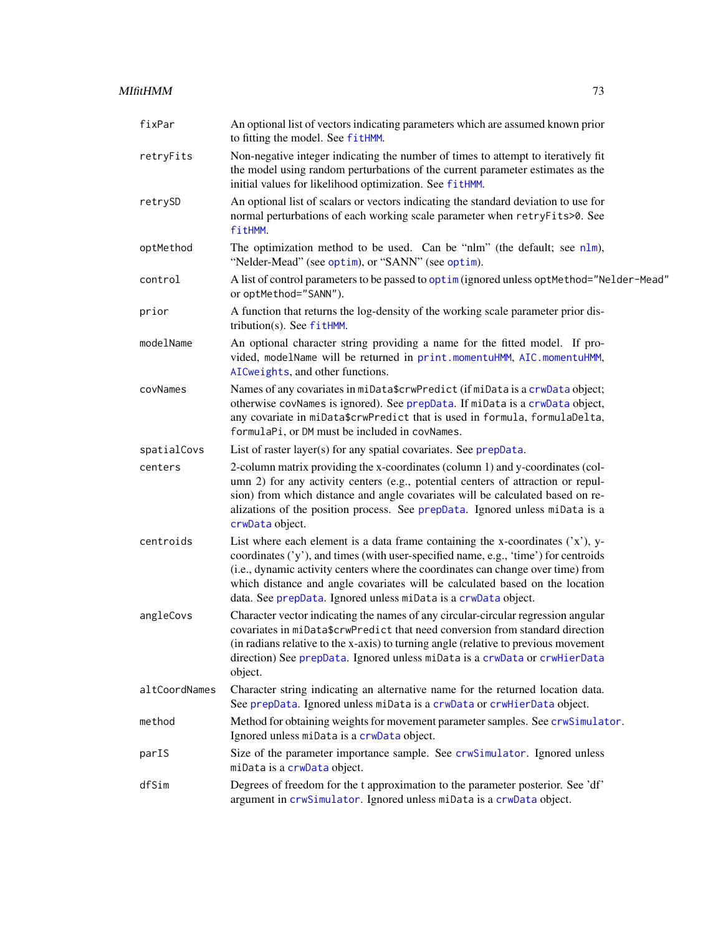# MIfitHMM 73

| fixPar        | An optional list of vectors indicating parameters which are assumed known prior<br>to fitting the model. See fitHMM.                                                                                                                                                                                                                                                                                           |
|---------------|----------------------------------------------------------------------------------------------------------------------------------------------------------------------------------------------------------------------------------------------------------------------------------------------------------------------------------------------------------------------------------------------------------------|
| retryFits     | Non-negative integer indicating the number of times to attempt to iteratively fit<br>the model using random perturbations of the current parameter estimates as the<br>initial values for likelihood optimization. See fitHMM.                                                                                                                                                                                 |
| retrySD       | An optional list of scalars or vectors indicating the standard deviation to use for<br>normal perturbations of each working scale parameter when retryFits>0. See<br>fitHMM.                                                                                                                                                                                                                                   |
| optMethod     | The optimization method to be used. Can be "nlm" (the default; see nlm),<br>"Nelder-Mead" (see optim), or "SANN" (see optim).                                                                                                                                                                                                                                                                                  |
| control       | A list of control parameters to be passed to optim (ignored unless optMethod="Nelder-Mead"<br>or optMethod="SANN").                                                                                                                                                                                                                                                                                            |
| prior         | A function that returns the log-density of the working scale parameter prior dis-<br>tribution(s). See $fitHMM$ .                                                                                                                                                                                                                                                                                              |
| modelName     | An optional character string providing a name for the fitted model. If pro-<br>vided, modelName will be returned in print.momentuHMM, AIC.momentuHMM,<br>AICweights, and other functions.                                                                                                                                                                                                                      |
| covNames      | Names of any covariates in miData\$crwPredict (if miData is a crwData object;<br>otherwise covNames is ignored). See prepData. If miData is a crwData object,<br>any covariate in miData\$crwPredict that is used in formula, formulaDelta,<br>formulaPi, or DM must be included in covNames.                                                                                                                  |
| spatialCovs   | List of raster layer(s) for any spatial covariates. See prepData.                                                                                                                                                                                                                                                                                                                                              |
| centers       | 2-column matrix providing the x-coordinates (column 1) and y-coordinates (col-<br>umn 2) for any activity centers (e.g., potential centers of attraction or repul-<br>sion) from which distance and angle covariates will be calculated based on re-<br>alizations of the position process. See prepData. Ignored unless miData is a<br>crwData object.                                                        |
| centroids     | List where each element is a data frame containing the x-coordinates $('x')$ , y-<br>coordinates ('y'), and times (with user-specified name, e.g., 'time') for centroids<br>(i.e., dynamic activity centers where the coordinates can change over time) from<br>which distance and angle covariates will be calculated based on the location<br>data. See prepData. Ignored unless miData is a crwData object. |
| angleCovs     | Character vector indicating the names of any circular-circular regression angular<br>covariates in miData\$crwPredict that need conversion from standard direction<br>(in radians relative to the x-axis) to turning angle (relative to previous movement<br>direction) See prepData. Ignored unless miData is a crwData or crwHierData<br>object.                                                             |
| altCoordNames | Character string indicating an alternative name for the returned location data.<br>See prepData. Ignored unless miData is a crwData or crwHierData object.                                                                                                                                                                                                                                                     |
| method        | Method for obtaining weights for movement parameter samples. See crwSimulator.<br>Ignored unless miData is a crwData object.                                                                                                                                                                                                                                                                                   |
| parIS         | Size of the parameter importance sample. See crwSimulator. Ignored unless<br>miData is a crwData object.                                                                                                                                                                                                                                                                                                       |
| dfSim         | Degrees of freedom for the t approximation to the parameter posterior. See 'df'<br>argument in crwSimulator. Ignored unless miData is a crwData object.                                                                                                                                                                                                                                                        |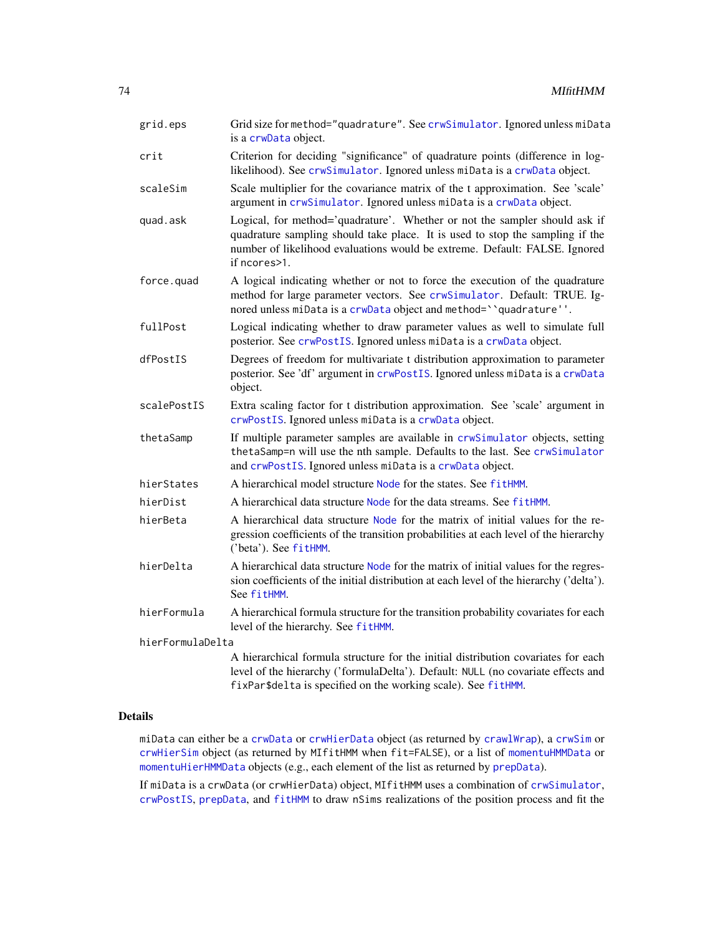| grid.eps         | Grid size for method="quadrature". See crwSimulator. Ignored unless miData<br>is a crwData object.                                                                                                                                                        |  |
|------------------|-----------------------------------------------------------------------------------------------------------------------------------------------------------------------------------------------------------------------------------------------------------|--|
| crit             | Criterion for deciding "significance" of quadrature points (difference in log-<br>likelihood). See crwSimulator. Ignored unless miData is a crwData object.                                                                                               |  |
| scaleSim         | Scale multiplier for the covariance matrix of the t approximation. See 'scale'<br>argument in crwSimulator. Ignored unless miData is a crwData object.                                                                                                    |  |
| quad.ask         | Logical, for method='quadrature'. Whether or not the sampler should ask if<br>quadrature sampling should take place. It is used to stop the sampling if the<br>number of likelihood evaluations would be extreme. Default: FALSE. Ignored<br>if ncores>1. |  |
| force.quad       | A logical indicating whether or not to force the execution of the quadrature<br>method for large parameter vectors. See crwSimulator. Default: TRUE. Ig-<br>nored unless miData is a crwData object and method=" quadrature" '.                           |  |
| fullPost         | Logical indicating whether to draw parameter values as well to simulate full<br>posterior. See crwPostIS. Ignored unless miData is a crwData object.                                                                                                      |  |
| dfPostIS         | Degrees of freedom for multivariate t distribution approximation to parameter<br>posterior. See 'df' argument in crwPostIS. Ignored unless miData is a crwData<br>object.                                                                                 |  |
| scalePostIS      | Extra scaling factor for t distribution approximation. See 'scale' argument in<br>crwPostIS. Ignored unless miData is a crwData object.                                                                                                                   |  |
| thetaSamp        | If multiple parameter samples are available in crwSimulator objects, setting<br>thetaSamp=n will use the nth sample. Defaults to the last. See crwSimulator<br>and crwPostIS. Ignored unless miData is a crwData object.                                  |  |
| hierStates       | A hierarchical model structure Node for the states. See fitHMM.                                                                                                                                                                                           |  |
| hierDist         | A hierarchical data structure Node for the data streams. See fitHMM.                                                                                                                                                                                      |  |
| hierBeta         | A hierarchical data structure Node for the matrix of initial values for the re-<br>gression coefficients of the transition probabilities at each level of the hierarchy<br>('beta'). See fitHMM.                                                          |  |
| hierDelta        | A hierarchical data structure Node for the matrix of initial values for the regres-<br>sion coefficients of the initial distribution at each level of the hierarchy ('delta').<br>See fitHMM.                                                             |  |
| hierFormula      | A hierarchical formula structure for the transition probability covariates for each<br>level of the hierarchy. See fitHMM.                                                                                                                                |  |
| hierFormulaDelta |                                                                                                                                                                                                                                                           |  |
|                  | A hierarchical formula structure for the initial distribution covariates for each<br>level of the hierarchy ('formulaDelta'). Default: NULL (no covariate effects and<br>fixPar\$delta is specified on the working scale). See fitHMM.                    |  |
|                  |                                                                                                                                                                                                                                                           |  |

# Details

miData can either be a [crwData](#page-19-0) or [crwHierData](#page-19-1) object (as returned by [crawlWrap](#page-15-0)), a [crwSim](#page-20-0) or [crwHierSim](#page-20-1) object (as returned by MIfitHMM when fit=FALSE), or a list of [momentuHMMData](#page-81-0) or [momentuHierHMMData](#page-80-0) objects (e.g., each element of the list as returned by [prepData](#page-103-0)).

If miData is a crwData (or crwHierData) object, MIfitHMM uses a combination of [crwSimulator](#page-0-0), [crwPostIS](#page-0-0), [prepData](#page-103-0), and [fitHMM](#page-32-0) to draw nSims realizations of the position process and fit the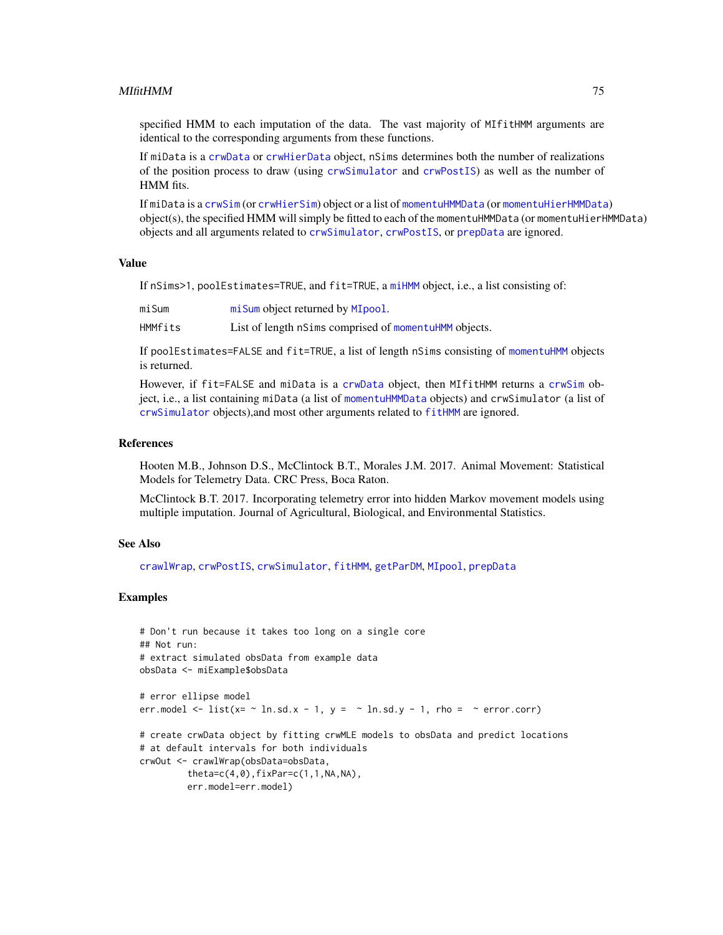#### MIfitHMM 75

specified HMM to each imputation of the data. The vast majority of MIfitHMM arguments are identical to the corresponding arguments from these functions.

If miData is a [crwData](#page-19-0) or [crwHierData](#page-19-1) object, nSims determines both the number of realizations of the position process to draw (using [crwSimulator](#page-0-0) and [crwPostIS](#page-0-0)) as well as the number of HMM fits.

If miData is a [crwSim](#page-20-0) (or [crwHierSim](#page-20-1)) object or a list of [momentuHMMData](#page-81-0) (or [momentuHierHMMData](#page-80-0)) object(s), the specified HMM will simply be fitted to each of the momentuHMMData (or momentuHierHMMData) objects and all arguments related to [crwSimulator](#page-0-0), [crwPostIS](#page-0-0), or [prepData](#page-103-0) are ignored.

#### Value

If nSims>1, poolEstimates=TRUE, and fit=TRUE, a [miHMM](#page-75-0) object, i.e., a list consisting of:

| miSum   | mi Sum object returned by MI pool.                    |
|---------|-------------------------------------------------------|
| HMMfits | List of length nSims comprised of momentuHMM objects. |

If poolEstimates=FALSE and fit=TRUE, a list of length nSims consisting of [momentuHMM](#page-81-1) objects is returned.

However, if fit=FALSE and miData is a [crwData](#page-19-0) object, then MIfitHMM returns a [crwSim](#page-20-0) object, i.e., a list containing miData (a list of [momentuHMMData](#page-81-0) objects) and crwSimulator (a list of [crwSimulator](#page-0-0) objects),and most other arguments related to [fitHMM](#page-32-0) are ignored.

#### References

Hooten M.B., Johnson D.S., McClintock B.T., Morales J.M. 2017. Animal Movement: Statistical Models for Telemetry Data. CRC Press, Boca Raton.

McClintock B.T. 2017. Incorporating telemetry error into hidden Markov movement models using multiple imputation. Journal of Agricultural, Biological, and Environmental Statistics.

#### See Also

[crawlWrap](#page-15-0), [crwPostIS](#page-0-0), [crwSimulator](#page-0-0), [fitHMM](#page-32-0), [getParDM](#page-53-0), [MIpool](#page-76-0), [prepData](#page-103-0)

## Examples

```
# Don't run because it takes too long on a single core
## Not run:
# extract simulated obsData from example data
obsData <- miExample$obsData
# error ellipse model
err.model \le list(x= \sim ln.sd.x - 1, y = \sim ln.sd.y - 1, rho = \sim error.corr)
# create crwData object by fitting crwMLE models to obsData and predict locations
# at default intervals for both individuals
crwOut <- crawlWrap(obsData=obsData,
         theta=c(4,0),fixPar=c(1,1,NA,NA),
         err.model=err.model)
```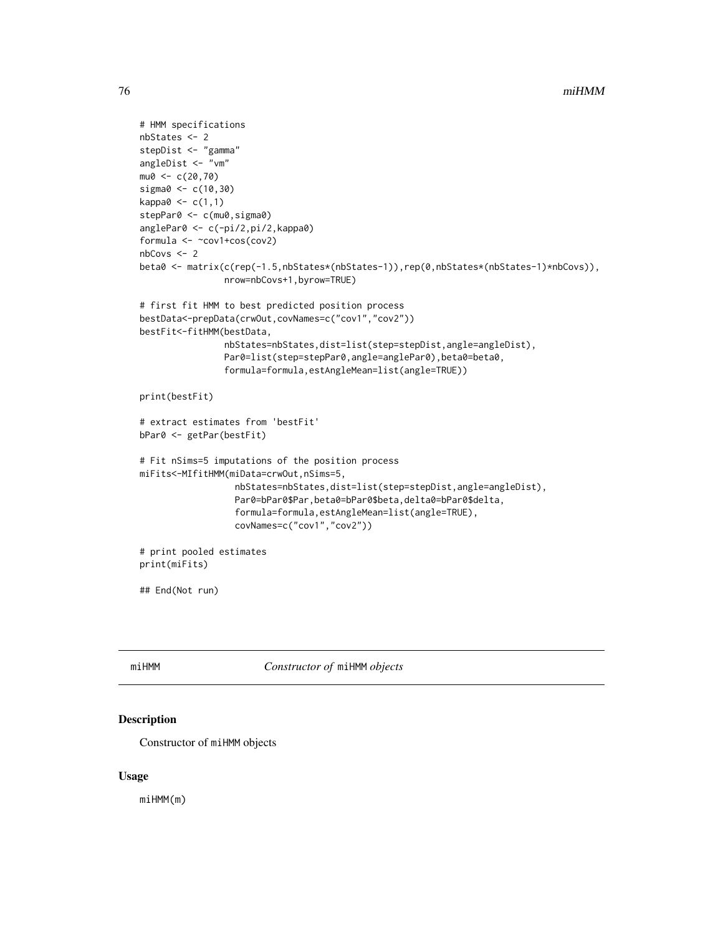```
# HMM specifications
nbStates <- 2
stepDist <- "gamma"
angleDist <- "vm"
mu0 < -c(20, 70)sigma0 <- c(10,30)
kappa0 < -c(1,1)stepPar0 <- c(mu0, sigma0)
anglePar0 <- c(-pi/2,pi/2,kappa0)
formula <- ~cov1+cos(cov2)
nbCovs <- 2
beta0 <- matrix(c(rep(-1.5,nbStates*(nbStates-1)),rep(0,nbStates*(nbStates-1)*nbCovs)),
                nrow=nbCovs+1,byrow=TRUE)
# first fit HMM to best predicted position process
bestData<-prepData(crwOut,covNames=c("cov1","cov2"))
bestFit<-fitHMM(bestData,
                nbStates=nbStates,dist=list(step=stepDist,angle=angleDist),
                Par0=list(step=stepPar0,angle=anglePar0),beta0=beta0,
                formula=formula,estAngleMean=list(angle=TRUE))
print(bestFit)
# extract estimates from 'bestFit'
bPar0 <- getPar(bestFit)
# Fit nSims=5 imputations of the position process
miFits<-MIfitHMM(miData=crwOut,nSims=5,
                  nbStates=nbStates,dist=list(step=stepDist,angle=angleDist),
                  Par0=bPar0$Par,beta0=bPar0$beta,delta0=bPar0$delta,
                  formula=formula,estAngleMean=list(angle=TRUE),
                  covNames=c("cov1","cov2"))
# print pooled estimates
print(miFits)
## End(Not run)
```
<span id="page-75-0"></span>

miHMM *Constructor of* miHMM *objects*

# Description

Constructor of miHMM objects

#### Usage

miHMM(m)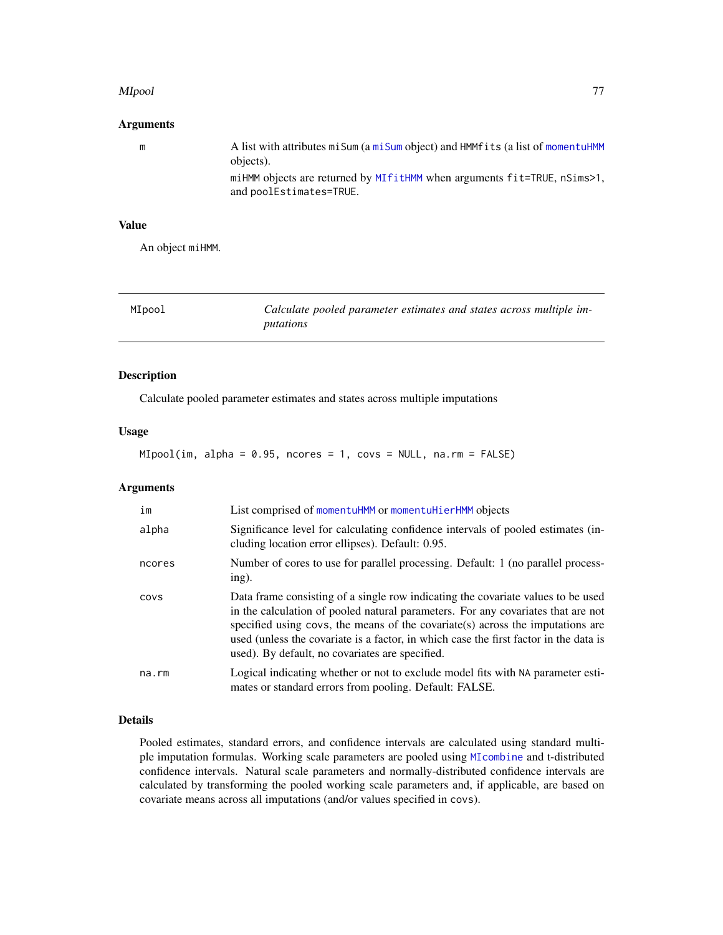#### MIpool 77

# Arguments

| m | A list with attributes mi Sum (a mi Sum object) and HMM fits (a list of momentuHMM<br>objects).     |
|---|-----------------------------------------------------------------------------------------------------|
|   | miHMM objects are returned by MIfitHMM when arguments fit=TRUE, nSims>1,<br>and poolEstimates=TRUE. |

# Value

An object miHMM.

<span id="page-76-0"></span>

| MIpool | Calculate pooled parameter estimates and states across multiple im- |
|--------|---------------------------------------------------------------------|
|        | putations                                                           |

# Description

Calculate pooled parameter estimates and states across multiple imputations

# Usage

MIpool(im, alpha = 0.95, ncores = 1, covs = NULL, na.rm = FALSE)

# Arguments

| im          | List comprised of momentuHMM or momentuHierHMM objects                                                                                                                                                                                                                                                                                                                                              |
|-------------|-----------------------------------------------------------------------------------------------------------------------------------------------------------------------------------------------------------------------------------------------------------------------------------------------------------------------------------------------------------------------------------------------------|
| alpha       | Significance level for calculating confidence intervals of pooled estimates (in-<br>cluding location error ellipses). Default: 0.95.                                                                                                                                                                                                                                                                |
| ncores      | Number of cores to use for parallel processing. Default: 1 (no parallel process-<br>ing).                                                                                                                                                                                                                                                                                                           |
| COVS        | Data frame consisting of a single row indicating the covariate values to be used<br>in the calculation of pooled natural parameters. For any covariates that are not<br>specified using covs, the means of the covariate (s) across the imputations are<br>used (unless the covariate is a factor, in which case the first factor in the data is<br>used). By default, no covariates are specified. |
| $na$ . $rm$ | Logical indicating whether or not to exclude model fits with NA parameter esti-<br>mates or standard errors from pooling. Default: FALSE.                                                                                                                                                                                                                                                           |

# Details

Pooled estimates, standard errors, and confidence intervals are calculated using standard multiple imputation formulas. Working scale parameters are pooled using [MIcombine](#page-0-0) and t-distributed confidence intervals. Natural scale parameters and normally-distributed confidence intervals are calculated by transforming the pooled working scale parameters and, if applicable, are based on covariate means across all imputations (and/or values specified in covs).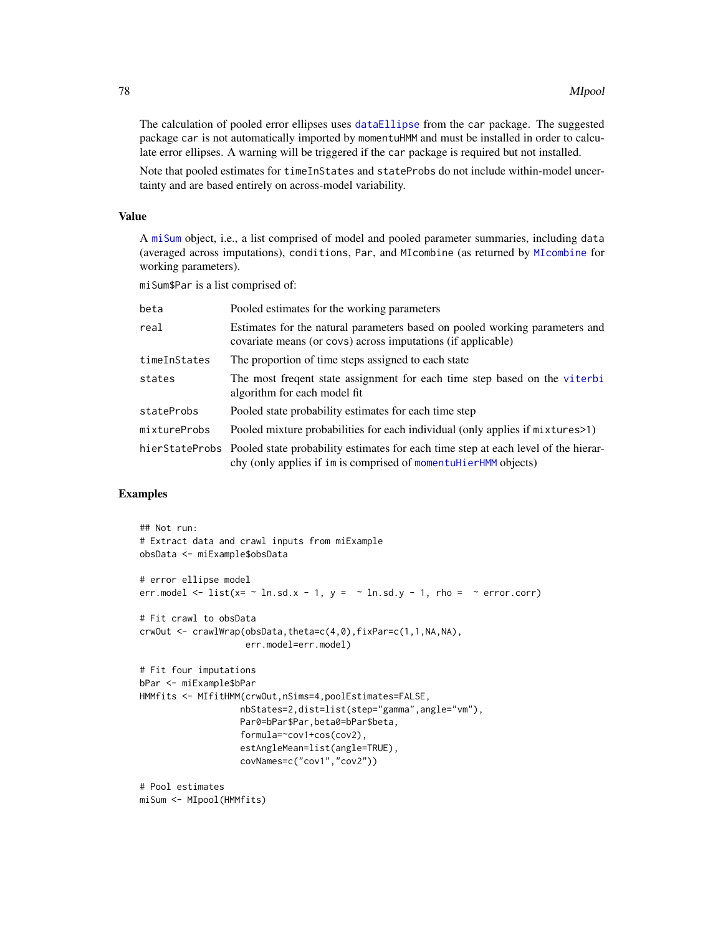The calculation of pooled error ellipses uses [dataEllipse](#page-0-0) from the car package. The suggested package car is not automatically imported by momentuHMM and must be installed in order to calculate error ellipses. A warning will be triggered if the car package is required but not installed.

Note that pooled estimates for timeInStates and stateProbs do not include within-model uncertainty and are based entirely on across-model variability.

#### Value

A [miSum](#page-78-0) object, i.e., a list comprised of model and pooled parameter summaries, including data (averaged across imputations), conditions, Par, and MIcombine (as returned by [MIcombine](#page-0-0) for working parameters).

miSum\$Par is a list comprised of:

| beta         | Pooled estimates for the working parameters                                                                                                                          |
|--------------|----------------------------------------------------------------------------------------------------------------------------------------------------------------------|
| real         | Estimates for the natural parameters based on pooled working parameters and<br>covariate means (or covs) across imputations (if applicable)                          |
| timeInStates | The proportion of time steps assigned to each state                                                                                                                  |
| states       | The most frequent state assignment for each time step based on the viterbi<br>algorithm for each model fit                                                           |
| stateProbs   | Pooled state probability estimates for each time step                                                                                                                |
| mixtureProbs | Pooled mixture probabilities for each individual (only applies if mixtures > 1)                                                                                      |
|              | hierStateProbs Pooled state probability estimates for each time step at each level of the hierar-<br>chy (only applies if im is comprised of momentuHierHMM objects) |

# Examples

```
## Not run:
# Extract data and crawl inputs from miExample
obsData <- miExample$obsData
# error ellipse model
err.model \le list(x= \sim ln.sd.x - 1, y = \sim ln.sd.y - 1, rho = \sim error.corr)
# Fit crawl to obsData
crwOut <- crawlWrap(obsData,theta=c(4,0),fixPar=c(1,1,NA,NA),
                    err.model=err.model)
# Fit four imputations
bPar <- miExample$bPar
HMMfits <- MIfitHMM(crwOut,nSims=4,poolEstimates=FALSE,
                   nbStates=2,dist=list(step="gamma",angle="vm"),
                   Par0=bPar$Par,beta0=bPar$beta,
                   formula=~cov1+cos(cov2),
                   estAngleMean=list(angle=TRUE),
                   covNames=c("cov1","cov2"))
# Pool estimates
```

```
miSum <- MIpool(HMMfits)
```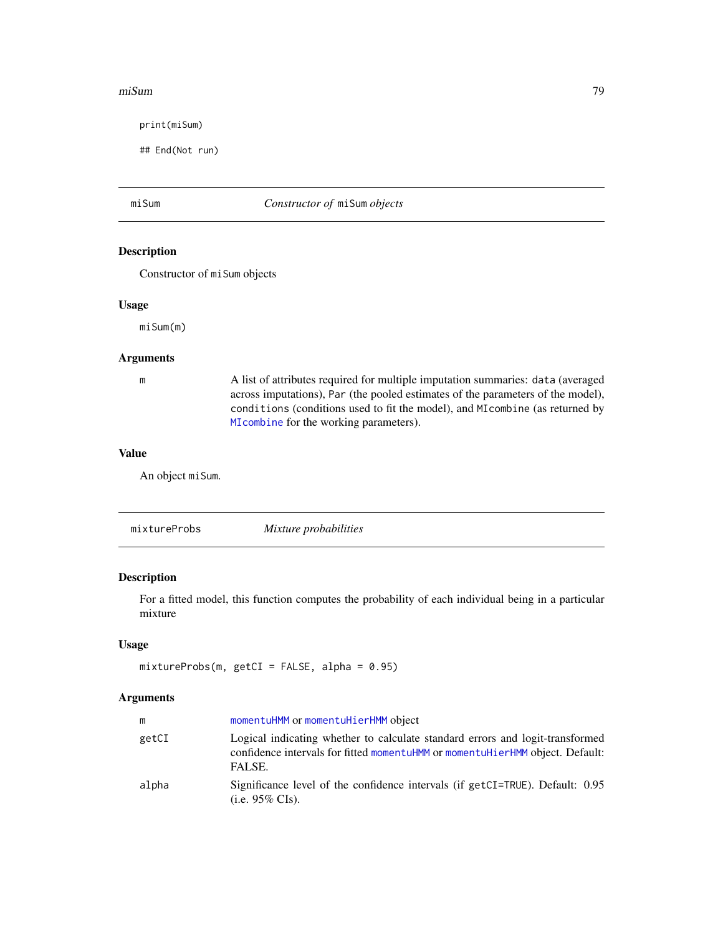#### miSum 79

print(miSum)

## End(Not run)

# <span id="page-78-0"></span>miSum *Constructor of* miSum *objects*

# Description

Constructor of miSum objects

# Usage

miSum(m)

# Arguments

m A list of attributes required for multiple imputation summaries: data (averaged across imputations), Par (the pooled estimates of the parameters of the model), conditions (conditions used to fit the model), and MIcombine (as returned by [MIcombine](#page-0-0) for the working parameters).

#### Value

An object miSum.

mixtureProbs *Mixture probabilities*

# Description

For a fitted model, this function computes the probability of each individual being in a particular mixture

#### Usage

```
mixtureProbs(m, getCI = FALSE, alpha = 0.95)
```

| m     | momentuHMM or momentuHierHMM object                                                                                                                                      |
|-------|--------------------------------------------------------------------------------------------------------------------------------------------------------------------------|
| getCI | Logical indicating whether to calculate standard errors and logit-transformed<br>confidence intervals for fitted momentuHMM or momentuHierHMM object. Default:<br>FALSE. |
| alpha | Significance level of the confidence intervals (if getCI=TRUE). Default: 0.95<br>(i.e. $95\%$ CIs).                                                                      |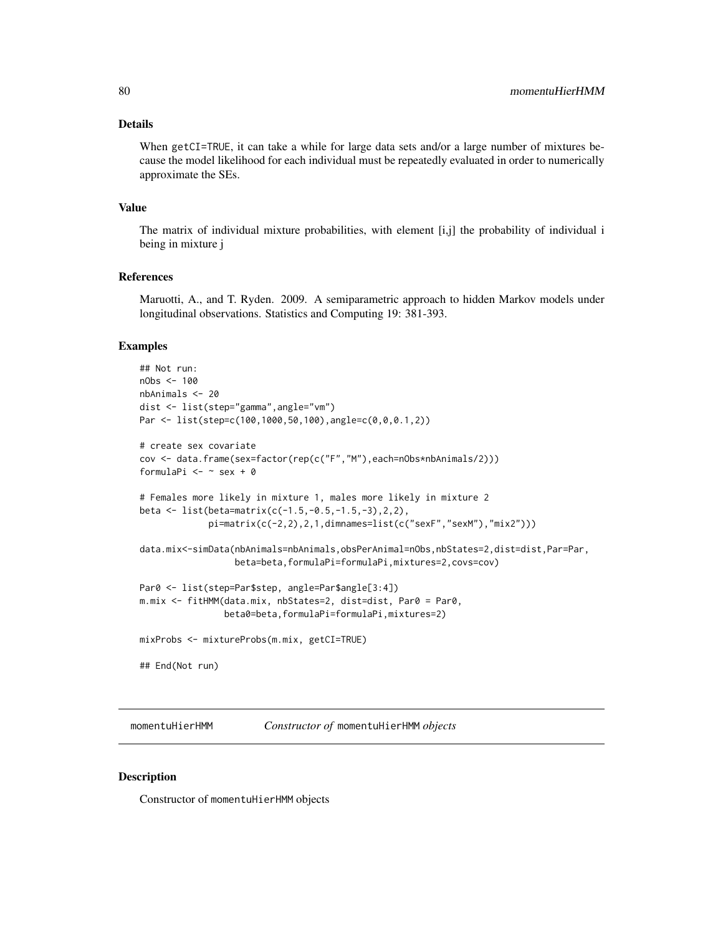# Details

When getCI=TRUE, it can take a while for large data sets and/or a large number of mixtures because the model likelihood for each individual must be repeatedly evaluated in order to numerically approximate the SEs.

# Value

The matrix of individual mixture probabilities, with element [i,j] the probability of individual i being in mixture j

#### References

Maruotti, A., and T. Ryden. 2009. A semiparametric approach to hidden Markov models under longitudinal observations. Statistics and Computing 19: 381-393.

#### Examples

```
## Not run:
nObs < -100nbAnimals <- 20
dist <- list(step="gamma",angle="vm")
Par <- list(step=c(100,1000,50,100),angle=c(0,0,0.1,2))
# create sex covariate
cov <- data.frame(sex=factor(rep(c("F","M"),each=nObs*nbAnimals/2)))
formulaPi <- \sim sex + 0
# Females more likely in mixture 1, males more likely in mixture 2
beta <- list(beta=matrix(c(-1.5,-0.5,-1.5,-3),2,2),
             pi=matrix(c(-2,2),2,1,dimnames=list(c("sexF","sexM"),"mix2")))
data.mix<-simData(nbAnimals=nbAnimals,obsPerAnimal=nObs,nbStates=2,dist=dist,Par=Par,
                  beta=beta,formulaPi=formulaPi,mixtures=2,covs=cov)
Par0 <- list(step=Par$step, angle=Par$angle[3:4])
m.mix <- fitHMM(data.mix, nbStates=2, dist=dist, Par0 = Par0,
                beta0=beta,formulaPi=formulaPi,mixtures=2)
mixProbs <- mixtureProbs(m.mix, getCI=TRUE)
## End(Not run)
```
<span id="page-79-0"></span>momentuHierHMM *Constructor of* momentuHierHMM *objects*

#### Description

Constructor of momentuHierHMM objects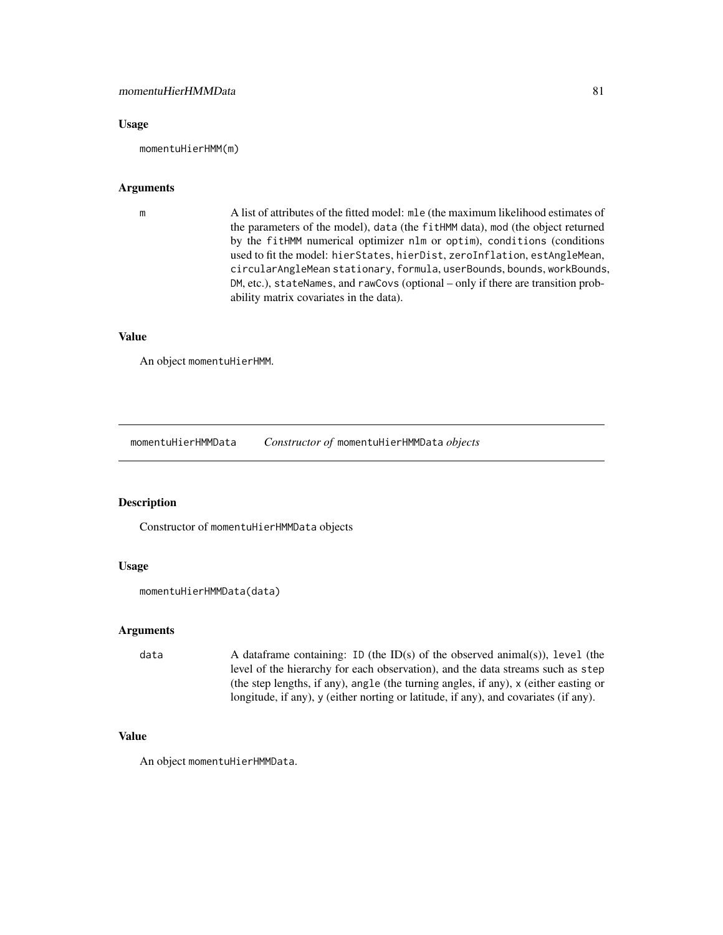#### Usage

momentuHierHMM(m)

# Arguments

m A list of attributes of the fitted model: mle (the maximum likelihood estimates of the parameters of the model), data (the fitHMM data), mod (the object returned by the fitHMM numerical optimizer nlm or optim), conditions (conditions used to fit the model: hierStates, hierDist, zeroInflation, estAngleMean, circularAngleMean stationary, formula, userBounds, bounds, workBounds, DM, etc.), stateNames, and rawCovs (optional – only if there are transition probability matrix covariates in the data).

#### Value

An object momentuHierHMM.

<span id="page-80-0"></span>momentuHierHMMData *Constructor of* momentuHierHMMData *objects*

# Description

Constructor of momentuHierHMMData objects

### Usage

```
momentuHierHMMData(data)
```
# Arguments

data A dataframe containing: ID (the ID(s) of the observed animal(s)), level (the level of the hierarchy for each observation), and the data streams such as step (the step lengths, if any), angle (the turning angles, if any), x (either easting or longitude, if any), y (either norting or latitude, if any), and covariates (if any).

#### Value

An object momentuHierHMMData.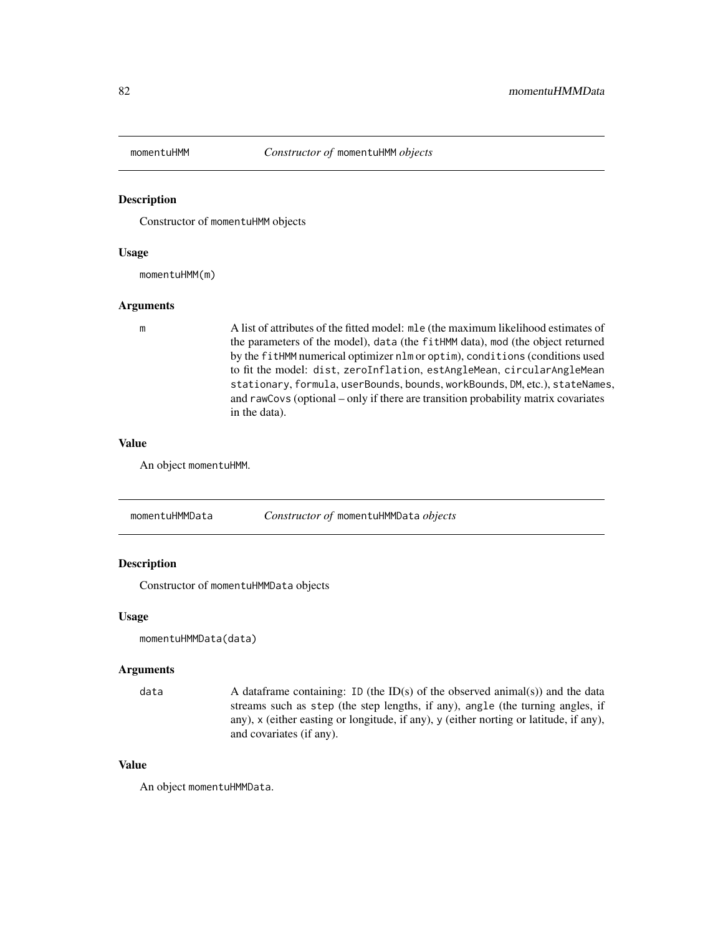<span id="page-81-1"></span>

#### Description

Constructor of momentuHMM objects

#### Usage

momentuHMM(m)

## Arguments

m A list of attributes of the fitted model: mle (the maximum likelihood estimates of the parameters of the model), data (the fitHMM data), mod (the object returned by the fitHMM numerical optimizer nlm or optim), conditions (conditions used to fit the model: dist, zeroInflation, estAngleMean, circularAngleMean stationary, formula, userBounds, bounds, workBounds, DM, etc.), stateNames, and rawCovs (optional – only if there are transition probability matrix covariates in the data).

#### Value

An object momentuHMM.

<span id="page-81-0"></span>momentuHMMData *Constructor of* momentuHMMData *objects*

#### Description

Constructor of momentuHMMData objects

#### Usage

momentuHMMData(data)

#### Arguments

data  $\alpha$  A dataframe containing: ID (the ID(s) of the observed animal(s)) and the data streams such as step (the step lengths, if any), angle (the turning angles, if any), x (either easting or longitude, if any), y (either norting or latitude, if any), and covariates (if any).

#### Value

An object momentuHMMData.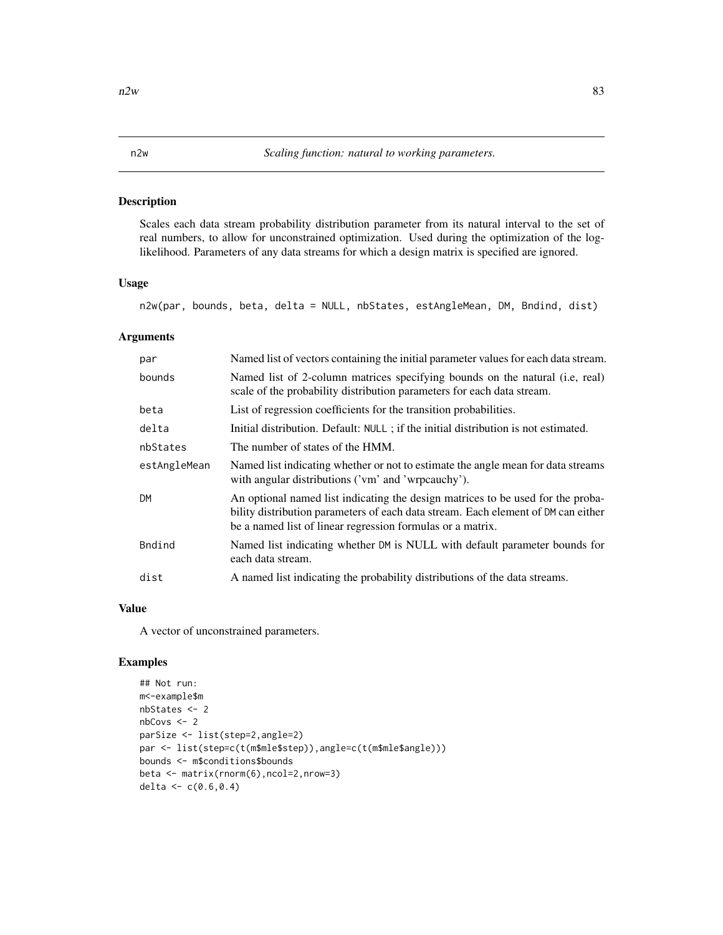# Description

Scales each data stream probability distribution parameter from its natural interval to the set of real numbers, to allow for unconstrained optimization. Used during the optimization of the loglikelihood. Parameters of any data streams for which a design matrix is specified are ignored.

#### Usage

```
n2w(par, bounds, beta, delta = NULL, nbStates, estAngleMean, DM, Bndind, dist)
```
#### Arguments

| par          | Named list of vectors containing the initial parameter values for each data stream.                                                                                                                                                |
|--------------|------------------------------------------------------------------------------------------------------------------------------------------------------------------------------------------------------------------------------------|
| bounds       | Named list of 2-column matrices specifying bounds on the natural (i.e., real)<br>scale of the probability distribution parameters for each data stream.                                                                            |
| beta         | List of regression coefficients for the transition probabilities.                                                                                                                                                                  |
| delta        | Initial distribution. Default: NULL; if the initial distribution is not estimated.                                                                                                                                                 |
| nbStates     | The number of states of the HMM.                                                                                                                                                                                                   |
| estAngleMean | Named list indicating whether or not to estimate the angle mean for data streams<br>with angular distributions ('vm' and 'wrpcauchy').                                                                                             |
| <b>DM</b>    | An optional named list indicating the design matrices to be used for the proba-<br>bility distribution parameters of each data stream. Each element of DM can either<br>be a named list of linear regression formulas or a matrix. |
| Bndind       | Named list indicating whether DM is NULL with default parameter bounds for<br>each data stream.                                                                                                                                    |
| dist         | A named list indicating the probability distributions of the data streams.                                                                                                                                                         |

# Value

A vector of unconstrained parameters.

# Examples

```
## Not run:
m<-example$m
nbStates <- 2
nbCovs <- 2
parSize <- list(step=2,angle=2)
par <- list(step=c(t(m$mle$step)),angle=c(t(m$mle$angle)))
bounds <- m$conditions$bounds
beta <- matrix(rnorm(6),ncol=2,nrow=3)
delta <- c(0.6, 0.4)
```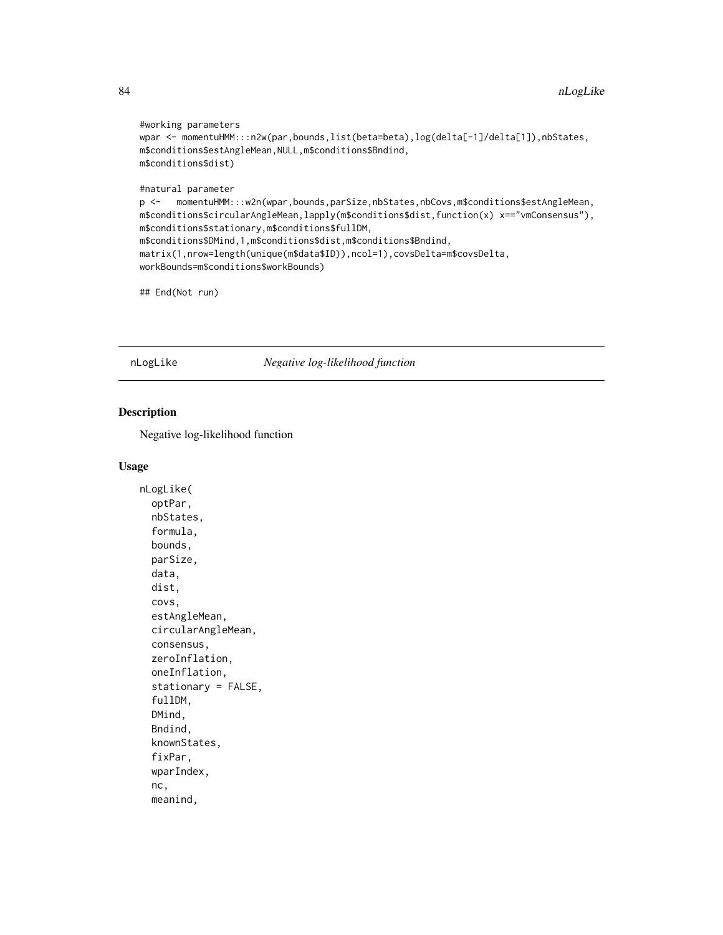```
#working parameters
wpar <- momentuHMM:::n2w(par,bounds,list(beta=beta),log(delta[-1]/delta[1]),nbStates,
m$conditions$estAngleMean,NULL,m$conditions$Bndind,
m$conditions$dist)
#natural parameter
p <- momentuHMM:::w2n(wpar,bounds,parSize,nbStates,nbCovs,m$conditions$estAngleMean,
m$conditions$circularAngleMean,lapply(m$conditions$dist,function(x) x=="vmConsensus"),
m$conditions$stationary,m$conditions$fullDM,
m$conditions$DMind,1,m$conditions$dist,m$conditions$Bndind,
matrix(1,nrow=length(unique(m$data$ID)),ncol=1),covsDelta=m$covsDelta,
workBounds=m$conditions$workBounds)
```
## End(Not run)

nLogLike *Negative log-likelihood function*

# Description

Negative log-likelihood function

```
nLogLike(
  optPar,
  nbStates,
  formula,
  bounds,
  parSize,
  data,
  dist,
  covs,
  estAngleMean,
  circularAngleMean,
  consensus,
  zeroInflation,
  oneInflation,
  stationary = FALSE,
  fullDM,
  DMind,
  Bndind,
  knownStates,
  fixPar,
  wparIndex,
  nc,
  meanind,
```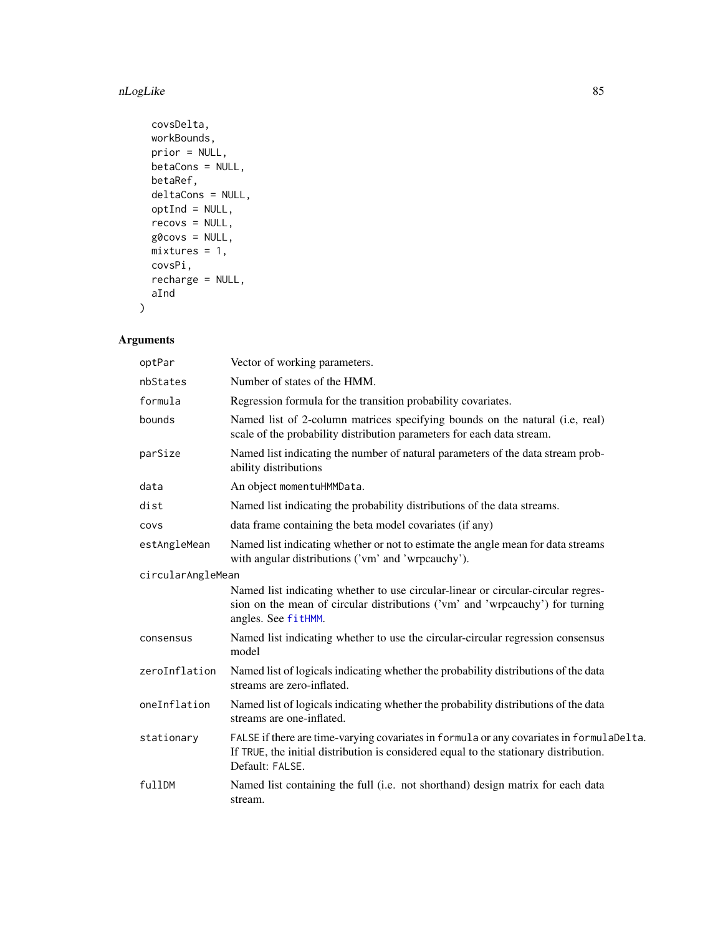#### nLogLike 85

```
covsDelta,
workBounds,
prior = NULL,
betaCons = NULL,
betaRef,
deltaCons = NULL,
optInd = NULL,
recovs = NULL,
g0covs = NULL,
mixtures = 1,covsPi,
recharge = NULL,
aInd
```
# Arguments

)

| optPar            | Vector of working parameters.                                                                                                                                                                        |
|-------------------|------------------------------------------------------------------------------------------------------------------------------------------------------------------------------------------------------|
| nbStates          | Number of states of the HMM.                                                                                                                                                                         |
| formula           | Regression formula for the transition probability covariates.                                                                                                                                        |
| bounds            | Named list of 2-column matrices specifying bounds on the natural (i.e., real)<br>scale of the probability distribution parameters for each data stream.                                              |
| parSize           | Named list indicating the number of natural parameters of the data stream prob-<br>ability distributions                                                                                             |
| data              | An object momentuHMMData.                                                                                                                                                                            |
| dist              | Named list indicating the probability distributions of the data streams.                                                                                                                             |
| COVS              | data frame containing the beta model covariates (if any)                                                                                                                                             |
| estAngleMean      | Named list indicating whether or not to estimate the angle mean for data streams<br>with angular distributions ('vm' and 'wrpcauchy').                                                               |
| circularAngleMean |                                                                                                                                                                                                      |
|                   | Named list indicating whether to use circular-linear or circular-circular regres-<br>sion on the mean of circular distributions ('vm' and 'wrpcauchy') for turning<br>angles. See fitHMM.            |
| consensus         | Named list indicating whether to use the circular-circular regression consensus<br>model                                                                                                             |
| zeroInflation     | Named list of logicals indicating whether the probability distributions of the data<br>streams are zero-inflated.                                                                                    |
| oneInflation      | Named list of logicals indicating whether the probability distributions of the data<br>streams are one-inflated.                                                                                     |
| stationary        | FALSE if there are time-varying covariates in formula or any covariates in formulaDelta.<br>If TRUE, the initial distribution is considered equal to the stationary distribution.<br>Default: FALSE. |
| fullDM            | Named list containing the full (i.e. not shorthand) design matrix for each data<br>stream.                                                                                                           |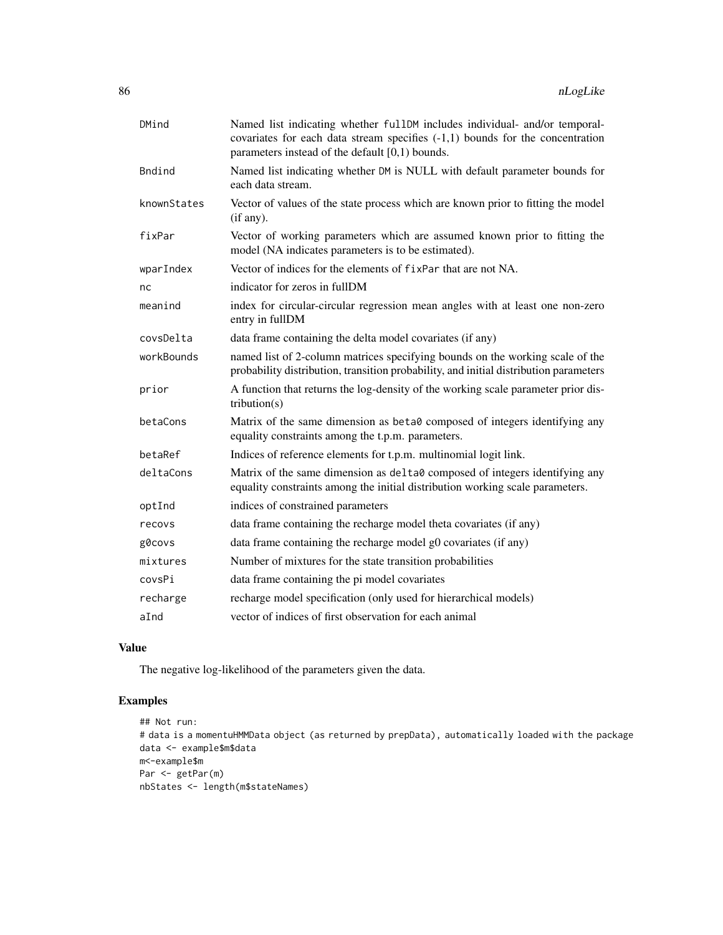| DMind       | Named list indicating whether fullDM includes individual- and/or temporal-<br>covariates for each data stream specifies $(-1,1)$ bounds for the concentration<br>parameters instead of the default $[0,1)$ bounds. |
|-------------|--------------------------------------------------------------------------------------------------------------------------------------------------------------------------------------------------------------------|
| Bndind      | Named list indicating whether DM is NULL with default parameter bounds for<br>each data stream.                                                                                                                    |
| knownStates | Vector of values of the state process which are known prior to fitting the model<br>(if any).                                                                                                                      |
| fixPar      | Vector of working parameters which are assumed known prior to fitting the<br>model (NA indicates parameters is to be estimated).                                                                                   |
| wparIndex   | Vector of indices for the elements of fixPar that are not NA.                                                                                                                                                      |
| nс          | indicator for zeros in fullDM                                                                                                                                                                                      |
| meanind     | index for circular-circular regression mean angles with at least one non-zero<br>entry in fullDM                                                                                                                   |
| covsDelta   | data frame containing the delta model covariates (if any)                                                                                                                                                          |
| workBounds  | named list of 2-column matrices specifying bounds on the working scale of the<br>probability distribution, transition probability, and initial distribution parameters                                             |
| prior       | A function that returns the log-density of the working scale parameter prior dis-<br>tribution(s)                                                                                                                  |
| betaCons    | Matrix of the same dimension as beta0 composed of integers identifying any<br>equality constraints among the t.p.m. parameters.                                                                                    |
| betaRef     | Indices of reference elements for t.p.m. multinomial logit link.                                                                                                                                                   |
| deltaCons   | Matrix of the same dimension as delta0 composed of integers identifying any<br>equality constraints among the initial distribution working scale parameters.                                                       |
| optInd      | indices of constrained parameters                                                                                                                                                                                  |
| recovs      | data frame containing the recharge model theta covariates (if any)                                                                                                                                                 |
| g0covs      | data frame containing the recharge model g0 covariates (if any)                                                                                                                                                    |
| mixtures    | Number of mixtures for the state transition probabilities                                                                                                                                                          |
| covsPi      | data frame containing the pi model covariates                                                                                                                                                                      |
| recharge    | recharge model specification (only used for hierarchical models)                                                                                                                                                   |
| aInd        | vector of indices of first observation for each animal                                                                                                                                                             |

# Value

The negative log-likelihood of the parameters given the data.

# Examples

```
## Not run:
# data is a momentuHMMData object (as returned by prepData), automatically loaded with the package
data <- example$m$data
m<-example$m
Par <- getPar(m)
nbStates <- length(m$stateNames)
```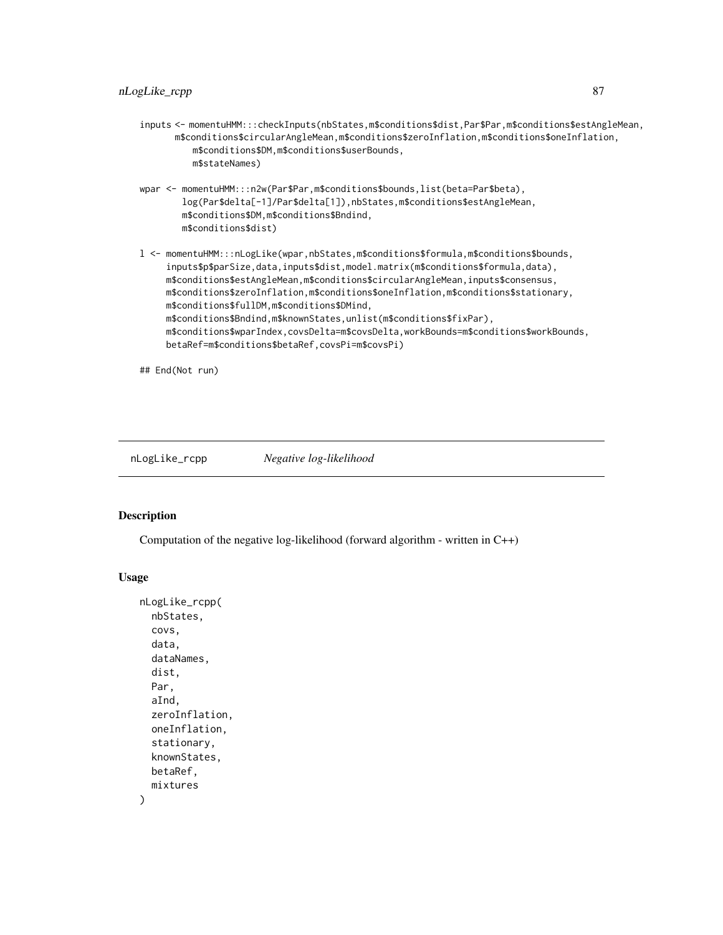- inputs <- momentuHMM:::checkInputs(nbStates,m\$conditions\$dist,Par\$Par,m\$conditions\$estAngleMean, m\$conditions\$circularAngleMean,m\$conditions\$zeroInflation,m\$conditions\$oneInflation, m\$conditions\$DM,m\$conditions\$userBounds, m\$stateNames)
- wpar <- momentuHMM:::n2w(Par\$Par,m\$conditions\$bounds,list(beta=Par\$beta), log(Par\$delta[-1]/Par\$delta[1]),nbStates,m\$conditions\$estAngleMean, m\$conditions\$DM,m\$conditions\$Bndind, m\$conditions\$dist)
- l <- momentuHMM:::nLogLike(wpar,nbStates,m\$conditions\$formula,m\$conditions\$bounds, inputs\$p\$parSize,data,inputs\$dist,model.matrix(m\$conditions\$formula,data), m\$conditions\$estAngleMean,m\$conditions\$circularAngleMean,inputs\$consensus, m\$conditions\$zeroInflation,m\$conditions\$oneInflation,m\$conditions\$stationary, m\$conditions\$fullDM,m\$conditions\$DMind, m\$conditions\$Bndind,m\$knownStates,unlist(m\$conditions\$fixPar), m\$conditions\$wparIndex,covsDelta=m\$covsDelta,workBounds=m\$conditions\$workBounds, betaRef=m\$conditions\$betaRef,covsPi=m\$covsPi)

## End(Not run)

nLogLike\_rcpp *Negative log-likelihood*

#### Description

Computation of the negative log-likelihood (forward algorithm - written in  $C_{++}$ )

```
nLogLike_rcpp(
  nbStates,
  covs,
  data,
  dataNames,
  dist,
  Par,
  aInd,
  zeroInflation,
  oneInflation,
  stationary,
  knownStates,
 betaRef,
  mixtures
)
```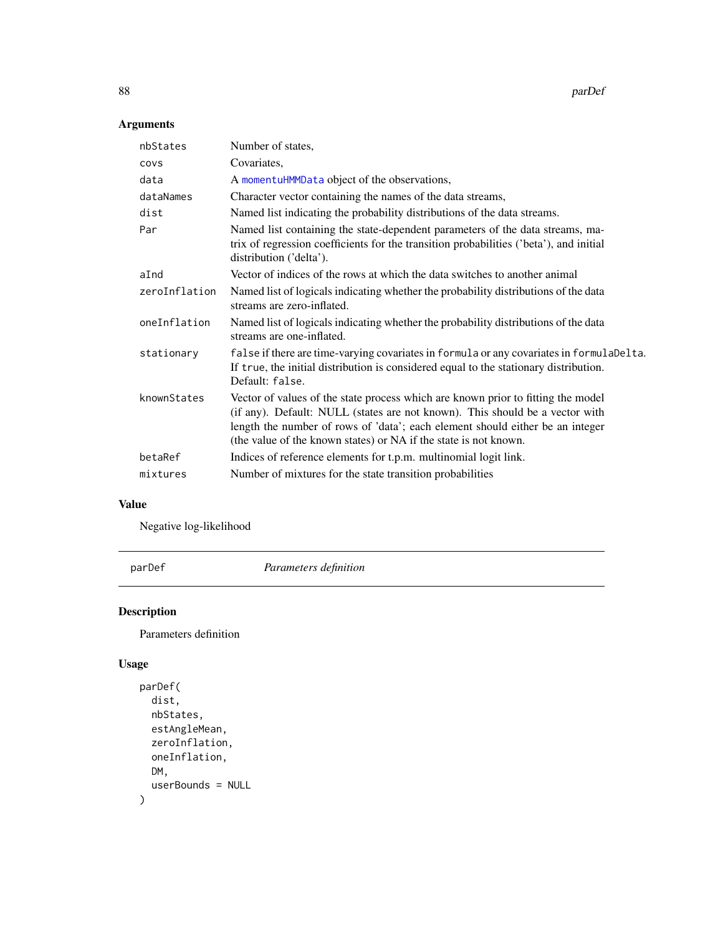88 **parDef parDef parDef parDef parDef parDef parDef parDef** 

# Arguments

| nbStates      | Number of states,                                                                                                                                                                                                                                                                                                     |
|---------------|-----------------------------------------------------------------------------------------------------------------------------------------------------------------------------------------------------------------------------------------------------------------------------------------------------------------------|
| covs          | Covariates,                                                                                                                                                                                                                                                                                                           |
| data          | A momentuHMMData object of the observations,                                                                                                                                                                                                                                                                          |
| dataNames     | Character vector containing the names of the data streams,                                                                                                                                                                                                                                                            |
| dist          | Named list indicating the probability distributions of the data streams.                                                                                                                                                                                                                                              |
| Par           | Named list containing the state-dependent parameters of the data streams, ma-<br>trix of regression coefficients for the transition probabilities ('beta'), and initial<br>distribution ('delta').                                                                                                                    |
| aInd          | Vector of indices of the rows at which the data switches to another animal                                                                                                                                                                                                                                            |
| zeroInflation | Named list of logicals indicating whether the probability distributions of the data<br>streams are zero-inflated.                                                                                                                                                                                                     |
| oneInflation  | Named list of logicals indicating whether the probability distributions of the data<br>streams are one-inflated.                                                                                                                                                                                                      |
| stationary    | false if there are time-varying covariates in formula or any covariates in formulaDelta.<br>If true, the initial distribution is considered equal to the stationary distribution.<br>Default: false.                                                                                                                  |
| knownStates   | Vector of values of the state process which are known prior to fitting the model<br>(if any). Default: NULL (states are not known). This should be a vector with<br>length the number of rows of 'data'; each element should either be an integer<br>(the value of the known states) or NA if the state is not known. |
| betaRef       | Indices of reference elements for t.p.m. multinomial logit link.                                                                                                                                                                                                                                                      |
| mixtures      | Number of mixtures for the state transition probabilities                                                                                                                                                                                                                                                             |
|               |                                                                                                                                                                                                                                                                                                                       |

# Value

Negative log-likelihood

parDef *Parameters definition*

# Description

Parameters definition

```
parDef(
  dist,
  nbStates,
  estAngleMean,
  zeroInflation,
  oneInflation,
  DM,
  userBounds = NULL
)
```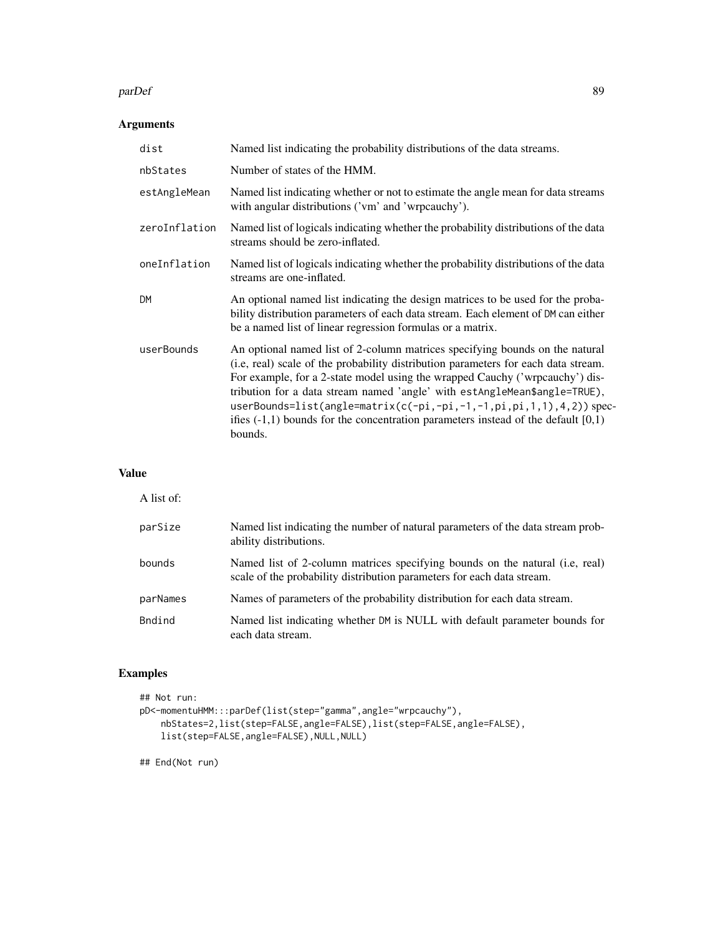#### parDef 89

# Arguments

| dist          | Named list indicating the probability distributions of the data streams.                                                                                                                                                                                                                                                                                                                                                                                                                                   |
|---------------|------------------------------------------------------------------------------------------------------------------------------------------------------------------------------------------------------------------------------------------------------------------------------------------------------------------------------------------------------------------------------------------------------------------------------------------------------------------------------------------------------------|
| nbStates      | Number of states of the HMM.                                                                                                                                                                                                                                                                                                                                                                                                                                                                               |
| estAngleMean  | Named list indicating whether or not to estimate the angle mean for data streams<br>with angular distributions ('vm' and 'wrpcauchy').                                                                                                                                                                                                                                                                                                                                                                     |
| zeroInflation | Named list of logicals indicating whether the probability distributions of the data<br>streams should be zero-inflated.                                                                                                                                                                                                                                                                                                                                                                                    |
| oneInflation  | Named list of logicals indicating whether the probability distributions of the data<br>streams are one-inflated.                                                                                                                                                                                                                                                                                                                                                                                           |
| <b>DM</b>     | An optional named list indicating the design matrices to be used for the proba-<br>bility distribution parameters of each data stream. Each element of DM can either<br>be a named list of linear regression formulas or a matrix.                                                                                                                                                                                                                                                                         |
| userBounds    | An optional named list of 2-column matrices specifying bounds on the natural<br>(i.e, real) scale of the probability distribution parameters for each data stream.<br>For example, for a 2-state model using the wrapped Cauchy ('wrpcauchy') dis-<br>tribution for a data stream named 'angle' with estAngleMean\$angle=TRUE),<br>userBounds=list(angle=matrix(c(-pi,-pi,-1,-1,pi,pi,1,1),4,2)) spec-<br>ifies $(-1,1)$ bounds for the concentration parameters instead of the default $[0,1)$<br>bounds. |

# Value

| A list of:    |                                                                                                                                                         |
|---------------|---------------------------------------------------------------------------------------------------------------------------------------------------------|
| parSize       | Named list indicating the number of natural parameters of the data stream prob-<br>ability distributions.                                               |
| bounds        | Named list of 2-column matrices specifying bounds on the natural (i.e., real)<br>scale of the probability distribution parameters for each data stream. |
| parNames      | Names of parameters of the probability distribution for each data stream.                                                                               |
| <b>Bndind</b> | Named list indicating whether DM is NULL with default parameter bounds for<br>each data stream.                                                         |

# Examples

```
## Not run:
pD<-momentuHMM:::parDef(list(step="gamma",angle="wrpcauchy"),
   nbStates=2,list(step=FALSE,angle=FALSE),list(step=FALSE,angle=FALSE),
   list(step=FALSE,angle=FALSE),NULL,NULL)
```
## End(Not run)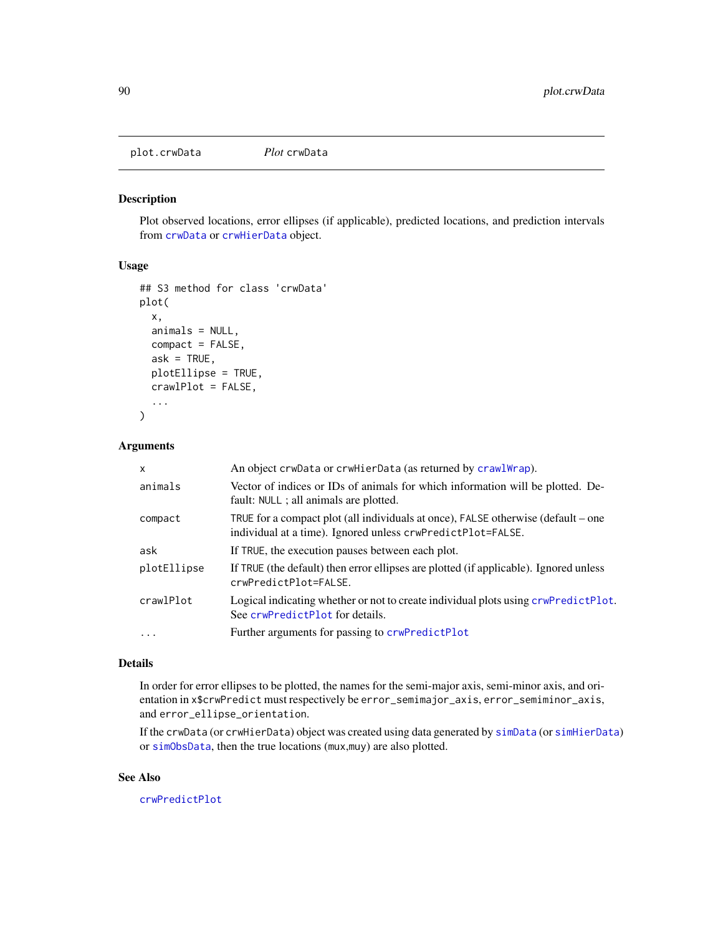plot.crwData *Plot* crwData

#### Description

Plot observed locations, error ellipses (if applicable), predicted locations, and prediction intervals from [crwData](#page-19-0) or [crwHierData](#page-19-1) object.

#### Usage

```
## S3 method for class 'crwData'
plot(
  x,
  animals = NULL,
  compact = FALSE,
  ask = TRUE,
  plotEllipse = TRUE,
  crawlPlot = FALSE,
  ...
\mathcal{L}
```
# Arguments

| X           | An object crwData or crwHierData (as returned by craw1Wrap).                                                                                     |
|-------------|--------------------------------------------------------------------------------------------------------------------------------------------------|
| animals     | Vector of indices or IDs of animals for which information will be plotted. De-<br>fault: NULL ; all animals are plotted.                         |
| compact     | TRUE for a compact plot (all individuals at once), FALSE otherwise (default – one<br>individual at a time). Ignored unless crwPredictPlot=FALSE. |
| ask         | If TRUE, the execution pauses between each plot.                                                                                                 |
| plotEllipse | If TRUE (the default) then error ellipses are plotted (if applicable). Ignored unless<br>crwPredictPlot=FALSE.                                   |
| crawlPlot   | Logical indicating whether or not to create individual plots using crwPredictPlot.<br>See crwPredictPlot for details.                            |
| $\ddots$ .  | Further arguments for passing to crwPredictPlot                                                                                                  |
|             |                                                                                                                                                  |

#### Details

In order for error ellipses to be plotted, the names for the semi-major axis, semi-minor axis, and orientation in x\$crwPredict must respectively be error\_semimajor\_axis, error\_semiminor\_axis, and error\_ellipse\_orientation.

If the crwData (or crwHierData) object was created using data generated by [simData](#page-114-0) (or [simHierData](#page-114-1)) or [simObsData](#page-126-0), then the true locations (mux,muy) are also plotted.

# See Also

[crwPredictPlot](#page-0-0)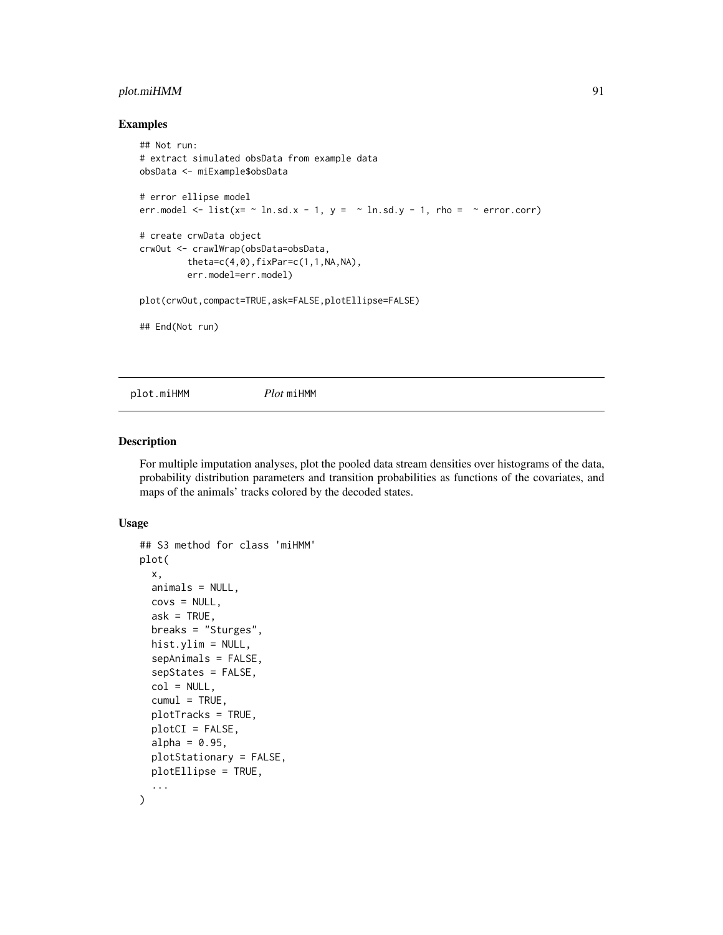# plot.miHMM 91

#### Examples

```
## Not run:
# extract simulated obsData from example data
obsData <- miExample$obsData
# error ellipse model
err.model \le list(x= \sim ln.sd.x - 1, y = \sim ln.sd.y - 1, rho = \sim error.corr)
# create crwData object
crwOut <- crawlWrap(obsData=obsData,
         theta=c(4,0),fixPar=c(1,1,NA,NA),
         err.model=err.model)
plot(crwOut,compact=TRUE,ask=FALSE,plotEllipse=FALSE)
## End(Not run)
```
plot.miHMM *Plot* miHMM

# Description

For multiple imputation analyses, plot the pooled data stream densities over histograms of the data, probability distribution parameters and transition probabilities as functions of the covariates, and maps of the animals' tracks colored by the decoded states.

```
## S3 method for class 'miHMM'
plot(
  x,
  animals = NULL,
  covs = NULL,ask = TRUE,breaks = "Sturges",
  hist.ylim = NULL,
  sepAnimals = FALSE,
  sepStates = FALSE,
  col = NULL,cumul = TRUE,plotTracks = TRUE,
 plotCI = FALSE,
  alpha = 0.95,
  plotStationary = FALSE,
 plotEllipse = TRUE,
  ...
)
```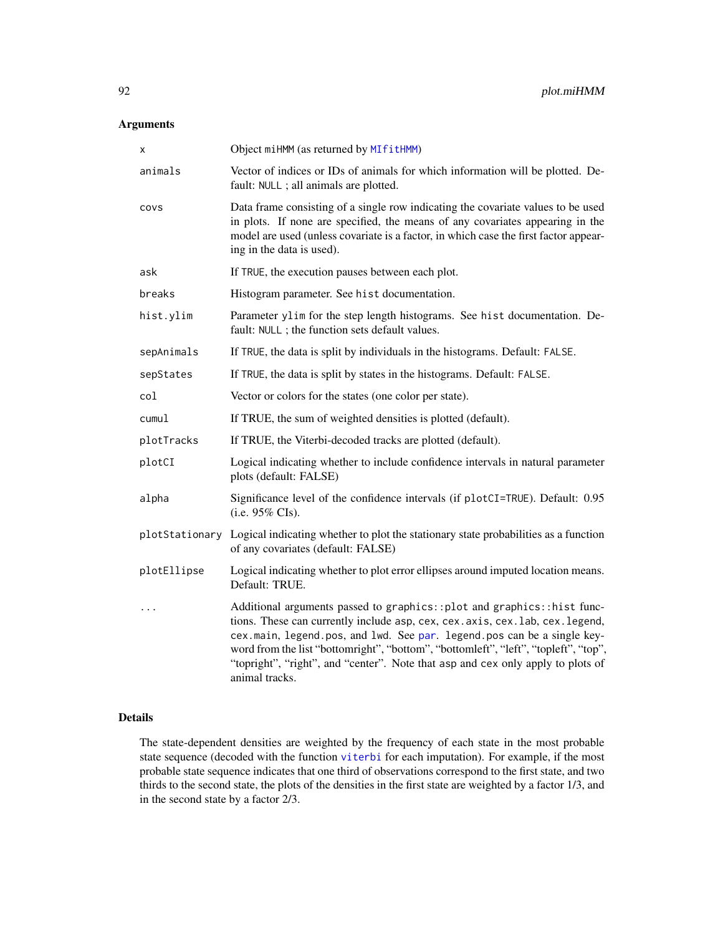# Arguments

| Χ           | Object miHMM (as returned by MIfitHMM)                                                                                                                                                                                                                                                                                                                                                                                            |
|-------------|-----------------------------------------------------------------------------------------------------------------------------------------------------------------------------------------------------------------------------------------------------------------------------------------------------------------------------------------------------------------------------------------------------------------------------------|
| animals     | Vector of indices or IDs of animals for which information will be plotted. De-<br>fault: NULL ; all animals are plotted.                                                                                                                                                                                                                                                                                                          |
| covs        | Data frame consisting of a single row indicating the covariate values to be used<br>in plots. If none are specified, the means of any covariates appearing in the<br>model are used (unless covariate is a factor, in which case the first factor appear-<br>ing in the data is used).                                                                                                                                            |
| ask         | If TRUE, the execution pauses between each plot.                                                                                                                                                                                                                                                                                                                                                                                  |
| breaks      | Histogram parameter. See hist documentation.                                                                                                                                                                                                                                                                                                                                                                                      |
| hist.ylim   | Parameter ylim for the step length histograms. See hist documentation. De-<br>fault: NULL ; the function sets default values.                                                                                                                                                                                                                                                                                                     |
| sepAnimals  | If TRUE, the data is split by individuals in the histograms. Default: FALSE.                                                                                                                                                                                                                                                                                                                                                      |
| sepStates   | If TRUE, the data is split by states in the histograms. Default: FALSE.                                                                                                                                                                                                                                                                                                                                                           |
| col         | Vector or colors for the states (one color per state).                                                                                                                                                                                                                                                                                                                                                                            |
| cumul       | If TRUE, the sum of weighted densities is plotted (default).                                                                                                                                                                                                                                                                                                                                                                      |
| plotTracks  | If TRUE, the Viterbi-decoded tracks are plotted (default).                                                                                                                                                                                                                                                                                                                                                                        |
| plotCI      | Logical indicating whether to include confidence intervals in natural parameter<br>plots (default: FALSE)                                                                                                                                                                                                                                                                                                                         |
| alpha       | Significance level of the confidence intervals (if plotCI=TRUE). Default: 0.95<br>(i.e. $95\%$ CIs).                                                                                                                                                                                                                                                                                                                              |
|             | plotStationary Logical indicating whether to plot the stationary state probabilities as a function<br>of any covariates (default: FALSE)                                                                                                                                                                                                                                                                                          |
| plotEllipse | Logical indicating whether to plot error ellipses around imputed location means.<br>Default: TRUE.                                                                                                                                                                                                                                                                                                                                |
| $\ddotsc$   | Additional arguments passed to graphics:: plot and graphics:: hist func-<br>tions. These can currently include asp, cex, cex. axis, cex. lab, cex. legend,<br>cex.main, legend.pos, and lwd. See par. legend.pos can be a single key-<br>word from the list "bottomright", "bottom", "bottomleft", "left", "topleft", "top",<br>"topright", "right", and "center". Note that asp and cex only apply to plots of<br>animal tracks. |

# Details

The state-dependent densities are weighted by the frequency of each state in the most probable state sequence (decoded with the function [viterbi](#page-134-0) for each imputation). For example, if the most probable state sequence indicates that one third of observations correspond to the first state, and two thirds to the second state, the plots of the densities in the first state are weighted by a factor 1/3, and in the second state by a factor 2/3.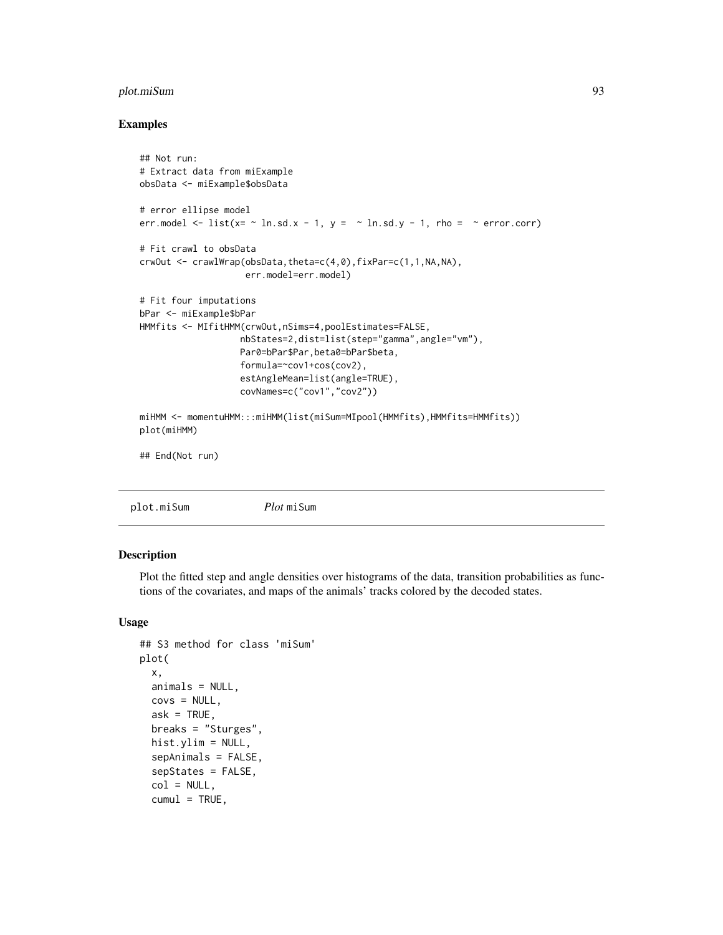# plot.miSum 93

# Examples

```
## Not run:
# Extract data from miExample
obsData <- miExample$obsData
# error ellipse model
err.model \le list(x= \sim ln.sd.x - 1, y = \sim ln.sd.y - 1, rho = \sim error.corr)
# Fit crawl to obsData
crwOut <- crawlWrap(obsData,theta=c(4,0),fixPar=c(1,1,NA,NA),
                    err.model=err.model)
# Fit four imputations
bPar <- miExample$bPar
HMMfits <- MIfitHMM(crwOut,nSims=4,poolEstimates=FALSE,
                   nbStates=2,dist=list(step="gamma",angle="vm"),
                   Par0=bPar$Par,beta0=bPar$beta,
                   formula=~cov1+cos(cov2),
                   estAngleMean=list(angle=TRUE),
                   covNames=c("cov1","cov2"))
miHMM <- momentuHMM:::miHMM(list(miSum=MIpool(HMMfits),HMMfits=HMMfits))
plot(miHMM)
## End(Not run)
```
plot.miSum *Plot* miSum

#### Description

Plot the fitted step and angle densities over histograms of the data, transition probabilities as functions of the covariates, and maps of the animals' tracks colored by the decoded states.

```
## S3 method for class 'miSum'
plot(
  x,
  animals = NULL,
  covs = NULL,ask = TRUE,breaks = "Sturges",
  hist.ylim = NULL,
  sepAnimals = FALSE,
  sepStates = FALSE,
  col = NULL,cumul = TRUE,
```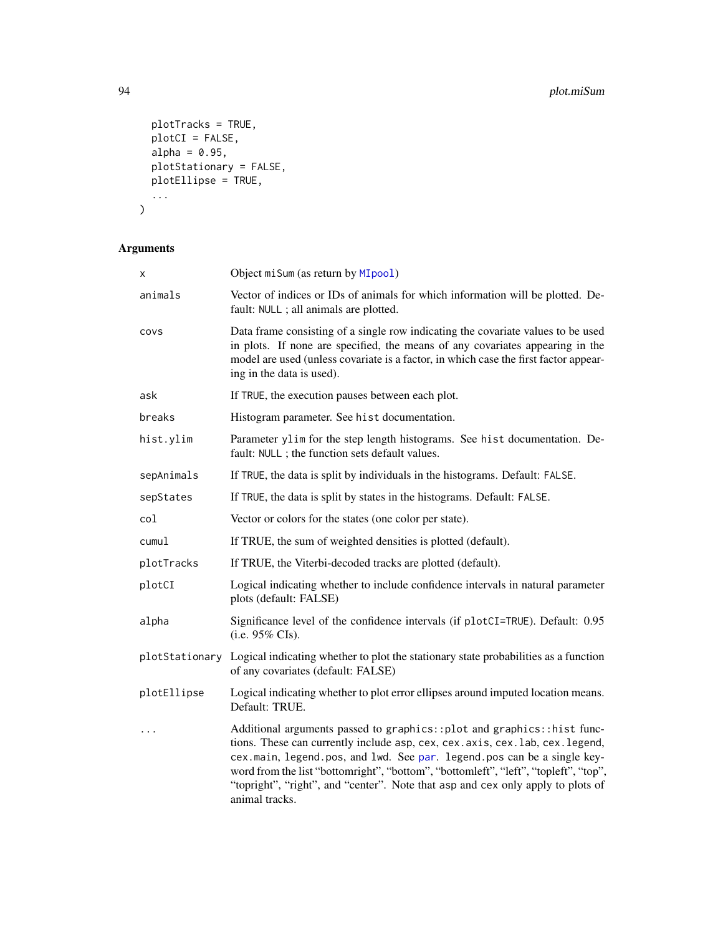```
plotTracks = TRUE,
 plotCI = FALSE,
 alpha = 0.95,
 plotStationary = FALSE,
 plotEllipse = TRUE,
  ...
\overline{)}
```

| Χ           | Object miSum (as return by MIpool)                                                                                                                                                                                                                                                                                                                                                                                              |
|-------------|---------------------------------------------------------------------------------------------------------------------------------------------------------------------------------------------------------------------------------------------------------------------------------------------------------------------------------------------------------------------------------------------------------------------------------|
| animals     | Vector of indices or IDs of animals for which information will be plotted. De-<br>fault: NULL ; all animals are plotted.                                                                                                                                                                                                                                                                                                        |
| COVS        | Data frame consisting of a single row indicating the covariate values to be used<br>in plots. If none are specified, the means of any covariates appearing in the<br>model are used (unless covariate is a factor, in which case the first factor appear-<br>ing in the data is used).                                                                                                                                          |
| ask         | If TRUE, the execution pauses between each plot.                                                                                                                                                                                                                                                                                                                                                                                |
| breaks      | Histogram parameter. See hist documentation.                                                                                                                                                                                                                                                                                                                                                                                    |
| hist.ylim   | Parameter ylim for the step length histograms. See hist documentation. De-<br>fault: NULL ; the function sets default values.                                                                                                                                                                                                                                                                                                   |
| sepAnimals  | If TRUE, the data is split by individuals in the histograms. Default: FALSE.                                                                                                                                                                                                                                                                                                                                                    |
| sepStates   | If TRUE, the data is split by states in the histograms. Default: FALSE.                                                                                                                                                                                                                                                                                                                                                         |
| col         | Vector or colors for the states (one color per state).                                                                                                                                                                                                                                                                                                                                                                          |
| cumul       | If TRUE, the sum of weighted densities is plotted (default).                                                                                                                                                                                                                                                                                                                                                                    |
| plotTracks  | If TRUE, the Viterbi-decoded tracks are plotted (default).                                                                                                                                                                                                                                                                                                                                                                      |
| plotCI      | Logical indicating whether to include confidence intervals in natural parameter<br>plots (default: FALSE)                                                                                                                                                                                                                                                                                                                       |
| alpha       | Significance level of the confidence intervals (if plotCI=TRUE). Default: 0.95<br>(i.e. $95\%$ CIs).                                                                                                                                                                                                                                                                                                                            |
|             | plotStationary Logical indicating whether to plot the stationary state probabilities as a function<br>of any covariates (default: FALSE)                                                                                                                                                                                                                                                                                        |
| plotEllipse | Logical indicating whether to plot error ellipses around imputed location means.<br>Default: TRUE.                                                                                                                                                                                                                                                                                                                              |
| .           | Additional arguments passed to graphics::plot and graphics::hist func-<br>tions. These can currently include asp, cex, cex. axis, cex. lab, cex. legend,<br>cex.main, legend.pos, and lwd. See par. legend.pos can be a single key-<br>word from the list "bottomright", "bottom", "bottomleft", "left", "topleft", "top",<br>"topright", "right", and "center". Note that asp and cex only apply to plots of<br>animal tracks. |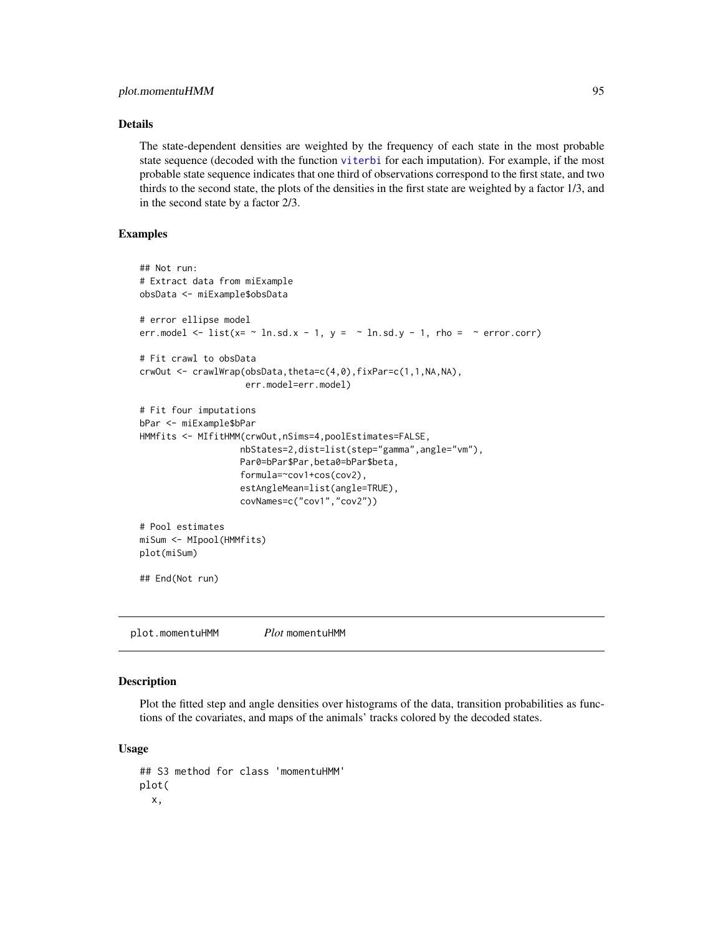# Details

The state-dependent densities are weighted by the frequency of each state in the most probable state sequence (decoded with the function [viterbi](#page-134-0) for each imputation). For example, if the most probable state sequence indicates that one third of observations correspond to the first state, and two thirds to the second state, the plots of the densities in the first state are weighted by a factor 1/3, and in the second state by a factor 2/3.

# Examples

```
## Not run:
# Extract data from miExample
obsData <- miExample$obsData
# error ellipse model
err.model \le list(x= \sim ln.sd.x - 1, y = \sim ln.sd.y - 1, rho = \sim error.corr)
# Fit crawl to obsData
crwOut <- crawlWrap(obsData,theta=c(4,0),fixPar=c(1,1,NA,NA),
                    err.model=err.model)
# Fit four imputations
bPar <- miExample$bPar
HMMfits <- MIfitHMM(crwOut,nSims=4,poolEstimates=FALSE,
                   nbStates=2,dist=list(step="gamma",angle="vm"),
                   Par0=bPar$Par,beta0=bPar$beta,
                   formula=~cov1+cos(cov2),
                   estAngleMean=list(angle=TRUE),
                   covNames=c("cov1","cov2"))
# Pool estimates
miSum <- MIpool(HMMfits)
plot(miSum)
## End(Not run)
```
plot.momentuHMM *Plot* momentuHMM

# Description

Plot the fitted step and angle densities over histograms of the data, transition probabilities as functions of the covariates, and maps of the animals' tracks colored by the decoded states.

```
## S3 method for class 'momentuHMM'
plot(
  x,
```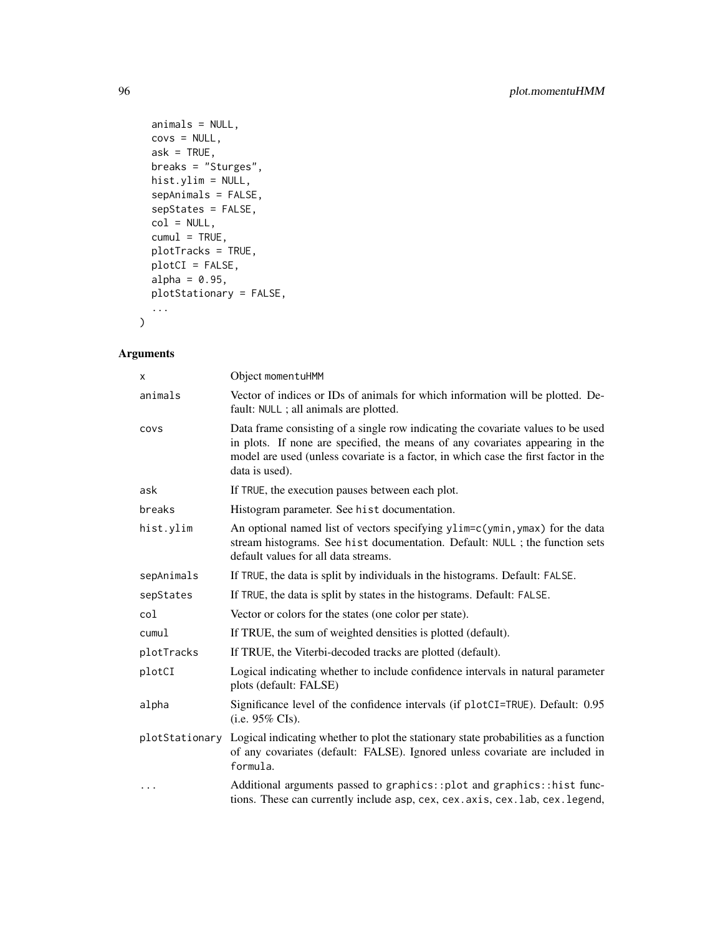```
animals = NULL,
 covs = NULL,ask = TRUE,breaks = "Sturges",
 hist.ylim = NULL,
  sepAnimals = FALSE,
  sepStates = FALSE,
 col = NULL,cumul = TRUE,plotTracks = TRUE,
 plotCI = FALSE,
 alpha = 0.95,
 plotStationary = FALSE,
  ...
\mathcal{L}
```

| X          | Object momentuHMM                                                                                                                                                                                                                                                          |
|------------|----------------------------------------------------------------------------------------------------------------------------------------------------------------------------------------------------------------------------------------------------------------------------|
| animals    | Vector of indices or IDs of animals for which information will be plotted. De-<br>fault: NULL ; all animals are plotted.                                                                                                                                                   |
| COVS       | Data frame consisting of a single row indicating the covariate values to be used<br>in plots. If none are specified, the means of any covariates appearing in the<br>model are used (unless covariate is a factor, in which case the first factor in the<br>data is used). |
| ask        | If TRUE, the execution pauses between each plot.                                                                                                                                                                                                                           |
| breaks     | Histogram parameter. See hist documentation.                                                                                                                                                                                                                               |
| hist.ylim  | An optional named list of vectors specifying ylim=c(ymin, ymax) for the data<br>stream histograms. See hist documentation. Default: NULL ; the function sets<br>default values for all data streams.                                                                       |
| sepAnimals | If TRUE, the data is split by individuals in the histograms. Default: FALSE.                                                                                                                                                                                               |
| sepStates  | If TRUE, the data is split by states in the histograms. Default: FALSE.                                                                                                                                                                                                    |
| col        | Vector or colors for the states (one color per state).                                                                                                                                                                                                                     |
| cumul      | If TRUE, the sum of weighted densities is plotted (default).                                                                                                                                                                                                               |
| plotTracks | If TRUE, the Viterbi-decoded tracks are plotted (default).                                                                                                                                                                                                                 |
| plotCI     | Logical indicating whether to include confidence intervals in natural parameter<br>plots (default: FALSE)                                                                                                                                                                  |
| alpha      | Significance level of the confidence intervals (if plotCI=TRUE). Default: 0.95<br>(i.e. $95\%$ CIs).                                                                                                                                                                       |
|            | plotStationary Logical indicating whether to plot the stationary state probabilities as a function<br>of any covariates (default: FALSE). Ignored unless covariate are included in<br>formula.                                                                             |
| $\cdots$   | Additional arguments passed to graphics::plot and graphics::hist func-<br>tions. These can currently include asp, cex, cex. axis, cex. lab, cex. legend,                                                                                                                   |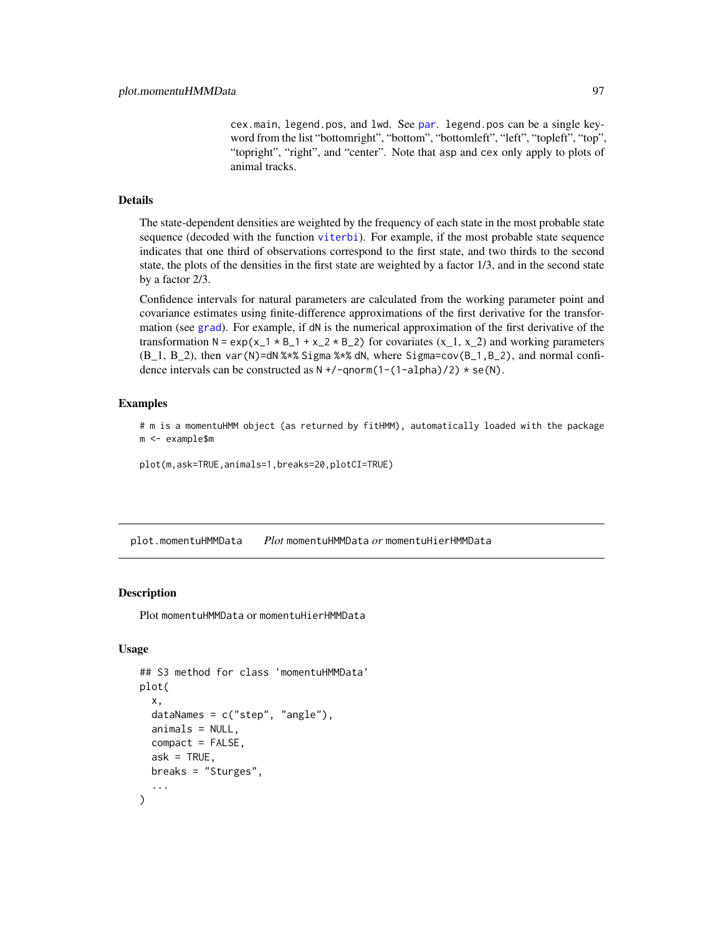cex.main, legend.pos, and lwd. See [par](#page-0-0). legend.pos can be a single keyword from the list "bottomright", "bottom", "bottomleft", "left", "topleft", "top", "topright", "right", and "center". Note that asp and cex only apply to plots of animal tracks.

#### Details

The state-dependent densities are weighted by the frequency of each state in the most probable state sequence (decoded with the function [viterbi](#page-134-0)). For example, if the most probable state sequence indicates that one third of observations correspond to the first state, and two thirds to the second state, the plots of the densities in the first state are weighted by a factor 1/3, and in the second state by a factor 2/3.

Confidence intervals for natural parameters are calculated from the working parameter point and covariance estimates using finite-difference approximations of the first derivative for the transformation (see [grad](#page-0-0)). For example, if dN is the numerical approximation of the first derivative of the transformation N =  $\exp(x_1 + B_1 + x_2 + B_2)$  for covariates  $(x_1, x_2)$  and working parameters  $(B_1, B_2)$ , then var $(N)$ =dN % $*$ % Sigma % $*$ % dN, where Sigma=cov( $B_1, B_2$ ), and normal confidence intervals can be constructed as  $N + / -$ qnorm(1-(1-alpha)/2)  $*$  se(N).

# Examples

# m is a momentuHMM object (as returned by fitHMM), automatically loaded with the package m <- example\$m

plot(m,ask=TRUE,animals=1,breaks=20,plotCI=TRUE)

plot.momentuHMMData *Plot* momentuHMMData *or* momentuHierHMMData

#### **Description**

Plot momentuHMMData or momentuHierHMMData

```
## S3 method for class 'momentuHMMData'
plot(
  x,
  dataNames = c("step", "angle"),
  animals = NULL,
  compact = FALSE,
  ask = TRUE,
 breaks = "Sturges",
  ...
)
```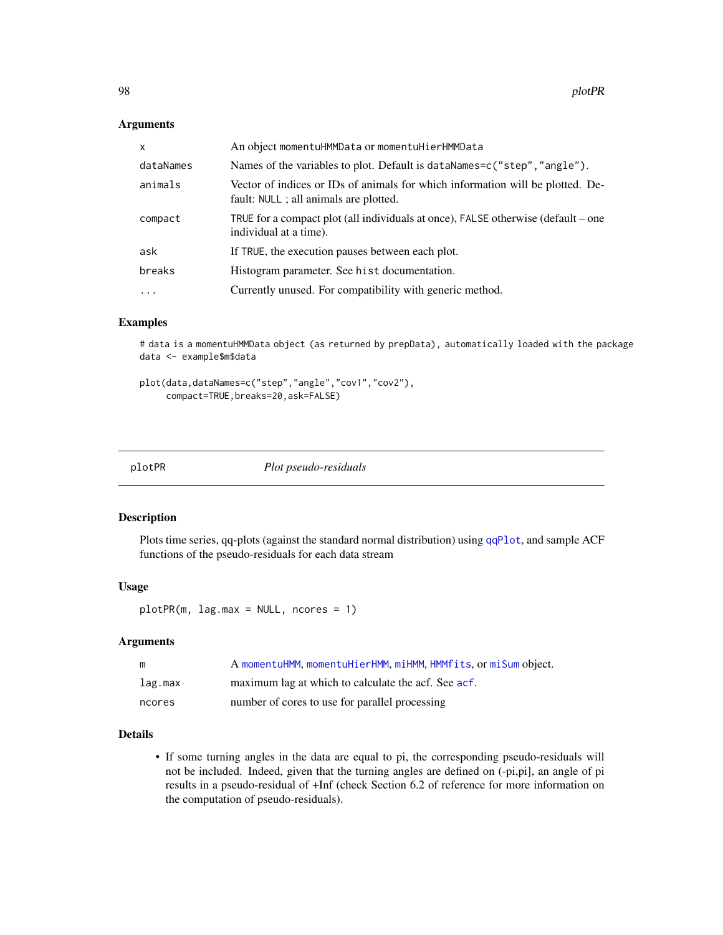# Arguments

| x         | An object momentuHMMData or momentuHierHMMData                                                                           |
|-----------|--------------------------------------------------------------------------------------------------------------------------|
| dataNames | Names of the variables to plot. Default is dataNames=c("step", "angle").                                                 |
| animals   | Vector of indices or IDs of animals for which information will be plotted. De-<br>fault: NULL ; all animals are plotted. |
| compact   | TRUE for a compact plot (all individuals at once), FALSE otherwise (default – one<br>individual at a time).              |
| ask       | If TRUE, the execution pauses between each plot.                                                                         |
| breaks    | Histogram parameter. See hist documentation.                                                                             |
| $\cdots$  | Currently unused. For compatibility with generic method.                                                                 |

# Examples

# data is a momentuHMMData object (as returned by prepData), automatically loaded with the package data <- example\$m\$data

```
plot(data,dataNames=c("step","angle","cov1","cov2"),
     compact=TRUE,breaks=20,ask=FALSE)
```
plotPR *Plot pseudo-residuals*

#### Description

Plots time series, qq-plots (against the standard normal distribution) using [qqPlot](#page-0-0), and sample ACF functions of the pseudo-residuals for each data stream

# Usage

plotPR(m, lag.max = NULL, ncores = 1)

# Arguments

| m       | A momentuHMM, momentuHierHMM, miHMM, HMMfits, or miSum object. |
|---------|----------------------------------------------------------------|
| lag.max | maximum lag at which to calculate the acf. See acf.            |
| ncores  | number of cores to use for parallel processing                 |

# Details

• If some turning angles in the data are equal to pi, the corresponding pseudo-residuals will not be included. Indeed, given that the turning angles are defined on (-pi,pi], an angle of pi results in a pseudo-residual of +Inf (check Section 6.2 of reference for more information on the computation of pseudo-residuals).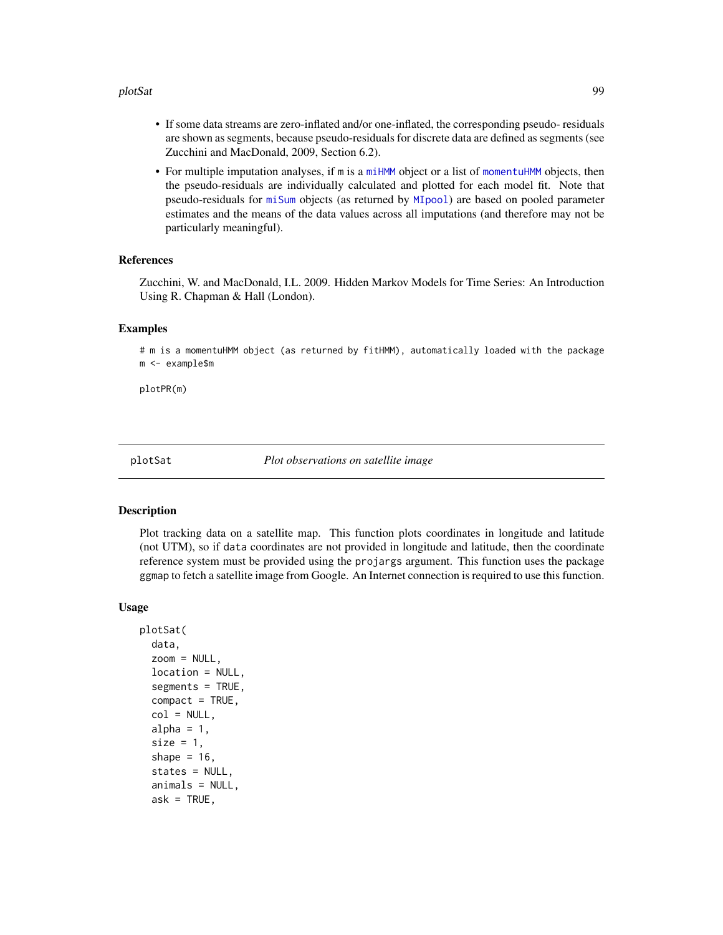#### plotSat 99

- If some data streams are zero-inflated and/or one-inflated, the corresponding pseudo- residuals are shown as segments, because pseudo-residuals for discrete data are defined as segments (see Zucchini and MacDonald, 2009, Section 6.2).
- For multiple imputation analyses, if m is a [miHMM](#page-75-0) object or a list of [momentuHMM](#page-81-1) objects, then the pseudo-residuals are individually calculated and plotted for each model fit. Note that pseudo-residuals for [miSum](#page-78-0) objects (as returned by [MIpool](#page-76-0)) are based on pooled parameter estimates and the means of the data values across all imputations (and therefore may not be particularly meaningful).

# References

Zucchini, W. and MacDonald, I.L. 2009. Hidden Markov Models for Time Series: An Introduction Using R. Chapman & Hall (London).

#### Examples

# m is a momentuHMM object (as returned by fitHMM), automatically loaded with the package m <- example\$m

plotPR(m)

plotSat *Plot observations on satellite image*

#### **Description**

Plot tracking data on a satellite map. This function plots coordinates in longitude and latitude (not UTM), so if data coordinates are not provided in longitude and latitude, then the coordinate reference system must be provided using the projargs argument. This function uses the package ggmap to fetch a satellite image from Google. An Internet connection is required to use this function.

```
plotSat(
  data,
  zoom = NULL,
  location = NULL,
  segments = TRUE,compact = TRUE,col = NULL,alpha = 1,
  size = 1,
  shape = 16,
  states = NULL,
  animals = NULL,
  ask = TRUE,
```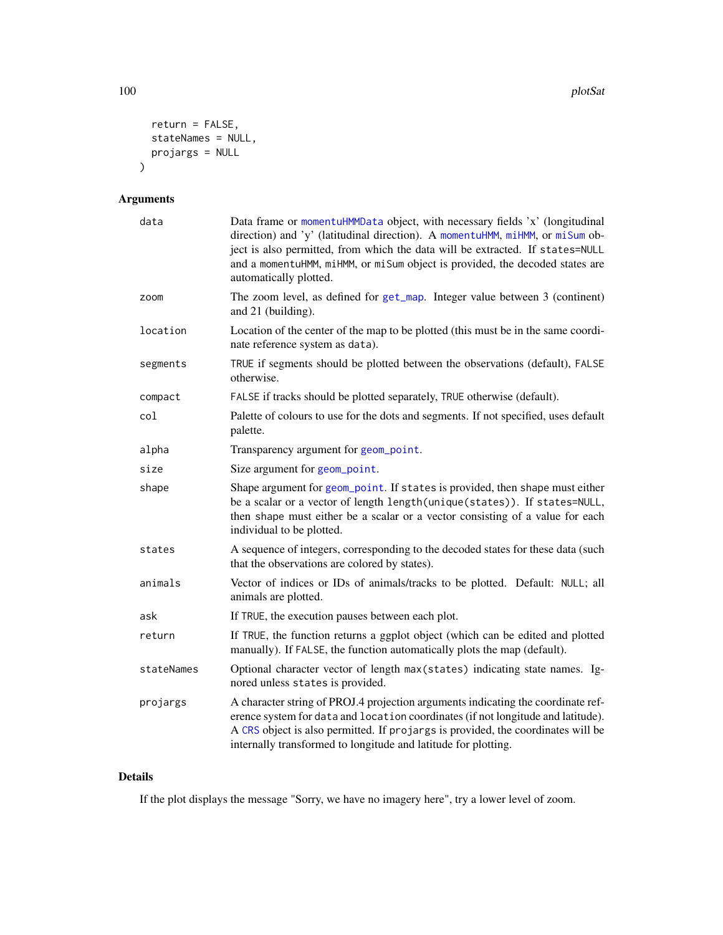```
return = FALSE,
  stateNames = NULL,
  projargs = NULL
\mathcal{L}
```
# Arguments

| data       | Data frame or momentuHMMData object, with necessary fields 'x' (longitudinal<br>direction) and 'y' (latitudinal direction). A momentuHMM, miHMM, or miSum ob-<br>ject is also permitted, from which the data will be extracted. If states=NULL<br>and a momentuHMM, miHMM, or miSum object is provided, the decoded states are<br>automatically plotted. |
|------------|----------------------------------------------------------------------------------------------------------------------------------------------------------------------------------------------------------------------------------------------------------------------------------------------------------------------------------------------------------|
| zoom       | The zoom level, as defined for get_map. Integer value between 3 (continent)<br>and 21 (building).                                                                                                                                                                                                                                                        |
| location   | Location of the center of the map to be plotted (this must be in the same coordi-<br>nate reference system as data).                                                                                                                                                                                                                                     |
| segments   | TRUE if segments should be plotted between the observations (default), FALSE<br>otherwise.                                                                                                                                                                                                                                                               |
| compact    | FALSE if tracks should be plotted separately, TRUE otherwise (default).                                                                                                                                                                                                                                                                                  |
| col        | Palette of colours to use for the dots and segments. If not specified, uses default<br>palette.                                                                                                                                                                                                                                                          |
| alpha      | Transparency argument for geom_point.                                                                                                                                                                                                                                                                                                                    |
| size       | Size argument for geom_point.                                                                                                                                                                                                                                                                                                                            |
| shape      | Shape argument for geom_point. If states is provided, then shape must either<br>be a scalar or a vector of length length(unique(states)). If states=NULL,<br>then shape must either be a scalar or a vector consisting of a value for each<br>individual to be plotted.                                                                                  |
| states     | A sequence of integers, corresponding to the decoded states for these data (such<br>that the observations are colored by states).                                                                                                                                                                                                                        |
| animals    | Vector of indices or IDs of animals/tracks to be plotted. Default: NULL; all<br>animals are plotted.                                                                                                                                                                                                                                                     |
| ask        | If TRUE, the execution pauses between each plot.                                                                                                                                                                                                                                                                                                         |
| return     | If TRUE, the function returns a ggplot object (which can be edited and plotted<br>manually). If FALSE, the function automatically plots the map (default).                                                                                                                                                                                               |
| stateNames | Optional character vector of length max (states) indicating state names. Ig-<br>nored unless states is provided.                                                                                                                                                                                                                                         |
| projargs   | A character string of PROJ.4 projection arguments indicating the coordinate ref-<br>erence system for data and location coordinates (if not longitude and latitude).<br>A CRS object is also permitted. If projargs is provided, the coordinates will be<br>internally transformed to longitude and latitude for plotting.                               |

# Details

If the plot displays the message "Sorry, we have no imagery here", try a lower level of zoom.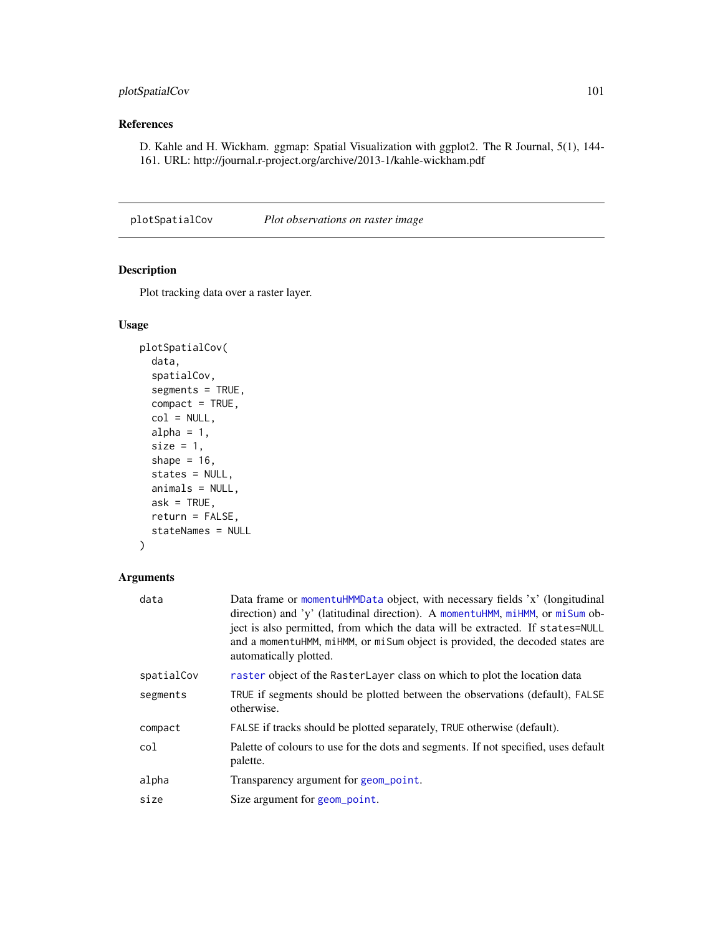# plotSpatialCov 101

# References

D. Kahle and H. Wickham. ggmap: Spatial Visualization with ggplot2. The R Journal, 5(1), 144- 161. URL: http://journal.r-project.org/archive/2013-1/kahle-wickham.pdf

plotSpatialCov *Plot observations on raster image*

# Description

Plot tracking data over a raster layer.

# Usage

```
plotSpatialCov(
  data,
  spatialCov,
  segments = TRUE,
  compact = TRUE,col = NULL,alpha = 1,
  size = 1,
  shape = 16,
  states = NULL,
  animals = NULL,
 ask = TRUE,return = FALSE,stateNames = NULL
)
```

| data       | Data frame or momentuHMMData object, with necessary fields 'x' (longitudinal<br>direction) and 'y' (latitudinal direction). A momentuHMM, miHMM, or miSum ob-<br>ject is also permitted, from which the data will be extracted. If states=NULL<br>and a momentuHMM, miHMM, or misum object is provided, the decoded states are<br>automatically plotted. |
|------------|----------------------------------------------------------------------------------------------------------------------------------------------------------------------------------------------------------------------------------------------------------------------------------------------------------------------------------------------------------|
| spatialCov | raster object of the RasterLayer class on which to plot the location data                                                                                                                                                                                                                                                                                |
| segments   | TRUE if segments should be plotted between the observations (default), FALSE<br>otherwise.                                                                                                                                                                                                                                                               |
| compact    | FALSE if tracks should be plotted separately, TRUE otherwise (default).                                                                                                                                                                                                                                                                                  |
| col        | Palette of colours to use for the dots and segments. If not specified, uses default<br>palette.                                                                                                                                                                                                                                                          |
| alpha      | Transparency argument for geom_point.                                                                                                                                                                                                                                                                                                                    |
| size       | Size argument for geom_point.                                                                                                                                                                                                                                                                                                                            |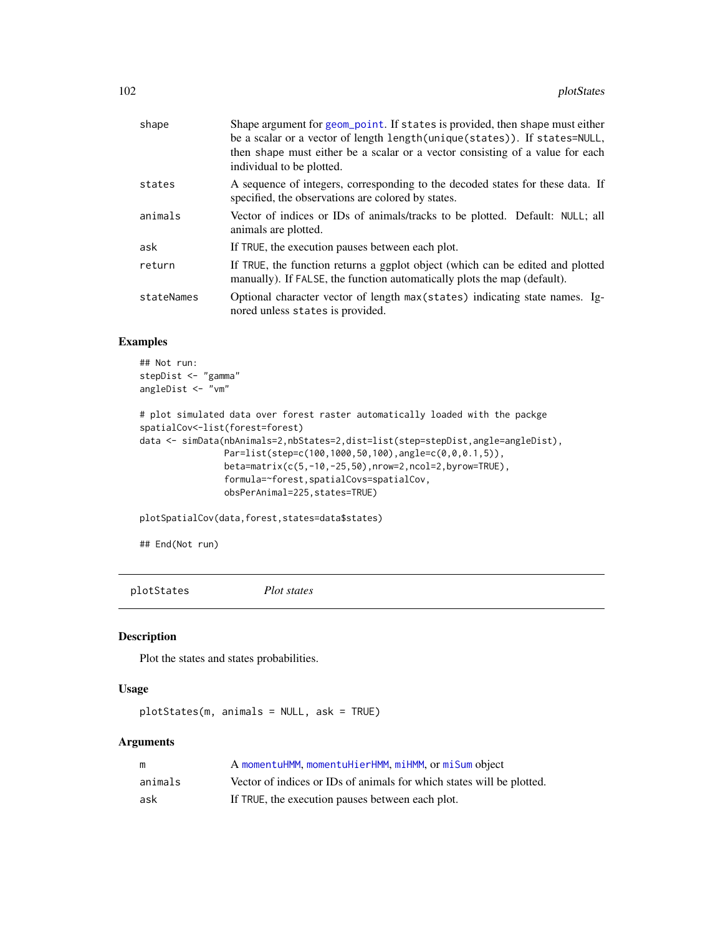| shape      | Shape argument for geom_point. If states is provided, then shape must either<br>be a scalar or a vector of length length (unique (states)). If states=NULL,<br>then shape must either be a scalar or a vector consisting of a value for each<br>individual to be plotted. |
|------------|---------------------------------------------------------------------------------------------------------------------------------------------------------------------------------------------------------------------------------------------------------------------------|
| states     | A sequence of integers, corresponding to the decoded states for these data. If<br>specified, the observations are colored by states.                                                                                                                                      |
| animals    | Vector of indices or IDs of animals/tracks to be plotted. Default: NULL; all<br>animals are plotted.                                                                                                                                                                      |
| ask        | If TRUE, the execution pauses between each plot.                                                                                                                                                                                                                          |
| return     | If TRUE, the function returns a ggplot object (which can be edited and plotted<br>manually). If FALSE, the function automatically plots the map (default).                                                                                                                |
| stateNames | Optional character vector of length max(states) indicating state names. Ig-<br>nored unless states is provided.                                                                                                                                                           |

# Examples

```
## Not run:
stepDist <- "gamma"
angleDist <- "vm"
```

```
# plot simulated data over forest raster automatically loaded with the packge
spatialCov<-list(forest=forest)
data <- simData(nbAnimals=2,nbStates=2,dist=list(step=stepDist,angle=angleDist),
                Par=list(step=c(100,1000,50,100),angle=c(0,0,0.1,5)),
                beta=matrix(c(5,-10,-25,50),nrow=2,ncol=2,byrow=TRUE),
                formula=~forest,spatialCovs=spatialCov,
                obsPerAnimal=225,states=TRUE)
```
plotSpatialCov(data,forest,states=data\$states)

## End(Not run)

```
plotStates Plot states
```
# Description

Plot the states and states probabilities.

# Usage

```
plotStates(m, animals = NULL, ask = TRUE)
```

| m       | A momentuHMM, momentuHierHMM, miHMM, or miSum object                  |
|---------|-----------------------------------------------------------------------|
| animals | Vector of indices or IDs of animals for which states will be plotted. |
| ask     | If TRUE, the execution pauses between each plot.                      |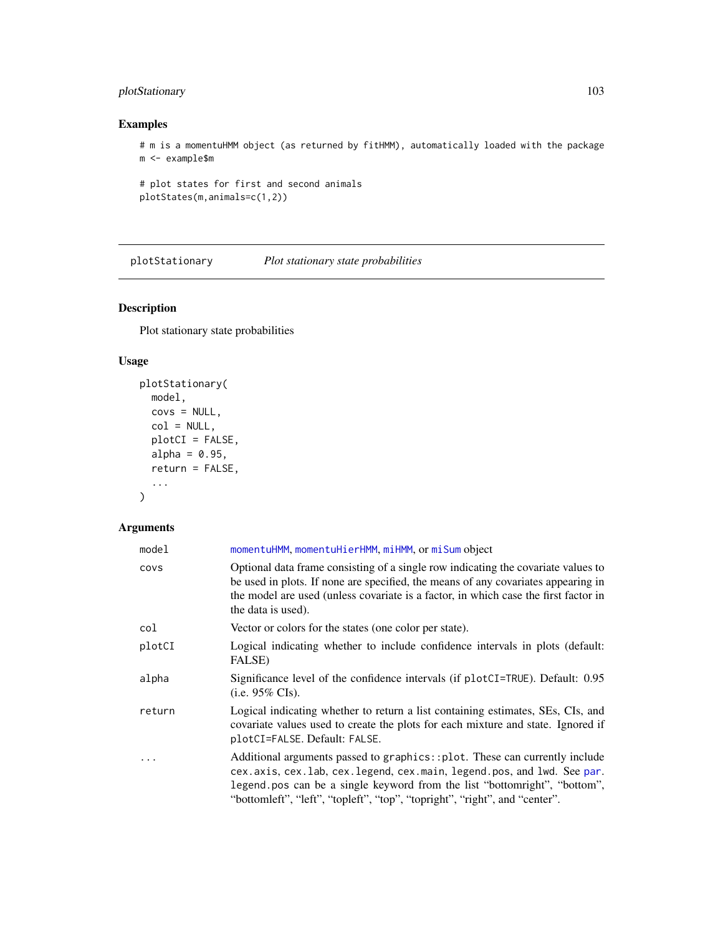# plotStationary 103

# Examples

# m is a momentuHMM object (as returned by fitHMM), automatically loaded with the package m <- example\$m

```
# plot states for first and second animals
plotStates(m,animals=c(1,2))
```
plotStationary *Plot stationary state probabilities*

# Description

Plot stationary state probabilities

# Usage

```
plotStationary(
  model,
  covs = NULL,col = NULL,plotCI = FALSE,
  alpha = 0.95,
  return = FALSE,
  ...
\mathcal{L}
```

| model  | momentuHMM, momentuHierHMM, miHMM, or miSum object                                                                                                                                                                                                                                                              |
|--------|-----------------------------------------------------------------------------------------------------------------------------------------------------------------------------------------------------------------------------------------------------------------------------------------------------------------|
| covs   | Optional data frame consisting of a single row indicating the covariate values to<br>be used in plots. If none are specified, the means of any covariates appearing in<br>the model are used (unless covariate is a factor, in which case the first factor in<br>the data is used).                             |
| col    | Vector or colors for the states (one color per state).                                                                                                                                                                                                                                                          |
| plotCI | Logical indicating whether to include confidence intervals in plots (default:<br><b>FALSE</b> )                                                                                                                                                                                                                 |
| alpha  | Significance level of the confidence intervals (if plotCI=TRUE). Default: 0.95<br>(i.e. $95\%$ CIs).                                                                                                                                                                                                            |
| return | Logical indicating whether to return a list containing estimates, SEs, CIs, and<br>covariate values used to create the plots for each mixture and state. Ignored if<br>plotCI=FALSE. Default: FALSE.                                                                                                            |
| .      | Additional arguments passed to graphics::plot. These can currently include<br>cex.axis, cex.lab, cex.legend, cex.main, legend.pos, and lwd. See par.<br>legend.pos can be a single keyword from the list "bottomright", "bottom",<br>"bottomleft", "left", "topleft", "top", "topright", "right", and "center". |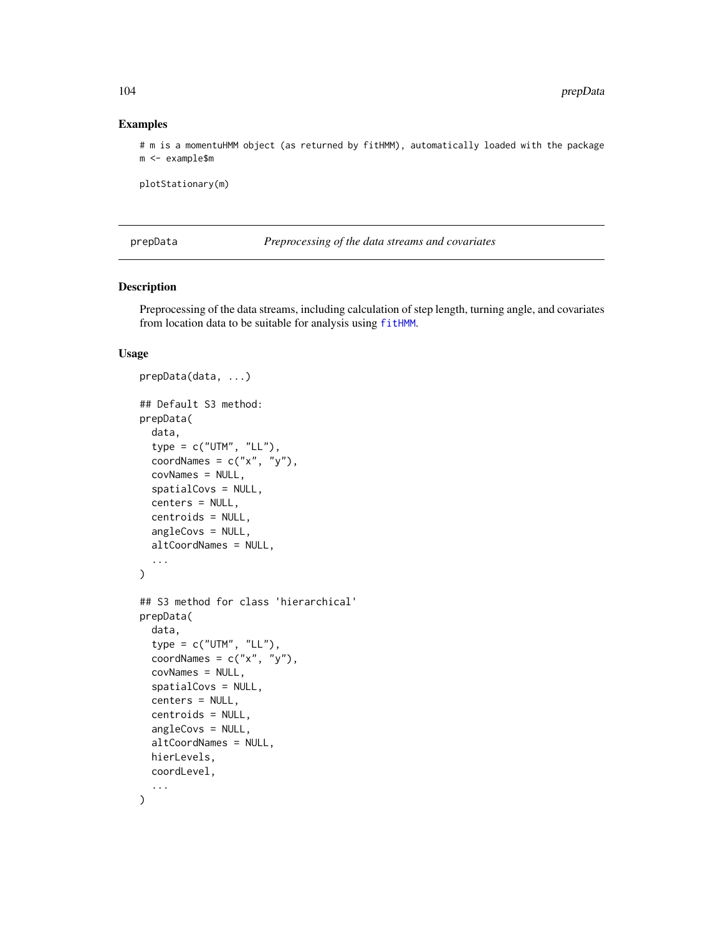#### Examples

# m is a momentuHMM object (as returned by fitHMM), automatically loaded with the package m <- example\$m

plotStationary(m)

<span id="page-103-0"></span>prepData *Preprocessing of the data streams and covariates*

#### Description

Preprocessing of the data streams, including calculation of step length, turning angle, and covariates from location data to be suitable for analysis using [fitHMM](#page-32-0).

```
prepData(data, ...)
## Default S3 method:
prepData(
  data,
  type = c("UTM", "LL"),
  coordNames = c("x", "y"),covNames = NULL,
  spatialCovs = NULL,
  centers = NULL,
  centroids = NULL,
  angleCovs = NULL,
  altCoordNames = NULL,
  ...
)
## S3 method for class 'hierarchical'
prepData(
  data,
  type = c("UTM", "LL"),
  coordNames = c("x", "y"),covNames = NULL,
  spatialCovs = NULL,
  centers = NULL,
  centroids = NULL,
  angleCovs = NULL,
  altCoordNames = NULL,
 hierLevels,
  coordLevel,
  ...
)
```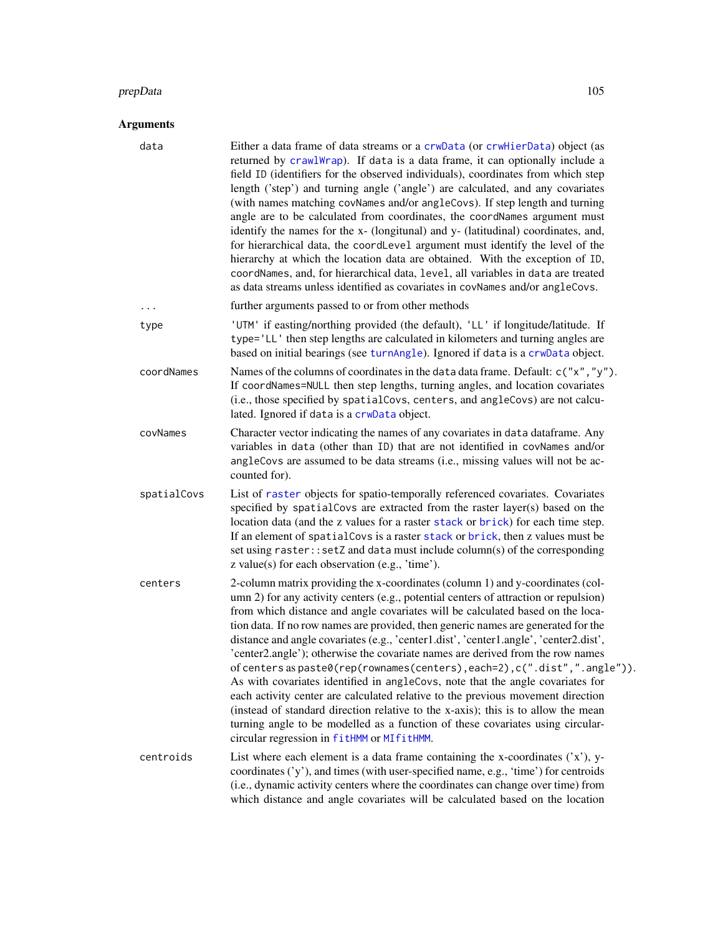#### prepData and the set of the set of the set of the set of the set of the set of the set of the set of the set of the set of the set of the set of the set of the set of the set of the set of the set of the set of the set of

| data        | Either a data frame of data streams or a crwData (or crwHierData) object (as<br>returned by crawlWrap). If data is a data frame, it can optionally include a<br>field ID (identifiers for the observed individuals), coordinates from which step<br>length ('step') and turning angle ('angle') are calculated, and any covariates<br>(with names matching covNames and/or angleCovs). If step length and turning<br>angle are to be calculated from coordinates, the coordNames argument must<br>identify the names for the x- (longitunal) and y- (latitudinal) coordinates, and,<br>for hierarchical data, the coordLevel argument must identify the level of the                                                                                                                                                                                                                                                                                                                             |  |
|-------------|--------------------------------------------------------------------------------------------------------------------------------------------------------------------------------------------------------------------------------------------------------------------------------------------------------------------------------------------------------------------------------------------------------------------------------------------------------------------------------------------------------------------------------------------------------------------------------------------------------------------------------------------------------------------------------------------------------------------------------------------------------------------------------------------------------------------------------------------------------------------------------------------------------------------------------------------------------------------------------------------------|--|
|             | hierarchy at which the location data are obtained. With the exception of ID,<br>coordNames, and, for hierarchical data, level, all variables in data are treated<br>as data streams unless identified as covariates in covNames and/or angleCovs.                                                                                                                                                                                                                                                                                                                                                                                                                                                                                                                                                                                                                                                                                                                                                |  |
| .           | further arguments passed to or from other methods                                                                                                                                                                                                                                                                                                                                                                                                                                                                                                                                                                                                                                                                                                                                                                                                                                                                                                                                                |  |
| type        | 'UTM' if easting/northing provided (the default), 'LL' if longitude/latitude. If<br>type='LL' then step lengths are calculated in kilometers and turning angles are<br>based on initial bearings (see turnAngle). Ignored if data is a crwData object.                                                                                                                                                                                                                                                                                                                                                                                                                                                                                                                                                                                                                                                                                                                                           |  |
| coordNames  | Names of the columns of coordinates in the data data frame. Default: c("x", "y").<br>If coordNames=NULL then step lengths, turning angles, and location covariates<br>(i.e., those specified by spatialCovs, centers, and angleCovs) are not calcu-<br>lated. Ignored if data is a crwData object.                                                                                                                                                                                                                                                                                                                                                                                                                                                                                                                                                                                                                                                                                               |  |
| covNames    | Character vector indicating the names of any covariates in data dataframe. Any<br>variables in data (other than ID) that are not identified in covNames and/or<br>angleCovs are assumed to be data streams (i.e., missing values will not be ac-<br>counted for).                                                                                                                                                                                                                                                                                                                                                                                                                                                                                                                                                                                                                                                                                                                                |  |
| spatialCovs | List of raster objects for spatio-temporally referenced covariates. Covariates<br>specified by spatialCovs are extracted from the raster layer(s) based on the<br>location data (and the z values for a raster stack or brick) for each time step.<br>If an element of spatial Covs is a raster stack or brick, then z values must be<br>set using raster:: setZ and data must include column(s) of the corresponding<br>z value(s) for each observation (e.g., 'time').                                                                                                                                                                                                                                                                                                                                                                                                                                                                                                                         |  |
| centers     | 2-column matrix providing the x-coordinates (column 1) and y-coordinates (col-<br>umn 2) for any activity centers (e.g., potential centers of attraction or repulsion)<br>from which distance and angle covariates will be calculated based on the loca-<br>tion data. If no row names are provided, then generic names are generated for the<br>distance and angle covariates (e.g., 'center1.dist', 'center1.angle', 'center2.dist',<br>'center2.angle'); otherwise the covariate names are derived from the row names<br>of centers as paste0(rep(rownames(centers), each=2), c(".dist",".angle")).<br>As with covariates identified in angleCovs, note that the angle covariates for<br>each activity center are calculated relative to the previous movement direction<br>(instead of standard direction relative to the x-axis); this is to allow the mean<br>turning angle to be modelled as a function of these covariates using circular-<br>circular regression in fitHMM or MIfitHMM. |  |
| centroids   | List where each element is a data frame containing the x-coordinates $('x'), y$ -<br>coordinates ('y'), and times (with user-specified name, e.g., 'time') for centroids<br>(i.e., dynamic activity centers where the coordinates can change over time) from<br>which distance and angle covariates will be calculated based on the location                                                                                                                                                                                                                                                                                                                                                                                                                                                                                                                                                                                                                                                     |  |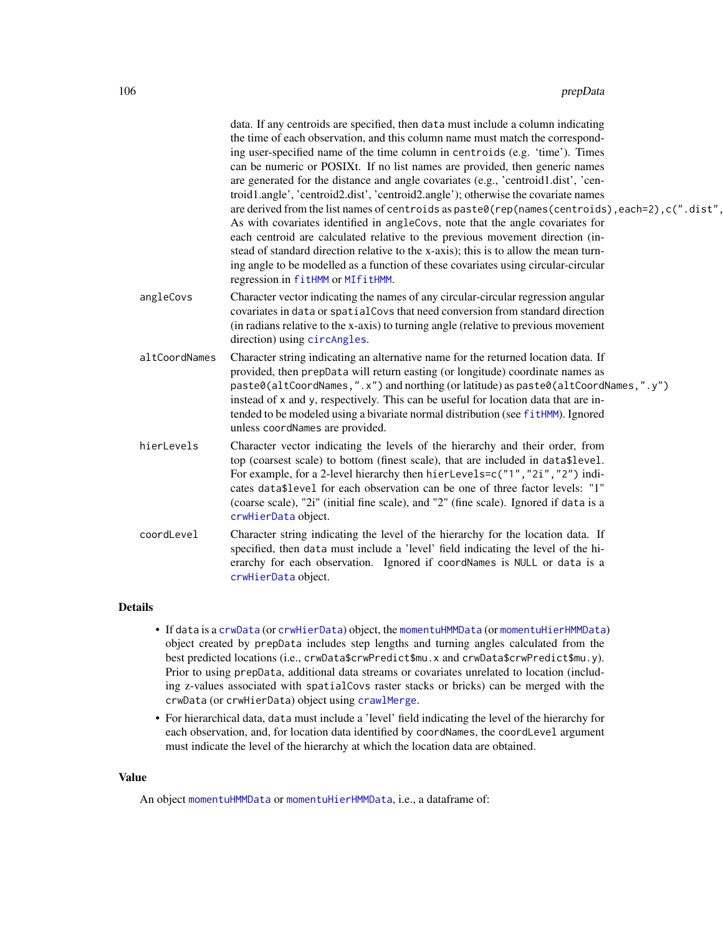| Character vector indicating the names of any circular-circular regression angular<br>angleCovs<br>covariates in data or spatial Covs that need conversion from standard direction<br>(in radians relative to the x-axis) to turning angle (relative to previous movement<br>direction) using circAngles.<br>altCoordNames<br>Character string indicating an alternative name for the returned location data. If<br>provided, then prepData will return easting (or longitude) coordinate names as<br>paste0(altCoordNames,".x") and northing (or latitude) as paste0(altCoordNames,".y")<br>instead of x and y, respectively. This can be useful for location data that are in-<br>tended to be modeled using a bivariate normal distribution (see fitHMM). Ignored<br>unless coordNames are provided.<br>hierLevels<br>Character vector indicating the levels of the hierarchy and their order, from<br>top (coarsest scale) to bottom (finest scale), that are included in data\$level.<br>For example, for a 2-level hierarchy then hierLevels=c("1","2i","2") indi-<br>cates data\$level for each observation can be one of three factor levels: "1"<br>(coarse scale), "2i" (initial fine scale), and "2" (fine scale). Ignored if data is a<br>crwHierData object.<br>coordLevel<br>Character string indicating the level of the hierarchy for the location data. If<br>specified, then data must include a 'level' field indicating the level of the hi-<br>erarchy for each observation. Ignored if coordNames is NULL or data is a<br>crwHierData object. | data. If any centroids are specified, then data must include a column indicating<br>the time of each observation, and this column name must match the correspond-<br>ing user-specified name of the time column in centroids (e.g. 'time'). Times<br>can be numeric or POSIXt. If no list names are provided, then generic names<br>are generated for the distance and angle covariates (e.g., 'centroid1.dist', 'cen-<br>troid1.angle', 'centroid2.dist', 'centroid2.angle'); otherwise the covariate names<br>are derived from the list names of centroids as paste0(rep(names(centroids), each=2), c(".dist",<br>As with covariates identified in angleCovs, note that the angle covariates for<br>each centroid are calculated relative to the previous movement direction (in-<br>stead of standard direction relative to the x-axis); this is to allow the mean turn-<br>ing angle to be modelled as a function of these covariates using circular-circular<br>regression in fitHMM or MIfitHMM. |
|--------------------------------------------------------------------------------------------------------------------------------------------------------------------------------------------------------------------------------------------------------------------------------------------------------------------------------------------------------------------------------------------------------------------------------------------------------------------------------------------------------------------------------------------------------------------------------------------------------------------------------------------------------------------------------------------------------------------------------------------------------------------------------------------------------------------------------------------------------------------------------------------------------------------------------------------------------------------------------------------------------------------------------------------------------------------------------------------------------------------------------------------------------------------------------------------------------------------------------------------------------------------------------------------------------------------------------------------------------------------------------------------------------------------------------------------------------------------------------------------------------------------------------------------------------------------|--------------------------------------------------------------------------------------------------------------------------------------------------------------------------------------------------------------------------------------------------------------------------------------------------------------------------------------------------------------------------------------------------------------------------------------------------------------------------------------------------------------------------------------------------------------------------------------------------------------------------------------------------------------------------------------------------------------------------------------------------------------------------------------------------------------------------------------------------------------------------------------------------------------------------------------------------------------------------------------------------------|
|                                                                                                                                                                                                                                                                                                                                                                                                                                                                                                                                                                                                                                                                                                                                                                                                                                                                                                                                                                                                                                                                                                                                                                                                                                                                                                                                                                                                                                                                                                                                                                    |                                                                                                                                                                                                                                                                                                                                                                                                                                                                                                                                                                                                                                                                                                                                                                                                                                                                                                                                                                                                        |
|                                                                                                                                                                                                                                                                                                                                                                                                                                                                                                                                                                                                                                                                                                                                                                                                                                                                                                                                                                                                                                                                                                                                                                                                                                                                                                                                                                                                                                                                                                                                                                    |                                                                                                                                                                                                                                                                                                                                                                                                                                                                                                                                                                                                                                                                                                                                                                                                                                                                                                                                                                                                        |
|                                                                                                                                                                                                                                                                                                                                                                                                                                                                                                                                                                                                                                                                                                                                                                                                                                                                                                                                                                                                                                                                                                                                                                                                                                                                                                                                                                                                                                                                                                                                                                    |                                                                                                                                                                                                                                                                                                                                                                                                                                                                                                                                                                                                                                                                                                                                                                                                                                                                                                                                                                                                        |
|                                                                                                                                                                                                                                                                                                                                                                                                                                                                                                                                                                                                                                                                                                                                                                                                                                                                                                                                                                                                                                                                                                                                                                                                                                                                                                                                                                                                                                                                                                                                                                    |                                                                                                                                                                                                                                                                                                                                                                                                                                                                                                                                                                                                                                                                                                                                                                                                                                                                                                                                                                                                        |

# Details

- If data is a [crwData](#page-19-0) (or [crwHierData](#page-19-1)) object, the [momentuHMMData](#page-81-0) (or [momentuHierHMMData](#page-80-0)) object created by prepData includes step lengths and turning angles calculated from the best predicted locations (i.e., crwData\$crwPredict\$mu.x and crwData\$crwPredict\$mu.y). Prior to using prepData, additional data streams or covariates unrelated to location (including z-values associated with spatialCovs raster stacks or bricks) can be merged with the crwData (or crwHierData) object using [crawlMerge](#page-14-0).
- For hierarchical data, data must include a 'level' field indicating the level of the hierarchy for each observation, and, for location data identified by coordNames, the coordLevel argument must indicate the level of the hierarchy at which the location data are obtained.

# Value

An object [momentuHMMData](#page-81-0) or [momentuHierHMMData](#page-80-0), i.e., a dataframe of: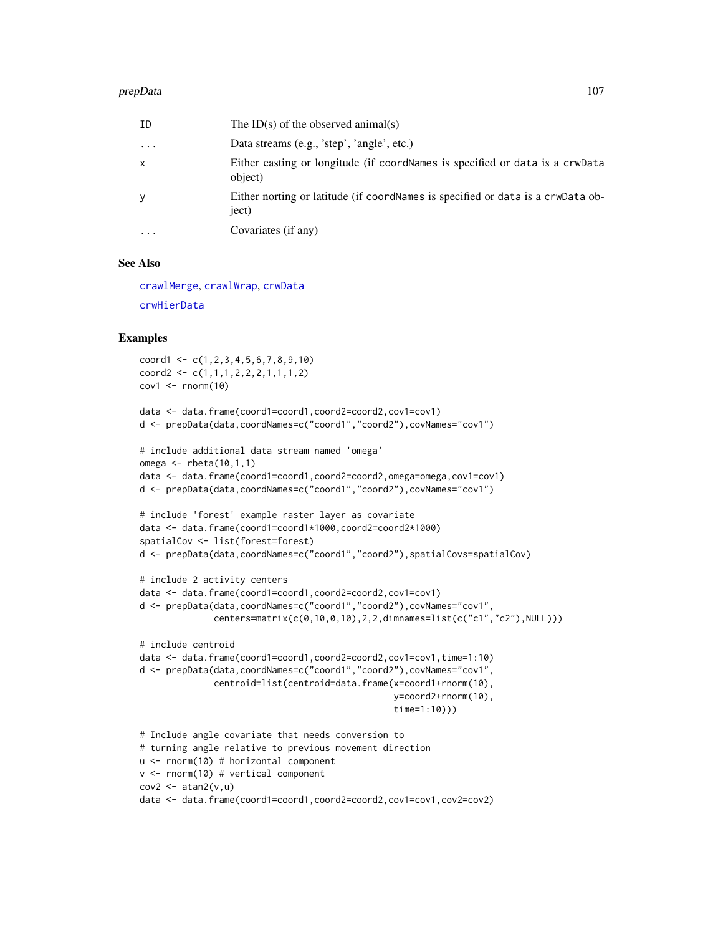#### prepData and the set of the set of the set of the set of the set of the set of the set of the set of the set of the set of the set of the set of the set of the set of the set of the set of the set of the set of the set of

| ID                | The ID(s) of the observed animal(s)                                                      |
|-------------------|------------------------------------------------------------------------------------------|
| $\ddotsc$         | Data streams (e.g., 'step', 'angle', etc.)                                               |
| X                 | Either easting or longitude (if coordNames is specified or data is a crwData<br>object)  |
| y                 | Either norting or latitude (if coordNames is specified or data is a crwData ob-<br>ject) |
| $\cdot\cdot\cdot$ | Covariates (if any)                                                                      |

#### See Also

[crawlMerge](#page-14-0), [crawlWrap](#page-15-0), [crwData](#page-19-0) [crwHierData](#page-19-1)

# Examples

```
coord1 \leq c(1, 2, 3, 4, 5, 6, 7, 8, 9, 10)coord2 <- c(1,1,1,2,2,2,1,1,1,2)
cov1 \leq -rnorm(10)data <- data.frame(coord1=coord1,coord2=coord2,cov1=cov1)
d <- prepData(data,coordNames=c("coord1","coord2"),covNames="cov1")
# include additional data stream named 'omega'
omega \leq rbeta(10,1,1)
data <- data.frame(coord1=coord1,coord2=coord2,omega=omega,cov1=cov1)
d <- prepData(data,coordNames=c("coord1","coord2"),covNames="cov1")
# include 'forest' example raster layer as covariate
data <- data.frame(coord1=coord1*1000,coord2=coord2*1000)
spatialCov <- list(forest=forest)
d <- prepData(data,coordNames=c("coord1","coord2"),spatialCovs=spatialCov)
# include 2 activity centers
```

```
data <- data.frame(coord1=coord1,coord2=coord2,cov1=cov1)
d <- prepData(data,coordNames=c("coord1","coord2"),covNames="cov1",
              centers=matrix(c(0,10,0,10),2,2,dimnames=list(c("c1","c2"),NULL)))
```

```
# include centroid
data <- data.frame(coord1=coord1,coord2=coord2,cov1=cov1,time=1:10)
d <- prepData(data,coordNames=c("coord1","coord2"),covNames="cov1",
              centroid=list(centroid=data.frame(x=coord1+rnorm(10),
                                                y=coord2+rnorm(10),
                                                time=1:10)))
# Include angle covariate that needs conversion to
```

```
# turning angle relative to previous movement direction
u <- rnorm(10) # horizontal component
v <- rnorm(10) # vertical component
cov2 \leftarrow \text{atan2}(v, u)data <- data.frame(coord1=coord1,coord2=coord2,cov1=cov1,cov2=cov2)
```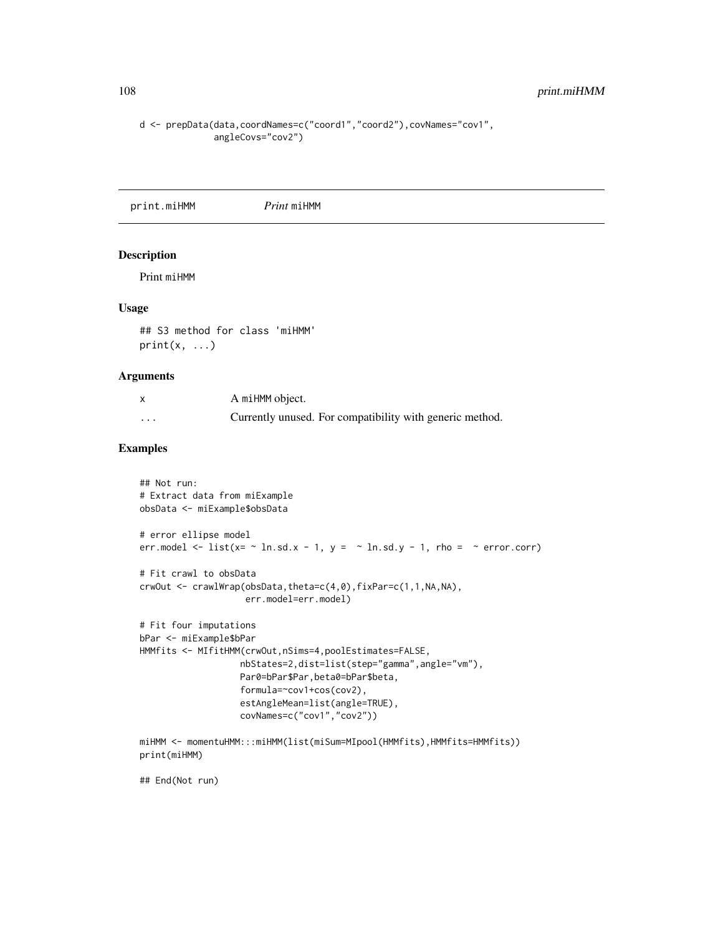```
d <- prepData(data,coordNames=c("coord1","coord2"),covNames="cov1",
              angleCovs="cov2")
```
print.miHMM *Print* miHMM

## Description

Print miHMM

#### Usage

```
## S3 method for class 'miHMM'
print(x, \ldots)
```
# Arguments

|   | A miHMM object.                                          |
|---|----------------------------------------------------------|
| . | Currently unused. For compatibility with generic method. |

# Examples

```
## Not run:
# Extract data from miExample
obsData <- miExample$obsData
# error ellipse model
err.model \le list(x= \sim ln.sd.x - 1, y = \sim ln.sd.y - 1, rho = \sim error.corr)
# Fit crawl to obsData
crwOut <- crawlWrap(obsData,theta=c(4,0),fixPar=c(1,1,NA,NA),
                    err.model=err.model)
# Fit four imputations
bPar <- miExample$bPar
HMMfits <- MIfitHMM(crwOut,nSims=4,poolEstimates=FALSE,
                   nbStates=2,dist=list(step="gamma",angle="vm"),
                   Par0=bPar$Par,beta0=bPar$beta,
                   formula=~cov1+cos(cov2),
                   estAngleMean=list(angle=TRUE),
                   covNames=c("cov1","cov2"))
miHMM <- momentuHMM:::miHMM(list(miSum=MIpool(HMMfits),HMMfits=HMMfits))
```
print(miHMM)

## End(Not run)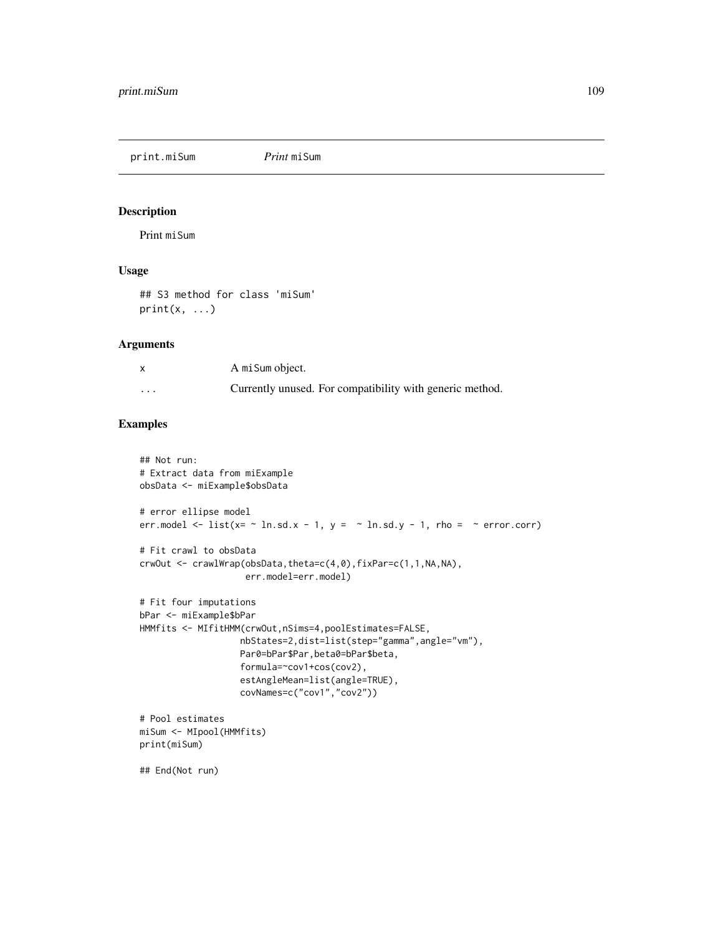<span id="page-108-0"></span>print.miSum *Print* miSum

## Description

Print miSum

#### Usage

## S3 method for class 'miSum'  $print(x, \ldots)$ 

## Arguments

|          | A mi Sum object.                                         |
|----------|----------------------------------------------------------|
| $\cdots$ | Currently unused. For compatibility with generic method. |

#### Examples

```
## Not run:
# Extract data from miExample
obsData <- miExample$obsData
# error ellipse model
err.model <- list(x= \sim ln.sd.x - 1, y = \sim ln.sd.y - 1, rho = \sim error.corr)
# Fit crawl to obsData
crwOut <- crawlWrap(obsData,theta=c(4,0),fixPar=c(1,1,NA,NA),
                    err.model=err.model)
# Fit four imputations
bPar <- miExample$bPar
HMMfits <- MIfitHMM(crwOut,nSims=4,poolEstimates=FALSE,
                   nbStates=2,dist=list(step="gamma",angle="vm"),
                   Par0=bPar$Par,beta0=bPar$beta,
                   formula=~cov1+cos(cov2),
                   estAngleMean=list(angle=TRUE),
                   covNames=c("cov1","cov2"))
# Pool estimates
miSum <- MIpool(HMMfits)
print(miSum)
## End(Not run)
```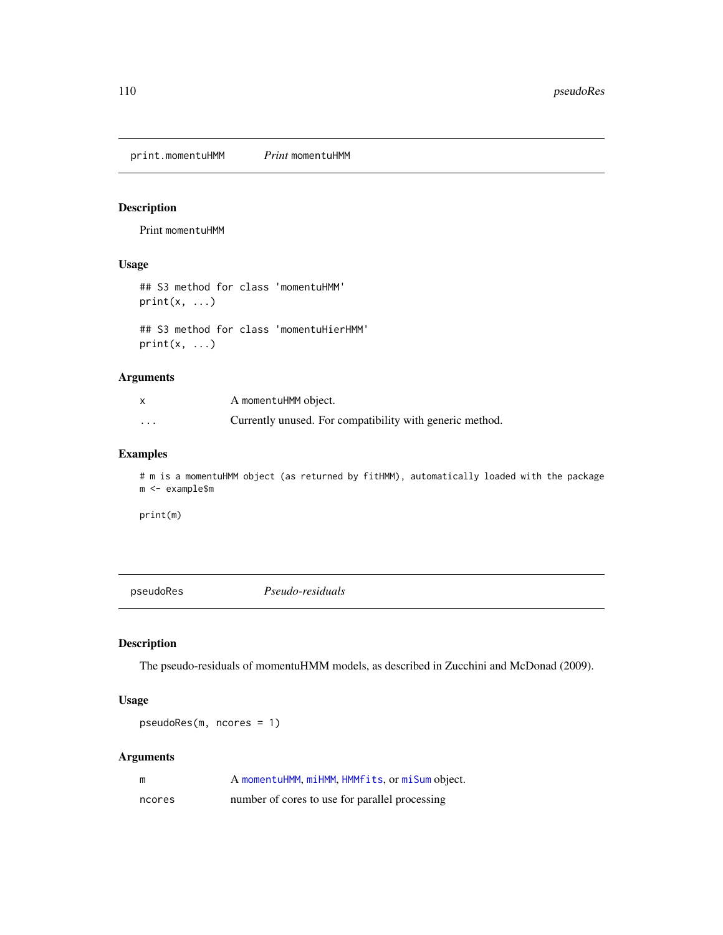<span id="page-109-0"></span>print.momentuHMM *Print* momentuHMM

## Description

Print momentuHMM

#### Usage

```
## S3 method for class 'momentuHMM'
print(x, \ldots)
```

```
## S3 method for class 'momentuHierHMM'
print(x, \ldots)
```
## Arguments

| X       | A momentuHMM object.                                     |
|---------|----------------------------------------------------------|
| $\cdot$ | Currently unused. For compatibility with generic method. |

## Examples

# m is a momentuHMM object (as returned by fitHMM), automatically loaded with the package m <- example\$m

print(m)

pseudoRes *Pseudo-residuals*

## Description

The pseudo-residuals of momentuHMM models, as described in Zucchini and McDonad (2009).

## Usage

pseudoRes(m, ncores = 1)

## Arguments

| m      | A momentuHMM, miHMM, HMMfits, or miSum object. |
|--------|------------------------------------------------|
| ncores | number of cores to use for parallel processing |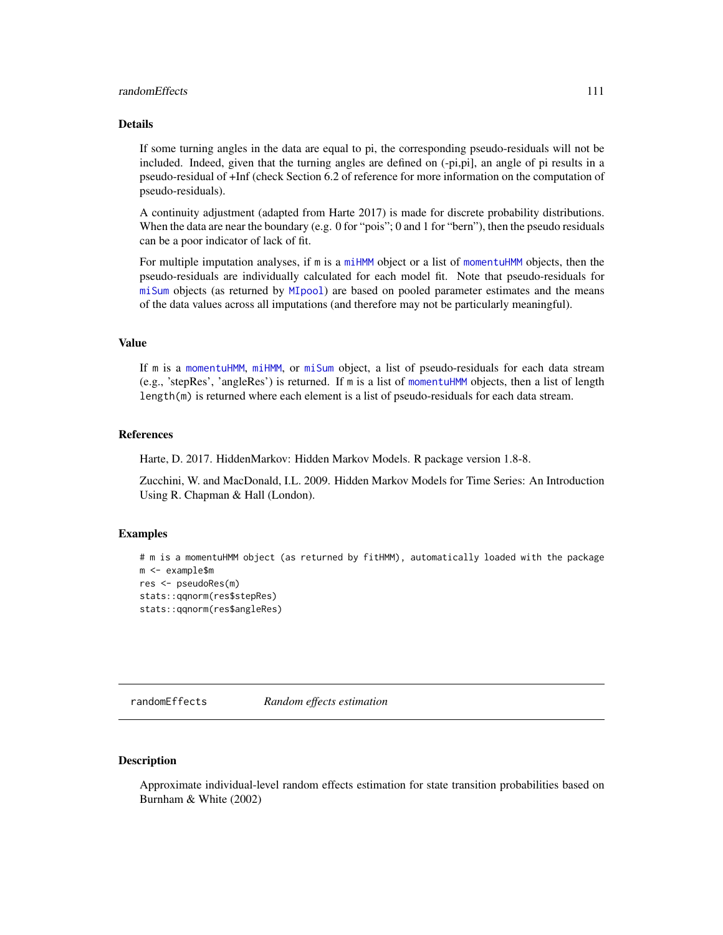## <span id="page-110-0"></span>randomEffects 111

#### Details

If some turning angles in the data are equal to pi, the corresponding pseudo-residuals will not be included. Indeed, given that the turning angles are defined on (-pi,pi], an angle of pi results in a pseudo-residual of +Inf (check Section 6.2 of reference for more information on the computation of pseudo-residuals).

A continuity adjustment (adapted from Harte 2017) is made for discrete probability distributions. When the data are near the boundary (e.g. 0 for "pois"; 0 and 1 for "bern"), then the pseudo residuals can be a poor indicator of lack of fit.

For multiple imputation analyses, if m is a [miHMM](#page-75-0) object or a list of [momentuHMM](#page-81-0) objects, then the pseudo-residuals are individually calculated for each model fit. Note that pseudo-residuals for [miSum](#page-78-0) objects (as returned by [MIpool](#page-76-0)) are based on pooled parameter estimates and the means of the data values across all imputations (and therefore may not be particularly meaningful).

## Value

If m is a [momentuHMM](#page-81-0), [miHMM](#page-75-0), or [miSum](#page-78-0) object, a list of pseudo-residuals for each data stream (e.g., 'stepRes', 'angleRes') is returned. If m is a list of [momentuHMM](#page-81-0) objects, then a list of length length(m) is returned where each element is a list of pseudo-residuals for each data stream.

#### References

Harte, D. 2017. HiddenMarkov: Hidden Markov Models. R package version 1.8-8.

Zucchini, W. and MacDonald, I.L. 2009. Hidden Markov Models for Time Series: An Introduction Using R. Chapman & Hall (London).

#### Examples

```
# m is a momentuHMM object (as returned by fitHMM), automatically loaded with the package
m <- example$m
res <- pseudoRes(m)
stats::qqnorm(res$stepRes)
stats::qqnorm(res$angleRes)
```
randomEffects *Random effects estimation*

#### Description

Approximate individual-level random effects estimation for state transition probabilities based on Burnham & White (2002)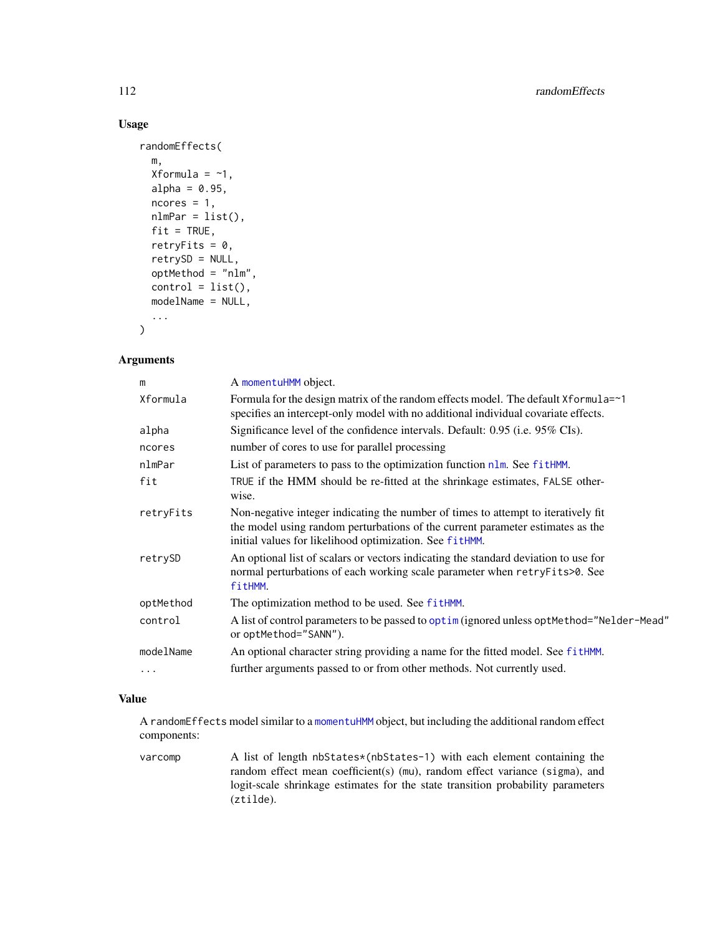## Usage

```
randomEffects(
 m,
 Xformula = \sim1,
 alpha = 0.95,
 ncores = 1,
 nlmPar = list(),fit = TRUE,retryFits = 0,
  retrySD = NULL,
 optMethod = "nlm",
 control = list(),modelName = NULL,
  ...
)
```
## Arguments

| m         | A momentuHMM object.                                                                                                                                                                                                           |
|-----------|--------------------------------------------------------------------------------------------------------------------------------------------------------------------------------------------------------------------------------|
| Xformula  | Formula for the design matrix of the random effects model. The default Xformula=~1<br>specifies an intercept-only model with no additional individual covariate effects.                                                       |
| alpha     | Significance level of the confidence intervals. Default: 0.95 (i.e. 95% CIs).                                                                                                                                                  |
| ncores    | number of cores to use for parallel processing                                                                                                                                                                                 |
| nlmPar    | List of parameters to pass to the optimization function $n \text{Im}$ . See fith MM.                                                                                                                                           |
| fit       | TRUE if the HMM should be re-fitted at the shrinkage estimates, FALSE other-<br>wise.                                                                                                                                          |
| retryFits | Non-negative integer indicating the number of times to attempt to iteratively fit<br>the model using random perturbations of the current parameter estimates as the<br>initial values for likelihood optimization. See fitHMM. |
| retrySD   | An optional list of scalars or vectors indicating the standard deviation to use for<br>normal perturbations of each working scale parameter when retryFits>0. See<br>fitHMM.                                                   |
| optMethod | The optimization method to be used. See fitHMM.                                                                                                                                                                                |
| control   | A list of control parameters to be passed to optim (ignored unless optMethod="Nelder-Mead"<br>or optMethod="SANN").                                                                                                            |
| modelName | An optional character string providing a name for the fitted model. See fitHMM.                                                                                                                                                |
| .         | further arguments passed to or from other methods. Not currently used.                                                                                                                                                         |

## Value

A randomEffects model similar to a [momentuHMM](#page-81-0) object, but including the additional random effect components:

varcomp A list of length nbStates\*(nbStates-1) with each element containing the random effect mean coefficient(s) (mu), random effect variance (sigma), and logit-scale shrinkage estimates for the state transition probability parameters (ztilde).

<span id="page-111-0"></span>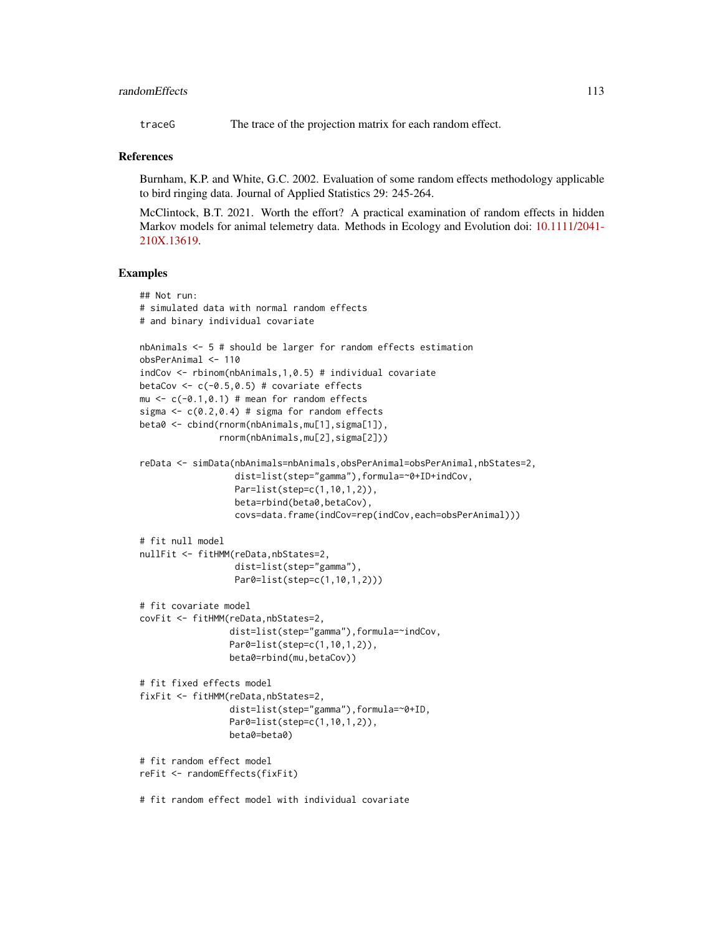## randomEffects 113

traceG The trace of the projection matrix for each random effect.

#### References

Burnham, K.P. and White, G.C. 2002. Evaluation of some random effects methodology applicable to bird ringing data. Journal of Applied Statistics 29: 245-264.

McClintock, B.T. 2021. Worth the effort? A practical examination of random effects in hidden Markov models for animal telemetry data. Methods in Ecology and Evolution doi: [10.1111/2041-](https://doi.org/10.1111/2041-210X.13619) [210X.13619.](https://doi.org/10.1111/2041-210X.13619)

#### Examples

```
## Not run:
# simulated data with normal random effects
# and binary individual covariate
nbAnimals <- 5 # should be larger for random effects estimation
obsPerAnimal <- 110
indCov <- rbinom(nbAnimals,1,0.5) # individual covariate
betaCov \leq c(-0.5,0.5) # covariate effects
mu <-c(-0.1,0.1) # mean for random effects
sigma \leq c(0.2, 0.4) # sigma for random effects
beta0 <- cbind(rnorm(nbAnimals,mu[1],sigma[1]),
               rnorm(nbAnimals,mu[2],sigma[2]))
reData <- simData(nbAnimals=nbAnimals,obsPerAnimal=obsPerAnimal,nbStates=2,
                  dist=list(step="gamma"),formula=~0+ID+indCov,
                  Par=list(step=c(1,10,1,2)),
                  beta=rbind(beta0,betaCov),
                  covs=data.frame(indCov=rep(indCov,each=obsPerAnimal)))
# fit null model
nullFit <- fitHMM(reData,nbStates=2,
                  dist=list(step="gamma"),
                  Par0=list(step=c(1,10,1,2)))
# fit covariate model
covFit <- fitHMM(reData,nbStates=2,
                 dist=list(step="gamma"),formula=~indCov,
                 Par0=list(step=c(1,10,1,2)),
                 beta0=rbind(mu,betaCov))
# fit fixed effects model
fixFit <- fitHMM(reData,nbStates=2,
                 dist=list(step="gamma"),formula=~0+ID,
                 Par0=list(step=c(1,10,1,2)),
                 beta0=beta0)
# fit random effect model
reFit <- randomEffects(fixFit)
# fit random effect model with individual covariate
```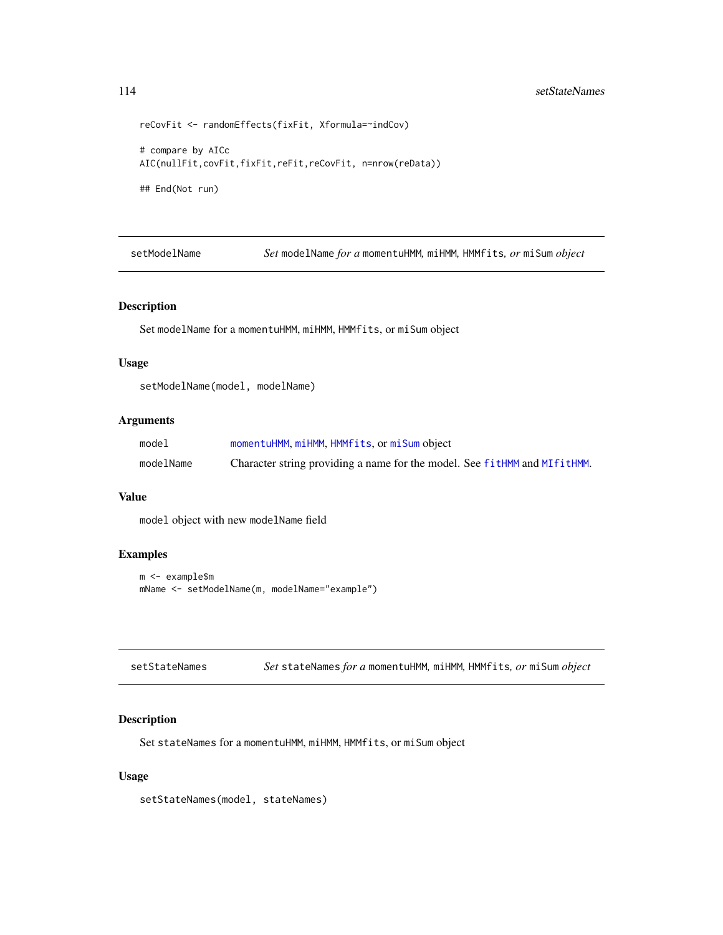```
reCovFit <- randomEffects(fixFit, Xformula=~indCov)
# compare by AICc
AIC(nullFit,covFit,fixFit,reFit,reCovFit, n=nrow(reData))
## End(Not run)
```
setModelName *Set* modelName *for a* momentuHMM*,* miHMM*,* HMMfits*, or* miSum *object*

#### Description

Set modelName for a momentuHMM, miHMM, HMMfits, or miSum object

## Usage

setModelName(model, modelName)

#### Arguments

| model     | momentuHMM, miHMM, HMMfits, or miSum object                               |
|-----------|---------------------------------------------------------------------------|
| modelName | Character string providing a name for the model. See fitHMM and MIfitHMM. |

#### Value

model object with new modelName field

#### Examples

```
m <- example$m
mName <- setModelName(m, modelName="example")
```

| setStateNames | Set stateNames for a momentuHMM, miHMM, HMMfits, or miSum object |  |  |  |  |
|---------------|------------------------------------------------------------------|--|--|--|--|
|---------------|------------------------------------------------------------------|--|--|--|--|

## Description

Set stateNames for a momentuHMM, miHMM, HMMfits, or miSum object

### Usage

setStateNames(model, stateNames)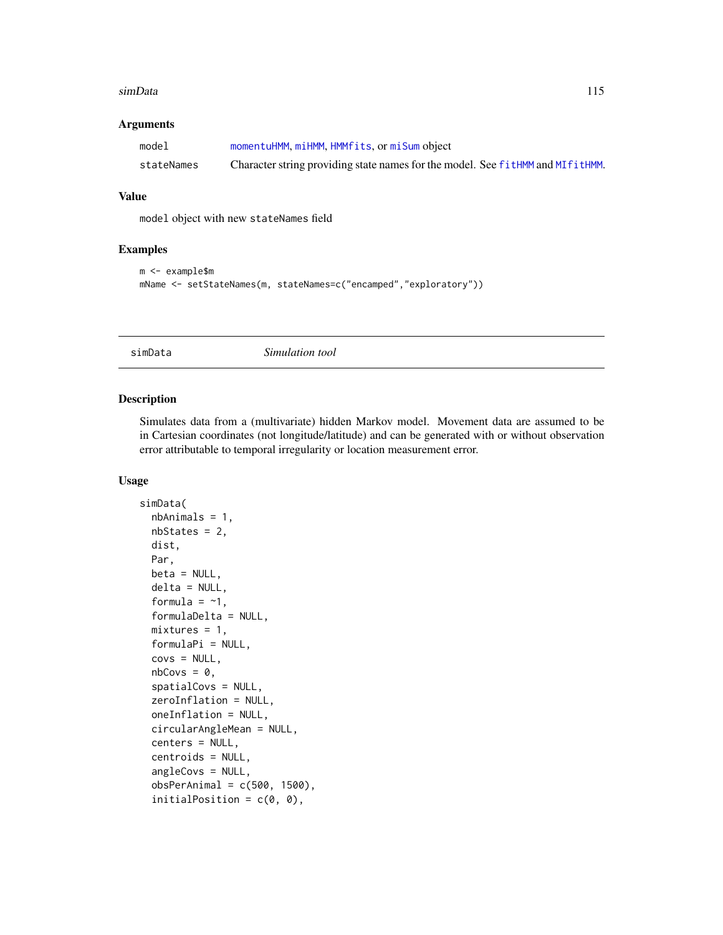## <span id="page-114-2"></span>Arguments

| model      | momentuHMM, miHMM, HMMfits, or miSum object                                    |
|------------|--------------------------------------------------------------------------------|
| stateNames | Character string providing state names for the model. See fitHMM and MIfitHMM. |

#### Value

model object with new stateNames field

#### Examples

```
m <- example$m
mName <- setStateNames(m, stateNames=c("encamped","exploratory"))
```
<span id="page-114-0"></span>simData *Simulation tool*

#### <span id="page-114-1"></span>Description

Simulates data from a (multivariate) hidden Markov model. Movement data are assumed to be in Cartesian coordinates (not longitude/latitude) and can be generated with or without observation error attributable to temporal irregularity or location measurement error.

## Usage

```
simData(
  nbAnimals = 1,
 nbStates = 2,
  dist,
 Par,
 beta = NULL,
  delta = NULL,
  formula = -1,
  formulaDelta = NULL,
 mixtures = 1,
  formulaPi = NULL,
  covs = NULL,nbCovs = 0,
  spatialCovs = NULL,
  zeroInflation = NULL,
  oneInflation = NULL,
  circularAngleMean = NULL,
  centers = NULL,
  centroids = NULL,
  angleCovs = NULL,
  obsPerAnimal = c(500, 1500),
  initialPosition = c(\theta, \theta),
```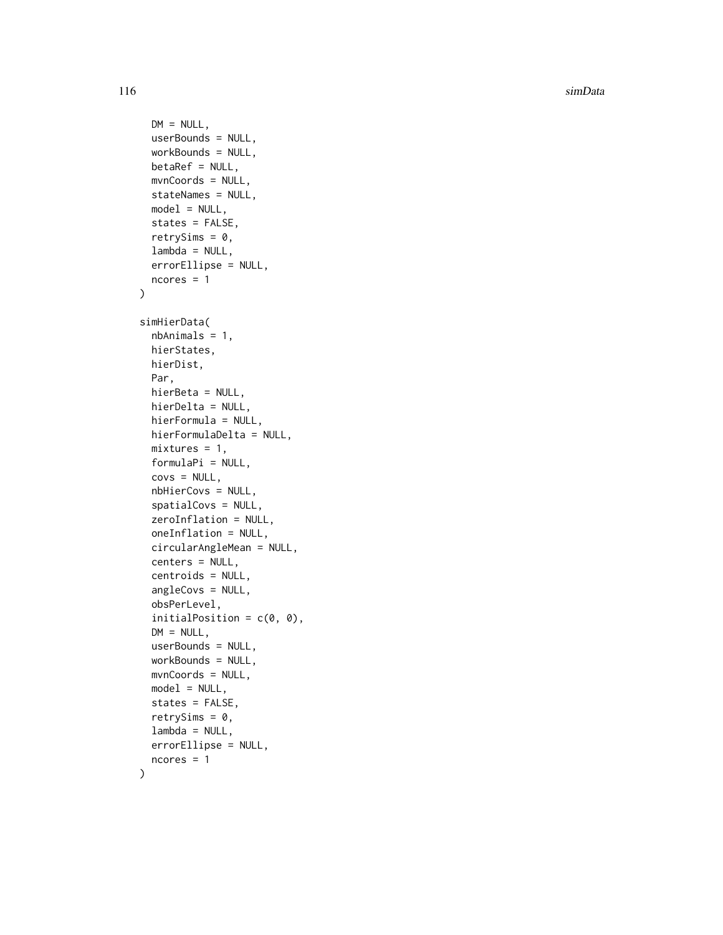```
DM = NULL,userBounds = NULL,
  workBounds = NULL,
 betaRef = NULL,
  mvnCoords = NULL,
  stateNames = NULL,
  model = NULL,states = FALSE,
  retrySims = 0,
  lambda = NULL,errorEllipse = NULL,
  ncores = 1
)
simHierData(
  nbAnimals = 1,
  hierStates,
 hierDist,
 Par,
  hierBeta = NULL,
 hierDelta = NULL,
  hierFormula = NULL,
  hierFormulaDelta = NULL,
  mixtures = 1,
  formulaPi = NULL,
  covs = NULL,nbHierCovs = NULL,
  spatialCovs = NULL,
  zeroInflation = NULL,
  oneInflation = NULL,
  circularAngleMean = NULL,
  centers = NULL,
  centroids = NULL,
  angleCovs = NULL,
  obsPerLevel,
  initialPosition = c(\theta, \theta),
  DM = NULL,
  userBounds = NULL,
  workBounds = NULL,
  mvnCoords = NULL,
  model = NULL,states = FALSE,
  retrySims = 0,
  lambda = NULL,errorEllipse = NULL,
  ncores = 1
)
```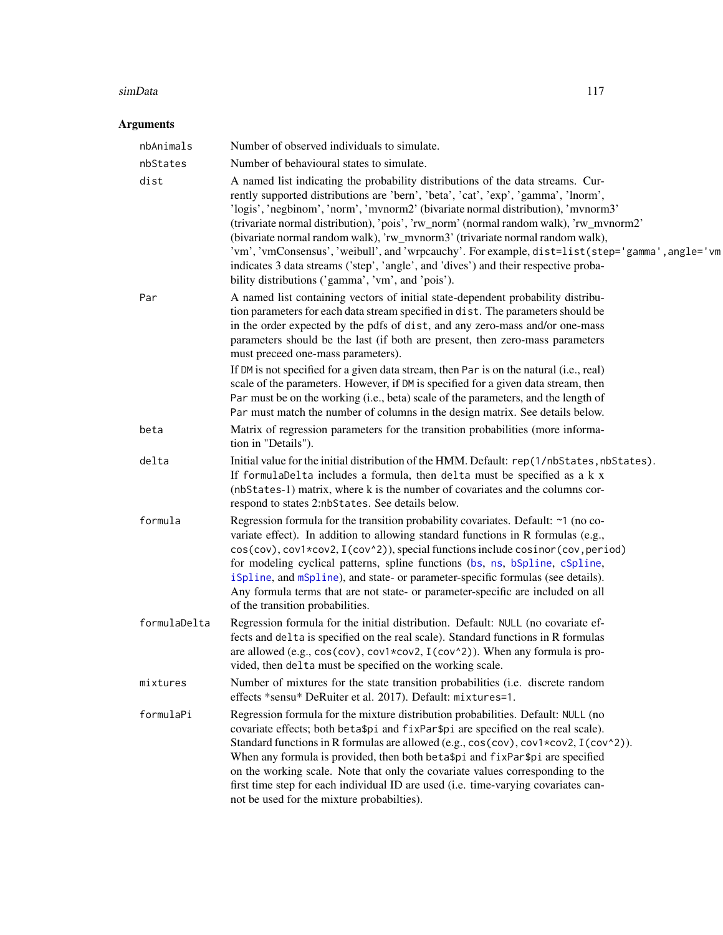## <span id="page-116-0"></span>Arguments

| nbAnimals    | Number of observed individuals to simulate.                                                                                                                                                                                                                                                                                                                                                                                                                                                                                                                                                                                                                                                                                         |  |
|--------------|-------------------------------------------------------------------------------------------------------------------------------------------------------------------------------------------------------------------------------------------------------------------------------------------------------------------------------------------------------------------------------------------------------------------------------------------------------------------------------------------------------------------------------------------------------------------------------------------------------------------------------------------------------------------------------------------------------------------------------------|--|
| nbStates     | Number of behavioural states to simulate.                                                                                                                                                                                                                                                                                                                                                                                                                                                                                                                                                                                                                                                                                           |  |
| dist         | A named list indicating the probability distributions of the data streams. Cur-<br>rently supported distributions are 'bern', 'beta', 'cat', 'exp', 'gamma', 'lnorm',<br>'logis', 'negbinom', 'norm', 'mvnorm2' (bivariate normal distribution), 'mvnorm3'<br>(trivariate normal distribution), 'pois', 'rw_norm' (normal random walk), 'rw_mvnorm2'<br>(bivariate normal random walk), 'rw_mvnorm3' (trivariate normal random walk),<br>'vm', 'vmConsensus', 'weibull', and 'wrpcauchy'. For example, dist=list(step='gamma', angle='vm<br>indicates 3 data streams ('step', 'angle', and 'dives') and their respective proba-<br>bility distributions ('gamma', 'vm', and 'pois').                                                |  |
| Par          | A named list containing vectors of initial state-dependent probability distribu-<br>tion parameters for each data stream specified in dist. The parameters should be<br>in the order expected by the pdfs of dist, and any zero-mass and/or one-mass<br>parameters should be the last (if both are present, then zero-mass parameters<br>must preceed one-mass parameters).<br>If DM is not specified for a given data stream, then Par is on the natural (i.e., real)<br>scale of the parameters. However, if DM is specified for a given data stream, then<br>Par must be on the working (i.e., beta) scale of the parameters, and the length of<br>Par must match the number of columns in the design matrix. See details below. |  |
| beta         | Matrix of regression parameters for the transition probabilities (more informa-<br>tion in "Details").                                                                                                                                                                                                                                                                                                                                                                                                                                                                                                                                                                                                                              |  |
| delta        | Initial value for the initial distribution of the HMM. Default: rep(1/nbStates, nbStates).<br>If formulaDelta includes a formula, then delta must be specified as a k x<br>(nbStates-1) matrix, where k is the number of covariates and the columns cor-<br>respond to states 2:nbStates. See details below.                                                                                                                                                                                                                                                                                                                                                                                                                        |  |
| formula      | Regression formula for the transition probability covariates. Default: ~1 (no co-<br>variate effect). In addition to allowing standard functions in R formulas (e.g.,<br>cos(cov), cov1*cov2, I(cov^2)), special functions include cosinor(cov, period)<br>for modeling cyclical patterns, spline functions (bs, ns, bSpline, cSpline,<br>iSpline, and mSpline), and state- or parameter-specific formulas (see details).<br>Any formula terms that are not state- or parameter-specific are included on all<br>of the transition probabilities.                                                                                                                                                                                    |  |
| formulaDelta | Regression formula for the initial distribution. Default: NULL (no covariate ef-<br>fects and delta is specified on the real scale). Standard functions in R formulas<br>are allowed (e.g., $cos(cov)$ , $cov1 * cov2$ , $I(cov^2)$ ). When any formula is pro-<br>vided, then delta must be specified on the working scale.                                                                                                                                                                                                                                                                                                                                                                                                        |  |
| mixtures     | Number of mixtures for the state transition probabilities (i.e. discrete random<br>effects *sensu* DeRuiter et al. 2017). Default: mixtures=1.                                                                                                                                                                                                                                                                                                                                                                                                                                                                                                                                                                                      |  |
| formulaPi    | Regression formula for the mixture distribution probabilities. Default: NULL (no<br>covariate effects; both beta\$pi and fixPar\$pi are specified on the real scale).<br>Standard functions in R formulas are allowed (e.g., cos(cov), cov1*cov2, I(cov^2)).<br>When any formula is provided, then both beta\$pi and fixPar\$pi are specified<br>on the working scale. Note that only the covariate values corresponding to the<br>first time step for each individual ID are used (i.e. time-varying covariates can-<br>not be used for the mixture probabilties).                                                                                                                                                                 |  |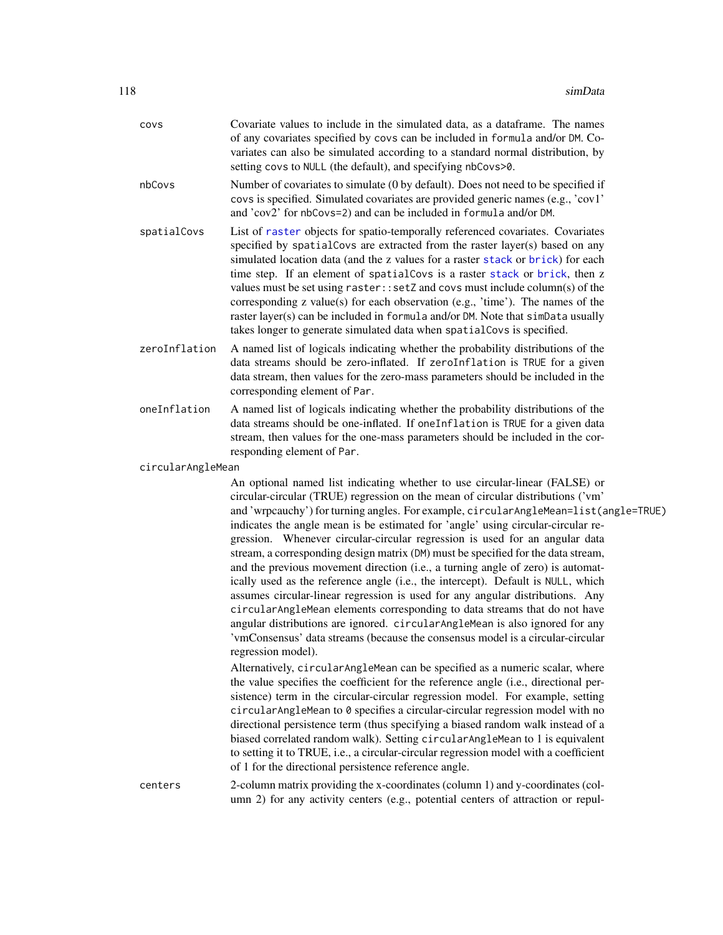<span id="page-117-0"></span>

| covs              | Covariate values to include in the simulated data, as a dataframe. The names<br>of any covariates specified by covs can be included in formula and/or DM. Co-<br>variates can also be simulated according to a standard normal distribution, by<br>setting covs to NULL (the default), and specifying nbCovs>0.                                                                                                                                                                                                                                                                                                                                                                                                                                                                                                                                                                                                                                                                                                                             |
|-------------------|---------------------------------------------------------------------------------------------------------------------------------------------------------------------------------------------------------------------------------------------------------------------------------------------------------------------------------------------------------------------------------------------------------------------------------------------------------------------------------------------------------------------------------------------------------------------------------------------------------------------------------------------------------------------------------------------------------------------------------------------------------------------------------------------------------------------------------------------------------------------------------------------------------------------------------------------------------------------------------------------------------------------------------------------|
| nbCovs            | Number of covariates to simulate (0 by default). Does not need to be specified if<br>covs is specified. Simulated covariates are provided generic names (e.g., 'cov1'<br>and 'cov2' for nbCovs=2) and can be included in formula and/or DM.                                                                                                                                                                                                                                                                                                                                                                                                                                                                                                                                                                                                                                                                                                                                                                                                 |
| spatialCovs       | List of raster objects for spatio-temporally referenced covariates. Covariates<br>specified by spatialCovs are extracted from the raster layer(s) based on any<br>simulated location data (and the z values for a raster stack or brick) for each<br>time step. If an element of spatialCovs is a raster stack or brick, then z<br>values must be set using raster:: setZ and covs must include column(s) of the<br>corresponding z value(s) for each observation (e.g., 'time'). The names of the<br>raster layer(s) can be included in formula and/or DM. Note that simData usually<br>takes longer to generate simulated data when spatial Covs is specified.                                                                                                                                                                                                                                                                                                                                                                            |
| zeroInflation     | A named list of logicals indicating whether the probability distributions of the<br>data streams should be zero-inflated. If zeroInflation is TRUE for a given<br>data stream, then values for the zero-mass parameters should be included in the<br>corresponding element of Par.                                                                                                                                                                                                                                                                                                                                                                                                                                                                                                                                                                                                                                                                                                                                                          |
| oneInflation      | A named list of logicals indicating whether the probability distributions of the<br>data streams should be one-inflated. If oneInflation is TRUE for a given data<br>stream, then values for the one-mass parameters should be included in the cor-<br>responding element of Par.                                                                                                                                                                                                                                                                                                                                                                                                                                                                                                                                                                                                                                                                                                                                                           |
| circularAngleMean |                                                                                                                                                                                                                                                                                                                                                                                                                                                                                                                                                                                                                                                                                                                                                                                                                                                                                                                                                                                                                                             |
|                   | An optional named list indicating whether to use circular-linear (FALSE) or<br>circular-circular (TRUE) regression on the mean of circular distributions ('vm'<br>and 'wrpcauchy') for turning angles. For example, circularAngleMean=list(angle=TRUE)<br>indicates the angle mean is be estimated for 'angle' using circular-circular re-<br>gression. Whenever circular-circular regression is used for an angular data<br>stream, a corresponding design matrix (DM) must be specified for the data stream,<br>and the previous movement direction (i.e., a turning angle of zero) is automat-<br>ically used as the reference angle (i.e., the intercept). Default is NULL, which<br>assumes circular-linear regression is used for any angular distributions. Any<br>circularAngleMean elements corresponding to data streams that do not have<br>angular distributions are ignored. circularAngleMean is also ignored for any<br>'vmConsensus' data streams (because the consensus model is a circular-circular<br>regression model). |
|                   | Alternatively, circularAngleMean can be specified as a numeric scalar, where<br>the value specifies the coefficient for the reference angle (i.e., directional per-<br>sistence) term in the circular-circular regression model. For example, setting<br>circularAngleMean to 0 specifies a circular-circular regression model with no<br>directional persistence term (thus specifying a biased random walk instead of a<br>biased correlated random walk). Setting circularAngleMean to 1 is equivalent<br>to setting it to TRUE, i.e., a circular-circular regression model with a coefficient<br>of 1 for the directional persistence reference angle.                                                                                                                                                                                                                                                                                                                                                                                  |
| centers           | 2-column matrix providing the x-coordinates (column 1) and y-coordinates (col-<br>umn 2) for any activity centers (e.g., potential centers of attraction or repul-                                                                                                                                                                                                                                                                                                                                                                                                                                                                                                                                                                                                                                                                                                                                                                                                                                                                          |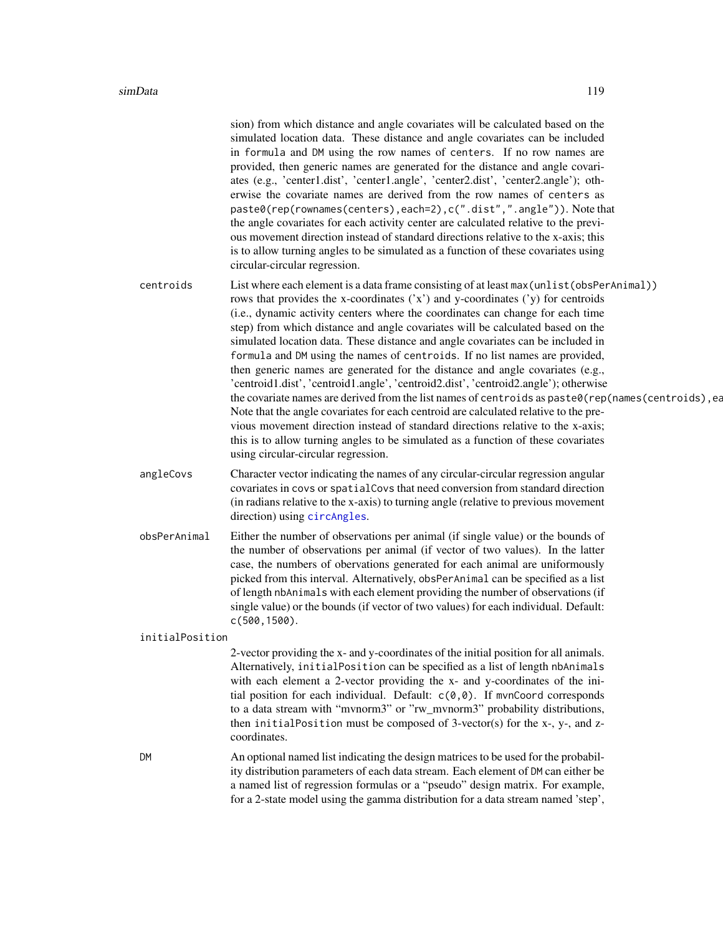<span id="page-118-0"></span>

|                 | sion) from which distance and angle covariates will be calculated based on the<br>simulated location data. These distance and angle covariates can be included<br>in formula and DM using the row names of centers. If no row names are<br>provided, then generic names are generated for the distance and angle covari-<br>ates (e.g., 'center1.dist', 'center1.angle', 'center2.dist', 'center2.angle'); oth-<br>erwise the covariate names are derived from the row names of centers as<br>paste0(rep(rownames(centers), each=2), c(".dist",".angle")). Note that<br>the angle covariates for each activity center are calculated relative to the previ-<br>ous movement direction instead of standard directions relative to the x-axis; this<br>is to allow turning angles to be simulated as a function of these covariates using<br>circular-circular regression.                                                                                                                                                                                                                                       |
|-----------------|----------------------------------------------------------------------------------------------------------------------------------------------------------------------------------------------------------------------------------------------------------------------------------------------------------------------------------------------------------------------------------------------------------------------------------------------------------------------------------------------------------------------------------------------------------------------------------------------------------------------------------------------------------------------------------------------------------------------------------------------------------------------------------------------------------------------------------------------------------------------------------------------------------------------------------------------------------------------------------------------------------------------------------------------------------------------------------------------------------------|
| centroids       | List where each element is a data frame consisting of at least max (unlist (obsPerAnimal))<br>rows that provides the x-coordinates $('x')$ and y-coordinates $('y)$ for centroids<br>(i.e., dynamic activity centers where the coordinates can change for each time<br>step) from which distance and angle covariates will be calculated based on the<br>simulated location data. These distance and angle covariates can be included in<br>formula and DM using the names of centroids. If no list names are provided,<br>then generic names are generated for the distance and angle covariates (e.g.,<br>'centroid1.dist', 'centroid1.angle', 'centroid2.dist', 'centroid2.angle'); otherwise<br>the covariate names are derived from the list names of centroids as paste0(rep(names(centroids), ea<br>Note that the angle covariates for each centroid are calculated relative to the pre-<br>vious movement direction instead of standard directions relative to the x-axis;<br>this is to allow turning angles to be simulated as a function of these covariates<br>using circular-circular regression. |
| angleCovs       | Character vector indicating the names of any circular-circular regression angular<br>covariates in covs or spatialCovs that need conversion from standard direction<br>(in radians relative to the x-axis) to turning angle (relative to previous movement<br>direction) using circAngles.                                                                                                                                                                                                                                                                                                                                                                                                                                                                                                                                                                                                                                                                                                                                                                                                                     |
| obsPerAnimal    | Either the number of observations per animal (if single value) or the bounds of<br>the number of observations per animal (if vector of two values). In the latter<br>case, the numbers of obervations generated for each animal are uniformously<br>picked from this interval. Alternatively, obsPerAnimal can be specified as a list<br>of length nbAnimals with each element providing the number of observations (if<br>single value) or the bounds (if vector of two values) for each individual. Default:<br>$c(500, 1500)$ .                                                                                                                                                                                                                                                                                                                                                                                                                                                                                                                                                                             |
| initialPosition |                                                                                                                                                                                                                                                                                                                                                                                                                                                                                                                                                                                                                                                                                                                                                                                                                                                                                                                                                                                                                                                                                                                |
|                 | 2-vector providing the x- and y-coordinates of the initial position for all animals.<br>Alternatively, initialPosition can be specified as a list of length nbAnimals<br>with each element a 2-vector providing the x- and y-coordinates of the ini-<br>tial position for each individual. Default: $c(0,0)$ . If mvnCoord corresponds<br>to a data stream with "mvnorm3" or "rw_mvnorm3" probability distributions,<br>then initialPosition must be composed of 3-vector(s) for the x-, y-, and z-<br>coordinates.                                                                                                                                                                                                                                                                                                                                                                                                                                                                                                                                                                                            |
| DM              | An optional named list indicating the design matrices to be used for the probabil-<br>ity distribution parameters of each data stream. Each element of DM can either be<br>a named list of regression formulas or a "pseudo" design matrix. For example,<br>for a 2-state model using the gamma distribution for a data stream named 'step',                                                                                                                                                                                                                                                                                                                                                                                                                                                                                                                                                                                                                                                                                                                                                                   |
|                 |                                                                                                                                                                                                                                                                                                                                                                                                                                                                                                                                                                                                                                                                                                                                                                                                                                                                                                                                                                                                                                                                                                                |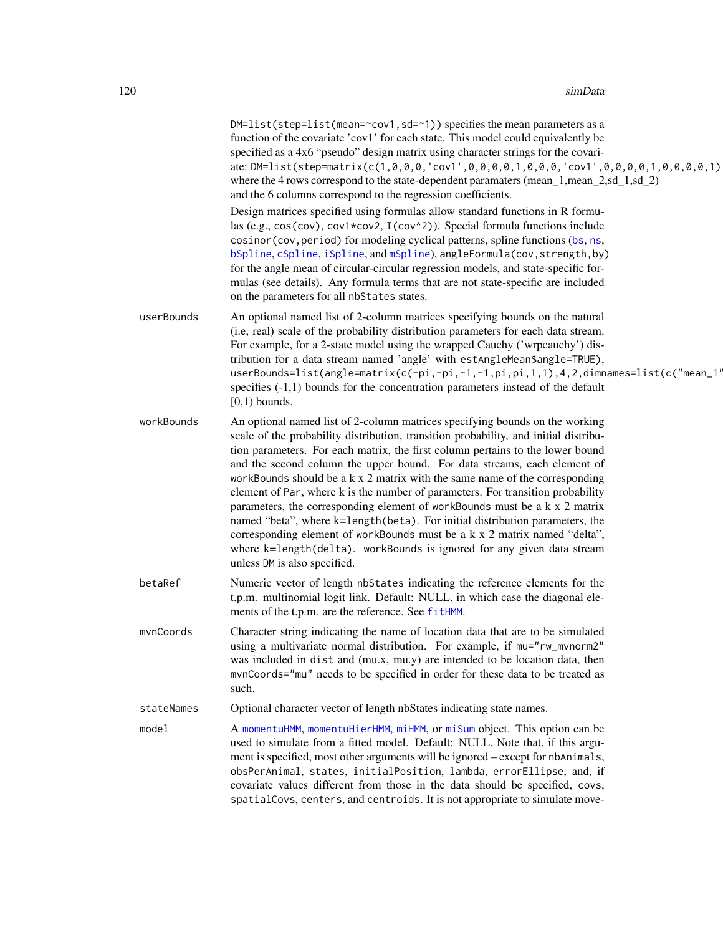<span id="page-119-0"></span>

|            | DM=list(step=list(mean=~cov1, sd=~1)) specifies the mean parameters as a<br>function of the covariate 'cov1' for each state. This model could equivalently be<br>specified as a 4x6 "pseudo" design matrix using character strings for the covari-<br>ate: DM=list(step=matrix(c(1,0,0,0,'cov1',0,0,0,0,1,0,0,0,'cov1',0,0,0,0,1,0,0,0,0,1)<br>where the 4 rows correspond to the state-dependent paramaters (mean_1,mean_2,sd_1,sd_2)<br>and the 6 columns correspond to the regression coefficients.                                                                                                                                                                                                                                                                                                                                                    |
|------------|-----------------------------------------------------------------------------------------------------------------------------------------------------------------------------------------------------------------------------------------------------------------------------------------------------------------------------------------------------------------------------------------------------------------------------------------------------------------------------------------------------------------------------------------------------------------------------------------------------------------------------------------------------------------------------------------------------------------------------------------------------------------------------------------------------------------------------------------------------------|
|            | Design matrices specified using formulas allow standard functions in R formu-<br>las (e.g., cos(cov), cov1*cov2, I(cov^2)). Special formula functions include<br>cosinor (cov, period) for modeling cyclical patterns, spline functions (bs, ns,<br>bSpline, cSpline, iSpline, and mSpline), angleFormula(cov, strength, by)<br>for the angle mean of circular-circular regression models, and state-specific for-<br>mulas (see details). Any formula terms that are not state-specific are included<br>on the parameters for all nbStates states.                                                                                                                                                                                                                                                                                                       |
| userBounds | An optional named list of 2-column matrices specifying bounds on the natural<br>(i.e, real) scale of the probability distribution parameters for each data stream.<br>For example, for a 2-state model using the wrapped Cauchy ('wrpcauchy') dis-<br>tribution for a data stream named 'angle' with estAngleMean\$angle=TRUE),<br>userBounds=list(angle=matrix(c(-pi,-pi,-1,-1,pi,pi,1,1),4,2,dimnames=list(c("mean_1<br>specifies $(-1,1)$ bounds for the concentration parameters instead of the default<br>$[0,1)$ bounds.                                                                                                                                                                                                                                                                                                                            |
| workBounds | An optional named list of 2-column matrices specifying bounds on the working<br>scale of the probability distribution, transition probability, and initial distribu-<br>tion parameters. For each matrix, the first column pertains to the lower bound<br>and the second column the upper bound. For data streams, each element of<br>workBounds should be a k x 2 matrix with the same name of the corresponding<br>element of Par, where k is the number of parameters. For transition probability<br>parameters, the corresponding element of workBounds must be a k x 2 matrix<br>named "beta", where k=length(beta). For initial distribution parameters, the<br>corresponding element of workBounds must be a k x 2 matrix named "delta",<br>where k=length(delta). workBounds is ignored for any given data stream<br>unless DM is also specified. |
| betaRef    | Numeric vector of length nbStates indicating the reference elements for the<br>t.p.m. multinomial logit link. Default: NULL, in which case the diagonal ele-<br>ments of the t.p.m. are the reference. See fitHMM.                                                                                                                                                                                                                                                                                                                                                                                                                                                                                                                                                                                                                                        |
| mvnCoords  | Character string indicating the name of location data that are to be simulated<br>using a multivariate normal distribution. For example, if mu="rw_mvnorm2"<br>was included in dist and (mu.x, mu.y) are intended to be location data, then<br>mvnCoords="mu" needs to be specified in order for these data to be treated as<br>such.                                                                                                                                                                                                                                                                                                                                                                                                                                                                                                                     |
| stateNames | Optional character vector of length nbStates indicating state names.                                                                                                                                                                                                                                                                                                                                                                                                                                                                                                                                                                                                                                                                                                                                                                                      |
| model      | A momentuHMM, momentuHierHMM, miHMM, or miSum object. This option can be<br>used to simulate from a fitted model. Default: NULL. Note that, if this argu-<br>ment is specified, most other arguments will be ignored – except for nbAnimals,<br>obsPerAnimal, states, initialPosition, lambda, errorEllipse, and, if<br>covariate values different from those in the data should be specified, covs,<br>spatialCovs, centers, and centroids. It is not appropriate to simulate move-                                                                                                                                                                                                                                                                                                                                                                      |
|            |                                                                                                                                                                                                                                                                                                                                                                                                                                                                                                                                                                                                                                                                                                                                                                                                                                                           |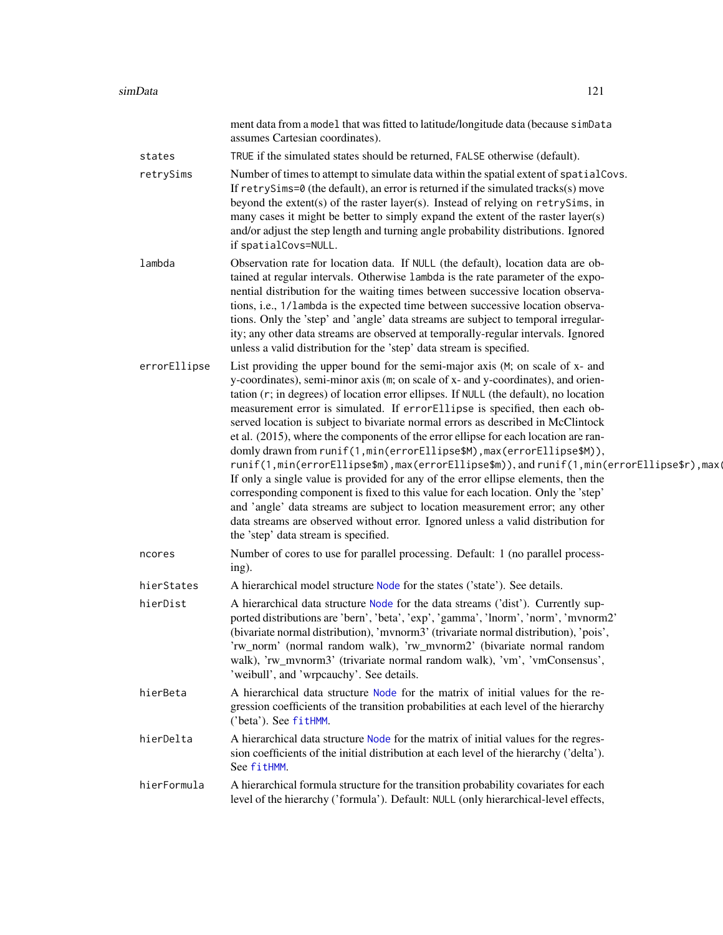<span id="page-120-0"></span>

|              | ment data from a model that was fitted to latitude/longitude data (because simData<br>assumes Cartesian coordinates).                                                                                                                                                                                                                                                                                                                                                                                                                                                                                                                                                                                                                                                                                                                                                                                                                                                                                                                                                              |
|--------------|------------------------------------------------------------------------------------------------------------------------------------------------------------------------------------------------------------------------------------------------------------------------------------------------------------------------------------------------------------------------------------------------------------------------------------------------------------------------------------------------------------------------------------------------------------------------------------------------------------------------------------------------------------------------------------------------------------------------------------------------------------------------------------------------------------------------------------------------------------------------------------------------------------------------------------------------------------------------------------------------------------------------------------------------------------------------------------|
| states       | TRUE if the simulated states should be returned, FALSE otherwise (default).                                                                                                                                                                                                                                                                                                                                                                                                                                                                                                                                                                                                                                                                                                                                                                                                                                                                                                                                                                                                        |
| retrySims    | Number of times to attempt to simulate data within the spatial extent of spatial Covs.<br>If $retrySims=0$ (the default), an error is returned if the simulated tracks(s) move<br>beyond the extent(s) of the raster layer(s). Instead of relying on retrySims, in<br>many cases it might be better to simply expand the extent of the raster layer(s)<br>and/or adjust the step length and turning angle probability distributions. Ignored<br>if spatialCovs=NULL.                                                                                                                                                                                                                                                                                                                                                                                                                                                                                                                                                                                                               |
| lambda       | Observation rate for location data. If NULL (the default), location data are ob-<br>tained at regular intervals. Otherwise lambda is the rate parameter of the expo-<br>nential distribution for the waiting times between successive location observa-<br>tions, i.e., 1/lambda is the expected time between successive location observa-<br>tions. Only the 'step' and 'angle' data streams are subject to temporal irregular-<br>ity; any other data streams are observed at temporally-regular intervals. Ignored<br>unless a valid distribution for the 'step' data stream is specified.                                                                                                                                                                                                                                                                                                                                                                                                                                                                                      |
| errorEllipse | List providing the upper bound for the semi-major axis (M; on scale of x- and<br>y-coordinates), semi-minor axis (m; on scale of x- and y-coordinates), and orien-<br>tation (r; in degrees) of location error ellipses. If NULL (the default), no location<br>measurement error is simulated. If errorEllipse is specified, then each ob-<br>served location is subject to bivariate normal errors as described in McClintock<br>et al. (2015), where the components of the error ellipse for each location are ran-<br>domly drawn from runif(1, min(errorEllipse\$M), max(errorEllipse\$M)),<br>runif(1,min(errorEllipse\$m),max(errorEllipse\$m)),andrunif(1,min(errorEllipse\$r),max(<br>If only a single value is provided for any of the error ellipse elements, then the<br>corresponding component is fixed to this value for each location. Only the 'step'<br>and 'angle' data streams are subject to location measurement error; any other<br>data streams are observed without error. Ignored unless a valid distribution for<br>the 'step' data stream is specified. |
| ncores       | Number of cores to use for parallel processing. Default: 1 (no parallel process-<br>ing).                                                                                                                                                                                                                                                                                                                                                                                                                                                                                                                                                                                                                                                                                                                                                                                                                                                                                                                                                                                          |
| hierStates   | A hierarchical model structure Node for the states ('state'). See details.                                                                                                                                                                                                                                                                                                                                                                                                                                                                                                                                                                                                                                                                                                                                                                                                                                                                                                                                                                                                         |
| hierDist     | A hierarchical data structure Node for the data streams ('dist'). Currently sup-<br>ported distributions are 'bern', 'beta', 'exp', 'gamma', 'lnorm', 'norm', 'mvnorm2'<br>(bivariate normal distribution), 'mvnorm3' (trivariate normal distribution), 'pois',<br>'rw_norm' (normal random walk), 'rw_mvnorm2' (bivariate normal random<br>walk), 'rw_mvnorm3' (trivariate normal random walk), 'vm', 'vmConsensus',<br>'weibull', and 'wrpcauchy'. See details.                                                                                                                                                                                                                                                                                                                                                                                                                                                                                                                                                                                                                  |
| hierBeta     | A hierarchical data structure Node for the matrix of initial values for the re-<br>gression coefficients of the transition probabilities at each level of the hierarchy<br>('beta'). See fitHMM.                                                                                                                                                                                                                                                                                                                                                                                                                                                                                                                                                                                                                                                                                                                                                                                                                                                                                   |
| hierDelta    | A hierarchical data structure Node for the matrix of initial values for the regres-<br>sion coefficients of the initial distribution at each level of the hierarchy ('delta').<br>See fitHMM.                                                                                                                                                                                                                                                                                                                                                                                                                                                                                                                                                                                                                                                                                                                                                                                                                                                                                      |
| hierFormula  | A hierarchical formula structure for the transition probability covariates for each<br>level of the hierarchy ('formula'). Default: NULL (only hierarchical-level effects,                                                                                                                                                                                                                                                                                                                                                                                                                                                                                                                                                                                                                                                                                                                                                                                                                                                                                                         |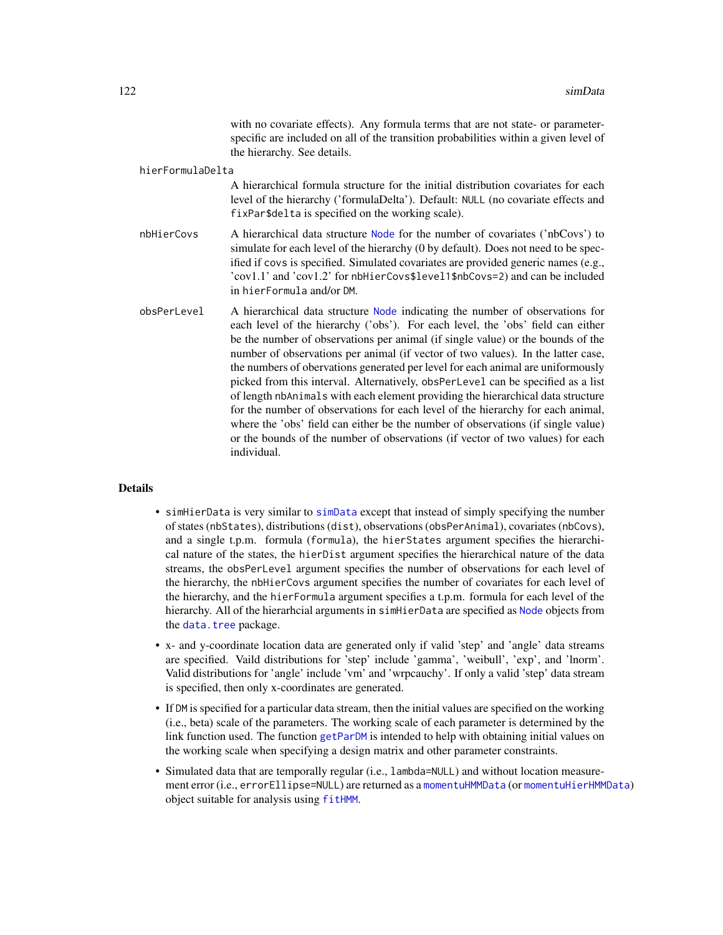with no covariate effects). Any formula terms that are not state- or parameterspecific are included on all of the transition probabilities within a given level of the hierarchy. See details.

<span id="page-121-0"></span>hierFormulaDelta

A hierarchical formula structure for the initial distribution covariates for each level of the hierarchy ('formulaDelta'). Default: NULL (no covariate effects and fixPar\$delta is specified on the working scale).

- nbHierCovs A hierarchical data structure [Node](#page-0-0) for the number of covariates ('nbCovs') to simulate for each level of the hierarchy (0 by default). Does not need to be specified if covs is specified. Simulated covariates are provided generic names (e.g., 'cov1.1' and 'cov1.2' for nbHierCovs\$level1\$nbCovs=2) and can be included in hierFormula and/or DM.
- obsPerLevel A hierarchical data structure [Node](#page-0-0) indicating the number of observations for each level of the hierarchy ('obs'). For each level, the 'obs' field can either be the number of observations per animal (if single value) or the bounds of the number of observations per animal (if vector of two values). In the latter case, the numbers of obervations generated per level for each animal are uniformously picked from this interval. Alternatively, obsPerLevel can be specified as a list of length nbAnimals with each element providing the hierarchical data structure for the number of observations for each level of the hierarchy for each animal, where the 'obs' field can either be the number of observations (if single value) or the bounds of the number of observations (if vector of two values) for each individual.

#### Details

- simHierData is very similar to [simData](#page-114-0) except that instead of simply specifying the number of states (nbStates), distributions (dist), observations (obsPerAnimal), covariates (nbCovs), and a single t.p.m. formula (formula), the hierStates argument specifies the hierarchical nature of the states, the hierDist argument specifies the hierarchical nature of the data streams, the obsPerLevel argument specifies the number of observations for each level of the hierarchy, the nbHierCovs argument specifies the number of covariates for each level of the hierarchy, and the hierFormula argument specifies a t.p.m. formula for each level of the hierarchy. All of the hierarhcial arguments in simHierData are specified as [Node](#page-0-0) objects from the [data.tree](#page-0-0) package.
- x- and y-coordinate location data are generated only if valid 'step' and 'angle' data streams are specified. Vaild distributions for 'step' include 'gamma', 'weibull', 'exp', and 'lnorm'. Valid distributions for 'angle' include 'vm' and 'wrpcauchy'. If only a valid 'step' data stream is specified, then only x-coordinates are generated.
- If DM is specified for a particular data stream, then the initial values are specified on the working (i.e., beta) scale of the parameters. The working scale of each parameter is determined by the link function used. The function [getParDM](#page-53-0) is intended to help with obtaining initial values on the working scale when specifying a design matrix and other parameter constraints.
- Simulated data that are temporally regular (i.e., lambda=NULL) and without location measurement error (i.e., errorEllipse=NULL) are returned as a [momentuHMMData](#page-81-1) (or [momentuHierHMMData](#page-80-0)) object suitable for analysis using [fitHMM](#page-32-0).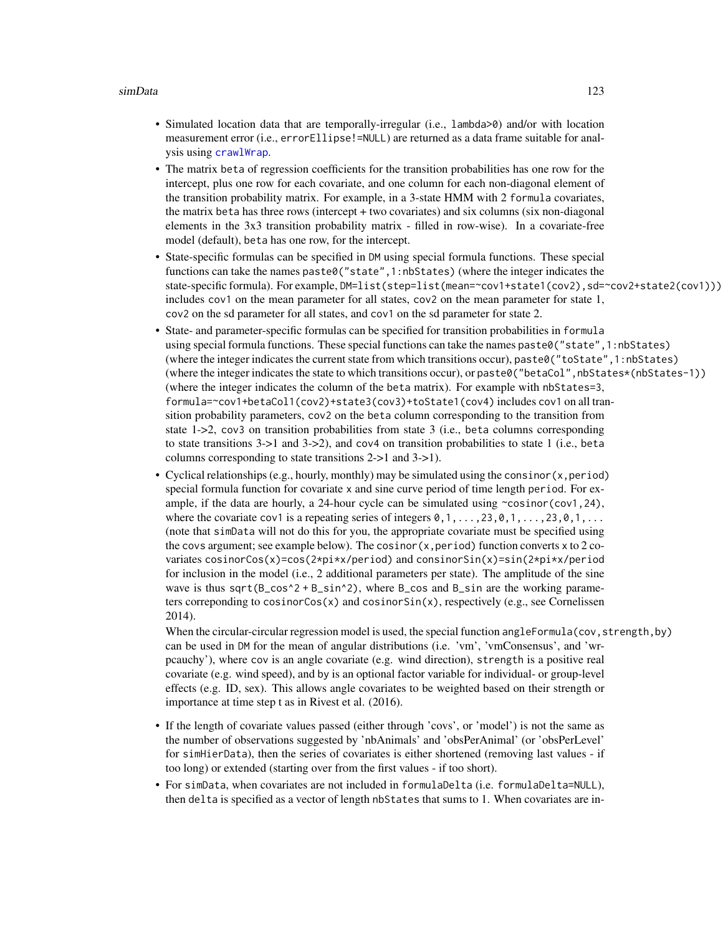- <span id="page-122-0"></span>• Simulated location data that are temporally-irregular (i.e., lambda>0) and/or with location measurement error (i.e., errorEllipse!=NULL) are returned as a data frame suitable for analysis using [crawlWrap](#page-15-0).
- The matrix beta of regression coefficients for the transition probabilities has one row for the intercept, plus one row for each covariate, and one column for each non-diagonal element of the transition probability matrix. For example, in a 3-state HMM with 2 formula covariates, the matrix beta has three rows (intercept + two covariates) and six columns (six non-diagonal elements in the 3x3 transition probability matrix - filled in row-wise). In a covariate-free model (default), beta has one row, for the intercept.
- State-specific formulas can be specified in DM using special formula functions. These special functions can take the names paste0("state",1:nbStates) (where the integer indicates the state-specific formula). For example, DM=list(step=list(mean=~cov1+state1(cov2), sd=~cov2+state2(cov1))) includes cov1 on the mean parameter for all states, cov2 on the mean parameter for state 1, cov2 on the sd parameter for all states, and cov1 on the sd parameter for state 2.
- State- and parameter-specific formulas can be specified for transition probabilities in formula using special formula functions. These special functions can take the names paste0("state",1:nbStates) (where the integer indicates the current state from which transitions occur), paste0("toState",1:nbStates) (where the integer indicates the state to which transitions occur), or paste0("betaCol",nbStates\*(nbStates-1)) (where the integer indicates the column of the beta matrix). For example with nbStates=3, formula=~cov1+betaCol1(cov2)+state3(cov3)+toState1(cov4) includes cov1 on all transition probability parameters, cov2 on the beta column corresponding to the transition from state 1->2, cov3 on transition probabilities from state 3 (i.e., beta columns corresponding to state transitions  $3-1$  and  $3-2$ ), and cov4 on transition probabilities to state 1 (i.e., beta columns corresponding to state transitions 2->1 and 3->1).
- Cyclical relationships (e.g., hourly, monthly) may be simulated using the consinor  $(x, period)$ special formula function for covariate x and sine curve period of time length period. For example, if the data are hourly, a 24-hour cycle can be simulated using  $\sim$ cosinor(cov1,24), where the covariate cov1 is a repeating series of integers  $0,1,\ldots,23,0,1,\ldots,23,0,1,\ldots$ (note that simData will not do this for you, the appropriate covariate must be specified using the covs argument; see example below). The cosinor  $(x, period)$  function converts x to 2 covariates cosinorCos(x)=cos(2\*pi\*x/period) and consinorSin(x)=sin(2\*pi\*x/period for inclusion in the model (i.e., 2 additional parameters per state). The amplitude of the sine wave is thus  $sqrt(B_{\text{cos}}^2 + B_{\text{sin}}^2)$ , where  $B_{\text{cos}}$  and  $B_{\text{sin}}$  are the working parameters correponding to cosinor $Cos(x)$  and  $cosinorsin(x)$ , respectively (e.g., see Cornelissen 2014).

When the circular-circular regression model is used, the special function angleFormula(cov, strength, by) can be used in DM for the mean of angular distributions (i.e. 'vm', 'vmConsensus', and 'wrpcauchy'), where cov is an angle covariate (e.g. wind direction), strength is a positive real covariate (e.g. wind speed), and by is an optional factor variable for individual- or group-level effects (e.g. ID, sex). This allows angle covariates to be weighted based on their strength or importance at time step t as in Rivest et al. (2016).

- If the length of covariate values passed (either through 'covs', or 'model') is not the same as the number of observations suggested by 'nbAnimals' and 'obsPerAnimal' (or 'obsPerLevel' for simHierData), then the series of covariates is either shortened (removing last values - if too long) or extended (starting over from the first values - if too short).
- For simData, when covariates are not included in formulaDelta (i.e. formulaDelta=NULL), then delta is specified as a vector of length nbStates that sums to 1. When covariates are in-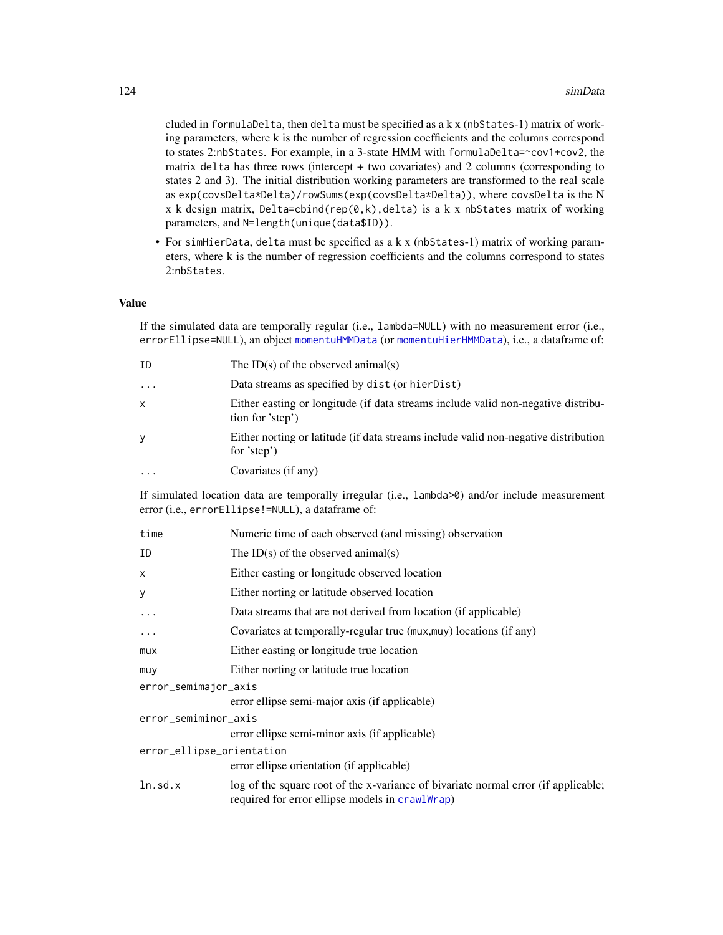<span id="page-123-0"></span>cluded in formulaDelta, then delta must be specified as a  $k \times (n$ bStates-1) matrix of working parameters, where k is the number of regression coefficients and the columns correspond to states 2:nbStates. For example, in a 3-state HMM with formulaDelta=~cov1+cov2, the matrix delta has three rows (intercept + two covariates) and 2 columns (corresponding to states 2 and 3). The initial distribution working parameters are transformed to the real scale as exp(covsDelta\*Delta)/rowSums(exp(covsDelta\*Delta)), where covsDelta is the N x k design matrix, Delta=cbind(rep( $\emptyset, k$ ), delta) is a k x nbStates matrix of working parameters, and N=length(unique(data\$ID)).

• For simHierData, delta must be specified as a k x (nbStates-1) matrix of working parameters, where k is the number of regression coefficients and the columns correspond to states 2:nbStates.

#### Value

If the simulated data are temporally regular (i.e., lambda=NULL) with no measurement error (i.e., errorEllipse=NULL), an object [momentuHMMData](#page-81-1) (or [momentuHierHMMData](#page-80-0)), i.e., a dataframe of:

| ID        | The ID(s) of the observed animal(s)                                                                   |
|-----------|-------------------------------------------------------------------------------------------------------|
| $\cdots$  | Data streams as specified by dist (or hierDist)                                                       |
| X         | Either easting or longitude (if data streams include valid non-negative distribu-<br>tion for 'step') |
| У         | Either norting or latitude (if data streams include valid non-negative distribution<br>for 'step')    |
| $\ddotsc$ | Covariates (if any)                                                                                   |

If simulated location data are temporally irregular (i.e., lambda>0) and/or include measurement error (i.e., errorEllipse!=NULL), a dataframe of:

| time                      | Numeric time of each observed (and missing) observation                                                                               |  |
|---------------------------|---------------------------------------------------------------------------------------------------------------------------------------|--|
| ΙD                        | The ID(s) of the observed animal(s)                                                                                                   |  |
| x                         | Either easting or longitude observed location                                                                                         |  |
| У                         | Either norting or latitude observed location                                                                                          |  |
| $\ddots$ .                | Data streams that are not derived from location (if applicable)                                                                       |  |
| $\cdots$                  | Covariates at temporally-regular true (mux, muy) locations (if any)                                                                   |  |
| mux                       | Either easting or longitude true location                                                                                             |  |
| muy                       | Either norting or latitude true location                                                                                              |  |
| error_semimajor_axis      |                                                                                                                                       |  |
|                           | error ellipse semi-major axis (if applicable)                                                                                         |  |
| error_semiminor_axis      |                                                                                                                                       |  |
|                           | error ellipse semi-minor axis (if applicable)                                                                                         |  |
| error_ellipse_orientation |                                                                                                                                       |  |
|                           | error ellipse orientation (if applicable)                                                                                             |  |
| ln.sd.x                   | log of the square root of the x-variance of bivariate normal error (if applicable;<br>required for error ellipse models in crawlWrap) |  |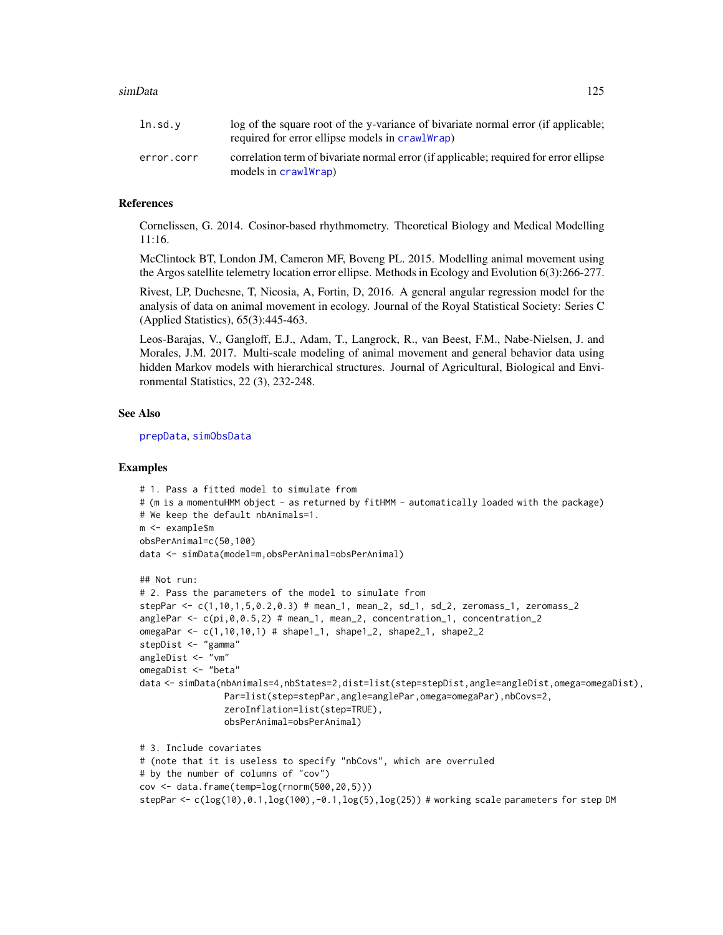<span id="page-124-0"></span>

| ln . sd.v  | log of the square root of the y-variance of bivariate normal error (if applicable;<br>required for error ellipse models in crawlWrap) |
|------------|---------------------------------------------------------------------------------------------------------------------------------------|
| error.corr | correlation term of bivariate normal error (if applicable; required for error ellipse<br>models in crawlWrap)                         |

## References

Cornelissen, G. 2014. Cosinor-based rhythmometry. Theoretical Biology and Medical Modelling 11:16.

McClintock BT, London JM, Cameron MF, Boveng PL. 2015. Modelling animal movement using the Argos satellite telemetry location error ellipse. Methods in Ecology and Evolution 6(3):266-277.

Rivest, LP, Duchesne, T, Nicosia, A, Fortin, D, 2016. A general angular regression model for the analysis of data on animal movement in ecology. Journal of the Royal Statistical Society: Series C (Applied Statistics), 65(3):445-463.

Leos-Barajas, V., Gangloff, E.J., Adam, T., Langrock, R., van Beest, F.M., Nabe-Nielsen, J. and Morales, J.M. 2017. Multi-scale modeling of animal movement and general behavior data using hidden Markov models with hierarchical structures. Journal of Agricultural, Biological and Environmental Statistics, 22 (3), 232-248.

#### See Also

[prepData](#page-103-0), [simObsData](#page-126-0)

#### Examples

```
# 1. Pass a fitted model to simulate from
# (m is a momentuHMM object - as returned by fitHMM - automatically loaded with the package)
# We keep the default nbAnimals=1.
m <- example$m
obsPerAnimal=c(50,100)
data <- simData(model=m,obsPerAnimal=obsPerAnimal)
## Not run:
# 2. Pass the parameters of the model to simulate from
stepPar <- c(1,10,1,5,0.2,0.3) # mean_1, mean_2, sd_1, sd_2, zeromass_1, zeromass_2
anglePar <- c(pi,0,0.5,2) # mean_1, mean_2, concentration_1, concentration_2
omegaPar <- c(1,10,10,1) # shape1_1, shape1_2, shape2_1, shape2_2
stepDist <- "gamma"
angleDist <- "vm"
omegaDist <- "beta"
data <- simData(nbAnimals=4,nbStates=2,dist=list(step=stepDist,angle=angleDist,omega=omegaDist),
                Par=list(step=stepPar,angle=anglePar,omega=omegaPar),nbCovs=2,
                zeroInflation=list(step=TRUE),
                obsPerAnimal=obsPerAnimal)
# 3. Include covariates
# (note that it is useless to specify "nbCovs", which are overruled
# by the number of columns of "cov")
cov <- data.frame(temp=log(rnorm(500,20,5)))
stepPar <- c(log(10),0.1,log(100),-0.1,log(5),log(25)) # working scale parameters for step DM
```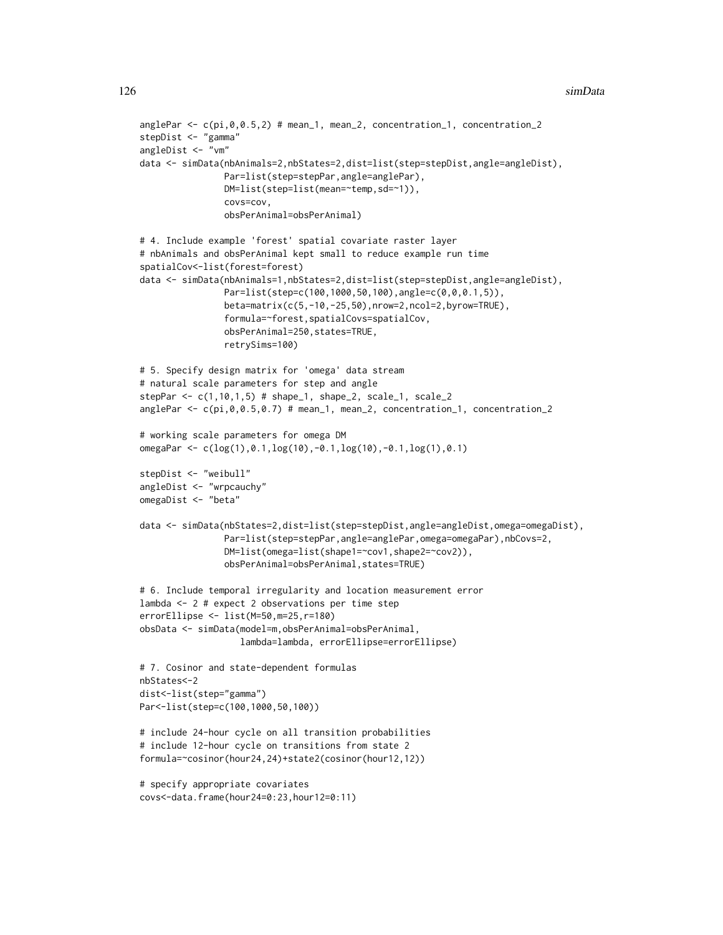```
anglePar \leq c (pi, 0, 0.5, 2) # mean_1, mean_2, concentration_1, concentration_2
stepDist <- "gamma"
angleDist <- "vm"
data <- simData(nbAnimals=2,nbStates=2,dist=list(step=stepDist,angle=angleDist),
                Par=list(step=stepPar,angle=anglePar),
                DM=list(step=list(mean=~temp,sd=~1)),
                covs=cov,
                obsPerAnimal=obsPerAnimal)
# 4. Include example 'forest' spatial covariate raster layer
# nbAnimals and obsPerAnimal kept small to reduce example run time
spatialCov<-list(forest=forest)
data <- simData(nbAnimals=1,nbStates=2,dist=list(step=stepDist,angle=angleDist),
                Par=list(step=c(100,1000,50,100),angle=c(0,0,0.1,5)),
                beta=matrix(c(5,-10,-25,50),nrow=2,ncol=2,byrow=TRUE),
                formula=~forest,spatialCovs=spatialCov,
                obsPerAnimal=250,states=TRUE,
                retrySims=100)
# 5. Specify design matrix for 'omega' data stream
# natural scale parameters for step and angle
stepPar \leq c(1, 10, 1, 5) # shape_1, shape_2, scale_1, scale_2
anglePar <- c(pi,0,0.5,0.7) # mean_1, mean_2, concentration_1, concentration_2
# working scale parameters for omega DM
omegaPar <- c(log(1),0.1,log(10),-0.1,log(10),-0.1,log(1),0.1)
stepDist <- "weibull"
angleDist <- "wrpcauchy"
omegaDist <- "beta"
data <- simData(nbStates=2,dist=list(step=stepDist,angle=angleDist,omega=omegaDist),
                Par=list(step=stepPar,angle=anglePar,omega=omegaPar),nbCovs=2,
                DM=list(omega=list(shape1=~cov1,shape2=~cov2)),
                obsPerAnimal=obsPerAnimal,states=TRUE)
# 6. Include temporal irregularity and location measurement error
lambda <- 2 # expect 2 observations per time step
errorEllipse <- list(M=50,m=25,r=180)
obsData <- simData(model=m,obsPerAnimal=obsPerAnimal,
                   lambda=lambda, errorEllipse=errorEllipse)
# 7. Cosinor and state-dependent formulas
nbStates<-2
dist<-list(step="gamma")
Par<-list(step=c(100,1000,50,100))
# include 24-hour cycle on all transition probabilities
# include 12-hour cycle on transitions from state 2
formula=~cosinor(hour24,24)+state2(cosinor(hour12,12))
# specify appropriate covariates
covs<-data.frame(hour24=0:23,hour12=0:11)
```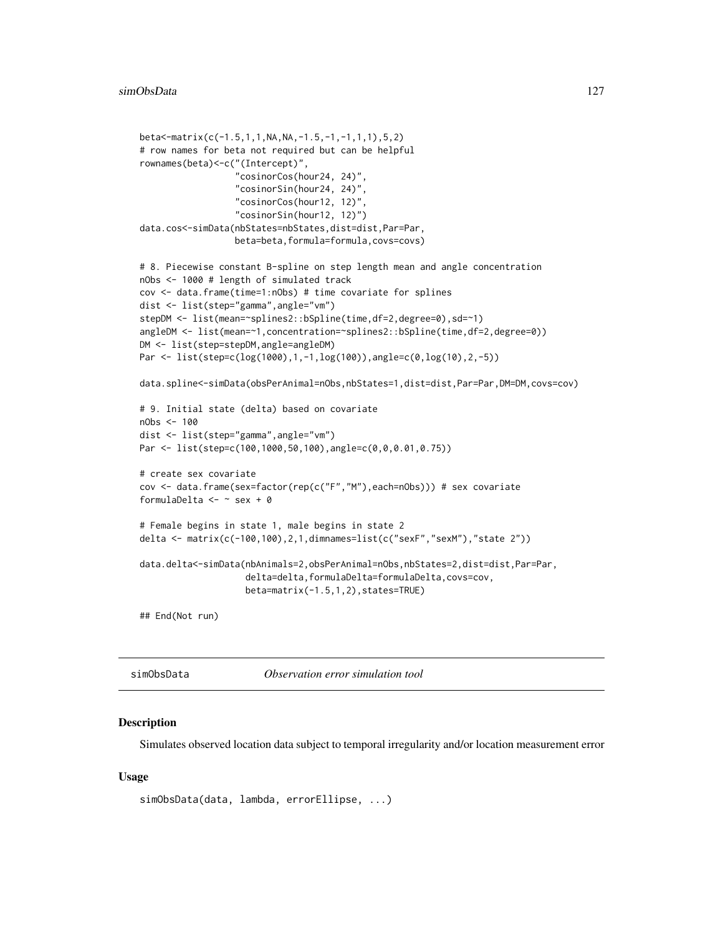```
beta<-matrix(c(-1.5,1,1,NA,NA,-1.5,-1,-1,1,1),5,2)
# row names for beta not required but can be helpful
rownames(beta)<-c("(Intercept)",
                  "cosinorCos(hour24, 24)",
                  "cosinorSin(hour24, 24)",
                  "cosinorCos(hour12, 12)",
                  "cosinorSin(hour12, 12)")
data.cos<-simData(nbStates=nbStates,dist=dist,Par=Par,
                  beta=beta,formula=formula,covs=covs)
# 8. Piecewise constant B-spline on step length mean and angle concentration
nObs <- 1000 # length of simulated track
cov <- data.frame(time=1:nObs) # time covariate for splines
dist <- list(step="gamma",angle="vm")
stepDM <- list(mean=~splines2::bSpline(time,df=2,degree=0),sd=~1)
angleDM <- list(mean=~1,concentration=~splines2::bSpline(time,df=2,degree=0))
DM <- list(step=stepDM,angle=angleDM)
Par <- list(step=c(log(1000),1,-1,log(100)),angle=c(0,log(10),2,-5))
data.spline<-simData(obsPerAnimal=nObs,nbStates=1,dist=dist,Par=Par,DM=DM,covs=cov)
# 9. Initial state (delta) based on covariate
nObs <- 100
dist <- list(step="gamma",angle="vm")
Par <- list(step=c(100,1000,50,100),angle=c(0,0,0.01,0.75))
# create sex covariate
cov <- data.frame(sex=factor(rep(c("F","M"),each=nObs))) # sex covariate
formulaDelta <- ~ sex + 0
# Female begins in state 1, male begins in state 2
delta <- matrix(c(-100,100),2,1,dimnames=list(c("sexF","sexM"),"state 2"))
data.delta<-simData(nbAnimals=2,obsPerAnimal=nObs,nbStates=2,dist=dist,Par=Par,
                    delta=delta,formulaDelta=formulaDelta,covs=cov,
                    beta=matrix(-1.5,1,2),states=TRUE)
## End(Not run)
```
<span id="page-126-0"></span>simObsData *Observation error simulation tool*

#### **Description**

Simulates observed location data subject to temporal irregularity and/or location measurement error

#### Usage

```
simObsData(data, lambda, errorEllipse, ...)
```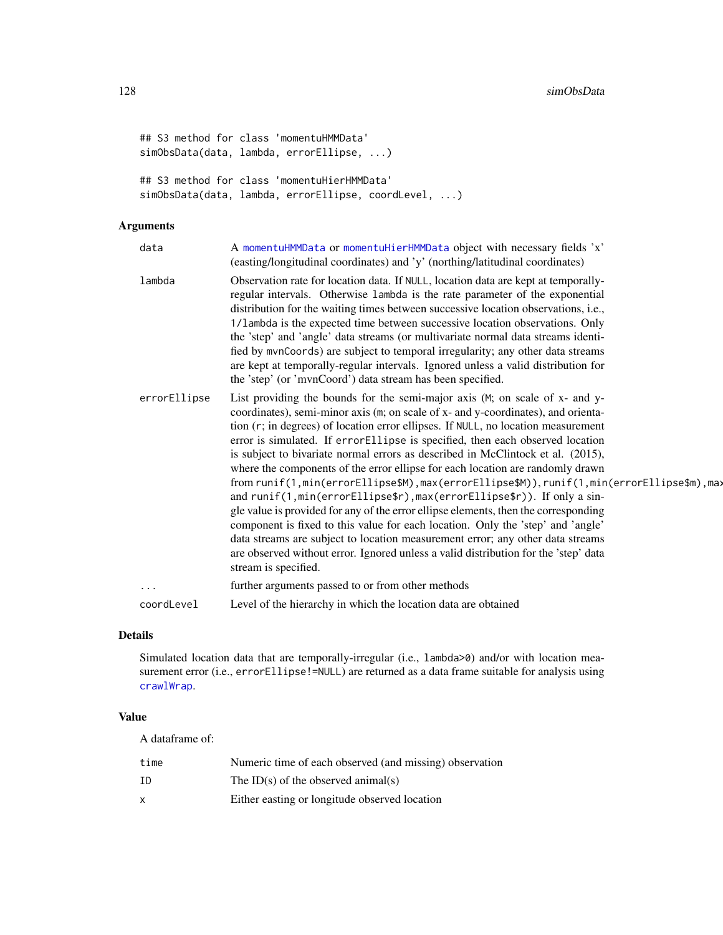```
## S3 method for class 'momentuHMMData'
simObsData(data, lambda, errorEllipse, ...)
## S3 method for class 'momentuHierHMMData'
simObsData(data, lambda, errorEllipse, coordLevel, ...)
```
## Arguments

| data         | A momentuHMMData or momentuHierHMMData object with necessary fields 'x'<br>(easting/longitudinal coordinates) and 'y' (northing/latitudinal coordinates)                                                                                                                                                                                                                                                                                                                                                                                                                                                                                                                                                                                                                                                                                                                                                                                                                                                                                                       |
|--------------|----------------------------------------------------------------------------------------------------------------------------------------------------------------------------------------------------------------------------------------------------------------------------------------------------------------------------------------------------------------------------------------------------------------------------------------------------------------------------------------------------------------------------------------------------------------------------------------------------------------------------------------------------------------------------------------------------------------------------------------------------------------------------------------------------------------------------------------------------------------------------------------------------------------------------------------------------------------------------------------------------------------------------------------------------------------|
| lambda       | Observation rate for location data. If NULL, location data are kept at temporally-<br>regular intervals. Otherwise lambda is the rate parameter of the exponential<br>distribution for the waiting times between successive location observations, <i>i.e.</i> ,<br>1/1ambda is the expected time between successive location observations. Only<br>the 'step' and 'angle' data streams (or multivariate normal data streams identi-<br>fied by mvnCoords) are subject to temporal irregularity; any other data streams<br>are kept at temporally-regular intervals. Ignored unless a valid distribution for<br>the 'step' (or 'mvnCoord') data stream has been specified.                                                                                                                                                                                                                                                                                                                                                                                     |
| errorEllipse | List providing the bounds for the semi-major axis (M; on scale of x- and y-<br>coordinates), semi-minor axis (m; on scale of x- and y-coordinates), and orienta-<br>tion (r; in degrees) of location error ellipses. If NULL, no location measurement<br>error is simulated. If errorEllipse is specified, then each observed location<br>is subject to bivariate normal errors as described in McClintock et al. (2015),<br>where the components of the error ellipse for each location are randomly drawn<br>from runif(1,min(errorEllipse\$M),max(errorEllipse\$M)),runif(1,min(errorEllipse\$m),ma><br>and runif(1, min(errorEllipse\$r), max(errorEllipse\$r)). If only a sin-<br>gle value is provided for any of the error ellipse elements, then the corresponding<br>component is fixed to this value for each location. Only the 'step' and 'angle'<br>data streams are subject to location measurement error; any other data streams<br>are observed without error. Ignored unless a valid distribution for the 'step' data<br>stream is specified. |
| .            | further arguments passed to or from other methods                                                                                                                                                                                                                                                                                                                                                                                                                                                                                                                                                                                                                                                                                                                                                                                                                                                                                                                                                                                                              |
| coordLevel   | Level of the hierarchy in which the location data are obtained                                                                                                                                                                                                                                                                                                                                                                                                                                                                                                                                                                                                                                                                                                                                                                                                                                                                                                                                                                                                 |
|              |                                                                                                                                                                                                                                                                                                                                                                                                                                                                                                                                                                                                                                                                                                                                                                                                                                                                                                                                                                                                                                                                |

## Details

Simulated location data that are temporally-irregular (i.e., lambda>0) and/or with location measurement error (i.e., errorEllipse!=NULL) are returned as a data frame suitable for analysis using [crawlWrap](#page-15-0).

#### Value

| time | Numeric time of each observed (and missing) observation |
|------|---------------------------------------------------------|
| ΙD   | The ID(s) of the observed animal(s)                     |
| X    | Either easting or longitude observed location           |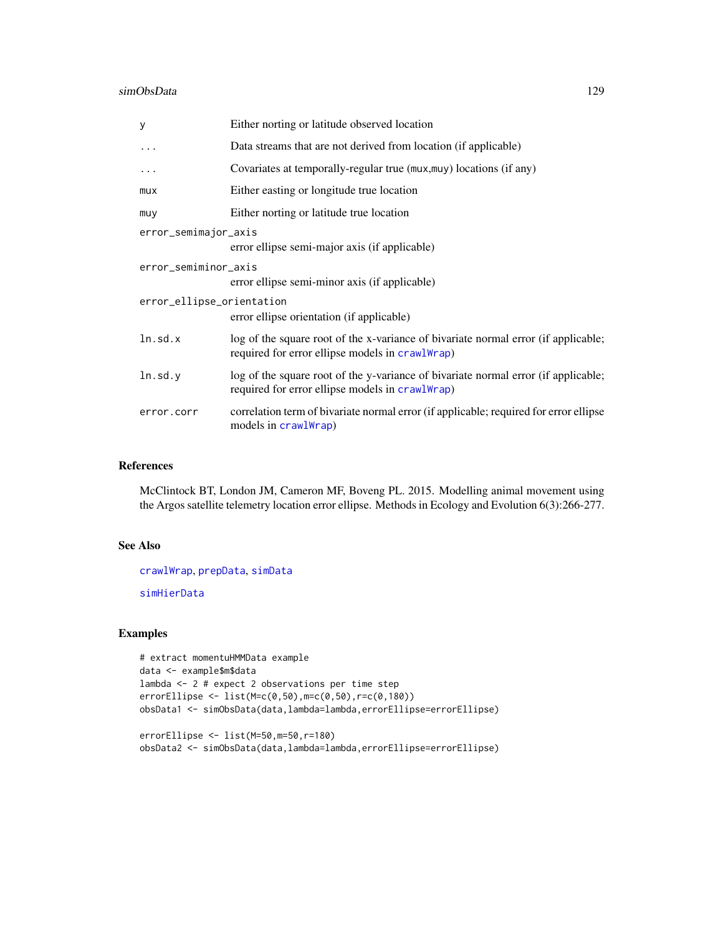#### <span id="page-128-0"></span>simObsData 129

| у                         | Either norting or latitude observed location                                                                                          |
|---------------------------|---------------------------------------------------------------------------------------------------------------------------------------|
| $\cdots$                  | Data streams that are not derived from location (if applicable)                                                                       |
| .                         | Covariates at temporally-regular true (mux, muy) locations (if any)                                                                   |
| mux                       | Either easting or longitude true location                                                                                             |
| muy                       | Either norting or latitude true location                                                                                              |
| error_semimajor_axis      | error ellipse semi-major axis (if applicable)                                                                                         |
| error_semiminor_axis      |                                                                                                                                       |
|                           | error ellipse semi-minor axis (if applicable)                                                                                         |
| error_ellipse_orientation | error ellipse orientation (if applicable)                                                                                             |
| ln.sd.x                   | log of the square root of the x-variance of bivariate normal error (if applicable;<br>required for error ellipse models in crawlWrap) |
| ln.sd.y                   | log of the square root of the y-variance of bivariate normal error (if applicable;<br>required for error ellipse models in crawlWrap) |
| error.corr                | correlation term of bivariate normal error (if applicable; required for error ellipse<br>models in crawlWrap)                         |

## References

McClintock BT, London JM, Cameron MF, Boveng PL. 2015. Modelling animal movement using the Argos satellite telemetry location error ellipse. Methods in Ecology and Evolution 6(3):266-277.

## See Also

[crawlWrap](#page-15-0), [prepData](#page-103-0), [simData](#page-114-0)

[simHierData](#page-114-1)

## Examples

```
# extract momentuHMMData example
data <- example$m$data
lambda <- 2 # expect 2 observations per time step
errorEllipse <- list(M=c(0,50),m=c(0,50),r=c(0,180))
obsData1 <- simObsData(data,lambda=lambda,errorEllipse=errorEllipse)
errorEllipse <- list(M=50,m=50,r=180)
```

```
obsData2 <- simObsData(data,lambda=lambda,errorEllipse=errorEllipse)
```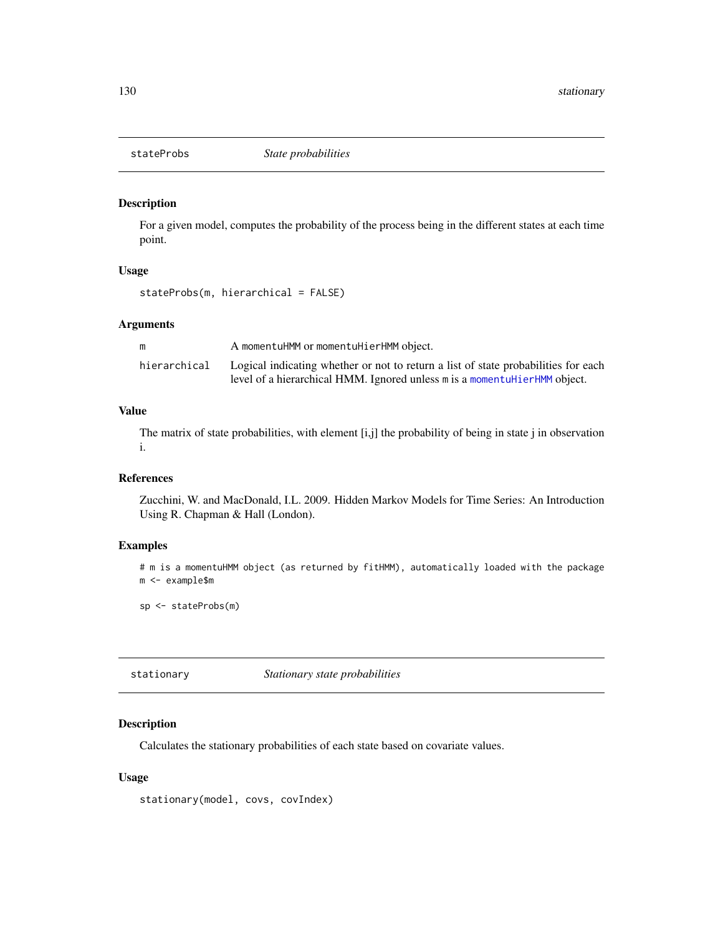<span id="page-129-0"></span>

## Description

For a given model, computes the probability of the process being in the different states at each time point.

#### Usage

stateProbs(m, hierarchical = FALSE)

## Arguments

| m            | A momentuHMM or momentuHierHMM object.                                                                                                                           |
|--------------|------------------------------------------------------------------------------------------------------------------------------------------------------------------|
| hierarchical | Logical indicating whether or not to return a list of state probabilities for each<br>level of a hierarchical HMM. Ignored unless m is a momentual erham object. |

## Value

The matrix of state probabilities, with element [i,j] the probability of being in state j in observation i.

## References

Zucchini, W. and MacDonald, I.L. 2009. Hidden Markov Models for Time Series: An Introduction Using R. Chapman & Hall (London).

## Examples

# m is a momentuHMM object (as returned by fitHMM), automatically loaded with the package m <- example\$m

sp <- stateProbs(m)

stationary *Stationary state probabilities*

## Description

Calculates the stationary probabilities of each state based on covariate values.

#### Usage

stationary(model, covs, covIndex)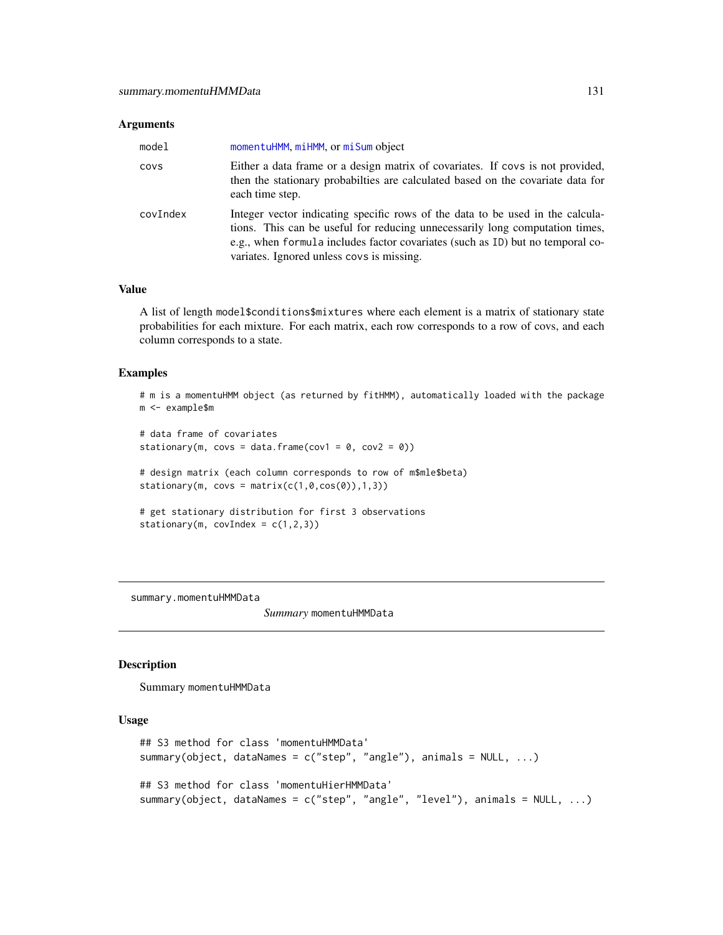#### <span id="page-130-0"></span>Arguments

| model    | momentuHMM, miHMM, or miSum object                                                                                                                                                                                                                                                            |
|----------|-----------------------------------------------------------------------------------------------------------------------------------------------------------------------------------------------------------------------------------------------------------------------------------------------|
| COVS     | Either a data frame or a design matrix of covariates. If covs is not provided,<br>then the stationary probabilities are calculated based on the covariate data for<br>each time step.                                                                                                         |
| covIndex | Integer vector indicating specific rows of the data to be used in the calcula-<br>tions. This can be useful for reducing unnecessarily long computation times,<br>e.g., when formula includes factor covariates (such as ID) but no temporal co-<br>variates. Ignored unless covs is missing. |

#### Value

A list of length model\$conditions\$mixtures where each element is a matrix of stationary state probabilities for each mixture. For each matrix, each row corresponds to a row of covs, and each column corresponds to a state.

#### Examples

```
# m is a momentuHMM object (as returned by fitHMM), automatically loaded with the package
m <- example$m
```

```
# data frame of covariates
stationary(m, covs = data.frame(cov1 = 0, cov2 = 0))
# design matrix (each column corresponds to row of m$mle$beta)
stationary(m, covs = matrix(c(1,0,cos(0)),1,3))
# get stationary distribution for first 3 observations
stationary(m, covIndex = c(1,2,3))
```
summary.momentuHMMData

*Summary* momentuHMMData

#### Description

Summary momentuHMMData

## Usage

```
## S3 method for class 'momentuHMMData'
summary(object, dataNames = c("step", "angle"), animals = NULL, ...)
## S3 method for class 'momentuHierHMMData'
summary(object, dataNames = c("step", "angle", "level"), animals = NULL, ...)
```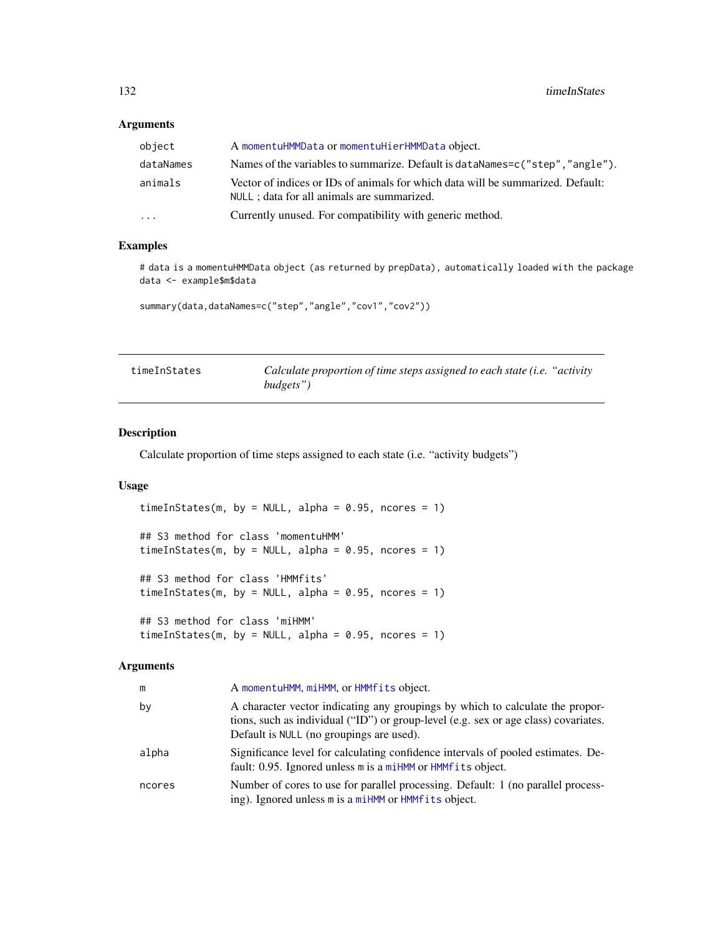## <span id="page-131-0"></span>Arguments

| object<br>A momentuHMMData or momentuHierHMMData object.                                                                                  |  |
|-------------------------------------------------------------------------------------------------------------------------------------------|--|
| Names of the variables to summarize. Default is dataNames=c("step", "angle").<br>dataNames                                                |  |
| Vector of indices or IDs of animals for which data will be summarized. Default:<br>animals<br>NULL ; data for all animals are summarized. |  |
| Currently unused. For compatibility with generic method.<br>.                                                                             |  |

## Examples

# data is a momentuHMMData object (as returned by prepData), automatically loaded with the package data <- example\$m\$data

summary(data,dataNames=c("step","angle","cov1","cov2"))

| timeInStates | Calculate proportion of time steps assigned to each state ( <i>i.e.</i> "activity") |  |
|--------------|-------------------------------------------------------------------------------------|--|
|              | budgets")                                                                           |  |

## Description

Calculate proportion of time steps assigned to each state (i.e. "activity budgets")

## Usage

timeInStates(m, by = NULL, alpha =  $0.95$ , ncores = 1) ## S3 method for class 'momentuHMM' timeInStates(m, by = NULL, alpha =  $0.95$ , ncores = 1) ## S3 method for class 'HMMfits' timeInStates(m, by = NULL, alpha =  $0.95$ , ncores = 1) ## S3 method for class 'miHMM' timeInStates(m, by = NULL, alpha =  $0.95$ , ncores = 1)

#### Arguments

| m      | A momentuHMM, miHMM, or HMMfits object.                                                                                                                                                                          |
|--------|------------------------------------------------------------------------------------------------------------------------------------------------------------------------------------------------------------------|
| bv     | A character vector indicating any groupings by which to calculate the propor-<br>tions, such as individual ("ID") or group-level (e.g. sex or age class) covariates.<br>Default is NULL (no groupings are used). |
| alpha  | Significance level for calculating confidence intervals of pooled estimates. De-<br>fault: 0.95. Ignored unless m is a miHMM or HMMfits object.                                                                  |
| ncores | Number of cores to use for parallel processing. Default: 1 (no parallel process-<br>ing). Ignored unless m is a miHMM or HMMfits object.                                                                         |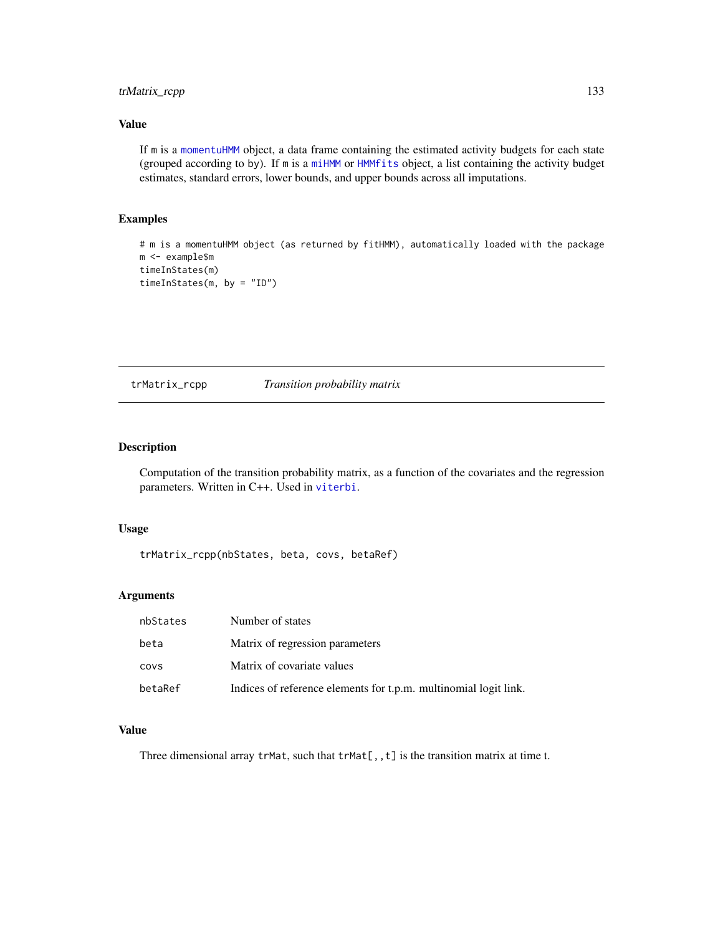## <span id="page-132-0"></span>trMatrix\_rcpp 133

## Value

If m is a [momentuHMM](#page-81-0) object, a data frame containing the estimated activity budgets for each state (grouped according to by). If m is a [miHMM](#page-75-0) or [HMMfits](#page-60-0) object, a list containing the activity budget estimates, standard errors, lower bounds, and upper bounds across all imputations.

#### Examples

```
# m is a momentuHMM object (as returned by fitHMM), automatically loaded with the package
m <- example$m
timeInStates(m)
timeInStates(m, by = "ID")
```
trMatrix\_rcpp *Transition probability matrix*

## Description

Computation of the transition probability matrix, as a function of the covariates and the regression parameters. Written in C++. Used in [viterbi](#page-134-0).

#### Usage

trMatrix\_rcpp(nbStates, beta, covs, betaRef)

#### Arguments

| nbStates | Number of states                                                 |
|----------|------------------------------------------------------------------|
| beta     | Matrix of regression parameters                                  |
| COVS     | Matrix of covariate values                                       |
| betaRef  | Indices of reference elements for t.p.m. multinomial logit link. |

## Value

Three dimensional array  $trMat$ , such that  $trMat[,, t]$  is the transition matrix at time t.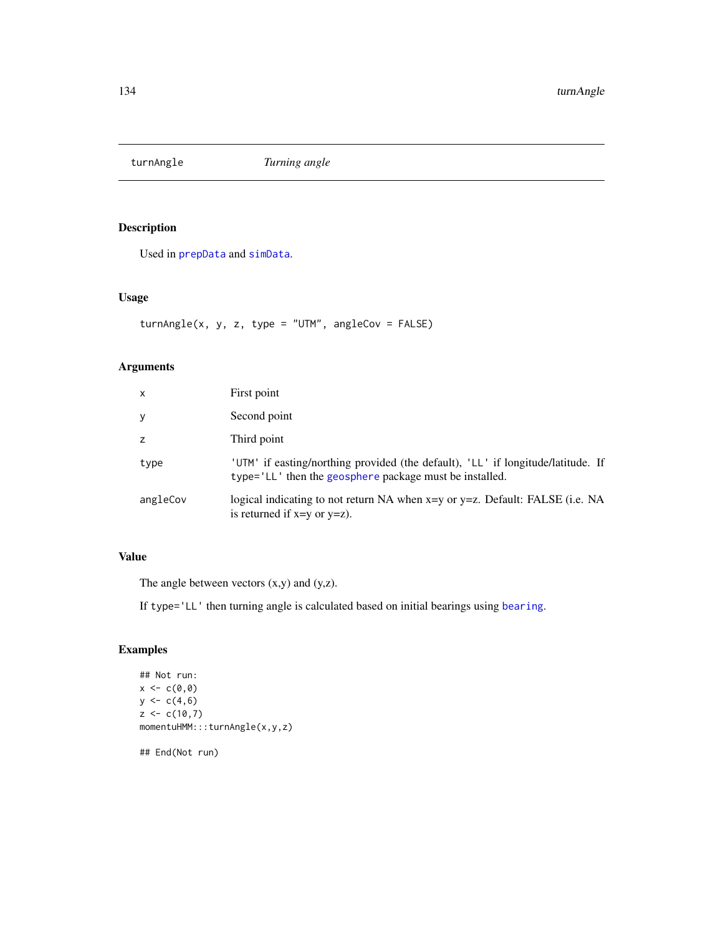<span id="page-133-0"></span>

## Description

Used in [prepData](#page-103-0) and [simData](#page-114-0).

## Usage

 $turnAngle(x, y, z, type = "UTM", angleCov = FALSE)$ 

## Arguments

| x        | First point                                                                                                                                 |
|----------|---------------------------------------------------------------------------------------------------------------------------------------------|
| У        | Second point                                                                                                                                |
| z        | Third point                                                                                                                                 |
| type     | 'UTM' if easting/northing provided (the default), 'LL' if longitude/latitude. If<br>type='LL' then the geosphere package must be installed. |
| angleCov | logical indicating to not return NA when x=y or y=z. Default: FALSE (i.e. NA<br>is returned if $x=y$ or $y=z$ ).                            |

## Value

The angle between vectors (x,y) and (y,z).

If type='LL' then turning angle is calculated based on initial bearings using [bearing](#page-0-0).

## Examples

```
## Not run:
x < -c(0, 0)y \leftarrow c(4, 6)z < -c(10,7)momentuHMM:::turnAngle(x,y,z)
```
## End(Not run)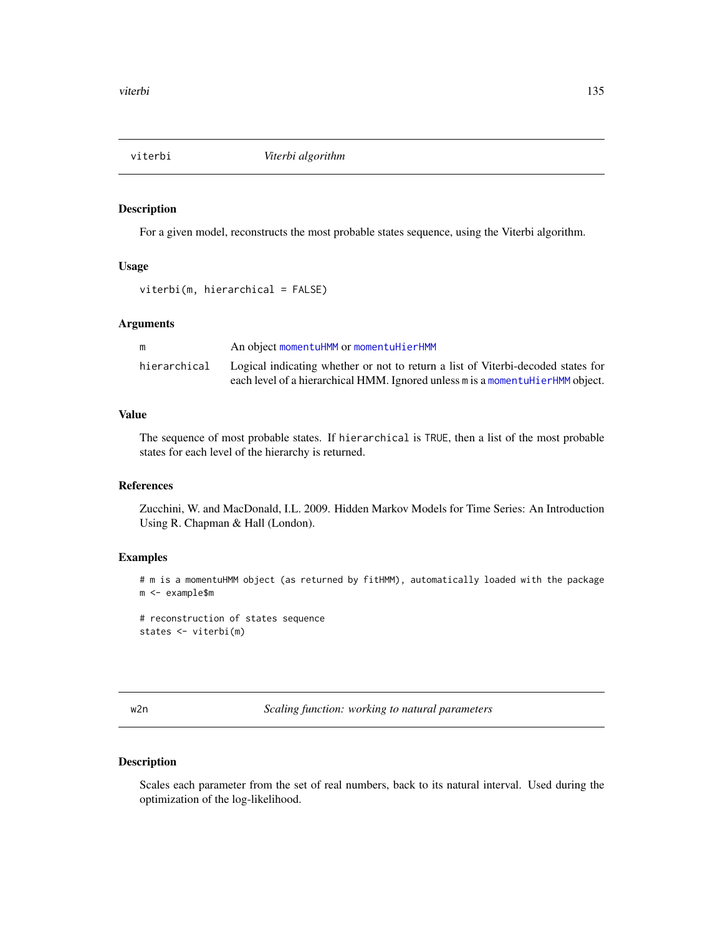<span id="page-134-2"></span><span id="page-134-0"></span>

## Description

For a given model, reconstructs the most probable states sequence, using the Viterbi algorithm.

## Usage

viterbi(m, hierarchical = FALSE)

## Arguments

| m            | An object momentuHMM or momentuHierHMM                                           |
|--------------|----------------------------------------------------------------------------------|
| hierarchical | Logical indicating whether or not to return a list of Viterbi-decoded states for |
|              | each level of a hierarchical HMM. Ignored unless m is a momentualier HMM object. |

## Value

The sequence of most probable states. If hierarchical is TRUE, then a list of the most probable states for each level of the hierarchy is returned.

#### References

Zucchini, W. and MacDonald, I.L. 2009. Hidden Markov Models for Time Series: An Introduction Using R. Chapman & Hall (London).

## Examples

# m is a momentuHMM object (as returned by fitHMM), automatically loaded with the package m <- example\$m

# reconstruction of states sequence states <- viterbi(m)

| V. | ł |  |
|----|---|--|
|    |   |  |

<span id="page-134-1"></span>w2n *Scaling function: working to natural parameters*

## Description

Scales each parameter from the set of real numbers, back to its natural interval. Used during the optimization of the log-likelihood.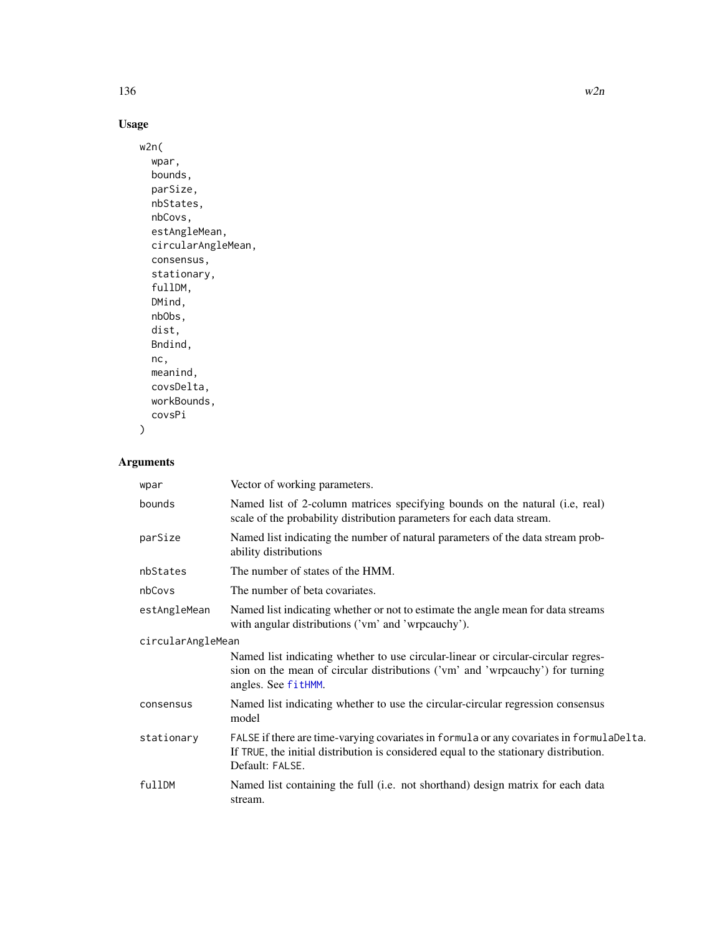# <span id="page-135-0"></span>Usage

```
w2n(
  wpar,
  bounds,
  parSize,
  nbStates,
  nbCovs,
  estAngleMean,
  circularAngleMean,
  consensus,
  stationary,
  fullDM,
  DMind,
  nbObs,
  dist,
  Bndind,
  nc,
  meanind,
  covsDelta,
  workBounds,
  covsPi
```

```
\mathcal{L}
```
# Arguments

| wpar              | Vector of working parameters.                                                                                                                                                                        |
|-------------------|------------------------------------------------------------------------------------------------------------------------------------------------------------------------------------------------------|
| bounds            | Named list of 2-column matrices specifying bounds on the natural (i.e, real)<br>scale of the probability distribution parameters for each data stream.                                               |
| parSize           | Named list indicating the number of natural parameters of the data stream prob-<br>ability distributions                                                                                             |
| nbStates          | The number of states of the HMM.                                                                                                                                                                     |
| nbCovs            | The number of beta covariates.                                                                                                                                                                       |
| estAngleMean      | Named list indicating whether or not to estimate the angle mean for data streams<br>with angular distributions ('vm' and 'wrpcauchy').                                                               |
| circularAngleMean |                                                                                                                                                                                                      |
|                   | Named list indicating whether to use circular-linear or circular-circular regres-<br>sion on the mean of circular distributions ('vm' and 'wrpcauchy') for turning<br>angles. See fitHMM.            |
| consensus         | Named list indicating whether to use the circular-circular regression consensus<br>model                                                                                                             |
| stationary        | FALSE if there are time-varying covariates in formula or any covariates in formulaDelta.<br>If TRUE, the initial distribution is considered equal to the stationary distribution.<br>Default: FALSE. |
| fullDM            | Named list containing the full (i.e. not shorthand) design matrix for each data<br>stream.                                                                                                           |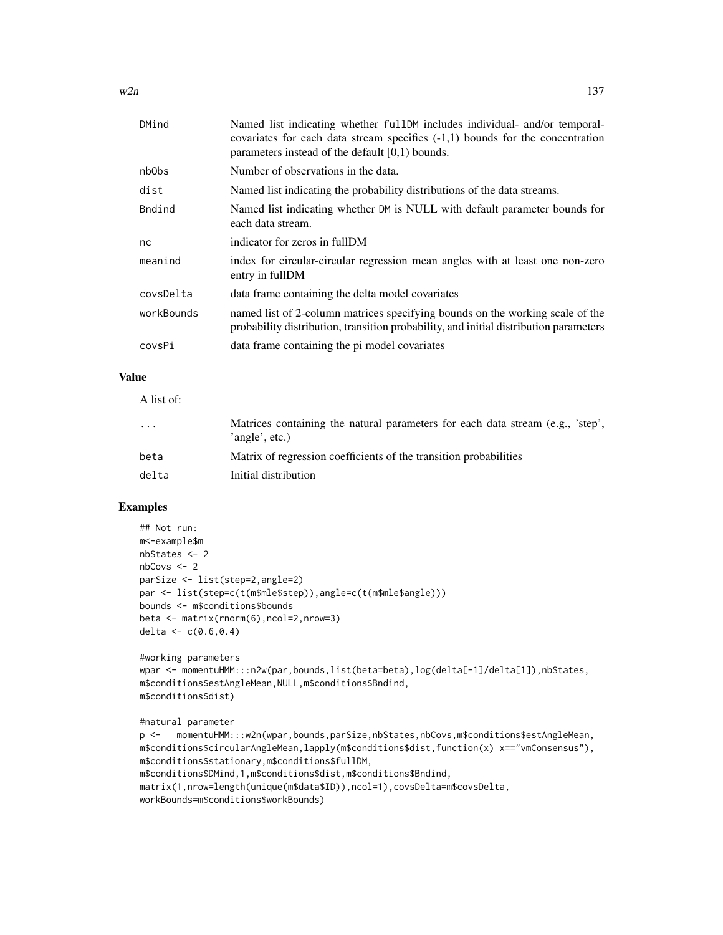$w2n$  137

| DMind             | Named list indicating whether fullDM includes individual- and/or temporal-<br>covariates for each data stream specifies $(-1,1)$ bounds for the concentration<br>parameters instead of the default $[0,1)$ bounds. |
|-------------------|--------------------------------------------------------------------------------------------------------------------------------------------------------------------------------------------------------------------|
| nb <sub>Obs</sub> | Number of observations in the data.                                                                                                                                                                                |
| dist              | Named list indicating the probability distributions of the data streams.                                                                                                                                           |
| <b>Bndind</b>     | Named list indicating whether DM is NULL with default parameter bounds for<br>each data stream.                                                                                                                    |
| nc                | indicator for zeros in fullDM                                                                                                                                                                                      |
| meanind           | index for circular-circular regression mean angles with at least one non-zero<br>entry in fullDM                                                                                                                   |
| covsDelta         | data frame containing the delta model covariates                                                                                                                                                                   |
| workBounds        | named list of 2-column matrices specifying bounds on the working scale of the<br>probability distribution, transition probability, and initial distribution parameters                                             |
| covsPi            | data frame containing the pi model covariates                                                                                                                                                                      |

## Value

| A list of: |                                                                                                  |
|------------|--------------------------------------------------------------------------------------------------|
| $\cdot$    | Matrices containing the natural parameters for each data stream (e.g., 'step',<br>'angle', etc.) |
| beta       | Matrix of regression coefficients of the transition probabilities                                |
| delta      | Initial distribution                                                                             |

## Examples

```
## Not run:
m<-example$m
nbStates <- 2
nbCovs <- 2
parSize <- list(step=2,angle=2)
par <- list(step=c(t(m$mle$step)),angle=c(t(m$mle$angle)))
bounds <- m$conditions$bounds
beta <- matrix(rnorm(6),ncol=2,nrow=3)
delta <- c(0.6, 0.4)
```

```
#working parameters
wpar <- momentuHMM:::n2w(par,bounds,list(beta=beta),log(delta[-1]/delta[1]),nbStates,
m$conditions$estAngleMean,NULL,m$conditions$Bndind,
m$conditions$dist)
```

```
#natural parameter
```

```
p <- momentuHMM:::w2n(wpar,bounds,parSize,nbStates,nbCovs,m$conditions$estAngleMean,
m$conditions$circularAngleMean,lapply(m$conditions$dist,function(x) x=="vmConsensus"),
m$conditions$stationary,m$conditions$fullDM,
m$conditions$DMind,1,m$conditions$dist,m$conditions$Bndind,
matrix(1,nrow=length(unique(m$data$ID)),ncol=1),covsDelta=m$covsDelta,
workBounds=m$conditions$workBounds)
```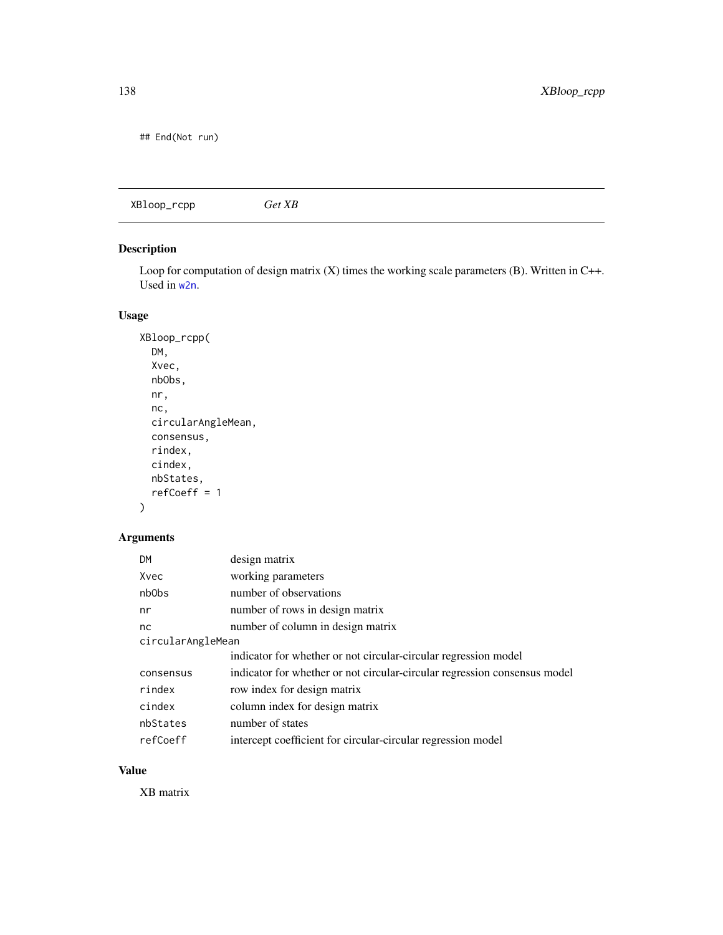<span id="page-137-0"></span>## End(Not run)

| Get XB | XBloop_rcpp |
|--------|-------------|
|        |             |

## Description

Loop for computation of design matrix (X) times the working scale parameters (B). Written in C++. Used in [w2n](#page-134-1).

## Usage

```
XBloop_rcpp(
  DM,
  Xvec,
  nbObs,
  nr,
  nc,
  circularAngleMean,
  consensus,
  rindex,
  cindex,
  nbStates,
  refCoeff = 1
```
# )

## Arguments

| <b>DM</b>         | design matrix                                                             |
|-------------------|---------------------------------------------------------------------------|
| Xvec              | working parameters                                                        |
| nb <sub>Obs</sub> | number of observations                                                    |
| nr                | number of rows in design matrix                                           |
| nc                | number of column in design matrix                                         |
| circularAngleMean |                                                                           |
|                   | indicator for whether or not circular-circular regression model           |
| consensus         | indicator for whether or not circular-circular regression consensus model |
| rindex            | row index for design matrix                                               |
| cindex            | column index for design matrix                                            |
| nbStates          | number of states                                                          |
| refCoeff          | intercept coefficient for circular-circular regression model              |

## Value

XB matrix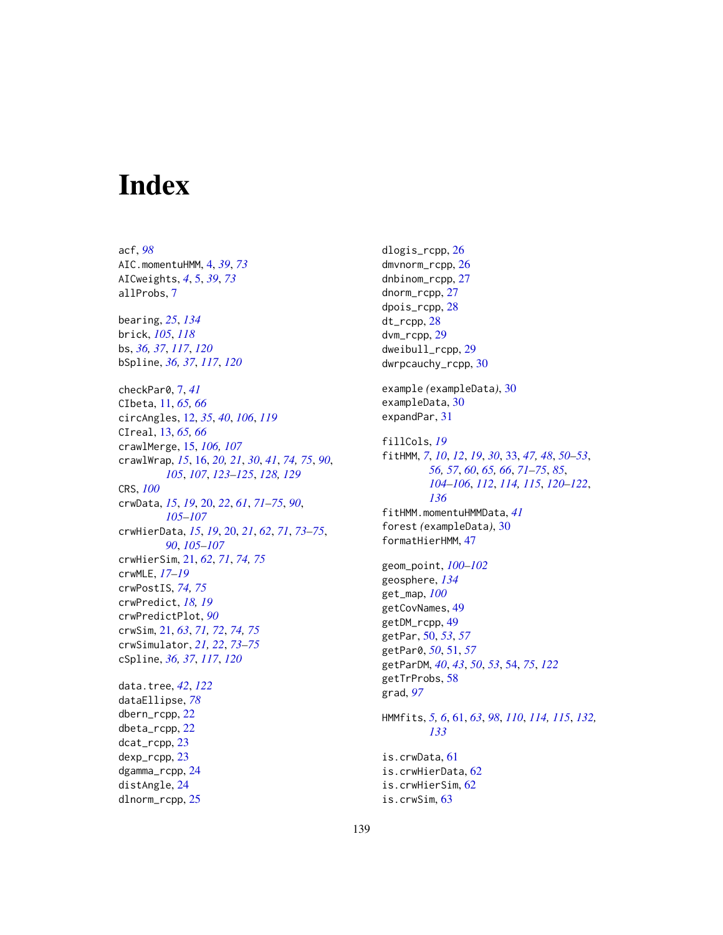# **Index**

acf, *[98](#page-97-0)* AIC.momentuHMM, [4,](#page-3-0) *[39](#page-38-0)*, *[73](#page-72-0)* AICweights, *[4](#page-3-0)*, [5,](#page-4-0) *[39](#page-38-0)*, *[73](#page-72-0)* allProbs, [7](#page-6-0) bearing, *[25](#page-24-0)*, *[134](#page-133-0)* brick, *[105](#page-104-0)*, *[118](#page-117-0)* bs, *[36,](#page-35-0) [37](#page-36-0)*, *[117](#page-116-0)*, *[120](#page-119-0)* bSpline, *[36,](#page-35-0) [37](#page-36-0)*, *[117](#page-116-0)*, *[120](#page-119-0)* checkPar0, [7,](#page-6-0) *[41](#page-40-0)* CIbeta, [11,](#page-10-0) *[65,](#page-64-0) [66](#page-65-0)* circAngles, [12,](#page-11-1) *[35](#page-34-0)*, *[40](#page-39-0)*, *[106](#page-105-0)*, *[119](#page-118-0)* CIreal, [13,](#page-12-0) *[65,](#page-64-0) [66](#page-65-0)* crawlMerge, [15,](#page-14-0) *[106,](#page-105-0) [107](#page-106-0)* crawlWrap, *[15](#page-14-0)*, [16,](#page-15-1) *[20,](#page-19-0) [21](#page-20-0)*, *[30](#page-29-0)*, *[41](#page-40-0)*, *[74,](#page-73-0) [75](#page-74-0)*, *[90](#page-89-0)*, *[105](#page-104-0)*, *[107](#page-106-0)*, *[123–](#page-122-0)[125](#page-124-0)*, *[128,](#page-127-0) [129](#page-128-0)* CRS, *[100](#page-99-0)* crwData, *[15](#page-14-0)*, *[19](#page-18-0)*, [20,](#page-19-0) *[22](#page-21-0)*, *[61](#page-60-1)*, *[71–](#page-70-0)[75](#page-74-0)*, *[90](#page-89-0)*, *[105](#page-104-0)[–107](#page-106-0)* crwHierData, *[15](#page-14-0)*, *[19](#page-18-0)*, [20,](#page-19-0) *[21](#page-20-0)*, *[62](#page-61-0)*, *[71](#page-70-0)*, *[73–](#page-72-0)[75](#page-74-0)*, *[90](#page-89-0)*, *[105](#page-104-0)[–107](#page-106-0)* crwHierSim, [21,](#page-20-0) *[62](#page-61-0)*, *[71](#page-70-0)*, *[74,](#page-73-0) [75](#page-74-0)* crwMLE, *[17](#page-16-0)[–19](#page-18-0)* crwPostIS, *[74,](#page-73-0) [75](#page-74-0)* crwPredict, *[18,](#page-17-0) [19](#page-18-0)* crwPredictPlot, *[90](#page-89-0)* crwSim, [21,](#page-20-0) *[63](#page-62-0)*, *[71,](#page-70-0) [72](#page-71-0)*, *[74,](#page-73-0) [75](#page-74-0)* crwSimulator, *[21,](#page-20-0) [22](#page-21-0)*, *[73–](#page-72-0)[75](#page-74-0)* cSpline, *[36,](#page-35-0) [37](#page-36-0)*, *[117](#page-116-0)*, *[120](#page-119-0)* data.tree, *[42](#page-41-0)*, *[122](#page-121-0)* dataEllipse, *[78](#page-77-0)* dbern\_rcpp, [22](#page-21-0) dbeta\_rcpp, [22](#page-21-0) dcat\_rcpp, [23](#page-22-0) dexp\_rcpp, [23](#page-22-0) dgamma\_rcpp, [24](#page-23-0) distAngle, [24](#page-23-0) dlnorm\_rcpp, [25](#page-24-0)

dlogis\_rcpp, [26](#page-25-0) dmvnorm\_rcpp, [26](#page-25-0) dnbinom\_rcpp, [27](#page-26-0) dnorm\_rcpp, [27](#page-26-0) dpois\_rcpp, [28](#page-27-0) dt\_rcpp, [28](#page-27-0) dvm\_rcpp, [29](#page-28-0) dweibull\_rcpp, [29](#page-28-0) dwrpcauchy\_rcpp, [30](#page-29-0) example *(*exampleData*)*, [30](#page-29-0) exampleData, [30](#page-29-0) expandPar, [31](#page-30-0) fillCols, *[19](#page-18-0)* fitHMM, *[7](#page-6-0)*, *[10](#page-9-0)*, *[12](#page-11-1)*, *[19](#page-18-0)*, *[30](#page-29-0)*, [33,](#page-32-1) *[47,](#page-46-0) [48](#page-47-0)*, *[50](#page-49-0)[–53](#page-52-0)*, *[56,](#page-55-0) [57](#page-56-0)*, *[60](#page-59-0)*, *[65,](#page-64-0) [66](#page-65-0)*, *[71](#page-70-0)[–75](#page-74-0)*, *[85](#page-84-0)*, *[104](#page-103-1)[–106](#page-105-0)*, *[112](#page-111-0)*, *[114,](#page-113-0) [115](#page-114-2)*, *[120](#page-119-0)[–122](#page-121-0)*, *[136](#page-135-0)* fitHMM.momentuHMMData, *[41](#page-40-0)* forest *(*exampleData*)*, [30](#page-29-0) formatHierHMM, [47](#page-46-0) geom\_point, *[100](#page-99-0)[–102](#page-101-0)* geosphere, *[134](#page-133-0)* get\_map, *[100](#page-99-0)* getCovNames, [49](#page-48-0) getDM\_rcpp, [49](#page-48-0) getPar, [50,](#page-49-0) *[53](#page-52-0)*, *[57](#page-56-0)* getPar0, *[50](#page-49-0)*, [51,](#page-50-0) *[57](#page-56-0)* getParDM, *[40](#page-39-0)*, *[43](#page-42-0)*, *[50](#page-49-0)*, *[53](#page-52-0)*, [54,](#page-53-1) *[75](#page-74-0)*, *[122](#page-121-0)* getTrProbs, [58](#page-57-0) grad, *[97](#page-96-0)* HMMfits, *[5,](#page-4-0) [6](#page-5-0)*, [61,](#page-60-1) *[63](#page-62-0)*, *[98](#page-97-0)*, *[110](#page-109-0)*, *[114,](#page-113-0) [115](#page-114-2)*, *[132,](#page-131-0) [133](#page-132-0)* is.crwData, [61](#page-60-1) is.crwHierData, [62](#page-61-0) is.crwHierSim, [62](#page-61-0) is.crwSim, [63](#page-62-0)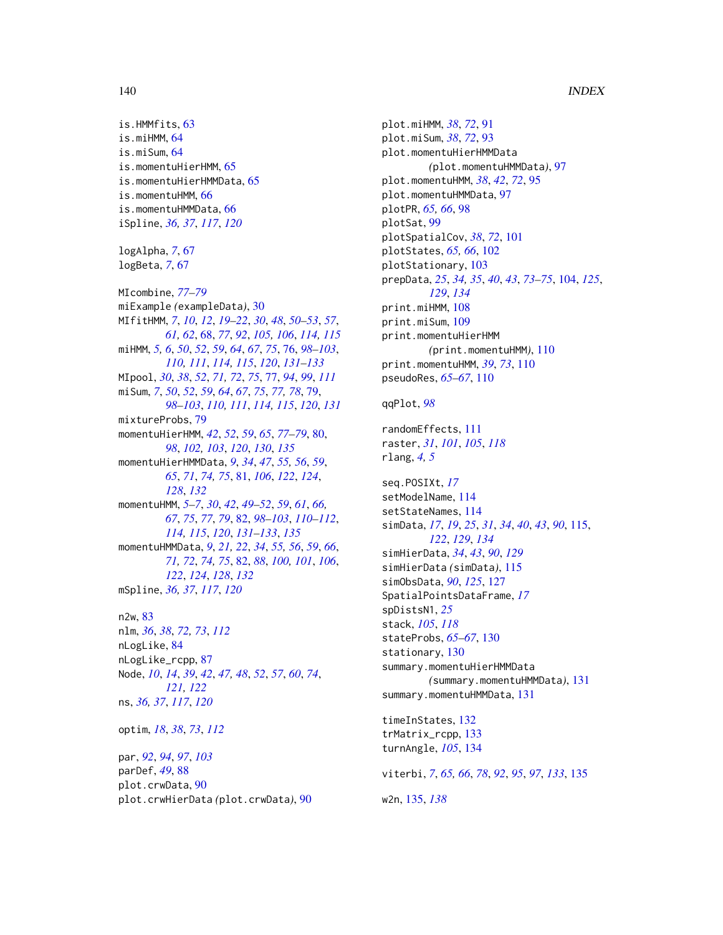## 140 INDEX

is.HMMfits, [63](#page-62-0) is.miHMM, [64](#page-63-0) is.miSum, [64](#page-63-0) is.momentuHierHMM, [65](#page-64-0) is.momentuHierHMMData, [65](#page-64-0) is.momentuHMM, [66](#page-65-0) is.momentuHMMData, [66](#page-65-0) iSpline, *[36,](#page-35-0) [37](#page-36-0)*, *[117](#page-116-0)*, *[120](#page-119-0)* logAlpha, *[7](#page-6-0)*, [67](#page-66-0) logBeta, *[7](#page-6-0)*, [67](#page-66-0) MIcombine, *[77](#page-76-1)[–79](#page-78-1)* miExample *(*exampleData*)*, [30](#page-29-0) MIfitHMM, *[7](#page-6-0)*, *[10](#page-9-0)*, *[12](#page-11-1)*, *[19–](#page-18-0)[22](#page-21-0)*, *[30](#page-29-0)*, *[48](#page-47-0)*, *[50–](#page-49-0)[53](#page-52-0)*, *[57](#page-56-0)*, *[61,](#page-60-1) [62](#page-61-0)*, [68,](#page-67-1) *[77](#page-76-1)*, *[92](#page-91-0)*, *[105,](#page-104-0) [106](#page-105-0)*, *[114,](#page-113-0) [115](#page-114-2)* miHMM, *[5,](#page-4-0) [6](#page-5-0)*, *[50](#page-49-0)*, *[52](#page-51-0)*, *[59](#page-58-0)*, *[64](#page-63-0)*, *[67](#page-66-0)*, *[75](#page-74-0)*, [76,](#page-75-1) *[98–](#page-97-0)[103](#page-102-0)*, *[110,](#page-109-0) [111](#page-110-0)*, *[114,](#page-113-0) [115](#page-114-2)*, *[120](#page-119-0)*, *[131–](#page-130-0)[133](#page-132-0)* MIpool, *[30](#page-29-0)*, *[38](#page-37-0)*, *[52](#page-51-0)*, *[71,](#page-70-0) [72](#page-71-0)*, *[75](#page-74-0)*, [77,](#page-76-1) *[94](#page-93-0)*, *[99](#page-98-0)*, *[111](#page-110-0)* miSum, *[7](#page-6-0)*, *[50](#page-49-0)*, *[52](#page-51-0)*, *[59](#page-58-0)*, *[64](#page-63-0)*, *[67](#page-66-0)*, *[75](#page-74-0)*, *[77,](#page-76-1) [78](#page-77-0)*, [79,](#page-78-1) *[98](#page-97-0)[–103](#page-102-0)*, *[110,](#page-109-0) [111](#page-110-0)*, *[114,](#page-113-0) [115](#page-114-2)*, *[120](#page-119-0)*, *[131](#page-130-0)* mixtureProbs, [79](#page-78-1) momentuHierHMM, *[42](#page-41-0)*, *[52](#page-51-0)*, *[59](#page-58-0)*, *[65](#page-64-0)*, *[77–](#page-76-1)[79](#page-78-1)*, [80,](#page-79-1) *[98](#page-97-0)*, *[102,](#page-101-0) [103](#page-102-0)*, *[120](#page-119-0)*, *[130](#page-129-0)*, *[135](#page-134-2)* momentuHierHMMData, *[9](#page-8-0)*, *[34](#page-33-0)*, *[47](#page-46-0)*, *[55,](#page-54-0) [56](#page-55-0)*, *[59](#page-58-0)*, *[65](#page-64-0)*, *[71](#page-70-0)*, *[74,](#page-73-0) [75](#page-74-0)*, [81,](#page-80-1) *[106](#page-105-0)*, *[122](#page-121-0)*, *[124](#page-123-0)*, *[128](#page-127-0)*, *[132](#page-131-0)* momentuHMM, *[5](#page-4-0)[–7](#page-6-0)*, *[30](#page-29-0)*, *[42](#page-41-0)*, *[49–](#page-48-0)[52](#page-51-0)*, *[59](#page-58-0)*, *[61](#page-60-1)*, *[66,](#page-65-0) [67](#page-66-0)*, *[75](#page-74-0)*, *[77](#page-76-1)*, *[79](#page-78-1)*, [82,](#page-81-2) *[98–](#page-97-0)[103](#page-102-0)*, *[110–](#page-109-0)[112](#page-111-0)*, *[114,](#page-113-0) [115](#page-114-2)*, *[120](#page-119-0)*, *[131–](#page-130-0)[133](#page-132-0)*, *[135](#page-134-2)* momentuHMMData, *[9](#page-8-0)*, *[21,](#page-20-0) [22](#page-21-0)*, *[34](#page-33-0)*, *[55,](#page-54-0) [56](#page-55-0)*, *[59](#page-58-0)*, *[66](#page-65-0)*, *[71,](#page-70-0) [72](#page-71-0)*, *[74,](#page-73-0) [75](#page-74-0)*, [82,](#page-81-2) *[88](#page-87-0)*, *[100,](#page-99-0) [101](#page-100-0)*, *[106](#page-105-0)*, *[122](#page-121-0)*, *[124](#page-123-0)*, *[128](#page-127-0)*, *[132](#page-131-0)* mSpline, *[36,](#page-35-0) [37](#page-36-0)*, *[117](#page-116-0)*, *[120](#page-119-0)* n2w, [83](#page-82-0) nlm, *[36](#page-35-0)*, *[38](#page-37-0)*, *[72,](#page-71-0) [73](#page-72-0)*, *[112](#page-111-0)* nLogLike, [84](#page-83-0)

nLogLike\_rcpp, [87](#page-86-0) Node, *[10](#page-9-0)*, *[14](#page-13-0)*, *[39](#page-38-0)*, *[42](#page-41-0)*, *[47,](#page-46-0) [48](#page-47-0)*, *[52](#page-51-0)*, *[57](#page-56-0)*, *[60](#page-59-0)*, *[74](#page-73-0)*, *[121,](#page-120-0) [122](#page-121-0)* ns, *[36,](#page-35-0) [37](#page-36-0)*, *[117](#page-116-0)*, *[120](#page-119-0)*

optim, *[18](#page-17-0)*, *[38](#page-37-0)*, *[73](#page-72-0)*, *[112](#page-111-0)*

par, *[92](#page-91-0)*, *[94](#page-93-0)*, *[97](#page-96-0)*, *[103](#page-102-0)* parDef, *[49](#page-48-0)*, [88](#page-87-0) plot.crwData, [90](#page-89-0) plot.crwHierData *(*plot.crwData*)*, [90](#page-89-0) plot.miHMM, *[38](#page-37-0)*, *[72](#page-71-0)*, [91](#page-90-0) plot.miSum, *[38](#page-37-0)*, *[72](#page-71-0)*, [93](#page-92-0) plot.momentuHierHMMData *(*plot.momentuHMMData*)*, [97](#page-96-0) plot.momentuHMM, *[38](#page-37-0)*, *[42](#page-41-0)*, *[72](#page-71-0)*, [95](#page-94-0) plot.momentuHMMData, [97](#page-96-0) plotPR, *[65,](#page-64-0) [66](#page-65-0)*, [98](#page-97-0) plotSat, [99](#page-98-0) plotSpatialCov, *[38](#page-37-0)*, *[72](#page-71-0)*, [101](#page-100-0) plotStates, *[65,](#page-64-0) [66](#page-65-0)*, [102](#page-101-0) plotStationary, [103](#page-102-0) prepData, *[25](#page-24-0)*, *[34,](#page-33-0) [35](#page-34-0)*, *[40](#page-39-0)*, *[43](#page-42-0)*, *[73](#page-72-0)[–75](#page-74-0)*, [104,](#page-103-1) *[125](#page-124-0)*, *[129](#page-128-0)*, *[134](#page-133-0)* print.miHMM, [108](#page-107-0) print.miSum, [109](#page-108-0) print.momentuHierHMM *(*print.momentuHMM*)*, [110](#page-109-0) print.momentuHMM, *[39](#page-38-0)*, *[73](#page-72-0)*, [110](#page-109-0) pseudoRes, *[65](#page-64-0)[–67](#page-66-0)*, [110](#page-109-0)

qqPlot, *[98](#page-97-0)*

randomEffects, [111](#page-110-0) raster, *[31](#page-30-0)*, *[101](#page-100-0)*, *[105](#page-104-0)*, *[118](#page-117-0)* rlang, *[4,](#page-3-0) [5](#page-4-0)* seq.POSIXt, *[17](#page-16-0)* setModelName, [114](#page-113-0) setStateNames, [114](#page-113-0) simData, *[17](#page-16-0)*, *[19](#page-18-0)*, *[25](#page-24-0)*, *[31](#page-30-0)*, *[34](#page-33-0)*, *[40](#page-39-0)*, *[43](#page-42-0)*, *[90](#page-89-0)*, [115,](#page-114-2) *[122](#page-121-0)*, *[129](#page-128-0)*, *[134](#page-133-0)* simHierData, *[34](#page-33-0)*, *[43](#page-42-0)*, *[90](#page-89-0)*, *[129](#page-128-0)* simHierData *(*simData*)*, [115](#page-114-2) simObsData, *[90](#page-89-0)*, *[125](#page-124-0)*, [127](#page-126-1) SpatialPointsDataFrame, *[17](#page-16-0)* spDistsN1, *[25](#page-24-0)* stack, *[105](#page-104-0)*, *[118](#page-117-0)* stateProbs, *[65](#page-64-0)[–67](#page-66-0)*, [130](#page-129-0) stationary, [130](#page-129-0) summary.momentuHierHMMData *(*summary.momentuHMMData*)*, [131](#page-130-0) summary.momentuHMMData, [131](#page-130-0) timeInStates, [132](#page-131-0) trMatrix\_rcpp, [133](#page-132-0) turnAngle, *[105](#page-104-0)*, [134](#page-133-0) viterbi, *[7](#page-6-0)*, *[65,](#page-64-0) [66](#page-65-0)*, *[78](#page-77-0)*, *[92](#page-91-0)*, *[95](#page-94-0)*, *[97](#page-96-0)*, *[133](#page-132-0)*, [135](#page-134-2)

w2n, [135,](#page-134-2) *[138](#page-137-0)*